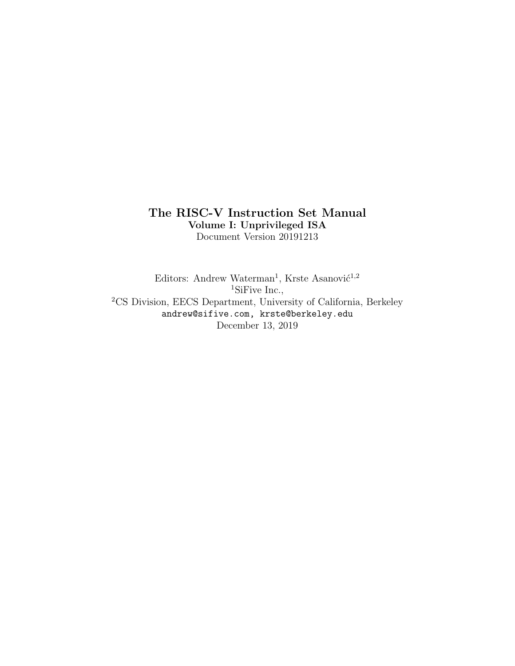#### The RISC-V Instruction Set Manual Volume I: Unprivileged ISA Document Version 20191213

Editors: Andrew Waterman<sup>1</sup>, Krste Asanović<sup>1,2</sup> <sup>1</sup>SiFive Inc., <sup>2</sup>CS Division, EECS Department, University of California, Berkeley andrew@sifive.com, krste@berkeley.edu December 13, 2019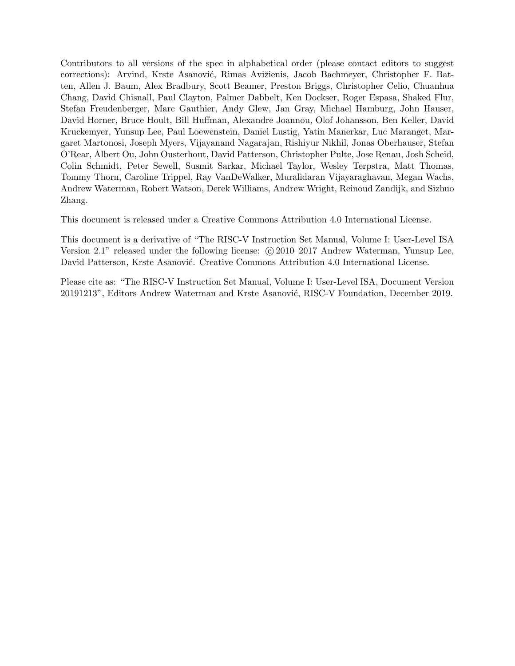Contributors to all versions of the spec in alphabetical order (please contact editors to suggest corrections): Arvind, Krste Asanović, Rimas Avižienis, Jacob Bachmeyer, Christopher F. Batten, Allen J. Baum, Alex Bradbury, Scott Beamer, Preston Briggs, Christopher Celio, Chuanhua Chang, David Chisnall, Paul Clayton, Palmer Dabbelt, Ken Dockser, Roger Espasa, Shaked Flur, Stefan Freudenberger, Marc Gauthier, Andy Glew, Jan Gray, Michael Hamburg, John Hauser, David Horner, Bruce Hoult, Bill Huffman, Alexandre Joannou, Olof Johansson, Ben Keller, David Kruckemyer, Yunsup Lee, Paul Loewenstein, Daniel Lustig, Yatin Manerkar, Luc Maranget, Margaret Martonosi, Joseph Myers, Vijayanand Nagarajan, Rishiyur Nikhil, Jonas Oberhauser, Stefan O'Rear, Albert Ou, John Ousterhout, David Patterson, Christopher Pulte, Jose Renau, Josh Scheid, Colin Schmidt, Peter Sewell, Susmit Sarkar, Michael Taylor, Wesley Terpstra, Matt Thomas, Tommy Thorn, Caroline Trippel, Ray VanDeWalker, Muralidaran Vijayaraghavan, Megan Wachs, Andrew Waterman, Robert Watson, Derek Williams, Andrew Wright, Reinoud Zandijk, and Sizhuo Zhang.

This document is released under a Creative Commons Attribution 4.0 International License.

This document is a derivative of "The RISC-V Instruction Set Manual, Volume I: User-Level ISA Version 2.1" released under the following license:  $\odot$  2010–2017 Andrew Waterman, Yunsup Lee, David Patterson, Krste Asanović. Creative Commons Attribution 4.0 International License.

Please cite as: "The RISC-V Instruction Set Manual, Volume I: User-Level ISA, Document Version 20191213", Editors Andrew Waterman and Krste Asanović, RISC-V Foundation, December 2019.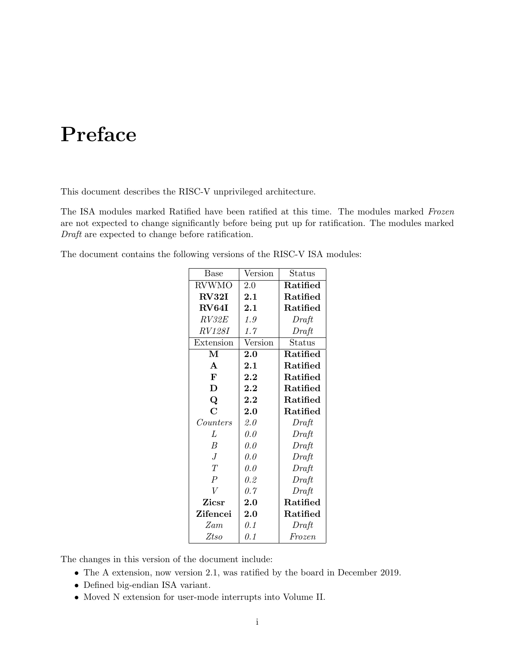# <span id="page-2-0"></span>Preface

This document describes the RISC-V unprivileged architecture.

The ISA modules marked Ratified have been ratified at this time. The modules marked Frozen are not expected to change significantly before being put up for ratification. The modules marked Draft are expected to change before ratification.

The document contains the following versions of the RISC-V ISA modules:

| <b>Base</b>      | Version            | $_{\rm Status}$ |
|------------------|--------------------|-----------------|
| <b>RVWMO</b>     | 2.0                | Ratified        |
| <b>RV32I</b>     | $2.1\,$            | Ratified        |
| <b>RV64I</b>     | 2.1                | Ratified        |
| RV32E            | 1.9                | Draff           |
| RV128I           | 1.7                | Draft           |
| Extension        | Version            | Status          |
| М                | $2.0\,$            | Ratified        |
| $\mathbf A$      | $2.1\,$            | Ratified        |
| ${\bf F}$        | $\bf 2.2$          | Ratified        |
| D                | $2.2\,$            | Ratified        |
| Q                | $\bf 2.2$          | Ratified        |
| $\overline{C}$   | 2.0                | Ratified        |
| Counters         | 2.0                | Draff           |
| L                | 0.0                | Draft           |
| $\boldsymbol{B}$ | 0.0                | Draff           |
| $\boldsymbol{J}$ | 0.0                | Draft           |
| $\overline{T}$   | 0.0                | Draff           |
| $\overline{P}$   | 0.2                | Draft           |
| V                | 0.7                | Draft           |
| Zicsr            | $\boldsymbol{2.0}$ | Ratified        |
| Zifencei         | 2.0                | Ratified        |
| Zam              | 0.1                | Draft           |
| Ztso             | 0.1                | Frozen          |

The changes in this version of the document include:

- The A extension, now version 2.1, was ratified by the board in December 2019.
- Defined big-endian ISA variant.
- Moved N extension for user-mode interrupts into Volume II.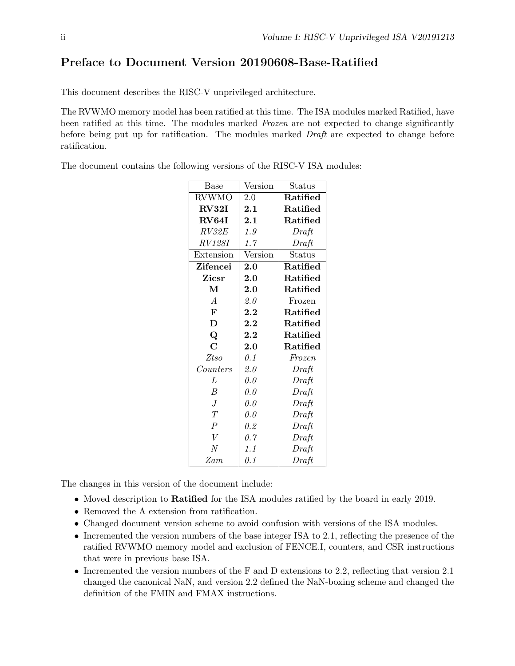#### Preface to Document Version 20190608-Base-Ratified

This document describes the RISC-V unprivileged architecture.

The RVWMO memory model has been ratified at this time. The ISA modules marked Ratified, have been ratified at this time. The modules marked Frozen are not expected to change significantly before being put up for ratification. The modules marked Draft are expected to change before ratification.

The document contains the following versions of the RISC-V ISA modules:

| Base             | Version            | $_{\rm Status}$ |
|------------------|--------------------|-----------------|
| <b>RVWMO</b>     | 2.0                | Ratified        |
| <b>RV32I</b>     | $2.1\,$            | Ratified        |
| RV64I            | 2.1                | Ratified        |
| RV32E            | 1.9                | Draft           |
| RV128I           | 1.7                | Draft           |
| Extension        | Version            | Status          |
| Zifencei         | 2.0                | Ratified        |
| Zicsr            | 2.0                | Ratified        |
| М                | $\boldsymbol{2.0}$ | Ratified        |
| $\overline{A}$   | $2.0\,$            | Frozen          |
| $\mathbf F$      | 2.2                | Ratified        |
| D                | 2.2                | Ratified        |
| Q                | $\bf 2.2$          | Ratified        |
| $\overline{C}$   | 2.0                | Ratified        |
| Ztso             | 0.1                | Frozen          |
| Counters         | 2.0                | Draft           |
| L                | 0.0                | Draff           |
| $\boldsymbol{B}$ | 0.0                | Draft           |
| $\boldsymbol{J}$ | 0.0                | Draft           |
| T                | 0.0                | Draff           |
| $\boldsymbol{P}$ | 0.2                | Draff           |
| $\bar{V}$        | 0.7                | Draft           |
| $\overline{N}$   | 1.1                | Draft           |
| Zam              | 0.1                | Draft           |

The changes in this version of the document include:

- Moved description to Ratified for the ISA modules ratified by the board in early 2019.
- Removed the A extension from ratification.
- Changed document version scheme to avoid confusion with versions of the ISA modules.
- Incremented the version numbers of the base integer ISA to 2.1, reflecting the presence of the ratified RVWMO memory model and exclusion of FENCE.I, counters, and CSR instructions that were in previous base ISA.
- Incremented the version numbers of the F and D extensions to 2.2, reflecting that version 2.1 changed the canonical NaN, and version 2.2 defined the NaN-boxing scheme and changed the definition of the FMIN and FMAX instructions.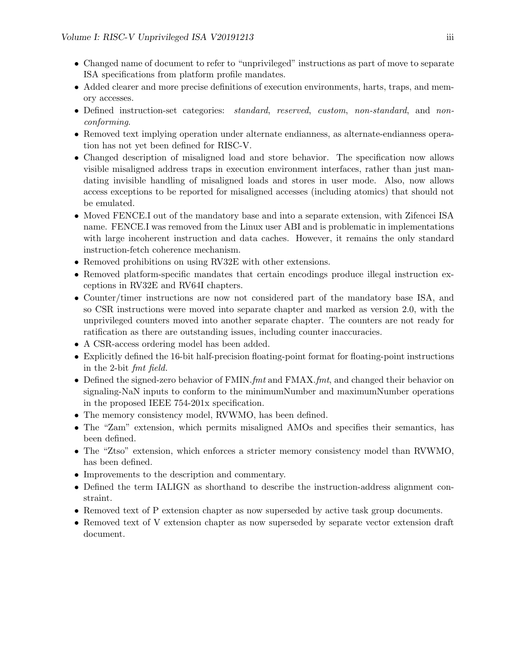- Changed name of document to refer to "unprivileged" instructions as part of move to separate ISA specifications from platform profile mandates.
- Added clearer and more precise definitions of execution environments, harts, traps, and memory accesses.
- Defined instruction-set categories: standard, reserved, custom, non-standard, and nonconforming.
- Removed text implying operation under alternate endianness, as alternate-endianness operation has not yet been defined for RISC-V.
- Changed description of misaligned load and store behavior. The specification now allows visible misaligned address traps in execution environment interfaces, rather than just mandating invisible handling of misaligned loads and stores in user mode. Also, now allows access exceptions to be reported for misaligned accesses (including atomics) that should not be emulated.
- Moved FENCE.I out of the mandatory base and into a separate extension, with Zifencei ISA name. FENCE.I was removed from the Linux user ABI and is problematic in implementations with large incoherent instruction and data caches. However, it remains the only standard instruction-fetch coherence mechanism.
- Removed prohibitions on using RV32E with other extensions.
- Removed platform-specific mandates that certain encodings produce illegal instruction exceptions in RV32E and RV64I chapters.
- Counter/timer instructions are now not considered part of the mandatory base ISA, and so CSR instructions were moved into separate chapter and marked as version 2.0, with the unprivileged counters moved into another separate chapter. The counters are not ready for ratification as there are outstanding issues, including counter inaccuracies.
- A CSR-access ordering model has been added.
- Explicitly defined the 16-bit half-precision floating-point format for floating-point instructions in the 2-bit fmt field.
- Defined the signed-zero behavior of FMIN. fmt and FMAX. fmt, and changed their behavior on signaling-NaN inputs to conform to the minimumNumber and maximumNumber operations in the proposed IEEE 754-201x specification.
- The memory consistency model, RVWMO, has been defined.
- The "Zam" extension, which permits misaligned AMOs and specifies their semantics, has been defined.
- The "Ztso" extension, which enforces a stricter memory consistency model than RVWMO, has been defined.
- Improvements to the description and commentary.
- Defined the term IALIGN as shorthand to describe the instruction-address alignment constraint.
- Removed text of P extension chapter as now superseded by active task group documents.
- Removed text of V extension chapter as now superseded by separate vector extension draft document.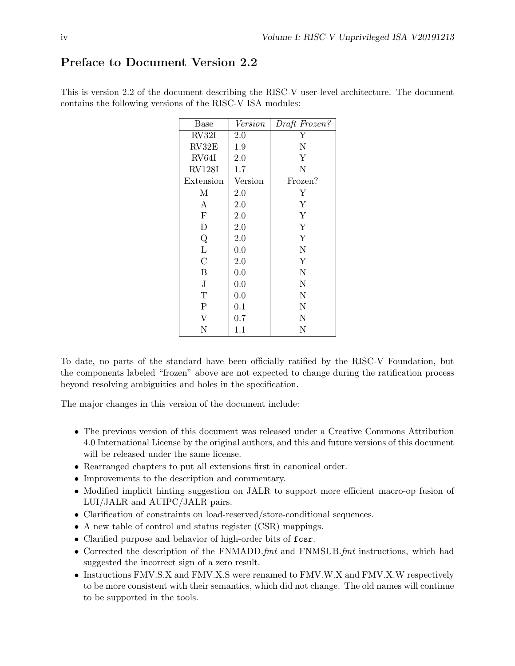#### Preface to Document Version 2.2

This is version 2.2 of the document describing the RISC-V user-level architecture. The document contains the following versions of the RISC-V ISA modules:

| Base                      | Version | Draft Frozen? |
|---------------------------|---------|---------------|
| RV32I                     | $2.0\,$ | Υ             |
| RV32E                     | 1.9     | N             |
| RV64I                     | $2.0\,$ | Y             |
| RV128I                    | 1.7     | $\mathbf N$   |
| Extension                 | Version | Frozen?       |
| М                         | 2.0     | Υ             |
| A                         | $2.0\,$ | Y             |
| $\boldsymbol{\mathrm{F}}$ | $2.0\,$ | Y             |
| D                         | $2.0\,$ | Y             |
| Q                         | $2.0\,$ | Y             |
| $\Gamma$                  | 0.0     | $\mathbf N$   |
| $\overline{C}$            | 2.0     | Y             |
| B                         | 0.0     | N             |
| $\mathbf J$               | 0.0     | $\mathbf N$   |
| T                         | 0.0     | $\mathbf N$   |
| $\mathbf P$               | 0.1     | $\mathbf N$   |
| $\mathbf{V}$              | 0.7     | N             |
| N                         | 1.1     | N             |

To date, no parts of the standard have been officially ratified by the RISC-V Foundation, but the components labeled "frozen" above are not expected to change during the ratification process beyond resolving ambiguities and holes in the specification.

The major changes in this version of the document include:

- The previous version of this document was released under a Creative Commons Attribution 4.0 International License by the original authors, and this and future versions of this document will be released under the same license.
- Rearranged chapters to put all extensions first in canonical order.
- Improvements to the description and commentary.
- Modified implicit hinting suggestion on JALR to support more efficient macro-op fusion of LUI/JALR and AUIPC/JALR pairs.
- Clarification of constraints on load-reserved/store-conditional sequences.
- A new table of control and status register (CSR) mappings.
- Clarified purpose and behavior of high-order bits of fcsr.
- Corrected the description of the FNMADD.*fmt* and FNMSUB.*fmt* instructions, which had suggested the incorrect sign of a zero result.
- Instructions FMV.S.X and FMV.X.S were renamed to FMV.W.X and FMV.X.W respectively to be more consistent with their semantics, which did not change. The old names will continue to be supported in the tools.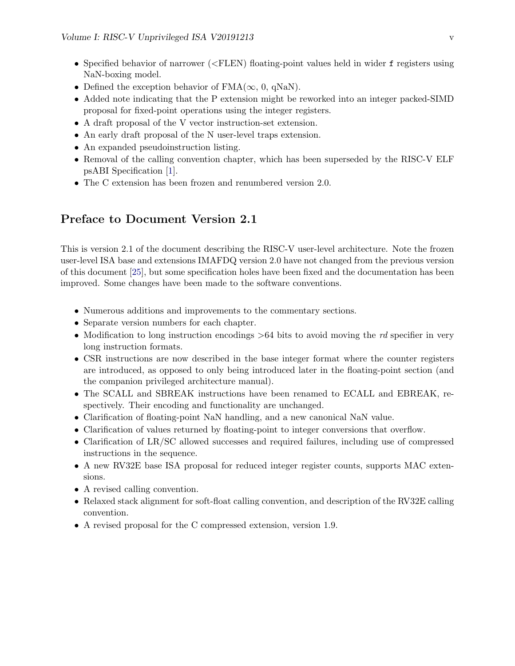- Specified behavior of narrower (<FLEN) floating-point values held in wider f registers using NaN-boxing model.
- Defined the exception behavior of  $FMA(\infty, 0, qNaN)$ .
- Added note indicating that the P extension might be reworked into an integer packed-SIMD proposal for fixed-point operations using the integer registers.
- A draft proposal of the V vector instruction-set extension.
- An early draft proposal of the N user-level traps extension.
- An expanded pseudoinstruction listing.
- Removal of the calling convention chapter, which has been superseded by the RISC-V ELF psABI Specification [\[1\]](#page-236-0).
- The C extension has been frozen and renumbered version 2.0.

#### Preface to Document Version 2.1

This is version 2.1 of the document describing the RISC-V user-level architecture. Note the frozen user-level ISA base and extensions IMAFDQ version 2.0 have not changed from the previous version of this document [\[25\]](#page-237-0), but some specification holes have been fixed and the documentation has been improved. Some changes have been made to the software conventions.

- Numerous additions and improvements to the commentary sections.
- Separate version numbers for each chapter.
- Modification to long instruction encodings  $>64$  bits to avoid moving the rd specifier in very long instruction formats.
- CSR instructions are now described in the base integer format where the counter registers are introduced, as opposed to only being introduced later in the floating-point section (and the companion privileged architecture manual).
- The SCALL and SBREAK instructions have been renamed to ECALL and EBREAK, respectively. Their encoding and functionality are unchanged.
- Clarification of floating-point NaN handling, and a new canonical NaN value.
- Clarification of values returned by floating-point to integer conversions that overflow.
- Clarification of LR/SC allowed successes and required failures, including use of compressed instructions in the sequence.
- A new RV32E base ISA proposal for reduced integer register counts, supports MAC extensions.
- A revised calling convention.
- Relaxed stack alignment for soft-float calling convention, and description of the RV32E calling convention.
- A revised proposal for the C compressed extension, version 1.9.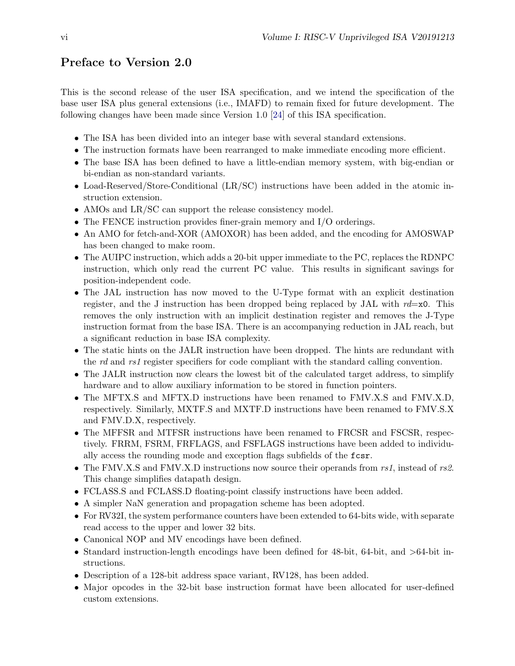#### Preface to Version 2.0

This is the second release of the user ISA specification, and we intend the specification of the base user ISA plus general extensions (i.e., IMAFD) to remain fixed for future development. The following changes have been made since Version 1.0 [\[24\]](#page-237-1) of this ISA specification.

- The ISA has been divided into an integer base with several standard extensions.
- The instruction formats have been rearranged to make immediate encoding more efficient.
- The base ISA has been defined to have a little-endian memory system, with big-endian or bi-endian as non-standard variants.
- Load-Reserved/Store-Conditional (LR/SC) instructions have been added in the atomic instruction extension.
- AMOs and LR/SC can support the release consistency model.
- The FENCE instruction provides finer-grain memory and I/O orderings.
- An AMO for fetch-and-XOR (AMOXOR) has been added, and the encoding for AMOSWAP has been changed to make room.
- The AUIPC instruction, which adds a 20-bit upper immediate to the PC, replaces the RDNPC instruction, which only read the current PC value. This results in significant savings for position-independent code.
- The JAL instruction has now moved to the U-Type format with an explicit destination register, and the J instruction has been dropped being replaced by JAL with  $rd=x0$ . This removes the only instruction with an implicit destination register and removes the J-Type instruction format from the base ISA. There is an accompanying reduction in JAL reach, but a significant reduction in base ISA complexity.
- The static hints on the JALR instruction have been dropped. The hints are redundant with the rd and rs1 register specifiers for code compliant with the standard calling convention.
- The JALR instruction now clears the lowest bit of the calculated target address, to simplify hardware and to allow auxiliary information to be stored in function pointers.
- The MFTX.S and MFTX.D instructions have been renamed to FMV.X.S and FMV.X.D, respectively. Similarly, MXTF.S and MXTF.D instructions have been renamed to FMV.S.X and FMV.D.X, respectively.
- The MFFSR and MTFSR instructions have been renamed to FRCSR and FSCSR, respectively. FRRM, FSRM, FRFLAGS, and FSFLAGS instructions have been added to individually access the rounding mode and exception flags subfields of the fcsr.
- The FMV.X.S and FMV.X.D instructions now source their operands from rs1, instead of rs2. This change simplifies datapath design.
- FCLASS.S and FCLASS.D floating-point classify instructions have been added.
- A simpler NaN generation and propagation scheme has been adopted.
- For RV32I, the system performance counters have been extended to 64-bits wide, with separate read access to the upper and lower 32 bits.
- Canonical NOP and MV encodings have been defined.
- Standard instruction-length encodings have been defined for 48-bit, 64-bit, and  $>64$ -bit instructions.
- Description of a 128-bit address space variant, RV128, has been added.
- Major opcodes in the 32-bit base instruction format have been allocated for user-defined custom extensions.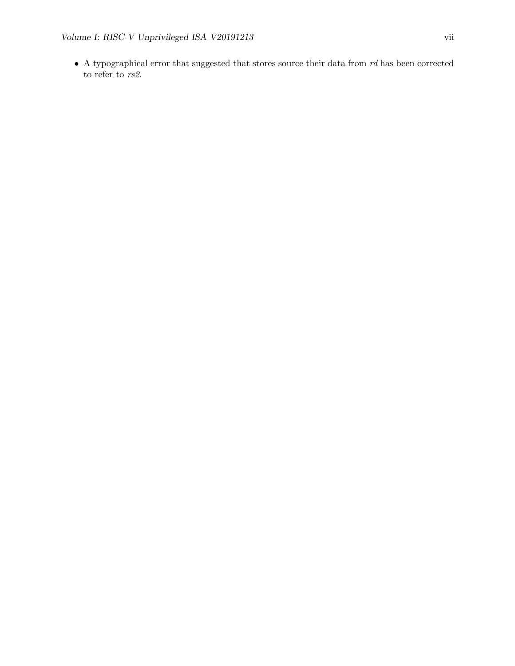$\bullet\,$  A typographical error that suggested that stores source their data from  $rd$  has been corrected to refer to rs2.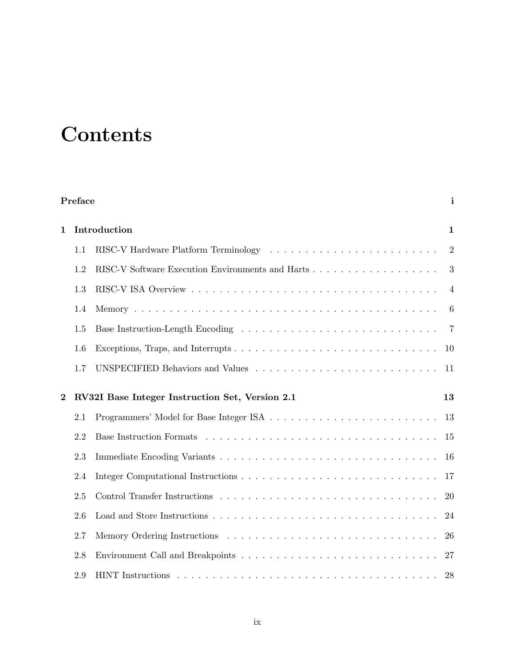# **Contents**

|          | Preface |                                                 | i              |
|----------|---------|-------------------------------------------------|----------------|
| 1        |         | Introduction                                    | $\mathbf{1}$   |
|          | 1.1     |                                                 | $\overline{2}$ |
|          | 1.2     |                                                 | 3              |
|          | 1.3     |                                                 | $\overline{4}$ |
|          | 1.4     |                                                 | 6              |
|          | 1.5     |                                                 | $\overline{7}$ |
|          | 1.6     |                                                 | 10             |
|          | 1.7     | UNSPECIFIED Behaviors and Values                | 11             |
|          |         |                                                 |                |
| $\bf{2}$ |         | RV32I Base Integer Instruction Set, Version 2.1 | 13             |
|          | 2.1     |                                                 | 13             |
|          | 2.2     |                                                 | 15             |
|          | 2.3     |                                                 | 16             |
|          | 2.4     |                                                 | 17             |
|          | 2.5     |                                                 | <b>20</b>      |
|          | 2.6     |                                                 | 24             |
|          | 2.7     |                                                 | 26             |
|          | 2.8     |                                                 | 27             |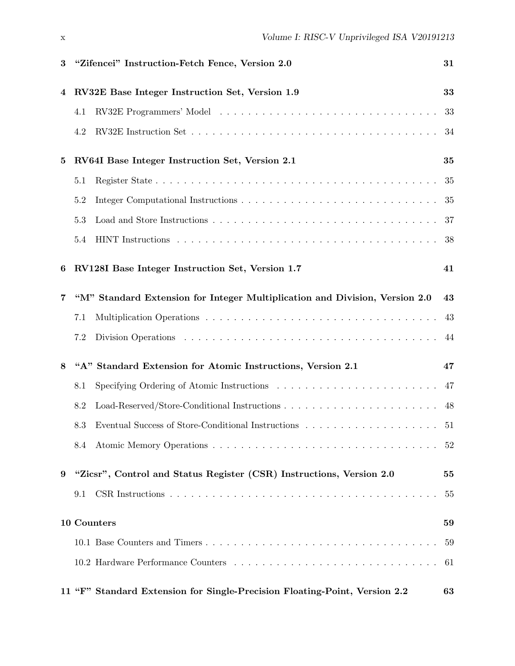| 3 |         | "Zifencei" Instruction-Fetch Fence, Version 2.0                             | 31 |
|---|---------|-----------------------------------------------------------------------------|----|
| 4 |         | RV32E Base Integer Instruction Set, Version 1.9                             | 33 |
|   | 4.1     |                                                                             | 33 |
|   | 4.2     |                                                                             | 34 |
| 5 |         | RV64I Base Integer Instruction Set, Version 2.1                             | 35 |
|   | 5.1     |                                                                             | 35 |
|   | $5.2\,$ |                                                                             | 35 |
|   | 5.3     |                                                                             | 37 |
|   | 5.4     |                                                                             | 38 |
| 6 |         | RV128I Base Integer Instruction Set, Version 1.7                            | 41 |
| 7 |         | "M" Standard Extension for Integer Multiplication and Division, Version 2.0 | 43 |
|   | 7.1     |                                                                             | 43 |
|   | 7.2     |                                                                             | 44 |
| 8 |         | "A" Standard Extension for Atomic Instructions, Version 2.1                 | 47 |
|   | 8.1     |                                                                             | 47 |
|   | 8.2     |                                                                             | 48 |
|   | 8.3     |                                                                             | 51 |
|   | 8.4     |                                                                             | 52 |
| 9 |         | "Zicsr", Control and Status Register (CSR) Instructions, Version 2.0        | 55 |
|   | 9.1     |                                                                             | 55 |
|   |         | 10 Counters                                                                 | 59 |
|   |         |                                                                             | 59 |
|   |         |                                                                             | 61 |
|   |         | 11 "F" Standard Extension for Single-Precision Floating-Point, Version 2.2  | 63 |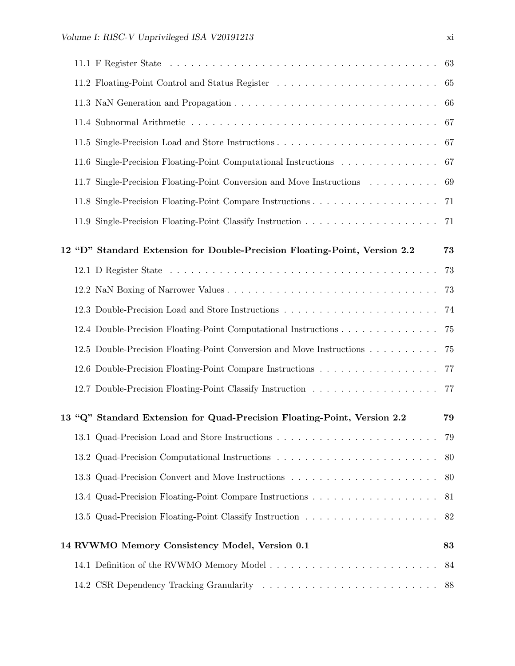|      |                                                                            | 63   |
|------|----------------------------------------------------------------------------|------|
|      |                                                                            | 65   |
|      |                                                                            | 66   |
|      |                                                                            | 67   |
|      |                                                                            | 67   |
|      | 11.6 Single-Precision Floating-Point Computational Instructions            | 67   |
| 11.7 | Single-Precision Floating-Point Conversion and Move Instructions           | 69   |
| 11.8 |                                                                            | 71   |
|      |                                                                            | 71   |
|      | 12 "D" Standard Extension for Double-Precision Floating-Point, Version 2.2 | 73   |
|      |                                                                            | 73   |
|      |                                                                            | 73   |
|      |                                                                            | 74   |
|      | 12.4 Double-Precision Floating-Point Computational Instructions            | -75  |
|      | 12.5 Double-Precision Floating-Point Conversion and Move Instructions      | 75   |
|      | 12.6 Double-Precision Floating-Point Compare Instructions                  | 77   |
|      |                                                                            | 77   |
|      | 13 "Q" Standard Extension for Quad-Precision Floating-Point, Version 2.2   | 79   |
|      | 13.1 Quad-Precision Load and Store Instructions                            | - 79 |
|      | 13.2 Quad-Precision Computational Instructions                             | 80   |
|      |                                                                            | 80   |
|      |                                                                            | 81   |
|      | 13.5 Quad-Precision Floating-Point Classify Instruction                    | 82   |
|      | 14 RVWMO Memory Consistency Model, Version 0.1                             | 83   |
|      |                                                                            | 84   |
|      |                                                                            | 88   |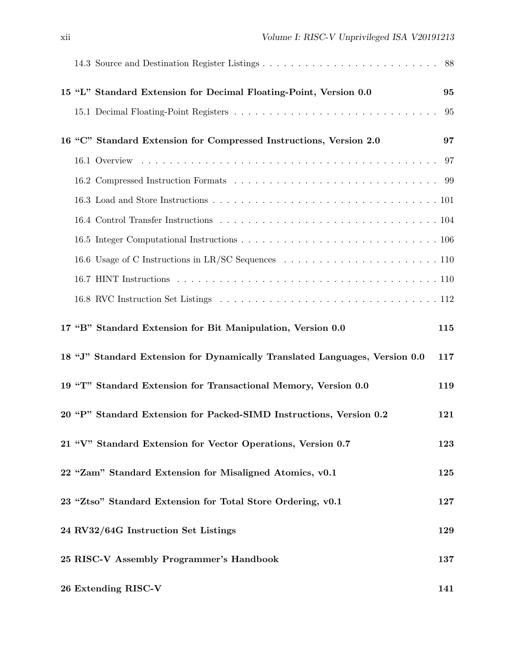|  | 15 "L" Standard Extension for Decimal Floating-Point, Version 0.0           | 95  |
|--|-----------------------------------------------------------------------------|-----|
|  |                                                                             | 95  |
|  | 16 "C" Standard Extension for Compressed Instructions, Version 2.0          | 97  |
|  |                                                                             |     |
|  |                                                                             |     |
|  |                                                                             |     |
|  |                                                                             |     |
|  |                                                                             |     |
|  |                                                                             |     |
|  |                                                                             |     |
|  |                                                                             |     |
|  | 17 "B" Standard Extension for Bit Manipulation, Version 0.0                 | 115 |
|  | 18 "J" Standard Extension for Dynamically Translated Languages, Version 0.0 | 117 |
|  | 19 "T" Standard Extension for Transactional Memory, Version 0.0             | 119 |
|  | 20 "P" Standard Extension for Packed-SIMD Instructions, Version 0.2         | 121 |
|  | 21 "V" Standard Extension for Vector Operations, Version 0.7                | 123 |
|  | 22 "Zam" Standard Extension for Misaligned Atomics, v0.1                    | 125 |
|  | 23 "Ztso" Standard Extension for Total Store Ordering, v0.1                 | 127 |
|  | 24 RV32/64G Instruction Set Listings                                        | 129 |
|  | 25 RISC-V Assembly Programmer's Handbook                                    | 137 |
|  | 26 Extending RISC-V                                                         | 141 |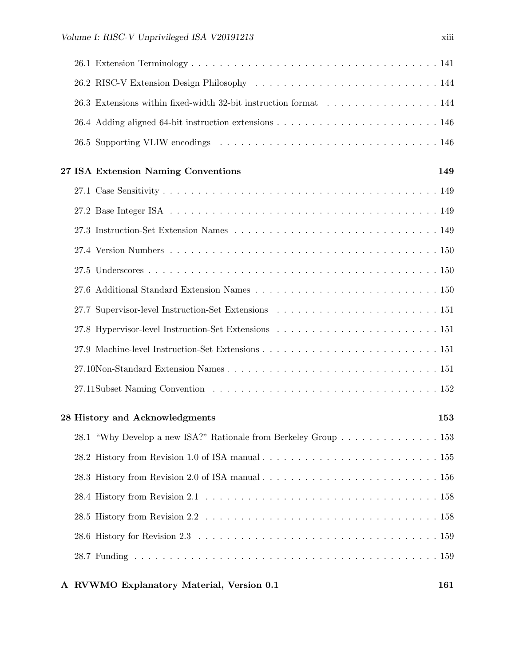|  | 26.3 Extensions within fixed-width 32-bit instruction format 144 |     |
|--|------------------------------------------------------------------|-----|
|  |                                                                  |     |
|  |                                                                  |     |
|  | 27 ISA Extension Naming Conventions                              | 149 |
|  |                                                                  |     |
|  |                                                                  |     |
|  |                                                                  |     |
|  |                                                                  |     |
|  |                                                                  |     |
|  |                                                                  |     |
|  |                                                                  |     |
|  |                                                                  |     |
|  |                                                                  |     |
|  |                                                                  |     |
|  |                                                                  |     |
|  | 28 History and Acknowledgments                                   | 153 |
|  | 28.1 "Why Develop a new ISA?" Rationale from Berkeley Group 153  |     |
|  |                                                                  |     |
|  |                                                                  |     |
|  |                                                                  |     |
|  |                                                                  |     |
|  |                                                                  |     |
|  |                                                                  |     |
|  | A RVWMO Explanatory Material, Version 0.1                        | 161 |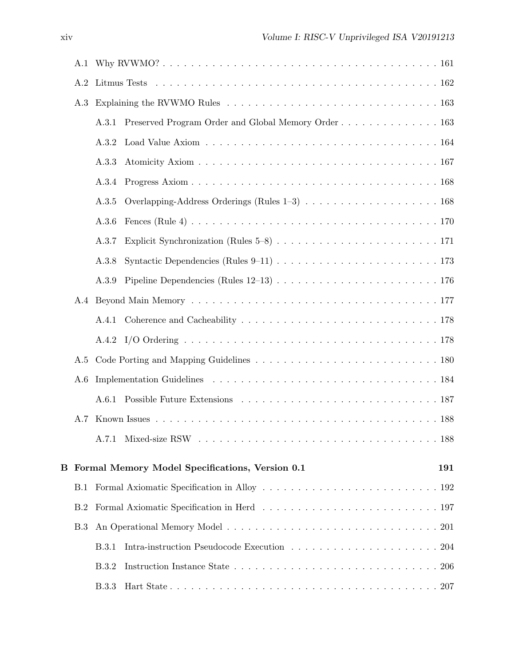|   | A.1 |                                                                                                            |
|---|-----|------------------------------------------------------------------------------------------------------------|
|   | A.2 |                                                                                                            |
|   | A.3 |                                                                                                            |
|   |     | A.3.1 Preserved Program Order and Global Memory Order 163                                                  |
|   |     | A.3.2                                                                                                      |
|   |     | A.3.3                                                                                                      |
|   |     |                                                                                                            |
|   |     | A.3.5                                                                                                      |
|   |     | A.3.6                                                                                                      |
|   |     | A.3.7                                                                                                      |
|   |     | Syntactic Dependencies (Rules 9–11) $\ldots \ldots \ldots \ldots \ldots \ldots \ldots \ldots 173$<br>A.3.8 |
|   |     | A.3.9                                                                                                      |
|   |     |                                                                                                            |
|   |     | A.4.1                                                                                                      |
|   |     |                                                                                                            |
|   | A.5 |                                                                                                            |
|   | A.6 |                                                                                                            |
|   |     | A.6.1                                                                                                      |
|   | A.7 |                                                                                                            |
|   |     |                                                                                                            |
| В |     | Formal Memory Model Specifications, Version 0.1<br>191                                                     |
|   | B.1 |                                                                                                            |
|   | B.2 |                                                                                                            |
|   | B.3 |                                                                                                            |
|   |     | <b>B.3.1</b>                                                                                               |
|   |     | <b>B.3.2</b>                                                                                               |
|   |     | <b>B.3.3</b>                                                                                               |
|   |     |                                                                                                            |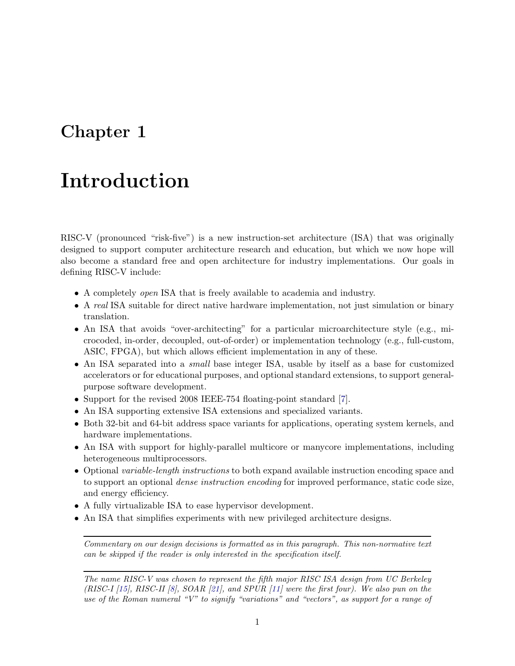### <span id="page-18-0"></span>Chapter 1

## Introduction

RISC-V (pronounced "risk-five") is a new instruction-set architecture (ISA) that was originally designed to support computer architecture research and education, but which we now hope will also become a standard free and open architecture for industry implementations. Our goals in defining RISC-V include:

- A completely open ISA that is freely available to academia and industry.
- A real ISA suitable for direct native hardware implementation, not just simulation or binary translation.
- An ISA that avoids "over-architecting" for a particular microarchitecture style (e.g., microcoded, in-order, decoupled, out-of-order) or implementation technology (e.g., full-custom, ASIC, FPGA), but which allows efficient implementation in any of these.
- An ISA separated into a small base integer ISA, usable by itself as a base for customized accelerators or for educational purposes, and optional standard extensions, to support generalpurpose software development.
- Support for the revised 2008 IEEE-754 floating-point standard [\[7\]](#page-236-1).
- An ISA supporting extensive ISA extensions and specialized variants.
- Both 32-bit and 64-bit address space variants for applications, operating system kernels, and hardware implementations.
- An ISA with support for highly-parallel multicore or manycore implementations, including heterogeneous multiprocessors.
- Optional variable-length instructions to both expand available instruction encoding space and to support an optional *dense instruction encoding* for improved performance, static code size, and energy efficiency.
- A fully virtualizable ISA to ease hypervisor development.
- An ISA that simplifies experiments with new privileged architecture designs.

Commentary on our design decisions is formatted as in this paragraph. This non-normative text can be skipped if the reader is only interested in the specification itself.

The name RISC-V was chosen to represent the fifth major RISC ISA design from UC Berkeley (RISC-I  $[15]$ , RISC-II  $[8]$ , SOAR  $[21]$ , and SPUR  $[11]$  were the first four). We also pun on the use of the Roman numeral " $V$ " to signify "variations" and "vectors", as support for a range of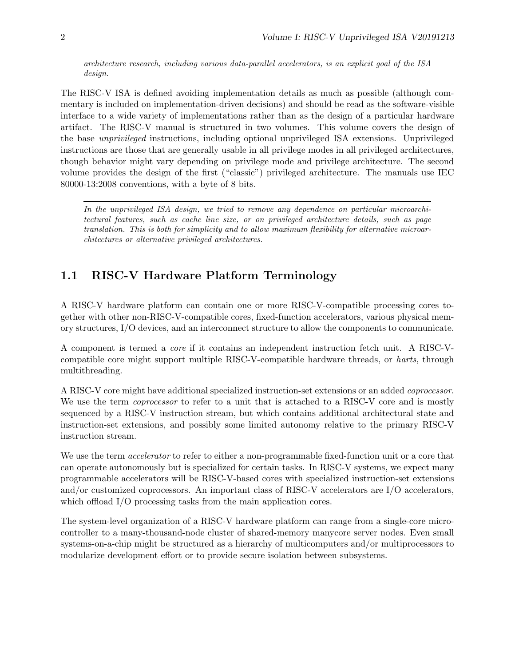architecture research, including various data-parallel accelerators, is an explicit goal of the ISA design.

The RISC-V ISA is defined avoiding implementation details as much as possible (although commentary is included on implementation-driven decisions) and should be read as the software-visible interface to a wide variety of implementations rather than as the design of a particular hardware artifact. The RISC-V manual is structured in two volumes. This volume covers the design of the base unprivileged instructions, including optional unprivileged ISA extensions. Unprivileged instructions are those that are generally usable in all privilege modes in all privileged architectures, though behavior might vary depending on privilege mode and privilege architecture. The second volume provides the design of the first ("classic") privileged architecture. The manuals use IEC 80000-13:2008 conventions, with a byte of 8 bits.

In the unprivileged ISA design, we tried to remove any dependence on particular microarchitectural features, such as cache line size, or on privileged architecture details, such as page translation. This is both for simplicity and to allow maximum flexibility for alternative microarchitectures or alternative privileged architectures.

#### <span id="page-19-0"></span>1.1 RISC-V Hardware Platform Terminology

A RISC-V hardware platform can contain one or more RISC-V-compatible processing cores together with other non-RISC-V-compatible cores, fixed-function accelerators, various physical memory structures, I/O devices, and an interconnect structure to allow the components to communicate.

A component is termed a core if it contains an independent instruction fetch unit. A RISC-Vcompatible core might support multiple RISC-V-compatible hardware threads, or harts, through multithreading.

A RISC-V core might have additional specialized instruction-set extensions or an added coprocessor. We use the term *coprocessor* to refer to a unit that is attached to a RISC-V core and is mostly sequenced by a RISC-V instruction stream, but which contains additional architectural state and instruction-set extensions, and possibly some limited autonomy relative to the primary RISC-V instruction stream.

We use the term *accelerator* to refer to either a non-programmable fixed-function unit or a core that can operate autonomously but is specialized for certain tasks. In RISC-V systems, we expect many programmable accelerators will be RISC-V-based cores with specialized instruction-set extensions and/or customized coprocessors. An important class of RISC-V accelerators are I/O accelerators, which offload I/O processing tasks from the main application cores.

The system-level organization of a RISC-V hardware platform can range from a single-core microcontroller to a many-thousand-node cluster of shared-memory manycore server nodes. Even small systems-on-a-chip might be structured as a hierarchy of multicomputers and/or multiprocessors to modularize development effort or to provide secure isolation between subsystems.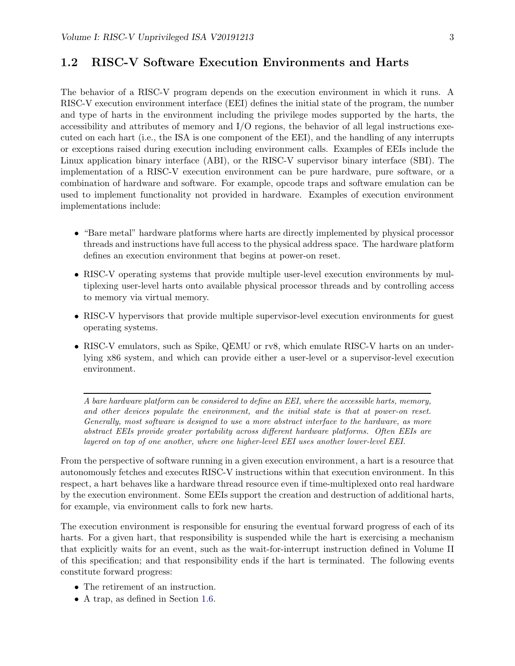#### <span id="page-20-0"></span>1.2 RISC-V Software Execution Environments and Harts

The behavior of a RISC-V program depends on the execution environment in which it runs. A RISC-V execution environment interface (EEI) defines the initial state of the program, the number and type of harts in the environment including the privilege modes supported by the harts, the accessibility and attributes of memory and I/O regions, the behavior of all legal instructions executed on each hart (i.e., the ISA is one component of the EEI), and the handling of any interrupts or exceptions raised during execution including environment calls. Examples of EEIs include the Linux application binary interface (ABI), or the RISC-V supervisor binary interface (SBI). The implementation of a RISC-V execution environment can be pure hardware, pure software, or a combination of hardware and software. For example, opcode traps and software emulation can be used to implement functionality not provided in hardware. Examples of execution environment implementations include:

- "Bare metal" hardware platforms where harts are directly implemented by physical processor threads and instructions have full access to the physical address space. The hardware platform defines an execution environment that begins at power-on reset.
- RISC-V operating systems that provide multiple user-level execution environments by multiplexing user-level harts onto available physical processor threads and by controlling access to memory via virtual memory.
- RISC-V hypervisors that provide multiple supervisor-level execution environments for guest operating systems.
- RISC-V emulators, such as Spike, QEMU or rv8, which emulate RISC-V harts on an underlying x86 system, and which can provide either a user-level or a supervisor-level execution environment.

A bare hardware platform can be considered to define an EEI, where the accessible harts, memory, and other devices populate the environment, and the initial state is that at power-on reset. Generally, most software is designed to use a more abstract interface to the hardware, as more abstract EEIs provide greater portability across different hardware platforms. Often EEIs are layered on top of one another, where one higher-level EEI uses another lower-level EEI.

From the perspective of software running in a given execution environment, a hart is a resource that autonomously fetches and executes RISC-V instructions within that execution environment. In this respect, a hart behaves like a hardware thread resource even if time-multiplexed onto real hardware by the execution environment. Some EEIs support the creation and destruction of additional harts, for example, via environment calls to fork new harts.

The execution environment is responsible for ensuring the eventual forward progress of each of its harts. For a given hart, that responsibility is suspended while the hart is exercising a mechanism that explicitly waits for an event, such as the wait-for-interrupt instruction defined in Volume II of this specification; and that responsibility ends if the hart is terminated. The following events constitute forward progress:

- The retirement of an instruction.
- A trap, as defined in Section [1.6.](#page-27-0)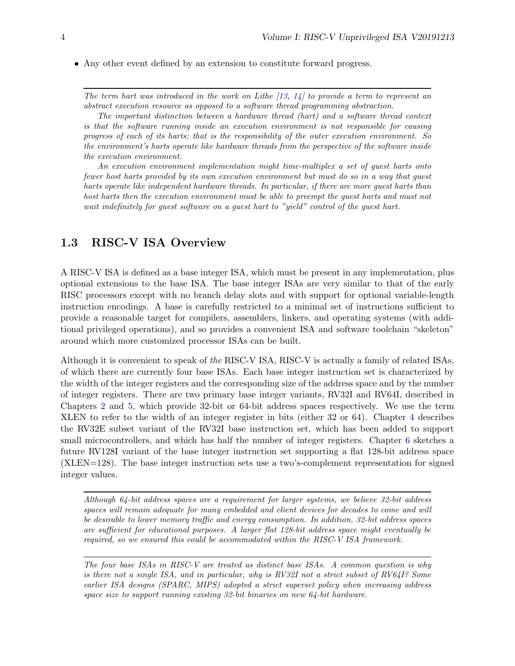• Any other event defined by an extension to constitute forward progress.

The term hart was introduced in the work on Lithe  $(13, 14)$  to provide a term to represent an abstract execution resource as opposed to a software thread programming abstraction.

The important distinction between a hardware thread (hart) and a software thread context is that the software running inside an execution environment is not responsible for causing progress of each of its harts; that is the responsibility of the outer execution environment. So the environment's harts operate like hardware threads from the perspective of the software inside the execution environment.

An execution environment implementation might time-multiplex a set of guest harts onto fewer host harts provided by its own execution environment but must do so in a way that guest harts operate like independent hardware threads. In particular, if there are more quest harts than host harts then the execution environment must be able to preempt the guest harts and must not wait indefinitely for guest software on a guest hart to "yield" control of the guest hart.

#### <span id="page-21-0"></span>1.3 RISC-V ISA Overview

A RISC-V ISA is defined as a base integer ISA, which must be present in any implementation, plus optional extensions to the base ISA. The base integer ISAs are very similar to that of the early RISC processors except with no branch delay slots and with support for optional variable-length instruction encodings. A base is carefully restricted to a minimal set of instructions sufficient to provide a reasonable target for compilers, assemblers, linkers, and operating systems (with additional privileged operations), and so provides a convenient ISA and software toolchain "skeleton" around which more customized processor ISAs can be built.

Although it is convenient to speak of the RISC-V ISA, RISC-V is actually a family of related ISAs, of which there are currently four base ISAs. Each base integer instruction set is characterized by the width of the integer registers and the corresponding size of the address space and by the number of integer registers. There are two primary base integer variants, RV32I and RV64I, described in Chapters [2](#page-30-0) and [5,](#page-52-0) which provide 32-bit or 64-bit address spaces respectively. We use the term XLEN to refer to the width of an integer register in bits (either 32 or 64). Chapter [4](#page-50-0) describes the RV32E subset variant of the RV32I base instruction set, which has been added to support small microcontrollers, and which has half the number of integer registers. Chapter [6](#page-58-0) sketches a future RV128I variant of the base integer instruction set supporting a flat 128-bit address space (XLEN=128). The base integer instruction sets use a two's-complement representation for signed integer values.

Although 64-bit address spaces are a requirement for larger systems, we believe 32-bit address spaces will remain adequate for many embedded and client devices for decades to come and will be desirable to lower memory traffic and energy consumption. In addition, 32-bit address spaces are sufficient for educational purposes. A larger flat 128-bit address space might eventually be required, so we ensured this could be accommodated within the RISC-V ISA framework.

The four base ISAs in RISC-V are treated as distinct base ISAs. A common question is why is there not a single ISA, and in particular, why is RV32I not a strict subset of RV64I? Some earlier ISA designs (SPARC, MIPS) adopted a strict superset policy when increasing address space size to support running existing 32-bit binaries on new 64-bit hardware.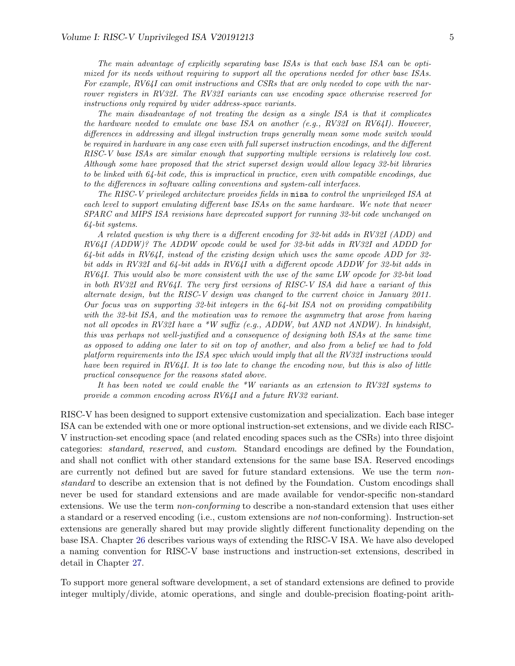The main advantage of explicitly separating base ISAs is that each base ISA can be optimized for its needs without requiring to support all the operations needed for other base ISAs. For example, RV64I can omit instructions and CSRs that are only needed to cope with the narrower registers in RV32I. The RV32I variants can use encoding space otherwise reserved for instructions only required by wider address-space variants.

The main disadvantage of not treating the design as a single ISA is that it complicates the hardware needed to emulate one base ISA on another (e.g.,  $RV32I$  on  $RV64I$ ). However, differences in addressing and illegal instruction traps generally mean some mode switch would be required in hardware in any case even with full superset instruction encodings, and the different RISC-V base ISAs are similar enough that supporting multiple versions is relatively low cost. Although some have proposed that the strict superset design would allow legacy 32-bit libraries to be linked with 64-bit code, this is impractical in practice, even with compatible encodings, due to the differences in software calling conventions and system-call interfaces.

The RISC-V privileged architecture provides fields in misa to control the unprivileged ISA at each level to support emulating different base ISAs on the same hardware. We note that newer SPARC and MIPS ISA revisions have deprecated support for running 32-bit code unchanged on 64-bit systems.

A related question is why there is a different encoding for 32-bit adds in RV32I (ADD) and RV64I (ADDW)? The ADDW opcode could be used for 32-bit adds in RV32I and ADDD for 64-bit adds in RV64I, instead of the existing design which uses the same opcode ADD for 32 bit adds in RV32I and 64-bit adds in RV64I with a different opcode ADDW for 32-bit adds in RV64I. This would also be more consistent with the use of the same LW opcode for 32-bit load in both RV32I and RV64I. The very first versions of RISC-V ISA did have a variant of this alternate design, but the RISC-V design was changed to the current choice in January 2011. Our focus was on supporting 32-bit integers in the 64-bit ISA not on providing compatibility with the 32-bit ISA, and the motivation was to remove the asymmetry that arose from having not all opcodes in RV32I have a \*W suffix (e.g., ADDW, but AND not ANDW). In hindsight, this was perhaps not well-justified and a consequence of designing both ISAs at the same time as opposed to adding one later to sit on top of another, and also from a belief we had to fold platform requirements into the ISA spec which would imply that all the RV32I instructions would have been required in RV64I. It is too late to change the encoding now, but this is also of little practical consequence for the reasons stated above.

It has been noted we could enable the \*W variants as an extension to RV32I systems to provide a common encoding across RV64I and a future RV32 variant.

RISC-V has been designed to support extensive customization and specialization. Each base integer ISA can be extended with one or more optional instruction-set extensions, and we divide each RISC-V instruction-set encoding space (and related encoding spaces such as the CSRs) into three disjoint categories: standard, reserved, and custom. Standard encodings are defined by the Foundation, and shall not conflict with other standard extensions for the same base ISA. Reserved encodings are currently not defined but are saved for future standard extensions. We use the term nonstandard to describe an extension that is not defined by the Foundation. Custom encodings shall never be used for standard extensions and are made available for vendor-specific non-standard extensions. We use the term non-conforming to describe a non-standard extension that uses either a standard or a reserved encoding (i.e., custom extensions are not non-conforming). Instruction-set extensions are generally shared but may provide slightly different functionality depending on the base ISA. Chapter [26](#page-158-0) describes various ways of extending the RISC-V ISA. We have also developed a naming convention for RISC-V base instructions and instruction-set extensions, described in detail in Chapter [27.](#page-166-0)

To support more general software development, a set of standard extensions are defined to provide integer multiply/divide, atomic operations, and single and double-precision floating-point arith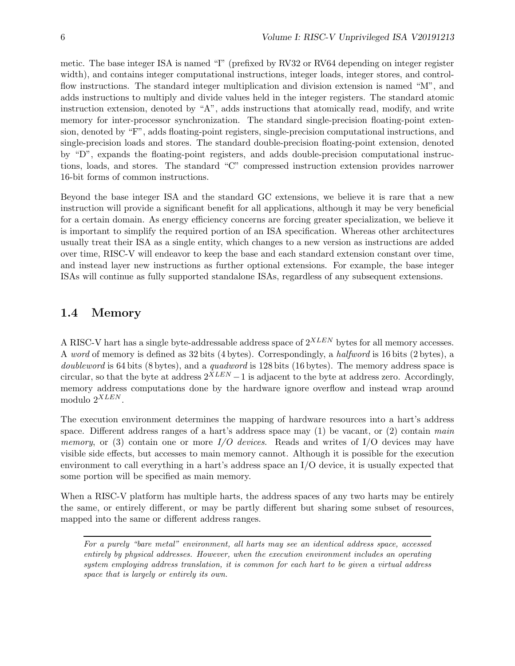metic. The base integer ISA is named "I" (prefixed by RV32 or RV64 depending on integer register width), and contains integer computational instructions, integer loads, integer stores, and controlflow instructions. The standard integer multiplication and division extension is named "M", and adds instructions to multiply and divide values held in the integer registers. The standard atomic instruction extension, denoted by "A", adds instructions that atomically read, modify, and write memory for inter-processor synchronization. The standard single-precision floating-point extension, denoted by "F", adds floating-point registers, single-precision computational instructions, and single-precision loads and stores. The standard double-precision floating-point extension, denoted by "D", expands the floating-point registers, and adds double-precision computational instructions, loads, and stores. The standard "C" compressed instruction extension provides narrower 16-bit forms of common instructions.

Beyond the base integer ISA and the standard GC extensions, we believe it is rare that a new instruction will provide a significant benefit for all applications, although it may be very beneficial for a certain domain. As energy efficiency concerns are forcing greater specialization, we believe it is important to simplify the required portion of an ISA specification. Whereas other architectures usually treat their ISA as a single entity, which changes to a new version as instructions are added over time, RISC-V will endeavor to keep the base and each standard extension constant over time, and instead layer new instructions as further optional extensions. For example, the base integer ISAs will continue as fully supported standalone ISAs, regardless of any subsequent extensions.

#### <span id="page-23-0"></span>1.4 Memory

A RISC-V hart has a single byte-addressable address space of  $2^{XLEN}$  bytes for all memory accesses. A word of memory is defined as 32 bits (4 bytes). Correspondingly, a halfword is 16 bits (2 bytes), a doubleword is 64 bits (8 bytes), and a *quadword* is 128 bits (16 bytes). The memory address space is circular, so that the byte at address  $2^{XLEN}-1$  is adjacent to the byte at address zero. Accordingly, memory address computations done by the hardware ignore overflow and instead wrap around modulo  $2^{XLEN}$ .

The execution environment determines the mapping of hardware resources into a hart's address space. Different address ranges of a hart's address space may (1) be vacant, or (2) contain main memory, or (3) contain one or more  $I/O$  devices. Reads and writes of  $I/O$  devices may have visible side effects, but accesses to main memory cannot. Although it is possible for the execution environment to call everything in a hart's address space an I/O device, it is usually expected that some portion will be specified as main memory.

When a RISC-V platform has multiple harts, the address spaces of any two harts may be entirely the same, or entirely different, or may be partly different but sharing some subset of resources, mapped into the same or different address ranges.

For a purely "bare metal" environment, all harts may see an identical address space, accessed entirely by physical addresses. However, when the execution environment includes an operating system employing address translation, it is common for each hart to be given a virtual address space that is largely or entirely its own.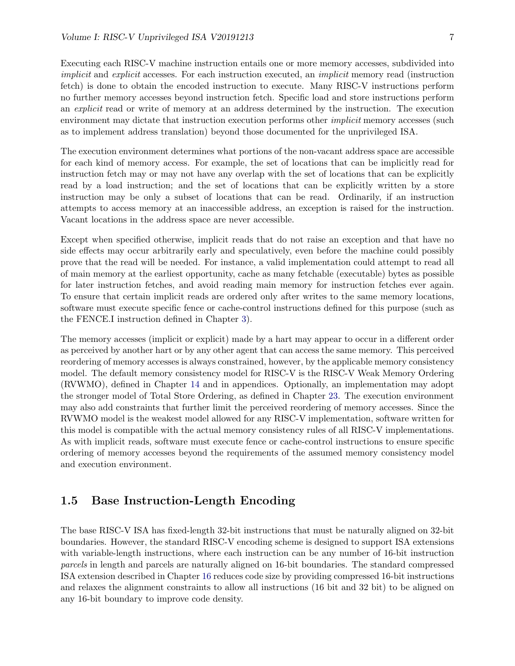Executing each RISC-V machine instruction entails one or more memory accesses, subdivided into implicit and explicit accesses. For each instruction executed, an implicit memory read (instruction fetch) is done to obtain the encoded instruction to execute. Many RISC-V instructions perform no further memory accesses beyond instruction fetch. Specific load and store instructions perform an explicit read or write of memory at an address determined by the instruction. The execution environment may dictate that instruction execution performs other implicit memory accesses (such as to implement address translation) beyond those documented for the unprivileged ISA.

The execution environment determines what portions of the non-vacant address space are accessible for each kind of memory access. For example, the set of locations that can be implicitly read for instruction fetch may or may not have any overlap with the set of locations that can be explicitly read by a load instruction; and the set of locations that can be explicitly written by a store instruction may be only a subset of locations that can be read. Ordinarily, if an instruction attempts to access memory at an inaccessible address, an exception is raised for the instruction. Vacant locations in the address space are never accessible.

Except when specified otherwise, implicit reads that do not raise an exception and that have no side effects may occur arbitrarily early and speculatively, even before the machine could possibly prove that the read will be needed. For instance, a valid implementation could attempt to read all of main memory at the earliest opportunity, cache as many fetchable (executable) bytes as possible for later instruction fetches, and avoid reading main memory for instruction fetches ever again. To ensure that certain implicit reads are ordered only after writes to the same memory locations, software must execute specific fence or cache-control instructions defined for this purpose (such as the FENCE.I instruction defined in Chapter [3\)](#page-48-0).

The memory accesses (implicit or explicit) made by a hart may appear to occur in a different order as perceived by another hart or by any other agent that can access the same memory. This perceived reordering of memory accesses is always constrained, however, by the applicable memory consistency model. The default memory consistency model for RISC-V is the RISC-V Weak Memory Ordering (RVWMO), defined in Chapter [14](#page-100-0) and in appendices. Optionally, an implementation may adopt the stronger model of Total Store Ordering, as defined in Chapter [23.](#page-144-0) The execution environment may also add constraints that further limit the perceived reordering of memory accesses. Since the RVWMO model is the weakest model allowed for any RISC-V implementation, software written for this model is compatible with the actual memory consistency rules of all RISC-V implementations. As with implicit reads, software must execute fence or cache-control instructions to ensure specific ordering of memory accesses beyond the requirements of the assumed memory consistency model and execution environment.

#### <span id="page-24-0"></span>1.5 Base Instruction-Length Encoding

The base RISC-V ISA has fixed-length 32-bit instructions that must be naturally aligned on 32-bit boundaries. However, the standard RISC-V encoding scheme is designed to support ISA extensions with variable-length instructions, where each instruction can be any number of 16-bit instruction parcels in length and parcels are naturally aligned on 16-bit boundaries. The standard compressed ISA extension described in Chapter [16](#page-114-0) reduces code size by providing compressed 16-bit instructions and relaxes the alignment constraints to allow all instructions (16 bit and 32 bit) to be aligned on any 16-bit boundary to improve code density.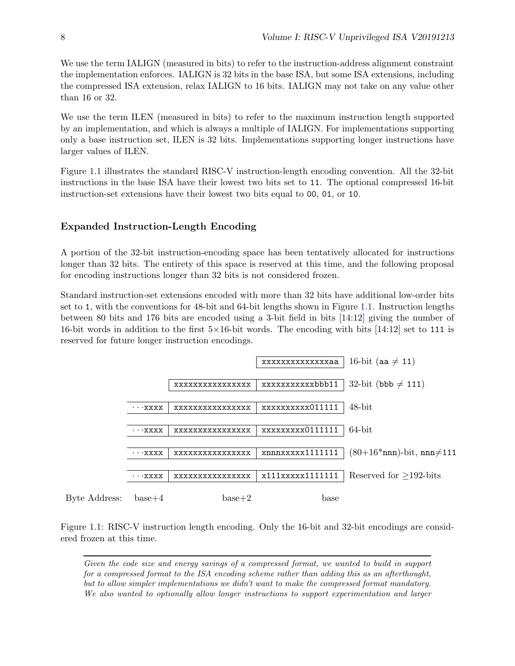We use the term IALIGN (measured in bits) to refer to the instruction-address alignment constraint the implementation enforces. IALIGN is 32 bits in the base ISA, but some ISA extensions, including the compressed ISA extension, relax IALIGN to 16 bits. IALIGN may not take on any value other than 16 or 32.

We use the term ILEN (measured in bits) to refer to the maximum instruction length supported by an implementation, and which is always a multiple of IALIGN. For implementations supporting only a base instruction set, ILEN is 32 bits. Implementations supporting longer instructions have larger values of ILEN.

Figure [1.1](#page-25-0) illustrates the standard RISC-V instruction-length encoding convention. All the 32-bit instructions in the base ISA have their lowest two bits set to 11. The optional compressed 16-bit instruction-set extensions have their lowest two bits equal to 00, 01, or 10.

#### Expanded Instruction-Length Encoding

A portion of the 32-bit instruction-encoding space has been tentatively allocated for instructions longer than 32 bits. The entirety of this space is reserved at this time, and the following proposal for encoding instructions longer than 32 bits is not considered frozen.

Standard instruction-set extensions encoded with more than 32 bits have additional low-order bits set to 1, with the conventions for 48-bit and 64-bit lengths shown in Figure [1.1.](#page-25-0) Instruction lengths between 80 bits and 176 bits are encoded using a 3-bit field in bits [14:12] giving the number of 16-bit words in addition to the first  $5\times16$ -bit words. The encoding with bits [14:12] set to 111 is reserved for future longer instruction encodings.



<span id="page-25-0"></span>Figure 1.1: RISC-V instruction length encoding. Only the 16-bit and 32-bit encodings are considered frozen at this time.

Given the code size and energy savings of a compressed format, we wanted to build in support for a compressed format to the ISA encoding scheme rather than adding this as an afterthought, but to allow simpler implementations we didn't want to make the compressed format mandatory. We also wanted to optionally allow longer instructions to support experimentation and larger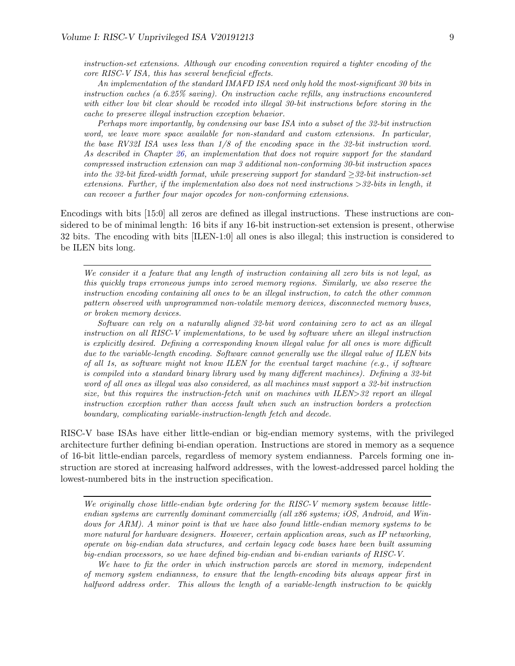instruction-set extensions. Although our encoding convention required a tighter encoding of the core RISC-V ISA, this has several beneficial effects.

An implementation of the standard IMAFD ISA need only hold the most-significant 30 bits in instruction caches (a 6.25% saving). On instruction cache refills, any instructions encountered with either low bit clear should be recoded into illegal 30-bit instructions before storing in the cache to preserve illegal instruction exception behavior.

Perhaps more importantly, by condensing our base ISA into a subset of the 32-bit instruction word, we leave more space available for non-standard and custom extensions. In particular, the base RV32I ISA uses less than 1/8 of the encoding space in the 32-bit instruction word. As described in Chapter [26,](#page-158-0) an implementation that does not require support for the standard compressed instruction extension can map 3 additional non-conforming 30-bit instruction spaces into the 32-bit fixed-width format, while preserving support for standard  $\geq$ 32-bit instruction-set extensions. Further, if the implementation also does not need instructions >32-bits in length, it can recover a further four major opcodes for non-conforming extensions.

Encodings with bits [15:0] all zeros are defined as illegal instructions. These instructions are considered to be of minimal length: 16 bits if any 16-bit instruction-set extension is present, otherwise 32 bits. The encoding with bits [ILEN-1:0] all ones is also illegal; this instruction is considered to be ILEN bits long.

We consider it a feature that any length of instruction containing all zero bits is not legal, as this quickly traps erroneous jumps into zeroed memory regions. Similarly, we also reserve the instruction encoding containing all ones to be an illegal instruction, to catch the other common pattern observed with unprogrammed non-volatile memory devices, disconnected memory buses, or broken memory devices.

Software can rely on a naturally aligned 32-bit word containing zero to act as an illegal instruction on all RISC-V implementations, to be used by software where an illegal instruction is explicitly desired. Defining a corresponding known illegal value for all ones is more difficult due to the variable-length encoding. Software cannot generally use the illegal value of ILEN bits of all 1s, as software might not know ILEN for the eventual target machine (e.g., if software is compiled into a standard binary library used by many different machines). Defining a 32-bit word of all ones as illegal was also considered, as all machines must support a 32-bit instruction size, but this requires the instruction-fetch unit on machines with ILEN>32 report an illegal instruction exception rather than access fault when such an instruction borders a protection boundary, complicating variable-instruction-length fetch and decode.

RISC-V base ISAs have either little-endian or big-endian memory systems, with the privileged architecture further defining bi-endian operation. Instructions are stored in memory as a sequence of 16-bit little-endian parcels, regardless of memory system endianness. Parcels forming one instruction are stored at increasing halfword addresses, with the lowest-addressed parcel holding the lowest-numbered bits in the instruction specification.

We originally chose little-endian byte ordering for the RISC-V memory system because littleendian systems are currently dominant commercially (all x86 systems; iOS, Android, and Windows for ARM). A minor point is that we have also found little-endian memory systems to be more natural for hardware designers. However, certain application areas, such as IP networking, operate on big-endian data structures, and certain legacy code bases have been built assuming big-endian processors, so we have defined big-endian and bi-endian variants of RISC-V.

We have to fix the order in which instruction parcels are stored in memory, independent of memory system endianness, to ensure that the length-encoding bits always appear first in halfword address order. This allows the length of a variable-length instruction to be quickly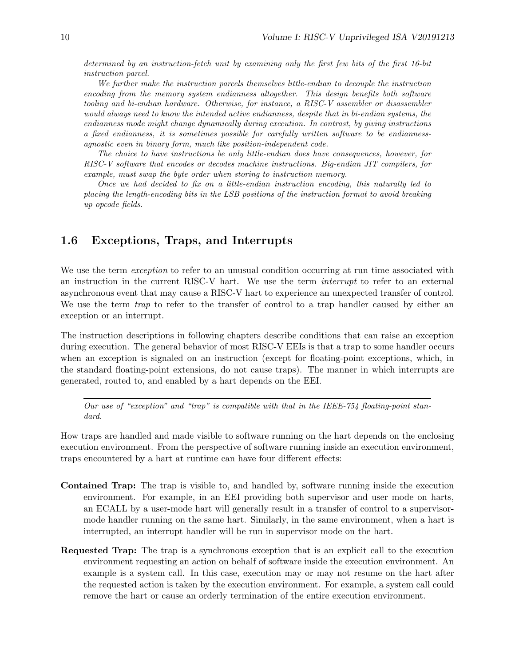determined by an instruction-fetch unit by examining only the first few bits of the first 16-bit instruction parcel.

We further make the instruction parcels themselves little-endian to decouple the instruction encoding from the memory system endianness altogether. This design benefits both software tooling and bi-endian hardware. Otherwise, for instance, a RISC-V assembler or disassembler would always need to know the intended active endianness, despite that in bi-endian systems, the endianness mode might change dynamically during execution. In contrast, by giving instructions a fixed endianness, it is sometimes possible for carefully written software to be endiannessagnostic even in binary form, much like position-independent code.

The choice to have instructions be only little-endian does have consequences, however, for RISC-V software that encodes or decodes machine instructions. Big-endian JIT compilers, for example, must swap the byte order when storing to instruction memory.

Once we had decided to fix on a little-endian instruction encoding, this naturally led to placing the length-encoding bits in the LSB positions of the instruction format to avoid breaking up opcode fields.

#### <span id="page-27-0"></span>1.6 Exceptions, Traps, and Interrupts

We use the term *exception* to refer to an unusual condition occurring at run time associated with an instruction in the current RISC-V hart. We use the term interrupt to refer to an external asynchronous event that may cause a RISC-V hart to experience an unexpected transfer of control. We use the term *trap* to refer to the transfer of control to a trap handler caused by either an exception or an interrupt.

The instruction descriptions in following chapters describe conditions that can raise an exception during execution. The general behavior of most RISC-V EEIs is that a trap to some handler occurs when an exception is signaled on an instruction (except for floating-point exceptions, which, in the standard floating-point extensions, do not cause traps). The manner in which interrupts are generated, routed to, and enabled by a hart depends on the EEI.

Our use of "exception" and "trap" is compatible with that in the IEEE-754 floating-point standard.

How traps are handled and made visible to software running on the hart depends on the enclosing execution environment. From the perspective of software running inside an execution environment, traps encountered by a hart at runtime can have four different effects:

- Contained Trap: The trap is visible to, and handled by, software running inside the execution environment. For example, in an EEI providing both supervisor and user mode on harts, an ECALL by a user-mode hart will generally result in a transfer of control to a supervisormode handler running on the same hart. Similarly, in the same environment, when a hart is interrupted, an interrupt handler will be run in supervisor mode on the hart.
- Requested Trap: The trap is a synchronous exception that is an explicit call to the execution environment requesting an action on behalf of software inside the execution environment. An example is a system call. In this case, execution may or may not resume on the hart after the requested action is taken by the execution environment. For example, a system call could remove the hart or cause an orderly termination of the entire execution environment.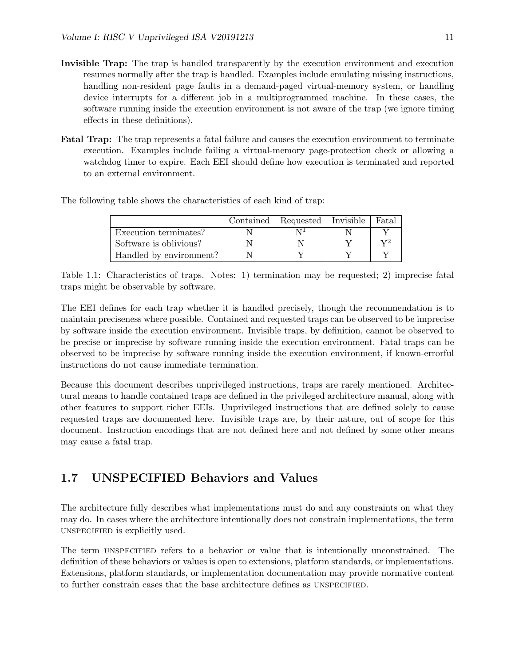- Invisible Trap: The trap is handled transparently by the execution environment and execution resumes normally after the trap is handled. Examples include emulating missing instructions, handling non-resident page faults in a demand-paged virtual-memory system, or handling device interrupts for a different job in a multiprogrammed machine. In these cases, the software running inside the execution environment is not aware of the trap (we ignore timing effects in these definitions).
- Fatal Trap: The trap represents a fatal failure and causes the execution environment to terminate execution. Examples include failing a virtual-memory page-protection check or allowing a watchdog timer to expire. Each EEI should define how execution is terminated and reported to an external environment.

|                         | Contained   Requested   Invisible   Fatal |              |
|-------------------------|-------------------------------------------|--------------|
| Execution terminates?   |                                           |              |
| Software is oblivious?  |                                           | $\tau$ r $2$ |
| Handled by environment? |                                           |              |

The following table shows the characteristics of each kind of trap:

Table 1.1: Characteristics of traps. Notes: 1) termination may be requested; 2) imprecise fatal traps might be observable by software.

The EEI defines for each trap whether it is handled precisely, though the recommendation is to maintain preciseness where possible. Contained and requested traps can be observed to be imprecise by software inside the execution environment. Invisible traps, by definition, cannot be observed to be precise or imprecise by software running inside the execution environment. Fatal traps can be observed to be imprecise by software running inside the execution environment, if known-errorful instructions do not cause immediate termination.

Because this document describes unprivileged instructions, traps are rarely mentioned. Architectural means to handle contained traps are defined in the privileged architecture manual, along with other features to support richer EEIs. Unprivileged instructions that are defined solely to cause requested traps are documented here. Invisible traps are, by their nature, out of scope for this document. Instruction encodings that are not defined here and not defined by some other means may cause a fatal trap.

#### <span id="page-28-0"></span>1.7 UNSPECIFIED Behaviors and Values

The architecture fully describes what implementations must do and any constraints on what they may do. In cases where the architecture intentionally does not constrain implementations, the term unspecified is explicitly used.

The term unspecified refers to a behavior or value that is intentionally unconstrained. The definition of these behaviors or values is open to extensions, platform standards, or implementations. Extensions, platform standards, or implementation documentation may provide normative content to further constrain cases that the base architecture defines as unspecified.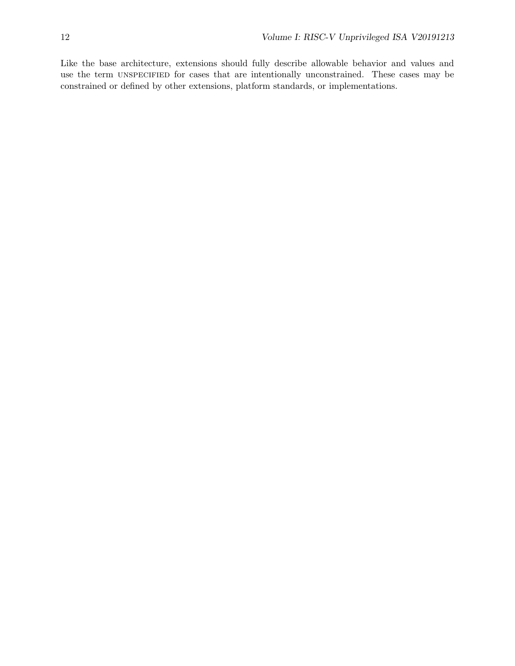Like the base architecture, extensions should fully describe allowable behavior and values and use the term UNSPECIFIED for cases that are intentionally unconstrained. These cases may be constrained or defined by other extensions, platform standards, or implementations.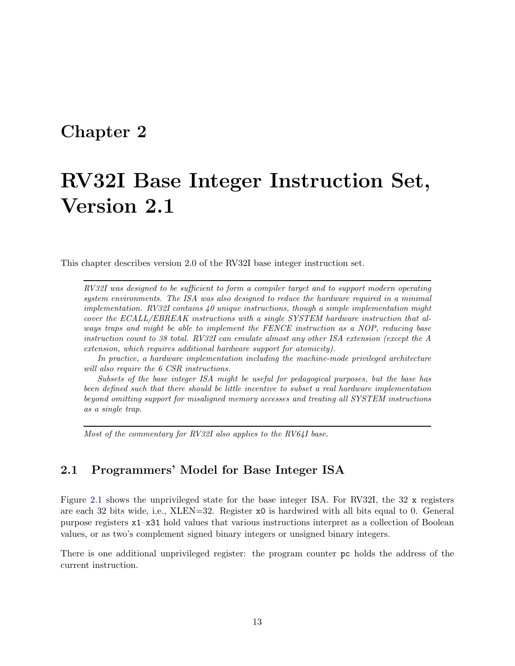### <span id="page-30-0"></span>Chapter 2

# RV32I Base Integer Instruction Set, Version 2.1

This chapter describes version 2.0 of the RV32I base integer instruction set.

RV32I was designed to be sufficient to form a compiler target and to support modern operating system environments. The ISA was also designed to reduce the hardware required in a minimal implementation. RV32I contains  $\lambda_0$  unique instructions, though a simple implementation might cover the ECALL/EBREAK instructions with a single SYSTEM hardware instruction that always traps and might be able to implement the FENCE instruction as a NOP, reducing base instruction count to 38 total. RV32I can emulate almost any other ISA extension (except the A extension, which requires additional hardware support for atomicity).

In practice, a hardware implementation including the machine-mode privileged architecture will also require the 6 CSR instructions.

Subsets of the base integer ISA might be useful for pedagogical purposes, but the base has been defined such that there should be little incentive to subset a real hardware implementation beyond omitting support for misaligned memory accesses and treating all SYSTEM instructions as a single trap.

Most of the commentary for RV32I also applies to the RV64I base.

#### <span id="page-30-1"></span>2.1 Programmers' Model for Base Integer ISA

Figure [2.1](#page-31-0) shows the unprivileged state for the base integer ISA. For RV32I, the 32 x registers are each 32 bits wide, i.e., XLEN=32. Register x0 is hardwired with all bits equal to 0. General purpose registers x1–x31 hold values that various instructions interpret as a collection of Boolean values, or as two's complement signed binary integers or unsigned binary integers.

There is one additional unprivileged register: the program counter pc holds the address of the current instruction.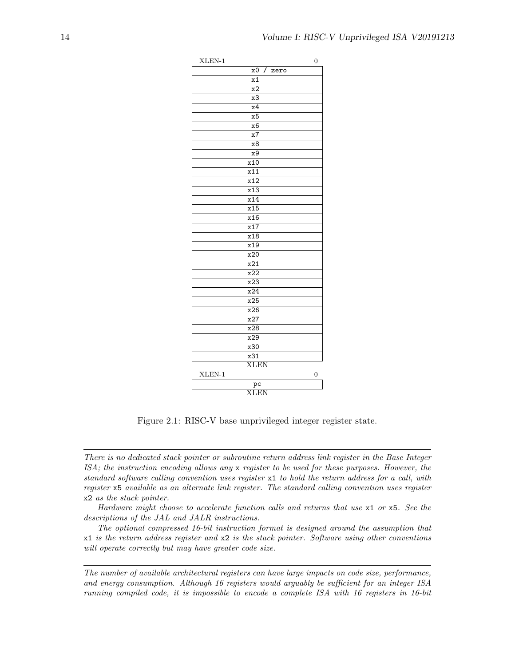| XLEN-1 |                  | $\boldsymbol{0}$ |
|--------|------------------|------------------|
|        | x0<br>$/$ zero   |                  |
|        | x1               |                  |
|        | x2               |                  |
|        | x3               |                  |
|        | x4               |                  |
|        | x5               |                  |
|        | x <sub>6</sub>   |                  |
|        | x7               |                  |
|        | x8               |                  |
|        | x9               |                  |
|        | $\overline{x10}$ |                  |
|        | $\overline{x11}$ |                  |
|        | x12              |                  |
|        | x13              |                  |
|        | x14              |                  |
|        | x15              |                  |
|        | x16              |                  |
|        | $\overline{x17}$ |                  |
|        | x18              |                  |
|        | x19              |                  |
|        | x20              |                  |
|        | x21              |                  |
|        | x22              |                  |
|        | x23              |                  |
|        | x24              |                  |
|        | x25              |                  |
|        | x26              |                  |
|        | x27              |                  |
|        | x28              |                  |
|        | x29              |                  |
|        | x30              |                  |
|        | x31              |                  |
|        | <b>XLEN</b>      |                  |
| XLEN-1 |                  | 0                |
|        | pc               |                  |
|        | <b>XLEN</b>      |                  |

Figure 2.1: RISC-V base unprivileged integer register state.

Hardware might choose to accelerate function calls and returns that use x1 or x5. See the descriptions of the JAL and JALR instructions.

The optional compressed 16-bit instruction format is designed around the assumption that  $x1$  is the return address register and  $x2$  is the stack pointer. Software using other conventions will operate correctly but may have greater code size.

The number of available architectural registers can have large impacts on code size, performance, and energy consumption. Although 16 registers would arguably be sufficient for an integer ISA running compiled code, it is impossible to encode a complete ISA with 16 registers in 16-bit

<span id="page-31-0"></span>There is no dedicated stack pointer or subroutine return address link register in the Base Integer ISA; the instruction encoding allows any x register to be used for these purposes. However, the standard software calling convention uses register x1 to hold the return address for a call, with register x5 available as an alternate link register. The standard calling convention uses register x2 as the stack pointer.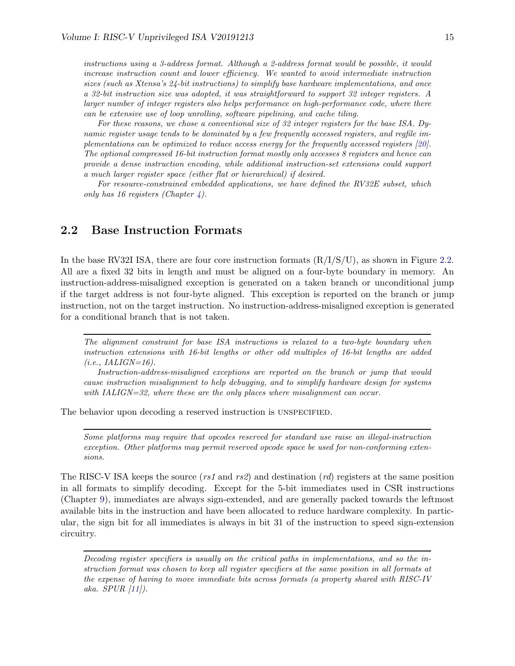instructions using a 3-address format. Although a 2-address format would be possible, it would increase instruction count and lower efficiency. We wanted to avoid intermediate instruction sizes (such as Xtensa's 24-bit instructions) to simplify base hardware implementations, and once a 32-bit instruction size was adopted, it was straightforward to support 32 integer registers. A larger number of integer registers also helps performance on high-performance code, where there can be extensive use of loop unrolling, software pipelining, and cache tiling.

For these reasons, we chose a conventional size of 32 integer registers for the base ISA. Dynamic register usage tends to be dominated by a few frequently accessed registers, and regfile implementations can be optimized to reduce access energy for the frequently accessed registers [\[20\]](#page-237-6). The optional compressed 16-bit instruction format mostly only accesses 8 registers and hence can provide a dense instruction encoding, while additional instruction-set extensions could support a much larger register space (either flat or hierarchical) if desired.

For resource-constrained embedded applications, we have defined the RV32E subset, which only has 16 registers (Chapter  $\ddot{4}$ ).

#### <span id="page-32-0"></span>2.2 Base Instruction Formats

In the base RV32I ISA, there are four core instruction formats  $(R/I/S/U)$ , as shown in Figure [2.2.](#page-33-1) All are a fixed 32 bits in length and must be aligned on a four-byte boundary in memory. An instruction-address-misaligned exception is generated on a taken branch or unconditional jump if the target address is not four-byte aligned. This exception is reported on the branch or jump instruction, not on the target instruction. No instruction-address-misaligned exception is generated for a conditional branch that is not taken.

The alignment constraint for base ISA instructions is relaxed to a two-byte boundary when instruction extensions with 16-bit lengths or other odd multiples of 16-bit lengths are added  $(i.e., IALIGN=16).$ 

Instruction-address-misaligned exceptions are reported on the branch or jump that would cause instruction misalignment to help debugging, and to simplify hardware design for systems with IALIGN=32, where these are the only places where misalignment can occur.

The behavior upon decoding a reserved instruction is UNSPECIFIED.

Some platforms may require that opcodes reserved for standard use raise an illegal-instruction exception. Other platforms may permit reserved opcode space be used for non-conforming extensions.

The RISC-V ISA keeps the source (rs1 and rs2) and destination (rd) registers at the same position in all formats to simplify decoding. Except for the 5-bit immediates used in CSR instructions (Chapter [9\)](#page-72-0), immediates are always sign-extended, and are generally packed towards the leftmost available bits in the instruction and have been allocated to reduce hardware complexity. In particular, the sign bit for all immediates is always in bit 31 of the instruction to speed sign-extension circuitry.

Decoding register specifiers is usually on the critical paths in implementations, and so the instruction format was chosen to keep all register specifiers at the same position in all formats at the expense of having to move immediate bits across formats (a property shared with RISC-IV aka. SPUR [\[11\]](#page-236-3)).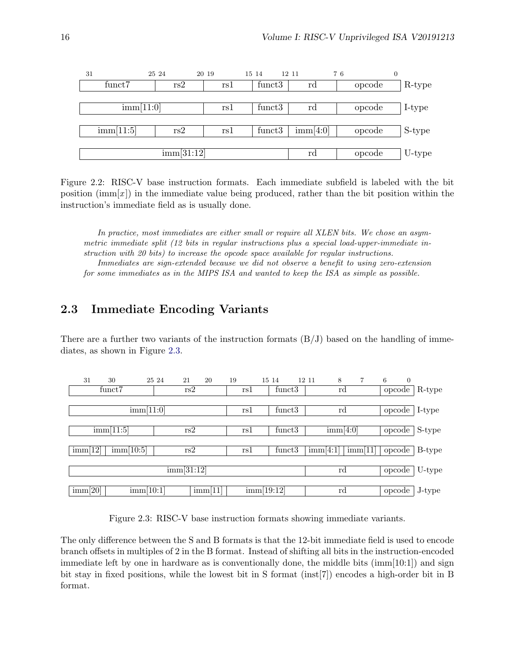| R-type |
|--------|
|        |
| I-type |
|        |
| S-type |
|        |
| U-type |
|        |

<span id="page-33-1"></span>Figure 2.2: RISC-V base instruction formats. Each immediate subfield is labeled with the bit position  $(\text{imm}[x])$  in the immediate value being produced, rather than the bit position within the instruction's immediate field as is usually done.

In practice, most immediates are either small or require all XLEN bits. We chose an asymmetric immediate split (12 bits in regular instructions plus a special load-upper-immediate instruction with 20 bits) to increase the opcode space available for regular instructions.

Immediates are sign-extended because we did not observe a benefit to using zero-extension for some immediates as in the MIPS ISA and wanted to keep the ISA as simple as possible.

#### <span id="page-33-0"></span>2.3 Immediate Encoding Variants

There are a further two variants of the instruction formats  $(B/J)$  based on the handling of immediates, as shown in Figure [2.3.](#page-33-2)

| 31                 | 30                   | 25 24<br>21                    | 20      | 19         | 15 14 |        | 12 11    | 8        | -7      | 6      | $\theta$ |                   |
|--------------------|----------------------|--------------------------------|---------|------------|-------|--------|----------|----------|---------|--------|----------|-------------------|
|                    | funct7               |                                | rs2     | rsl        |       | funct3 |          | rd       |         |        |          | $opcode   R-type$ |
|                    |                      |                                |         |            |       |        |          |          |         |        |          |                   |
|                    | imm[11:0]            |                                |         | rs1        |       | funct3 |          | rd       |         |        |          | $opcode$   I-type |
|                    |                      |                                |         |            |       |        |          |          |         |        |          |                   |
|                    | imm[11:5]            |                                | rs2     | rs1        |       | funct3 |          | imm[4:0] |         | opcode |          | S-type            |
|                    |                      |                                |         |            |       |        |          |          |         |        |          |                   |
| imm[12]            | $\mathrm{imm}[10:5]$ |                                | rs2     | rs1        |       | funct3 | imm[4:1] |          | imm[11] | opcode |          | B-type            |
|                    |                      |                                |         |            |       |        |          |          |         |        |          |                   |
|                    |                      | $\overline{\text{imm}[31:12]}$ |         |            |       |        |          | rd       |         | opcode |          | $U$ -type         |
|                    |                      |                                |         |            |       |        |          |          |         |        |          |                   |
| $\mathrm{imm}[20]$ | imm[10:1]            |                                | imm[11] | imm[19:12] |       |        |          | rd       |         | opcode |          | J-type            |

Figure 2.3: RISC-V base instruction formats showing immediate variants.

<span id="page-33-2"></span>The only difference between the S and B formats is that the 12-bit immediate field is used to encode branch offsets in multiples of 2 in the B format. Instead of shifting all bits in the instruction-encoded immediate left by one in hardware as is conventionally done, the middle bits  $(\text{imm}[10:1])$  and sign bit stay in fixed positions, while the lowest bit in S format (inst[7]) encodes a high-order bit in B format.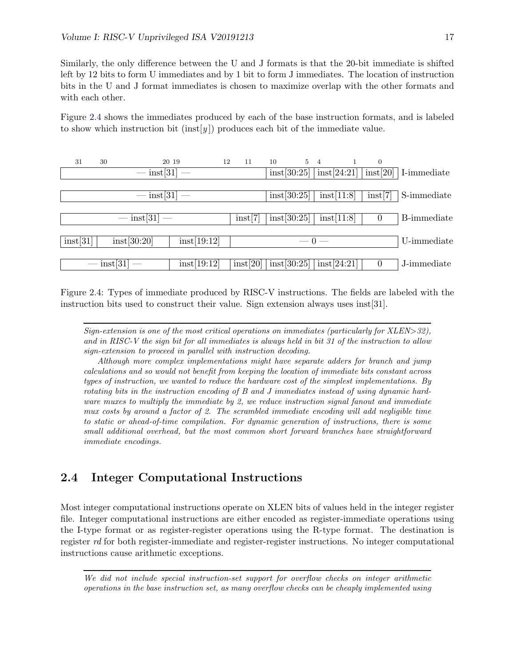Similarly, the only difference between the U and J formats is that the 20-bit immediate is shifted left by 12 bits to form U immediates and by 1 bit to form J immediates. The location of instruction bits in the U and J format immediates is chosen to maximize overlap with the other formats and with each other.

Figure [2.4](#page-34-1) shows the immediates produced by each of the base instruction formats, and is labeled to show which instruction bit (inst[y]) produces each bit of the immediate value.

| 31       | 30 |                        | 20 19       | 12 | 11       | 10          | $5 \quad 4$ | $\overline{0}$ |                                               |
|----------|----|------------------------|-------------|----|----------|-------------|-------------|----------------|-----------------------------------------------|
|          |    | $-\mathrm{inst}[31] -$ |             |    |          | inst[30:25] | inst[24:21] |                | $\lfloor \text{inst}[20] \rfloor$ I-immediate |
|          |    |                        |             |    |          |             |             |                |                                               |
|          |    | $-\mathrm{inst}[31] -$ |             |    |          | inst[30:25] | inst[11:8]  | inst[7]        | S-immediate                                   |
|          |    |                        |             |    |          |             |             |                |                                               |
|          |    | $-\mathrm{inst}[31] -$ |             |    | inst[7]  | inst[30:25] | inst[11:8]  | 0              | B-immediate                                   |
|          |    |                        |             |    |          |             |             |                |                                               |
| inst[31] |    | inst[30:20]            | inst[19:12] |    |          |             | $-0-$       |                | U-immediate                                   |
|          |    |                        |             |    |          |             |             |                |                                               |
|          |    | $-\mathrm{inst}[31] -$ | inst[19:12] |    | inst[20] | inst[30:25] | inst[24:21] |                | J-immediate                                   |

<span id="page-34-1"></span>Figure 2.4: Types of immediate produced by RISC-V instructions. The fields are labeled with the instruction bits used to construct their value. Sign extension always uses inst[31].

Sign-extension is one of the most critical operations on immediates (particularly for XLEN>32), and in RISC-V the sign bit for all immediates is always held in bit 31 of the instruction to allow sign-extension to proceed in parallel with instruction decoding.

Although more complex implementations might have separate adders for branch and jump calculations and so would not benefit from keeping the location of immediate bits constant across types of instruction, we wanted to reduce the hardware cost of the simplest implementations. By rotating bits in the instruction encoding of B and J immediates instead of using dynamic hardware muxes to multiply the immediate by 2, we reduce instruction signal fanout and immediate mux costs by around a factor of 2. The scrambled immediate encoding will add negligible time to static or ahead-of-time compilation. For dynamic generation of instructions, there is some small additional overhead, but the most common short forward branches have straightforward immediate encodings.

#### <span id="page-34-0"></span>2.4 Integer Computational Instructions

Most integer computational instructions operate on XLEN bits of values held in the integer register file. Integer computational instructions are either encoded as register-immediate operations using the I-type format or as register-register operations using the R-type format. The destination is register rd for both register-immediate and register-register instructions. No integer computational instructions cause arithmetic exceptions.

We did not include special instruction-set support for overflow checks on integer arithmetic operations in the base instruction set, as many overflow checks can be cheaply implemented using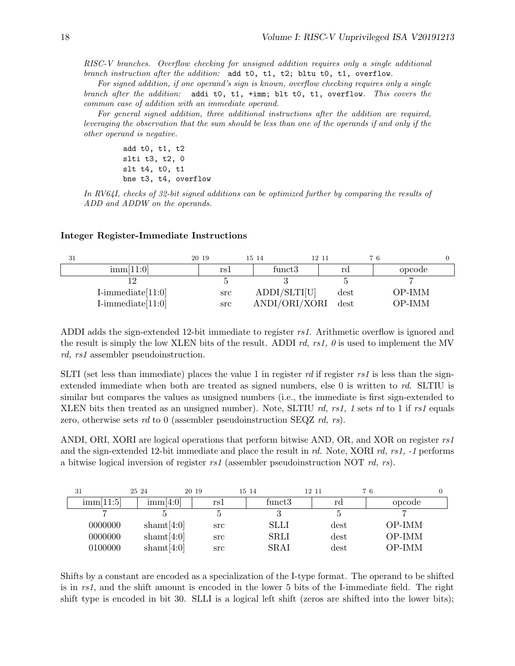RISC-V branches. Overflow checking for unsigned addition requires only a single additional branch instruction after the addition: add t0, t1, t2; bltu t0, t1, overflow.

For signed addition, if one operand's sign is known, overflow checking requires only a single branch after the addition: addito,  $t_1$ ,  $t_1$ ,  $t_2$ ,  $t_3$ ,  $t_4$ ,  $t_5$ ,  $t_6$ ,  $t_7$ ,  $t_7$ ,  $t_8$  covers the common case of addition with an immediate operand.

For general signed addition, three additional instructions after the addition are required, leveraging the observation that the sum should be less than one of the operands if and only if the other operand is negative.

> add t0, t1, t2 slti t3, t2, 0 slt t4, t0, t1 bne t3, t4, overflow

In RV64I, checks of 32-bit signed additions can be optimized further by comparing the results of ADD and ADDW on the operands.

#### Integer Register-Immediate Instructions

| 31                         | 20 19 | 15 14         | 12 11 | 76     |
|----------------------------|-------|---------------|-------|--------|
| $\mathrm{imm}[11:0]$       | rs 1  | funct3        | rd    | opcode |
|                            |       |               |       |        |
| $I\text{-immediate}[11:0]$ | src   | ADDI/SLTI[U]  | dest  | OP-IMM |
| $I\text{-immediate}[11:0]$ | src   | ANDI/ORI/XORI | dest  | OP-IMM |

ADDI adds the sign-extended 12-bit immediate to register rs1. Arithmetic overflow is ignored and the result is simply the low XLEN bits of the result. ADDI rd, rs1,  $\theta$  is used to implement the MV rd, rs1 assembler pseudoinstruction.

SLTI (set less than immediate) places the value 1 in register rd if register rs1 is less than the signextended immediate when both are treated as signed numbers, else 0 is written to  $rd$ . SLTIU is similar but compares the values as unsigned numbers (i.e., the immediate is first sign-extended to XLEN bits then treated as an unsigned number). Note, SLTIU rd, rs1, 1 sets rd to 1 if rs1 equals zero, otherwise sets rd to 0 (assembler pseudoinstruction SEQZ rd, rs).

ANDI, ORI, XORI are logical operations that perform bitwise AND, OR, and XOR on register rs1 and the sign-extended 12-bit immediate and place the result in rd. Note, XORI rd, rs1, -1 performs a bitwise logical inversion of register  $rs1$  (assembler pseudoinstruction NOT  $rd$ , rs).

| 31                   | 25 24               | 20 19 |     | 15 14  | 12 11 |      | 76            |  |
|----------------------|---------------------|-------|-----|--------|-------|------|---------------|--|
| $\mathrm{imm}[11:5]$ | $\mathrm{imm}[4:0]$ |       | rsl | funct3 |       | rd   | opcode        |  |
|                      |                     |       |     |        |       |      |               |  |
| 0000000              | shamt[4:0]          |       | src | SLLI   |       | dest | <b>OP-IMM</b> |  |
| 0000000              | shamt[4:0]          |       | src | SRLI   |       | dest | <b>OP-IMM</b> |  |
| 0100000              | shamt[4:0]          |       | src | SRAI   |       | dest | OP-IMM        |  |

Shifts by a constant are encoded as a specialization of the I-type format. The operand to be shifted is in rs1, and the shift amount is encoded in the lower 5 bits of the I-immediate field. The right shift type is encoded in bit 30. SLLI is a logical left shift (zeros are shifted into the lower bits);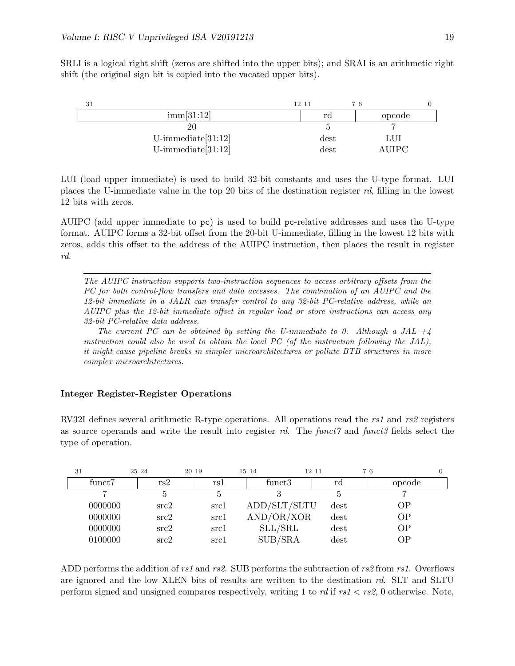SRLI is a logical right shift (zeros are shifted into the upper bits); and SRAI is an arithmetic right shift (the original sign bit is copied into the vacated upper bits).



LUI (load upper immediate) is used to build 32-bit constants and uses the U-type format. LUI places the U-immediate value in the top 20 bits of the destination register rd, filling in the lowest 12 bits with zeros.

AUIPC (add upper immediate to pc) is used to build pc-relative addresses and uses the U-type format. AUIPC forms a 32-bit offset from the 20-bit U-immediate, filling in the lowest 12 bits with zeros, adds this offset to the address of the AUIPC instruction, then places the result in register rd.

The AUIPC instruction supports two-instruction sequences to access arbitrary offsets from the PC for both control-flow transfers and data accesses. The combination of an AUIPC and the 12-bit immediate in a JALR can transfer control to any 32-bit PC-relative address, while an AUIPC plus the 12-bit immediate offset in regular load or store instructions can access any 32-bit PC-relative data address.

The current PC can be obtained by setting the U-immediate to 0. Although a JAL  $+4$ instruction could also be used to obtain the local PC (of the instruction following the JAL), it might cause pipeline breaks in simpler microarchitectures or pollute BTB structures in more complex microarchitectures.

#### Integer Register-Register Operations

RV32I defines several arithmetic R-type operations. All operations read the rs1 and rs2 registers as source operands and write the result into register rd. The funct? and funct3 fields select the type of operation.

| 31 |         | 25 24 | 20 19 | 15 14        | 12 11 | 76        |
|----|---------|-------|-------|--------------|-------|-----------|
|    | funct7  | rs2   | rsl   | funct3       | rd    | opcode    |
|    |         |       |       |              |       |           |
|    | 0000000 | src2  | src1  | ADD/SLT/SLTU | dest  | OP        |
|    | 0000000 | src2  | src1  | AND/OR/XOR   | dest  | OP        |
|    | 0000000 | src2  | src1  | SLL/SRL      | dest  | <b>OP</b> |
|    | 0100000 | src2  | src1  | SUB/SRA      | dest  | OΡ        |

ADD performs the addition of rs1 and rs2. SUB performs the subtraction of rs2 from rs1. Overflows are ignored and the low XLEN bits of results are written to the destination rd. SLT and SLTU perform signed and unsigned compares respectively, writing 1 to rd if  $rs1 < rs2$ , 0 otherwise. Note,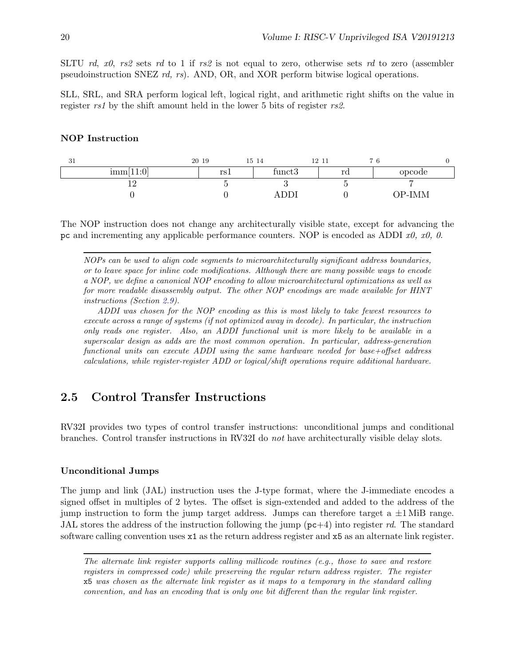SLTU rd, x0, rs2 sets rd to 1 if rs2 is not equal to zero, otherwise sets rd to zero (assembler pseudoinstruction SNEZ rd, rs). AND, OR, and XOR perform bitwise logical operations.

SLL, SRL, and SRA perform logical left, logical right, and arithmetic right shifts on the value in register rs1 by the shift amount held in the lower 5 bits of register rs2.

#### NOP Instruction

| -31                  | 20 19 | 15 14  | 12 11 | 76     |
|----------------------|-------|--------|-------|--------|
| $\mathrm{imm}[11:0]$ | rs1   | funct3 | rd    | opcode |
|                      |       |        |       |        |
|                      |       |        |       | OP-IMM |

The NOP instruction does not change any architecturally visible state, except for advancing the pc and incrementing any applicable performance counters. NOP is encoded as ADDI  $x0$ ,  $x0$ ,  $0$ .

NOPs can be used to align code segments to microarchitecturally significant address boundaries, or to leave space for inline code modifications. Although there are many possible ways to encode a NOP, we define a canonical NOP encoding to allow microarchitectural optimizations as well as for more readable disassembly output. The other NOP encodings are made available for HINT instructions (Section [2.9\)](#page-45-0).

ADDI was chosen for the NOP encoding as this is most likely to take fewest resources to execute across a range of systems (if not optimized away in decode). In particular, the instruction only reads one register. Also, an ADDI functional unit is more likely to be available in a superscalar design as adds are the most common operation. In particular, address-generation functional units can execute ADDI using the same hardware needed for base+offset address calculations, while register-register ADD or logical/shift operations require additional hardware.

## 2.5 Control Transfer Instructions

RV32I provides two types of control transfer instructions: unconditional jumps and conditional branches. Control transfer instructions in RV32I do not have architecturally visible delay slots.

#### Unconditional Jumps

The jump and link (JAL) instruction uses the J-type format, where the J-immediate encodes a signed offset in multiples of 2 bytes. The offset is sign-extended and added to the address of the jump instruction to form the jump target address. Jumps can therefore target a  $\pm 1$  MiB range. JAL stores the address of the instruction following the jump ( $pc+4$ ) into register rd. The standard software calling convention uses x1 as the return address register and x5 as an alternate link register.

The alternate link register supports calling millicode routines (e.g., those to save and restore registers in compressed code) while preserving the regular return address register. The register x5 was chosen as the alternate link register as it maps to a temporary in the standard calling convention, and has an encoding that is only one bit different than the regular link register.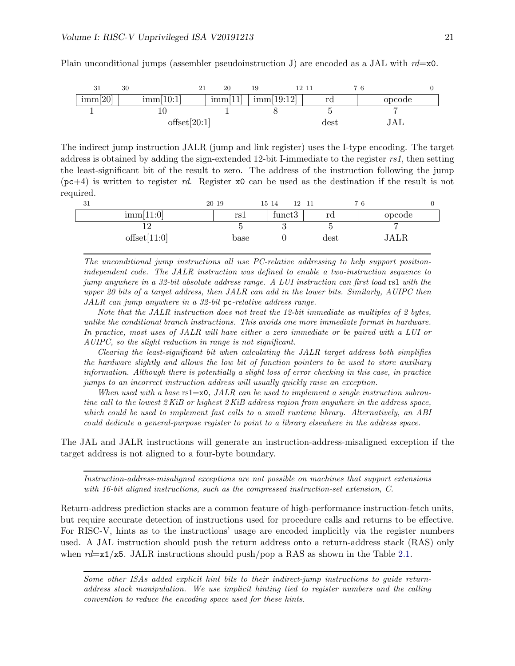Plain unconditional jumps (assembler pseudoinstruction J) are encoded as a JAL with  $rd=\texttt{x0}$ .



The indirect jump instruction JALR (jump and link register) uses the I-type encoding. The target address is obtained by adding the sign-extended 12-bit I-immediate to the register rs1, then setting the least-significant bit of the result to zero. The address of the instruction following the jump  $(pc+4)$  is written to register rd. Register x0 can be used as the destination if the result is not required.

| 31           | 20 19 | 15 14<br>12 11 |      | 76     |
|--------------|-------|----------------|------|--------|
| imm[11:0]    | rs1   | funct3         | rd   | opcode |
|              |       |                |      |        |
| offset[11:0] | base  |                | dest | JALR   |

The unconditional jump instructions all use PC-relative addressing to help support positionindependent code. The JALR instruction was defined to enable a two-instruction sequence to jump anywhere in a 32-bit absolute address range. A LUI instruction can first load rs1 with the upper 20 bits of a target address, then JALR can add in the lower bits. Similarly, AUIPC then JALR can jump anywhere in a 32-bit pc-relative address range.

Note that the JALR instruction does not treat the 12-bit immediate as multiples of 2 bytes, unlike the conditional branch instructions. This avoids one more immediate format in hardware. In practice, most uses of JALR will have either a zero immediate or be paired with a LUI or AUIPC, so the slight reduction in range is not significant.

Clearing the least-significant bit when calculating the JALR target address both simplifies the hardware slightly and allows the low bit of function pointers to be used to store auxiliary information. Although there is potentially a slight loss of error checking in this case, in practice jumps to an incorrect instruction address will usually quickly raise an exception.

When used with a base  $rs1=x0$ , JALR can be used to implement a single instruction subroutine call to the lowest 2 KiB or highest 2 KiB address region from anywhere in the address space, which could be used to implement fast calls to a small runtime library. Alternatively, an ABI could dedicate a general-purpose register to point to a library elsewhere in the address space.

The JAL and JALR instructions will generate an instruction-address-misaligned exception if the target address is not aligned to a four-byte boundary.

Instruction-address-misaligned exceptions are not possible on machines that support extensions with 16-bit aligned instructions, such as the compressed instruction-set extension, C.

Return-address prediction stacks are a common feature of high-performance instruction-fetch units, but require accurate detection of instructions used for procedure calls and returns to be effective. For RISC-V, hints as to the instructions' usage are encoded implicitly via the register numbers used. A JAL instruction should push the return address onto a return-address stack (RAS) only when  $rd=x1/x5$ . JALR instructions should push/pop a RAS as shown in the Table [2.1.](#page-39-0)

Some other ISAs added explicit hint bits to their indirect-jump instructions to guide returnaddress stack manipulation. We use implicit hinting tied to register numbers and the calling convention to reduce the encoding space used for these hints.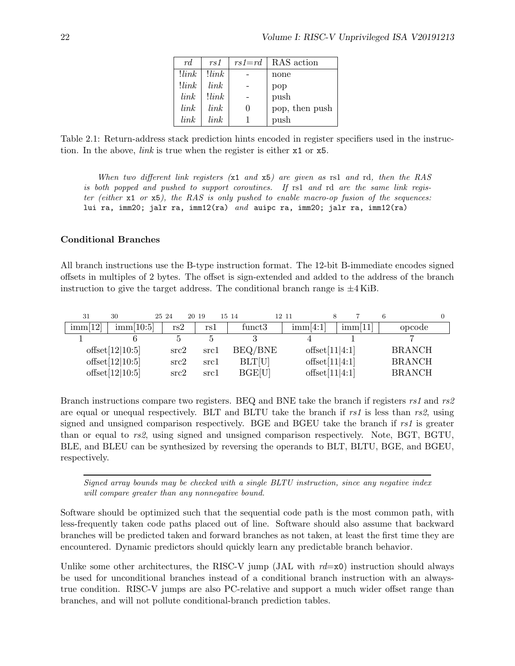<span id="page-39-0"></span>

| rd.   | rs1   | $rs1 = rd$ | RAS action     |
|-------|-------|------------|----------------|
| !link | link  |            | none           |
| !link | link  |            | pop            |
| link  | !link |            | push           |
| link  | link  | 0          | pop, then push |
| link  | link  |            | push           |

Table 2.1: Return-address stack prediction hints encoded in register specifiers used in the instruction. In the above, link is true when the register is either x1 or x5.

When two different link registers  $(x1 \text{ and } x5)$  are given as rs1 and rd, then the RAS is both popped and pushed to support coroutines. If rs1 and rd are the same link register (either  $x1$  or  $x5$ ), the RAS is only pushed to enable macro-op fusion of the sequences: lui ra, imm20; jalr ra, imm12(ra) and auipc ra, imm20; jalr ra, imm12(ra)

#### Conditional Branches

All branch instructions use the B-type instruction format. The 12-bit B-immediate encodes signed offsets in multiples of 2 bytes. The offset is sign-extended and added to the address of the branch instruction to give the target address. The conditional branch range is  $\pm 4$  KiB.

| 31      | 30                   | 25 24 | 20 19 | 15 14         | 12 11             |                    |               |  |
|---------|----------------------|-------|-------|---------------|-------------------|--------------------|---------------|--|
| imm[12] | $\mathrm{imm}[10:5]$ | rs2   | rs1   | funct3        | imm[4:1]          | $\mathrm{imm}[11]$ | opcode        |  |
|         |                      |       |       |               |                   |                    |               |  |
|         | offset $[12 10:5]$   | src2  | src1  | BEQ/BNE       | offset $[11 4:1]$ |                    | <b>BRANCH</b> |  |
|         | offset $[12 10:5]$   | src2  | src1  | <b>BLT[U]</b> | offset $[11 4:1]$ |                    | <b>BRANCH</b> |  |
|         | offset $[12 10:5]$   | src2  | src1  | BGE[U]        | offset $[11 4:1]$ |                    | <b>BRANCH</b> |  |

Branch instructions compare two registers. BEQ and BNE take the branch if registers rs1 and rs2 are equal or unequal respectively. BLT and BLTU take the branch if  $rs1$  is less than rs2, using signed and unsigned comparison respectively. BGE and BGEU take the branch if  $rs1$  is greater than or equal to rs2, using signed and unsigned comparison respectively. Note, BGT, BGTU, BLE, and BLEU can be synthesized by reversing the operands to BLT, BLTU, BGE, and BGEU, respectively.

Signed array bounds may be checked with a single BLTU instruction, since any negative index will compare greater than any nonnegative bound.

Software should be optimized such that the sequential code path is the most common path, with less-frequently taken code paths placed out of line. Software should also assume that backward branches will be predicted taken and forward branches as not taken, at least the first time they are encountered. Dynamic predictors should quickly learn any predictable branch behavior.

Unlike some other architectures, the RISC-V jump (JAL with  $rd=\text{x}0$ ) instruction should always be used for unconditional branches instead of a conditional branch instruction with an alwaystrue condition. RISC-V jumps are also PC-relative and support a much wider offset range than branches, and will not pollute conditional-branch prediction tables.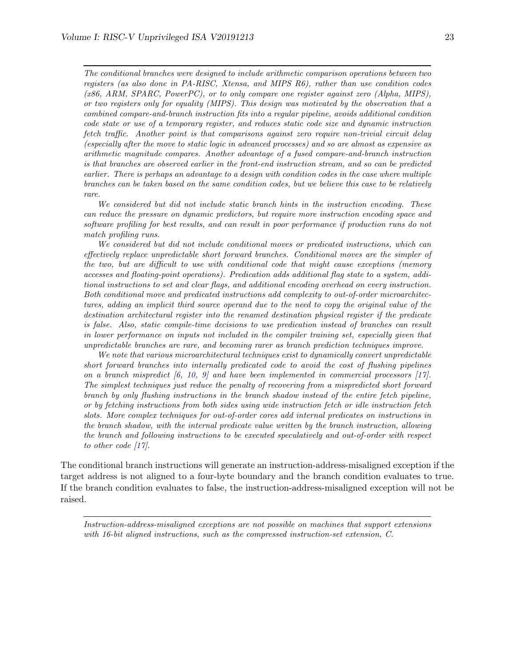The conditional branches were designed to include arithmetic comparison operations between two registers (as also done in PA-RISC, Xtensa, and MIPS R6), rather than use condition codes (x86, ARM, SPARC, PowerPC), or to only compare one register against zero (Alpha, MIPS), or two registers only for equality (MIPS). This design was motivated by the observation that a combined compare-and-branch instruction fits into a regular pipeline, avoids additional condition code state or use of a temporary register, and reduces static code size and dynamic instruction fetch traffic. Another point is that comparisons against zero require non-trivial circuit delay (especially after the move to static logic in advanced processes) and so are almost as expensive as arithmetic magnitude compares. Another advantage of a fused compare-and-branch instruction is that branches are observed earlier in the front-end instruction stream, and so can be predicted earlier. There is perhaps an advantage to a design with condition codes in the case where multiple branches can be taken based on the same condition codes, but we believe this case to be relatively rare.

We considered but did not include static branch hints in the instruction encoding. These can reduce the pressure on dynamic predictors, but require more instruction encoding space and software profiling for best results, and can result in poor performance if production runs do not match profiling runs.

We considered but did not include conditional moves or predicated instructions, which can effectively replace unpredictable short forward branches. Conditional moves are the simpler of the two, but are difficult to use with conditional code that might cause exceptions (memory accesses and floating-point operations). Predication adds additional flag state to a system, additional instructions to set and clear flags, and additional encoding overhead on every instruction. Both conditional move and predicated instructions add complexity to out-of-order microarchitectures, adding an implicit third source operand due to the need to copy the original value of the destination architectural register into the renamed destination physical register if the predicate is false. Also, static compile-time decisions to use predication instead of branches can result in lower performance on inputs not included in the compiler training set, especially given that unpredictable branches are rare, and becoming rarer as branch prediction techniques improve.

We note that various microarchitectural techniques exist to dynamically convert unpredictable short forward branches into internally predicated code to avoid the cost of flushing pipelines on a branch mispredict  $[6, 10, 9]$  $[6, 10, 9]$  $[6, 10, 9]$  $[6, 10, 9]$  $[6, 10, 9]$  and have been implemented in commercial processors  $[17]$ . The simplest techniques just reduce the penalty of recovering from a mispredicted short forward branch by only flushing instructions in the branch shadow instead of the entire fetch pipeline, or by fetching instructions from both sides using wide instruction fetch or idle instruction fetch slots. More complex techniques for out-of-order cores add internal predicates on instructions in the branch shadow, with the internal predicate value written by the branch instruction, allowing the branch and following instructions to be executed speculatively and out-of-order with respect to other code [\[17\]](#page-237-0).

The conditional branch instructions will generate an instruction-address-misaligned exception if the target address is not aligned to a four-byte boundary and the branch condition evaluates to true. If the branch condition evaluates to false, the instruction-address-misaligned exception will not be raised.

Instruction-address-misaligned exceptions are not possible on machines that support extensions with 16-bit aligned instructions, such as the compressed instruction-set extension, C.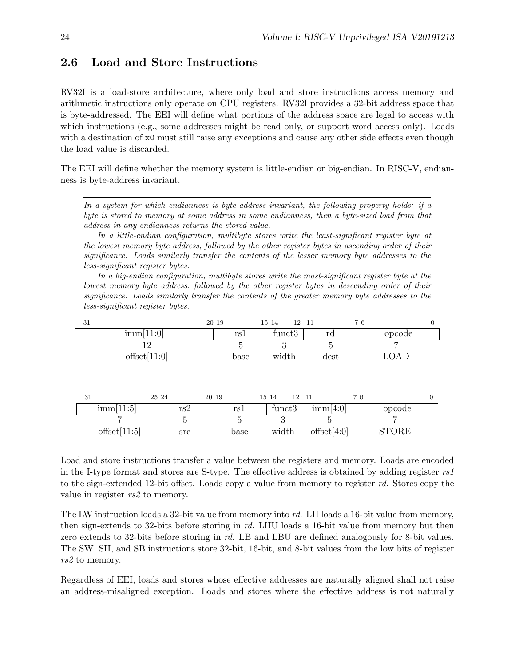### 2.6 Load and Store Instructions

RV32I is a load-store architecture, where only load and store instructions access memory and arithmetic instructions only operate on CPU registers. RV32I provides a 32-bit address space that is byte-addressed. The EEI will define what portions of the address space are legal to access with which instructions (e.g., some addresses might be read only, or support word access only). Loads with a destination of  $x0$  must still raise any exceptions and cause any other side effects even though the load value is discarded.

The EEI will define whether the memory system is little-endian or big-endian. In RISC-V, endianness is byte-address invariant.

In a system for which endianness is byte-address invariant, the following property holds: if a byte is stored to memory at some address in some endianness, then a byte-sized load from that address in any endianness returns the stored value.

In a little-endian configuration, multibyte stores write the least-significant register byte at the lowest memory byte address, followed by the other register bytes in ascending order of their significance. Loads similarly transfer the contents of the lesser memory byte addresses to the less-significant register bytes.

In a big-endian configuration, multibyte stores write the most-significant register byte at the lowest memory byte address, followed by the other register bytes in descending order of their significance. Loads similarly transfer the contents of the greater memory byte addresses to the less-significant register bytes.

| 31 |              |            | 20 19 |      | 15 14  | 12 11 |                     | 76 |              | $\overline{0}$ |
|----|--------------|------------|-------|------|--------|-------|---------------------|----|--------------|----------------|
|    | imm[11:0]    |            |       | rs1  | funct3 |       | rd                  |    | opcode       |                |
|    | 12           |            |       | 5    | 3      |       | 5                   |    |              |                |
|    | offset[11:0] |            |       | base | width  |       | dest                |    | LOAD         |                |
|    |              |            |       |      |        |       |                     |    |              |                |
|    |              |            |       |      |        |       |                     |    |              |                |
| 31 |              | 25 24      | 20 19 |      | 15 14  | 12 11 |                     | 76 |              | $\overline{0}$ |
|    | imm[11:5]    | rs2        |       | rs1  | funct3 |       | $\mathrm{imm}[4:0]$ |    | opcode       |                |
|    |              | 5          |       | 5    | 3      |       | 5                   |    |              |                |
|    | offset[11:5] | <b>src</b> |       | base | width  |       | offset[4:0]         |    | <b>STORE</b> |                |

Load and store instructions transfer a value between the registers and memory. Loads are encoded in the I-type format and stores are S-type. The effective address is obtained by adding register  $rs1$ to the sign-extended 12-bit offset. Loads copy a value from memory to register rd. Stores copy the value in register rs2 to memory.

The LW instruction loads a 32-bit value from memory into rd. LH loads a 16-bit value from memory, then sign-extends to 32-bits before storing in rd. LHU loads a 16-bit value from memory but then zero extends to 32-bits before storing in rd. LB and LBU are defined analogously for 8-bit values. The SW, SH, and SB instructions store 32-bit, 16-bit, and 8-bit values from the low bits of register rs2 to memory.

Regardless of EEI, loads and stores whose effective addresses are naturally aligned shall not raise an address-misaligned exception. Loads and stores where the effective address is not naturally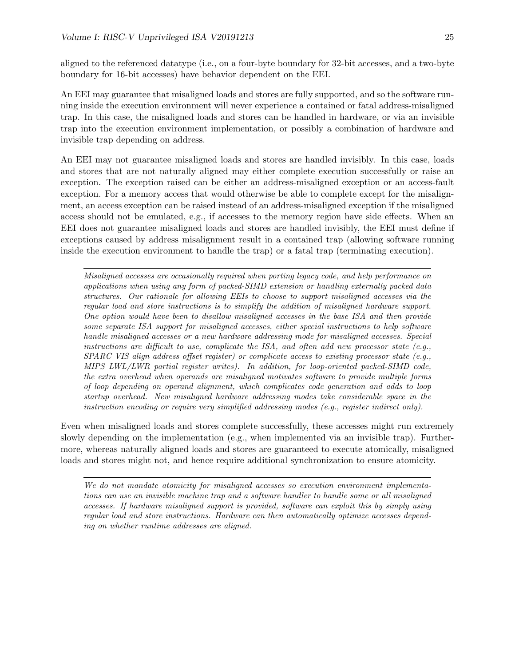aligned to the referenced datatype (i.e., on a four-byte boundary for 32-bit accesses, and a two-byte boundary for 16-bit accesses) have behavior dependent on the EEI.

An EEI may guarantee that misaligned loads and stores are fully supported, and so the software running inside the execution environment will never experience a contained or fatal address-misaligned trap. In this case, the misaligned loads and stores can be handled in hardware, or via an invisible trap into the execution environment implementation, or possibly a combination of hardware and invisible trap depending on address.

An EEI may not guarantee misaligned loads and stores are handled invisibly. In this case, loads and stores that are not naturally aligned may either complete execution successfully or raise an exception. The exception raised can be either an address-misaligned exception or an access-fault exception. For a memory access that would otherwise be able to complete except for the misalignment, an access exception can be raised instead of an address-misaligned exception if the misaligned access should not be emulated, e.g., if accesses to the memory region have side effects. When an EEI does not guarantee misaligned loads and stores are handled invisibly, the EEI must define if exceptions caused by address misalignment result in a contained trap (allowing software running inside the execution environment to handle the trap) or a fatal trap (terminating execution).

Misaligned accesses are occasionally required when porting legacy code, and help performance on applications when using any form of packed-SIMD extension or handling externally packed data structures. Our rationale for allowing EEIs to choose to support misaligned accesses via the regular load and store instructions is to simplify the addition of misaligned hardware support. One option would have been to disallow misaligned accesses in the base ISA and then provide some separate ISA support for misaligned accesses, either special instructions to help software handle misaligned accesses or a new hardware addressing mode for misaligned accesses. Special instructions are difficult to use, complicate the ISA, and often add new processor state  $(e.g.,)$ SPARC VIS align address offset register) or complicate access to existing processor state (e.g., MIPS LWL/LWR partial register writes). In addition, for loop-oriented packed-SIMD code, the extra overhead when operands are misaligned motivates software to provide multiple forms of loop depending on operand alignment, which complicates code generation and adds to loop startup overhead. New misaligned hardware addressing modes take considerable space in the instruction encoding or require very simplified addressing modes (e.g., register indirect only).

Even when misaligned loads and stores complete successfully, these accesses might run extremely slowly depending on the implementation (e.g., when implemented via an invisible trap). Furthermore, whereas naturally aligned loads and stores are guaranteed to execute atomically, misaligned loads and stores might not, and hence require additional synchronization to ensure atomicity.

We do not mandate atomicity for misaligned accesses so execution environment implementations can use an invisible machine trap and a software handler to handle some or all misaligned accesses. If hardware misaligned support is provided, software can exploit this by simply using regular load and store instructions. Hardware can then automatically optimize accesses depending on whether runtime addresses are aligned.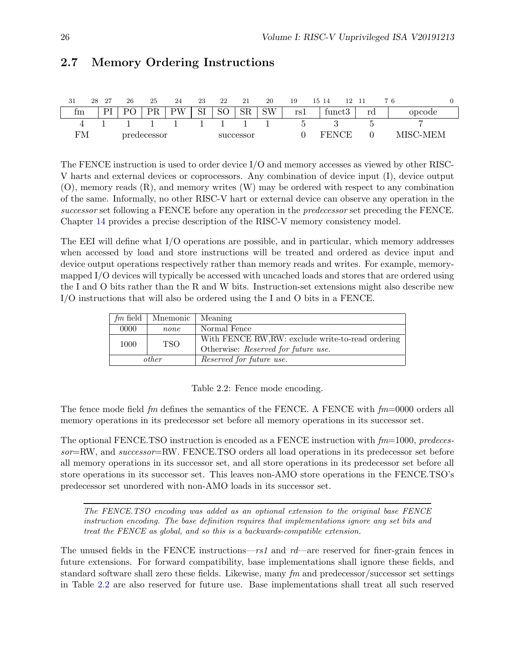## 2.7 Memory Ordering Instructions

| 31 | 28<br>27 | 26 | 25          | 24        | 23  | 22 | 21        | 20                   | 19   | 15<br>14 |              |    |                                                     |  |
|----|----------|----|-------------|-----------|-----|----|-----------|----------------------|------|----------|--------------|----|-----------------------------------------------------|--|
| tm | D1       |    | PR          | <b>PW</b> | DT. | SO | <b>SR</b> | SW <sub>1</sub><br>◡ | rs l |          | ⊢∩<br>tunct3 | rd | opcode                                              |  |
|    |          |    |             |           |     |    |           |                      |      |          |              |    |                                                     |  |
| FM |          |    | predecessor |           |     |    | successor |                      |      |          | <b>FENCE</b> |    | ſΕM<br>41SC-<br>- N / I<br>$\overline{\phantom{a}}$ |  |

The FENCE instruction is used to order device I/O and memory accesses as viewed by other RISC-V harts and external devices or coprocessors. Any combination of device input (I), device output (O), memory reads (R), and memory writes (W) may be ordered with respect to any combination of the same. Informally, no other RISC-V hart or external device can observe any operation in the successor set following a FENCE before any operation in the *predecessor* set preceding the FENCE. Chapter [14](#page-100-0) provides a precise description of the RISC-V memory consistency model.

The EEI will define what I/O operations are possible, and in particular, which memory addresses when accessed by load and store instructions will be treated and ordered as device input and device output operations respectively rather than memory reads and writes. For example, memorymapped I/O devices will typically be accessed with uncached loads and stores that are ordered using the I and O bits rather than the R and W bits. Instruction-set extensions might also describe new I/O instructions that will also be ordered using the I and O bits in a FENCE.

| $fm$ field | Mnemonic   | Meaning                                                                                  |
|------------|------------|------------------------------------------------------------------------------------------|
| 0000       | none       | Normal Fence                                                                             |
| 1000       | <b>TSO</b> | With FENCE RW, RW: exclude write-to-read ordering<br>Otherwise: Reserved for future use. |
|            | other      | Reserved for future use.                                                                 |

Table 2.2: Fence mode encoding.

<span id="page-43-0"></span>The fence mode field  $fm$  defines the semantics of the FENCE. A FENCE with  $fm=0000$  orders all memory operations in its predecessor set before all memory operations in its successor set.

The optional FENCE.TSO instruction is encoded as a FENCE instruction with  $fm=1000$ , predecessor=RW, and successor=RW. FENCE.TSO orders all load operations in its predecessor set before all memory operations in its successor set, and all store operations in its predecessor set before all store operations in its successor set. This leaves non-AMO store operations in the FENCE.TSO's predecessor set unordered with non-AMO loads in its successor set.

The FENCE.TSO encoding was added as an optional extension to the original base FENCE instruction encoding. The base definition requires that implementations ignore any set bits and treat the FENCE as global, and so this is a backwards-compatible extension.

The unused fields in the FENCE instructions—rs1 and  $rd$ —are reserved for finer-grain fences in future extensions. For forward compatibility, base implementations shall ignore these fields, and standard software shall zero these fields. Likewise, many fm and predecessor/successor set settings in Table [2.2](#page-43-0) are also reserved for future use. Base implementations shall treat all such reserved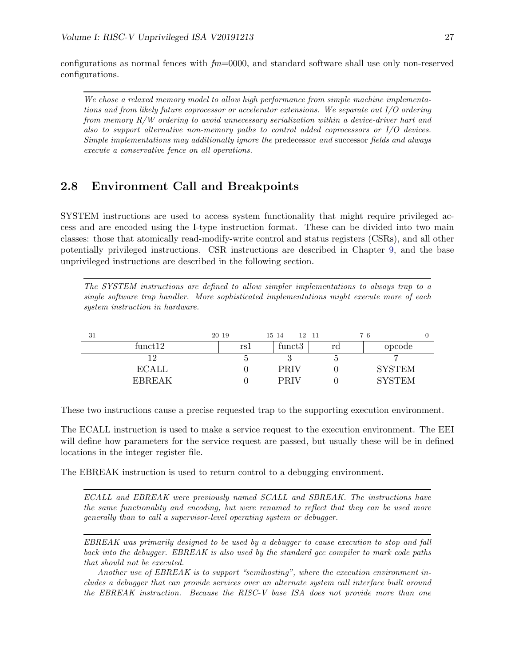configurations as normal fences with  $fm=0000$ , and standard software shall use only non-reserved configurations.

We chose a relaxed memory model to allow high performance from simple machine implementations and from likely future coprocessor or accelerator extensions. We separate out I/O ordering from memory R/W ordering to avoid unnecessary serialization within a device-driver hart and also to support alternative non-memory paths to control added coprocessors or I/O devices. Simple implementations may additionally ignore the predecessor and successor fields and always execute a conservative fence on all operations.

# 2.8 Environment Call and Breakpoints

SYSTEM instructions are used to access system functionality that might require privileged access and are encoded using the I-type instruction format. These can be divided into two main classes: those that atomically read-modify-write control and status registers (CSRs), and all other potentially privileged instructions. CSR instructions are described in Chapter [9,](#page-72-0) and the base unprivileged instructions are described in the following section.

The SYSTEM instructions are defined to allow simpler implementations to always trap to a single software trap handler. More sophisticated implementations might execute more of each system instruction in hardware.

| 31            | 20 19 | 15 14<br>12 11 |    | 76            |
|---------------|-------|----------------|----|---------------|
| funct12       | rs1   | funct3         | rd | opcode        |
|               |       |                | G  |               |
| <b>ECALL</b>  |       | PRIV           |    | <b>SYSTEM</b> |
| <b>EBREAK</b> |       | <b>PRIV</b>    |    | <b>SYSTEM</b> |

These two instructions cause a precise requested trap to the supporting execution environment.

The ECALL instruction is used to make a service request to the execution environment. The EEI will define how parameters for the service request are passed, but usually these will be in defined locations in the integer register file.

The EBREAK instruction is used to return control to a debugging environment.

ECALL and EBREAK were previously named SCALL and SBREAK. The instructions have the same functionality and encoding, but were renamed to reflect that they can be used more generally than to call a supervisor-level operating system or debugger.

EBREAK was primarily designed to be used by a debugger to cause execution to stop and fall back into the debugger. EBREAK is also used by the standard gcc compiler to mark code paths that should not be executed.

Another use of EBREAK is to support "semihosting", where the execution environment includes a debugger that can provide services over an alternate system call interface built around the EBREAK instruction. Because the RISC-V base ISA does not provide more than one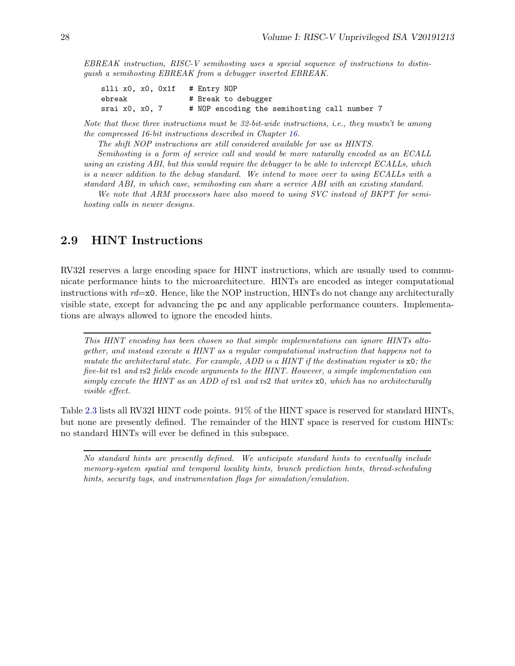EBREAK instruction, RISC-V semihosting uses a special sequence of instructions to distinguish a semihosting EBREAK from a debugger inserted EBREAK.

| slli x0, x0, Ox1f # Entry NOP |                                              |
|-------------------------------|----------------------------------------------|
| ebreak                        | # Break to debugger                          |
| srai x0, x0, 7                | # NOP encoding the semihosting call number 7 |

Note that these three instructions must be 32-bit-wide instructions, i.e., they mustn't be among the compressed 16-bit instructions described in Chapter [16.](#page-114-0)

The shift NOP instructions are still considered available for use as HINTS.

Semihosting is a form of service call and would be more naturally encoded as an ECALL using an existing ABI, but this would require the debugger to be able to intercept ECALLs, which is a newer addition to the debug standard. We intend to move over to using ECALLs with a standard ABI, in which case, semihosting can share a service ABI with an existing standard.

We note that ARM processors have also moved to using SVC instead of BKPT for semihosting calls in newer designs.

## <span id="page-45-0"></span>2.9 HINT Instructions

RV32I reserves a large encoding space for HINT instructions, which are usually used to communicate performance hints to the microarchitecture. HINTs are encoded as integer computational instructions with  $rd = x0$ . Hence, like the NOP instruction, HINTs do not change any architecturally visible state, except for advancing the pc and any applicable performance counters. Implementations are always allowed to ignore the encoded hints.

This HINT encoding has been chosen so that simple implementations can ignore HINTs altogether, and instead execute a HINT as a regular computational instruction that happens not to mutate the architectural state. For example, ADD is a HINT if the destination register is  $x0$ ; the five-bit rs1 and rs2 fields encode arguments to the HINT. However, a simple implementation can simply execute the HINT as an ADD of rs1 and rs2 that writes x0, which has no architecturally visible effect.

Table [2.3](#page-46-0) lists all RV32I HINT code points. 91% of the HINT space is reserved for standard HINTs, but none are presently defined. The remainder of the HINT space is reserved for custom HINTs: no standard HINTs will ever be defined in this subspace.

No standard hints are presently defined. We anticipate standard hints to eventually include memory-system spatial and temporal locality hints, branch prediction hints, thread-scheduling hints, security tags, and instrumentation flags for simulation/emulation.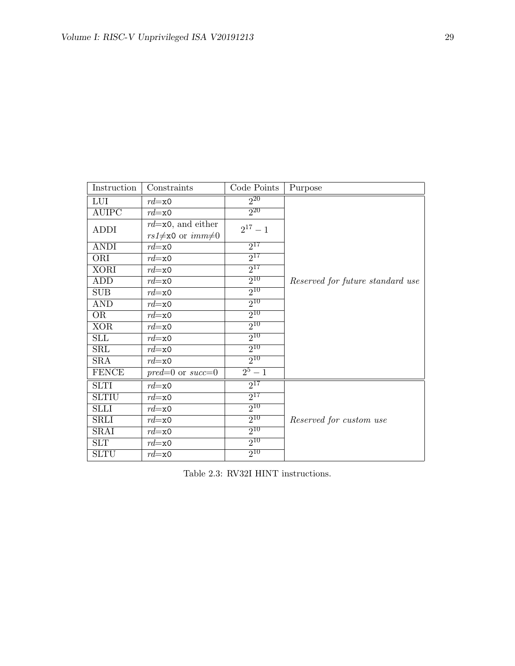| Instruction               | Constraints                        | Code Points    | Purpose                          |
|---------------------------|------------------------------------|----------------|----------------------------------|
| <b>LUI</b>                | $rd = x0$                          | $2^{20}$       |                                  |
| <b>AUIPC</b>              | $rd = x0$                          | $2^{20}$       |                                  |
| <b>ADDI</b>               | $rd = x0$ , and either             | $2^{17} - 1$   |                                  |
|                           | $rs1\neq x0$ or $\text{imm}\neq 0$ |                |                                  |
| <b>ANDI</b>               | $rd = x0$                          | $2^{17}$       |                                  |
| ORI                       | $rd = x0$                          | $2^{17}$       |                                  |
| <b>XORI</b>               | $rd = x0$                          | $2^{17}$       |                                  |
| <b>ADD</b>                | $rd = x0$                          | $2^{10}$       | Reserved for future standard use |
| <b>SUB</b>                | $rd = x0$                          | $2^{10}$       |                                  |
| <b>AND</b>                | $rd = x0$                          | $2^{10}$       |                                  |
| OR                        | $rd = x0$                          | $2^{10}$       |                                  |
| <b>XOR</b>                | $rd = x0$                          | $2^{10}$       |                                  |
| <b>SLL</b>                | $rd = x0$                          | $2^{10}$       |                                  |
| SRL                       | $rd = x0$                          | $2^{10}$       |                                  |
| SRA                       | $rd = x0$                          | $2^{10}$       |                                  |
| <b>FENCE</b>              | $pred=0$ or $succ=0$               | $\sqrt{2^5-1}$ |                                  |
| <b>SLTI</b>               | $rd = x0$                          | $2^{17}$       |                                  |
| $\overline{\text{SLTIU}}$ | $rd = x0$                          | $2^{17}$       |                                  |
| <b>SLLI</b>               | $rd = x0$                          | $2^{10}$       |                                  |
| SRLI                      | $rd = x0$                          | $2^{10}$       | Reserved for custom use          |
| SRAI                      | $rd = x0$                          | $2^{10}$       |                                  |
| <b>SLT</b>                | $rd = x0$                          | $2^{10}$       |                                  |
| <b>SLTU</b>               | $rd = x0$                          | $2^{10}$       |                                  |

<span id="page-46-0"></span>Table 2.3: RV32I HINT instructions.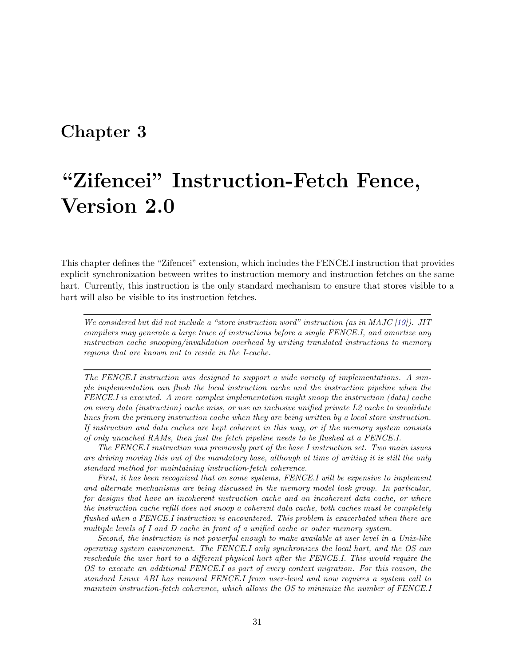# Chapter 3

# "Zifencei" Instruction-Fetch Fence, Version 2.0

This chapter defines the "Zifencei" extension, which includes the FENCE.I instruction that provides explicit synchronization between writes to instruction memory and instruction fetches on the same hart. Currently, this instruction is the only standard mechanism to ensure that stores visible to a hart will also be visible to its instruction fetches.

We considered but did not include a "store instruction word" instruction (as in MAJC  $[19]$ ). JIT compilers may generate a large trace of instructions before a single FENCE.I, and amortize any instruction cache snooping/invalidation overhead by writing translated instructions to memory regions that are known not to reside in the I-cache.

The FENCE.I instruction was designed to support a wide variety of implementations. A simple implementation can flush the local instruction cache and the instruction pipeline when the FENCE.I is executed. A more complex implementation might snoop the instruction (data) cache on every data (instruction) cache miss, or use an inclusive unified private L2 cache to invalidate lines from the primary instruction cache when they are being written by a local store instruction. If instruction and data caches are kept coherent in this way, or if the memory system consists of only uncached RAMs, then just the fetch pipeline needs to be flushed at a FENCE.I.

The FENCE.I instruction was previously part of the base I instruction set. Two main issues are driving moving this out of the mandatory base, although at time of writing it is still the only standard method for maintaining instruction-fetch coherence.

First, it has been recognized that on some systems, FENCE.I will be expensive to implement and alternate mechanisms are being discussed in the memory model task group. In particular, for designs that have an incoherent instruction cache and an incoherent data cache, or where the instruction cache refill does not snoop a coherent data cache, both caches must be completely flushed when a FENCE.I instruction is encountered. This problem is exacerbated when there are multiple levels of I and D cache in front of a unified cache or outer memory system.

Second, the instruction is not powerful enough to make available at user level in a Unix-like operating system environment. The FENCE.I only synchronizes the local hart, and the OS can reschedule the user hart to a different physical hart after the FENCE.I. This would require the OS to execute an additional FENCE.I as part of every context migration. For this reason, the standard Linux ABI has removed FENCE.I from user-level and now requires a system call to maintain instruction-fetch coherence, which allows the OS to minimize the number of FENCE.I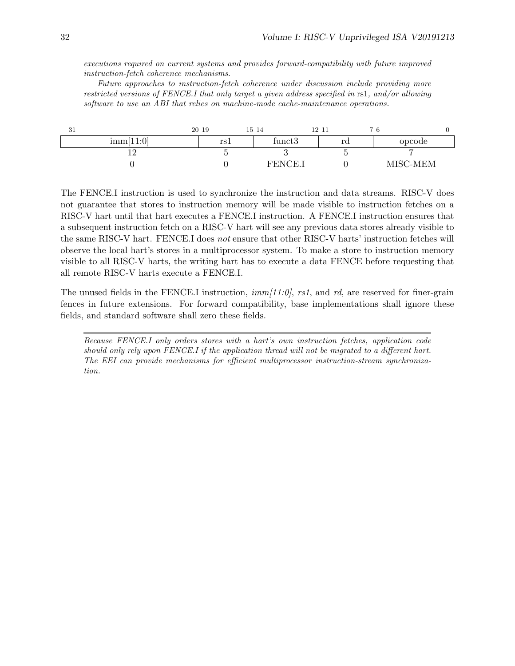executions required on current systems and provides forward-compatibility with future improved instruction-fetch coherence mechanisms.

Future approaches to instruction-fetch coherence under discussion include providing more restricted versions of FENCE.I that only target a given address specified in rs1, and/or allowing software to use an ABI that relies on machine-mode cache-maintenance operations.

| -31       | 20 19 | 15 14   | 12 11 | 76       |
|-----------|-------|---------|-------|----------|
| imm[11:0] | rs1   | funct3  | rd    | opcode   |
|           |       |         |       |          |
|           |       | FENCE 1 |       | MISC-MEM |

The FENCE.I instruction is used to synchronize the instruction and data streams. RISC-V does not guarantee that stores to instruction memory will be made visible to instruction fetches on a RISC-V hart until that hart executes a FENCE.I instruction. A FENCE.I instruction ensures that a subsequent instruction fetch on a RISC-V hart will see any previous data stores already visible to the same RISC-V hart. FENCE.I does not ensure that other RISC-V harts' instruction fetches will observe the local hart's stores in a multiprocessor system. To make a store to instruction memory visible to all RISC-V harts, the writing hart has to execute a data FENCE before requesting that all remote RISC-V harts execute a FENCE.I.

The unused fields in the FENCE.I instruction,  $imm[11:0]$ , rs1, and rd, are reserved for finer-grain fences in future extensions. For forward compatibility, base implementations shall ignore these fields, and standard software shall zero these fields.

Because FENCE.I only orders stores with a hart's own instruction fetches, application code should only rely upon FENCE.I if the application thread will not be migrated to a different hart. The EEI can provide mechanisms for efficient multiprocessor instruction-stream synchronization.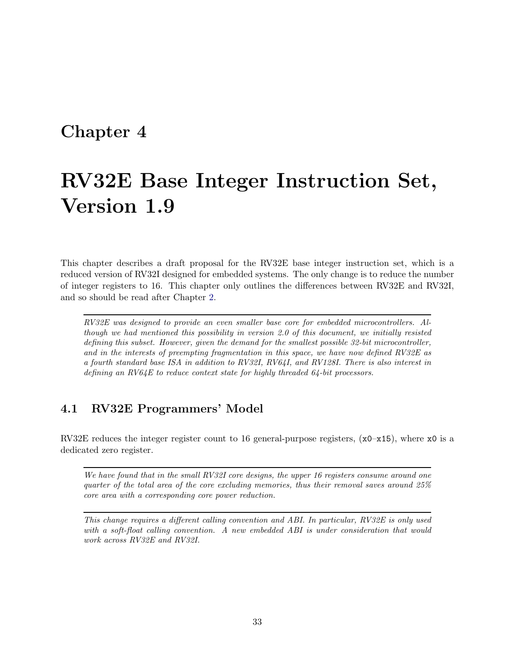# Chapter 4

# RV32E Base Integer Instruction Set, Version 1.9

This chapter describes a draft proposal for the RV32E base integer instruction set, which is a reduced version of RV32I designed for embedded systems. The only change is to reduce the number of integer registers to 16. This chapter only outlines the differences between RV32E and RV32I, and so should be read after Chapter [2.](#page-30-0)

RV32E was designed to provide an even smaller base core for embedded microcontrollers. Although we had mentioned this possibility in version 2.0 of this document, we initially resisted defining this subset. However, given the demand for the smallest possible 32-bit microcontroller, and in the interests of preempting fragmentation in this space, we have now defined RV32E as a fourth standard base ISA in addition to RV32I, RV64I, and RV128I. There is also interest in defining an  $RV64E$  to reduce context state for highly threaded  $64$ -bit processors.

# 4.1 RV32E Programmers' Model

RV32E reduces the integer register count to 16 general-purpose registers,  $(x0-x15)$ , where x0 is a dedicated zero register.

We have found that in the small RV32I core designs, the upper 16 registers consume around one quarter of the total area of the core excluding memories, thus their removal saves around 25% core area with a corresponding core power reduction.

This change requires a different calling convention and ABI. In particular, RV32E is only used with a soft-float calling convention. A new embedded ABI is under consideration that would work across RV32E and RV32I.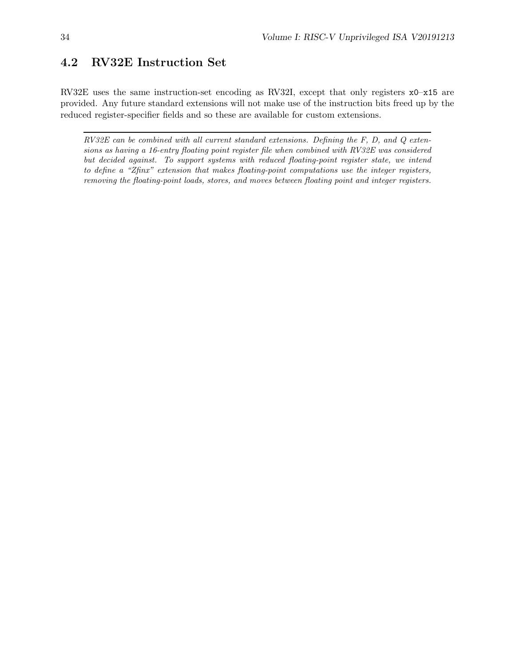# 4.2 RV32E Instruction Set

RV32E uses the same instruction-set encoding as RV32I, except that only registers x0–x15 are provided. Any future standard extensions will not make use of the instruction bits freed up by the reduced register-specifier fields and so these are available for custom extensions.

RV32E can be combined with all current standard extensions. Defining the F, D, and Q extensions as having a 16-entry floating point register file when combined with RV32E was considered but decided against. To support systems with reduced floating-point register state, we intend to define a "Zfinx" extension that makes floating-point computations use the integer registers, removing the floating-point loads, stores, and moves between floating point and integer registers.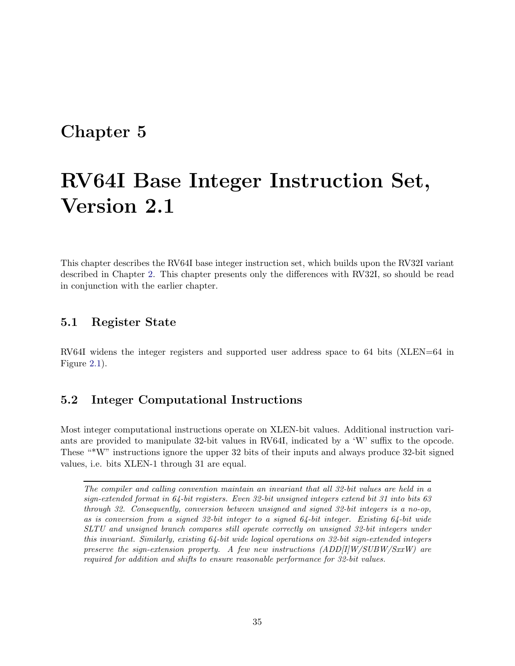# Chapter 5

# RV64I Base Integer Instruction Set, Version 2.1

This chapter describes the RV64I base integer instruction set, which builds upon the RV32I variant described in Chapter [2.](#page-30-0) This chapter presents only the differences with RV32I, so should be read in conjunction with the earlier chapter.

### 5.1 Register State

RV64I widens the integer registers and supported user address space to 64 bits (XLEN=64 in Figure [2.1\)](#page-31-0).

# 5.2 Integer Computational Instructions

Most integer computational instructions operate on XLEN-bit values. Additional instruction variants are provided to manipulate 32-bit values in RV64I, indicated by a 'W' suffix to the opcode. These "\*W" instructions ignore the upper 32 bits of their inputs and always produce 32-bit signed values, i.e. bits XLEN-1 through 31 are equal.

The compiler and calling convention maintain an invariant that all 32-bit values are held in a sign-extended format in 64-bit registers. Even 32-bit unsigned integers extend bit 31 into bits 63 through 32. Consequently, conversion between unsigned and signed 32-bit integers is a no-op, as is conversion from a signed 32-bit integer to a signed 64-bit integer. Existing 64-bit wide SLTU and unsigned branch compares still operate correctly on unsigned 32-bit integers under this invariant. Similarly, existing 64-bit wide logical operations on 32-bit sign-extended integers preserve the sign-extension property. A few new instructions  $(ADD[I]W/SUBW/SxxW)$  are required for addition and shifts to ensure reasonable performance for 32-bit values.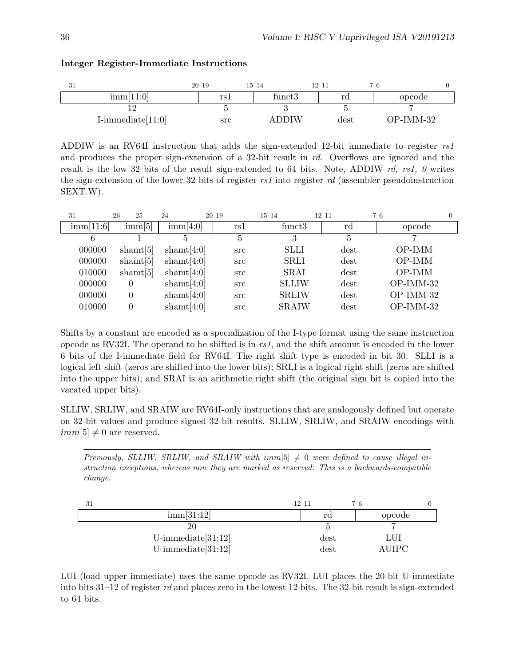| 31                         | 20 19 | 15 14  | 12 11 |           |
|----------------------------|-------|--------|-------|-----------|
| imm[11:0]                  | rsı   | funct3 | rd    | opcode    |
|                            |       |        |       |           |
| $I\text{-immediate}[11:0]$ | src   | ADDIW  | dest  | OP-IMM-32 |

#### Integer Register-Immediate Instructions

ADDIW is an RV64I instruction that adds the sign-extended 12-bit immediate to register rs1 and produces the proper sign-extension of a 32-bit result in rd. Overflows are ignored and the result is the low 32 bits of the result sign-extended to 64 bits. Note, ADDIW rd, rs1, 0 writes the sign-extension of the lower 32 bits of register rs1 into register rd (assembler pseudoinstruction SEXT.W).

| 31        | 26 | 25       | 24         | 20 19 |                | 15 14        | 12 11 |      | 76            |  |
|-----------|----|----------|------------|-------|----------------|--------------|-------|------|---------------|--|
| imm[11:6] |    | imm[5]   | imm[4:0]   |       | rs1            | funct3       |       | rd   | opcode        |  |
| 6         |    |          | Ð          |       | $\overline{5}$ | 3            |       | 5    | ⇁             |  |
| 000000    |    | shamt[5] | shamt[4:0] |       | <b>src</b>     | <b>SLLI</b>  |       | dest | <b>OP-IMM</b> |  |
| 000000    |    | shamt[5] | shamt[4:0] |       | <b>src</b>     | <b>SRLI</b>  |       | dest | OP-IMM        |  |
| 010000    |    | shamt[5] | shamt[4:0] |       | src            | <b>SRAI</b>  |       | dest | OP-IMM        |  |
| 000000    |    | 0        | shamt[4:0] |       | src            | <b>SLLIW</b> |       | dest | OP-IMM-32     |  |
| 000000    |    | $\Omega$ | shamt[4:0] |       | src            | <b>SRLIW</b> |       | dest | OP-IMM-32     |  |
| 010000    |    | $\Omega$ | shamt[4:0] |       | <b>src</b>     | <b>SRAIW</b> |       | dest | OP-IMM-32     |  |

Shifts by a constant are encoded as a specialization of the I-type format using the same instruction opcode as RV32I. The operand to be shifted is in rs1, and the shift amount is encoded in the lower 6 bits of the I-immediate field for RV64I. The right shift type is encoded in bit 30. SLLI is a logical left shift (zeros are shifted into the lower bits); SRLI is a logical right shift (zeros are shifted into the upper bits); and SRAI is an arithmetic right shift (the original sign bit is copied into the vacated upper bits).

SLLIW, SRLIW, and SRAIW are RV64I-only instructions that are analogously defined but operate on 32-bit values and produce signed 32-bit results. SLLIW, SRLIW, and SRAIW encodings with  $imm[5] \neq 0$  are reserved.

Previously, SLLIW, SRLIW, and SRAIW with imm $[5] \neq 0$  were defined to cause illegal instruction exceptions, whereas now they are marked as reserved. This is a backwards-compatible change.

| 31                    | 12 11 | 76         |
|-----------------------|-------|------------|
| imm[31:12]            | rd    | opcode     |
| 20                    |       |            |
| U-immediate $[31:12]$ | dest  | LUI        |
| U-immediate $[31:12]$ | dest  | $\lq$ UIPC |

LUI (load upper immediate) uses the same opcode as RV32I. LUI places the 20-bit U-immediate into bits  $31-12$  of register rd and places zero in the lowest 12 bits. The 32-bit result is sign-extended to 64 bits.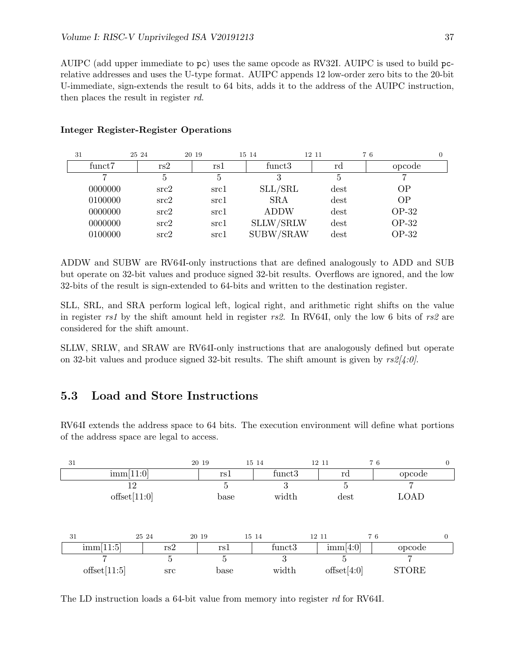AUIPC (add upper immediate to pc) uses the same opcode as RV32I. AUIPC is used to build pcrelative addresses and uses the U-type format. AUIPC appends 12 low-order zero bits to the 20-bit U-immediate, sign-extends the result to 64 bits, adds it to the address of the AUIPC instruction, then places the result in register rd.

| 31      | 25 24          | 20 19        | 15 14       | 12 11 | 76        |  |
|---------|----------------|--------------|-------------|-------|-----------|--|
| funct7  | rs2            | rsl          | funct3      | rd    | opcode    |  |
| ⇁       | $\overline{5}$ | <sub>5</sub> |             | 5     | ⇁         |  |
| 0000000 | src2           | src1         | SLL/SRL     | dest  | OP        |  |
| 0100000 | src2           | src1         | <b>SRA</b>  | dest  | <b>OP</b> |  |
| 0000000 | src2           | src1         | <b>ADDW</b> | dest  | OP-32     |  |
| 0000000 | src2           | src1         | SLLW/SRLW   | dest  | OP-32     |  |
| 0100000 | src2           | src1         | SUBW/SRAW   | dest  | OP-32     |  |

#### Integer Register-Register Operations

ADDW and SUBW are RV64I-only instructions that are defined analogously to ADD and SUB but operate on 32-bit values and produce signed 32-bit results. Overflows are ignored, and the low 32-bits of the result is sign-extended to 64-bits and written to the destination register.

SLL, SRL, and SRA perform logical left, logical right, and arithmetic right shifts on the value in register rs1 by the shift amount held in register rs2. In RV64I, only the low 6 bits of rs2 are considered for the shift amount.

SLLW, SRLW, and SRAW are RV64I-only instructions that are analogously defined but operate on 32-bit values and produce signed 32-bit results. The shift amount is given by  $rs2/4:0$ .

### 5.3 Load and Store Instructions

RV64I extends the address space to 64 bits. The execution environment will define what portions of the address space are legal to access.

| 31 |                     |       | 20 19 |      | 15 14 |        | 12 11 |             | 76 |              | $\theta$ |
|----|---------------------|-------|-------|------|-------|--------|-------|-------------|----|--------------|----------|
|    | imm[11:0]           |       |       | rs1  |       | funct3 |       | rd          |    | opcode       |          |
|    | 12                  |       |       | 5    |       | 3      |       | 5           |    |              |          |
|    | offset[11:0]        |       |       | base |       | width  |       | dest        |    | <b>LOAD</b>  |          |
|    |                     |       |       |      |       |        |       |             |    |              |          |
|    |                     |       |       |      |       |        |       |             |    |              |          |
| 31 |                     | 25 24 | 20 19 |      | 15 14 |        | 12 11 |             | 76 |              | $\Omega$ |
|    | imm[11:5]           | rs2   |       | rs1  |       | funct3 |       | imm[4:0]    |    | opcode       |          |
|    |                     | 5     |       | 5    |       | 3      |       | 5           |    |              |          |
|    | offset[11:5]<br>src |       |       | base |       | width  |       | offset[4:0] |    | <b>STORE</b> |          |

The LD instruction loads a 64-bit value from memory into register rd for RV64I.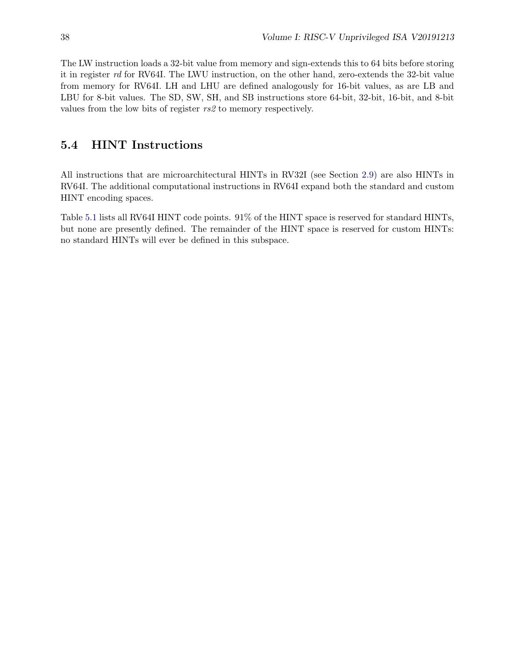The LW instruction loads a 32-bit value from memory and sign-extends this to 64 bits before storing it in register rd for RV64I. The LWU instruction, on the other hand, zero-extends the 32-bit value from memory for RV64I. LH and LHU are defined analogously for 16-bit values, as are LB and LBU for 8-bit values. The SD, SW, SH, and SB instructions store 64-bit, 32-bit, 16-bit, and 8-bit values from the low bits of register rs2 to memory respectively.

# 5.4 HINT Instructions

All instructions that are microarchitectural HINTs in RV32I (see Section [2.9\)](#page-45-0) are also HINTs in RV64I. The additional computational instructions in RV64I expand both the standard and custom HINT encoding spaces.

Table [5.1](#page-56-0) lists all RV64I HINT code points. 91% of the HINT space is reserved for standard HINTs, but none are presently defined. The remainder of the HINT space is reserved for custom HINTs: no standard HINTs will ever be defined in this subspace.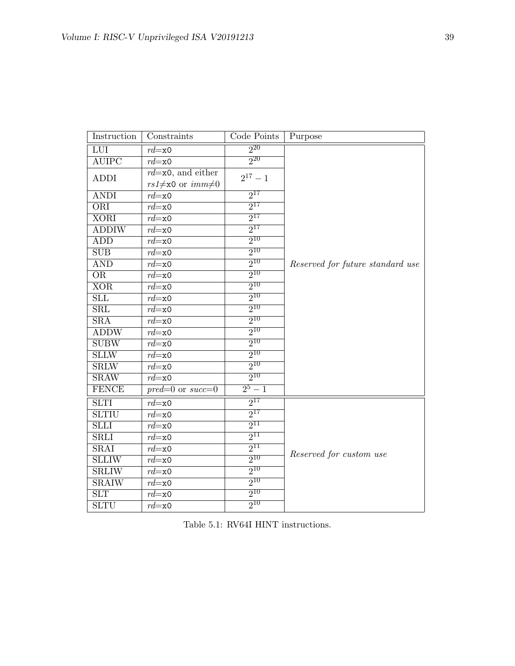| Instruction               | Constraints                    | Code Points         | Purpose                          |  |  |  |
|---------------------------|--------------------------------|---------------------|----------------------------------|--|--|--|
| LUI                       | $rd = x0$                      | $2^{20}$            |                                  |  |  |  |
| <b>AUIPC</b>              | $rd = x0$                      | $2^{20}$            |                                  |  |  |  |
| <b>ADDI</b>               | $rd=x0$ , and either           | $2^{17}-1\,$        |                                  |  |  |  |
|                           | $rs1\neq x0$ or $imm\neq 0$    |                     |                                  |  |  |  |
| <b>ANDI</b>               | $rd = x0$                      | $2^{17}$            |                                  |  |  |  |
| $\overline{\text{ORI}}$   | $rd = x0$                      | $2^{17}$            |                                  |  |  |  |
| <b>XORI</b>               | $rd = x0$                      | $2^{17}$            |                                  |  |  |  |
| <b>ADDIW</b>              | $rd = x0$                      | $2^{17}$            |                                  |  |  |  |
| <b>ADD</b>                | $rd = x0$                      | $2^{10}$            |                                  |  |  |  |
| $\overline{\text{SUB}}$   | $rd = x0$                      | $2^{10}$            |                                  |  |  |  |
| $\overline{\mathrm{AND}}$ | $rd = x0$                      | $2^{10}$            | Reserved for future standard use |  |  |  |
| $\overline{\text{OR}}$    | $rd = x0$                      | $2^{10}$            |                                  |  |  |  |
| $\overline{XOR}$          | $rd = x0$                      | $2^{10}$            |                                  |  |  |  |
| $\overline{\mathrm{SLL}}$ | $rd = x0$                      | $2^{10}$            |                                  |  |  |  |
| $\overline{\text{SRL}}$   | $rd = x0$                      | $2^{10}$            |                                  |  |  |  |
| $SRA$                     | $rd = x0$                      | $2^{10}$            |                                  |  |  |  |
| <b>ADDW</b>               | $rd = x0$                      | $2^{10}$            |                                  |  |  |  |
| $\overline{\rm SUBW}$     | $rd = x0$                      | $2^{10}$            |                                  |  |  |  |
| <b>SLLW</b>               | $rd = x0$                      | $2^{10}$            |                                  |  |  |  |
| $\overline{\text{SRLW}}$  | $rd = x0$                      | $2^{10}$            |                                  |  |  |  |
| SRAW                      | $rd = x0$                      | $2^{10}$            |                                  |  |  |  |
| <b>FENCE</b>              | $\overline{pred}$ =0 or succ=0 | $\sqrt{2^5-1}$      |                                  |  |  |  |
| <b>SLTI</b>               | $rd = x0$                      | $\overline{2^{17}}$ |                                  |  |  |  |
| <b>SLTIU</b>              | $rd = x0$                      | $2^{17}$            |                                  |  |  |  |
| <b>SLLI</b>               | $rd = x0$                      | $2^{\overline{11}}$ |                                  |  |  |  |
| $\overline{\text{SRLI}}$  | $rd = x0$                      | $2^{\overline{11}}$ |                                  |  |  |  |
| $\overline{\text{SRAI}}$  | $rd = x0$                      | $2^{11}$            | Reserved for custom use          |  |  |  |
| <b>SLLIW</b>              | $rd = x0$                      | $2^{10}$            |                                  |  |  |  |
| <b>SRLIW</b>              | $rd = x0$                      | $2^{10}$            |                                  |  |  |  |
| <b>SRAIW</b>              | $rd = x0$                      | $2^{10}$            |                                  |  |  |  |
| $\overline{\text{SLT}}$   | $rd = x0$                      | $2^{10}$            |                                  |  |  |  |
| <b>SLTU</b>               | $rd = x0$                      | $2^{10}$            |                                  |  |  |  |

<span id="page-56-0"></span>Table 5.1: RV64I HINT instructions.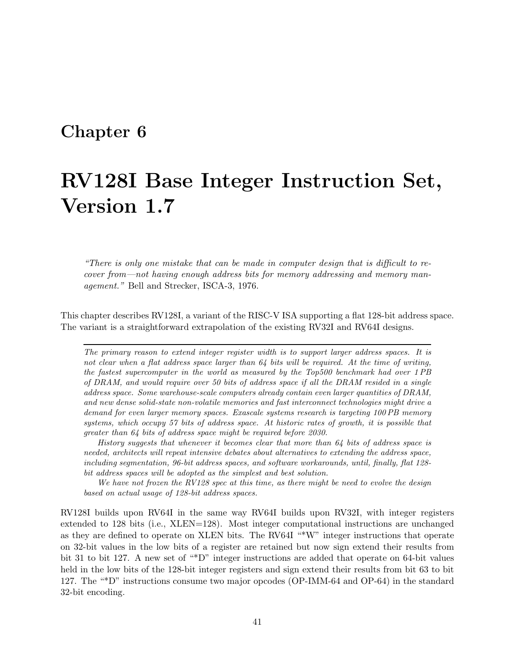# Chapter 6

# RV128I Base Integer Instruction Set, Version 1.7

"There is only one mistake that can be made in computer design that is difficult to recover from—not having enough address bits for memory addressing and memory management." Bell and Strecker, ISCA-3, 1976.

This chapter describes RV128I, a variant of the RISC-V ISA supporting a flat 128-bit address space. The variant is a straightforward extrapolation of the existing RV32I and RV64I designs.

The primary reason to extend integer register width is to support larger address spaces. It is not clear when a flat address space larger than  $64$  bits will be required. At the time of writing, the fastest supercomputer in the world as measured by the Top500 benchmark had over 1 PB of DRAM, and would require over 50 bits of address space if all the DRAM resided in a single address space. Some warehouse-scale computers already contain even larger quantities of DRAM, and new dense solid-state non-volatile memories and fast interconnect technologies might drive a demand for even larger memory spaces. Exascale systems research is targeting 100 PB memory systems, which occupy 57 bits of address space. At historic rates of growth, it is possible that greater than 64 bits of address space might be required before 2030.

History suggests that whenever it becomes clear that more than 64 bits of address space is needed, architects will repeat intensive debates about alternatives to extending the address space, including segmentation, 96-bit address spaces, and software workarounds, until, finally, flat 128 bit address spaces will be adopted as the simplest and best solution.

We have not frozen the RV128 spec at this time, as there might be need to evolve the design based on actual usage of 128-bit address spaces.

RV128I builds upon RV64I in the same way RV64I builds upon RV32I, with integer registers extended to 128 bits (i.e., XLEN=128). Most integer computational instructions are unchanged as they are defined to operate on XLEN bits. The RV64I "\*W" integer instructions that operate on 32-bit values in the low bits of a register are retained but now sign extend their results from bit 31 to bit 127. A new set of "\*D" integer instructions are added that operate on 64-bit values held in the low bits of the 128-bit integer registers and sign extend their results from bit 63 to bit 127. The "\*D" instructions consume two major opcodes (OP-IMM-64 and OP-64) in the standard 32-bit encoding.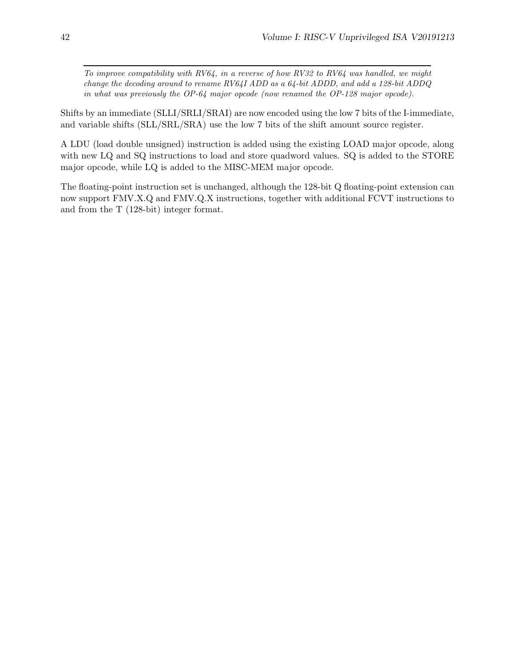To improve compatibility with  $RV64$ , in a reverse of how  $RV32$  to  $RV64$  was handled, we might change the decoding around to rename  $RV64I$  ADD as a  $64$ -bit ADDD, and add a 128-bit ADDQ in what was previously the OP-64 major opcode (now renamed the OP-128 major opcode).

Shifts by an immediate (SLLI/SRLI/SRAI) are now encoded using the low 7 bits of the I-immediate, and variable shifts (SLL/SRL/SRA) use the low 7 bits of the shift amount source register.

A LDU (load double unsigned) instruction is added using the existing LOAD major opcode, along with new LQ and SQ instructions to load and store quadword values. SQ is added to the STORE major opcode, while LQ is added to the MISC-MEM major opcode.

The floating-point instruction set is unchanged, although the 128-bit Q floating-point extension can now support FMV.X.Q and FMV.Q.X instructions, together with additional FCVT instructions to and from the T (128-bit) integer format.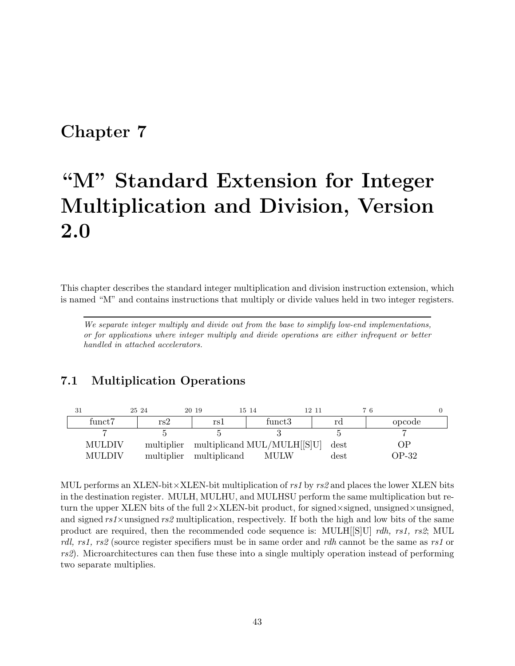# Chapter 7

# "M" Standard Extension for Integer Multiplication and Division, Version 2.0

This chapter describes the standard integer multiplication and division instruction extension, which is named "M" and contains instructions that multiply or divide values held in two integer registers.

We separate integer multiply and divide out from the base to simplify low-end implementations, or for applications where integer multiply and divide operations are either infrequent or better handled in attached accelerators.

# 7.1 Multiplication Operations

| 31 |        | 25 24      | 20 19        | 15 14                                  | 12 11 | 76     |
|----|--------|------------|--------------|----------------------------------------|-------|--------|
|    | funct7 | rs2        | rsl          | funct3                                 | rd    | opcode |
|    |        |            |              |                                        |       |        |
|    | MULDIV |            |              | multiplier multiplicand MUL/MULH[[S]U] | dest  | OP.    |
|    | MULDIV | multiplier | multiplicand | MULW                                   | dest  | OP-32  |

MUL performs an XLEN-bit  $\times$ XLEN-bit multiplication of rs1 by rs2 and places the lower XLEN bits in the destination register. MULH, MULHU, and MULHSU perform the same multiplication but return the upper XLEN bits of the full  $2 \times XLEN$ -bit product, for signed  $\times$ signed, unsigned  $\times$ unsigned, and signed  $rs1\times$ unsigned  $rs2$  multiplication, respectively. If both the high and low bits of the same product are required, then the recommended code sequence is: MULH[ $[S]$ U] rdh, rs1, rs2; MUL rdl, rs1, rs2 (source register specifiers must be in same order and rdh cannot be the same as rs1 or rs2). Microarchitectures can then fuse these into a single multiply operation instead of performing two separate multiplies.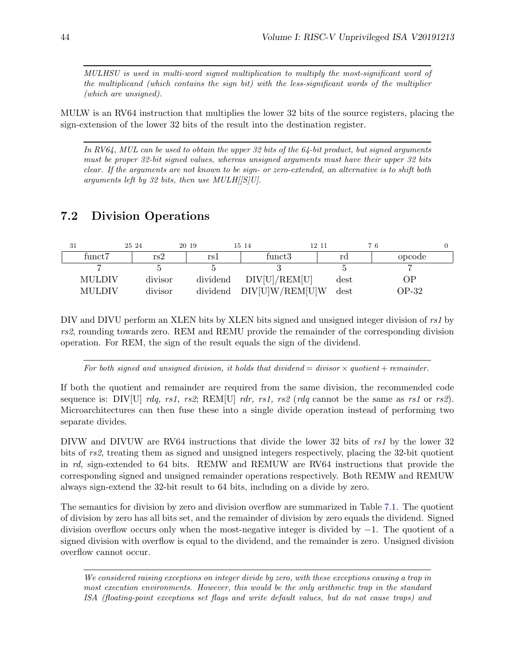MULHSU is used in multi-word signed multiplication to multiply the most-significant word of the multiplicand (which contains the sign bit) with the less-significant words of the multiplier (which are unsigned).

MULW is an RV64 instruction that multiplies the lower 32 bits of the source registers, placing the sign-extension of the lower 32 bits of the result into the destination register.

In RV64, MUL can be used to obtain the upper 32 bits of the  $64$ -bit product, but signed arguments must be proper 32-bit signed values, whereas unsigned arguments must have their upper 32 bits clear. If the arguments are not known to be sign- or zero-extended, an alternative is to shift both arguments left by 32 bits, then use MULH[[S]U].

## 7.2 Division Operations

| 31            | 25 24   | 20 19    | 15 14           | 12 11 |        |
|---------------|---------|----------|-----------------|-------|--------|
| funct7        | rs2     | rs1      | funct3          | rd    | opcode |
|               |         |          |                 |       |        |
| <b>MULDIV</b> | divisor | dividend | DIV[U]/REM[U]   | dest  | OР     |
| MULDIV        | divisor | dividend | DIV[U]W/REM[U]W | dest  | OP-32  |

DIV and DIVU perform an XLEN bits by XLEN bits signed and unsigned integer division of rs1 by rs2, rounding towards zero. REM and REMU provide the remainder of the corresponding division operation. For REM, the sign of the result equals the sign of the dividend.

For both signed and unsigned division, it holds that dividend  $=$  divisor  $\times$  quotient + remainder.

If both the quotient and remainder are required from the same division, the recommended code sequence is: DIV[U] rdq, rs1, rs2; REM[U] rdr, rs1, rs2 (rdq cannot be the same as rs1 or rs2). Microarchitectures can then fuse these into a single divide operation instead of performing two separate divides.

DIVW and DIVUW are RV64 instructions that divide the lower 32 bits of rs1 by the lower 32 bits of rs2, treating them as signed and unsigned integers respectively, placing the 32-bit quotient in rd, sign-extended to 64 bits. REMW and REMUW are RV64 instructions that provide the corresponding signed and unsigned remainder operations respectively. Both REMW and REMUW always sign-extend the 32-bit result to 64 bits, including on a divide by zero.

The semantics for division by zero and division overflow are summarized in Table [7.1.](#page-62-0) The quotient of division by zero has all bits set, and the remainder of division by zero equals the dividend. Signed division overflow occurs only when the most-negative integer is divided by −1. The quotient of a signed division with overflow is equal to the dividend, and the remainder is zero. Unsigned division overflow cannot occur.

We considered raising exceptions on integer divide by zero, with these exceptions causing a trap in most execution environments. However, this would be the only arithmetic trap in the standard ISA (floating-point exceptions set flags and write default values, but do not cause traps) and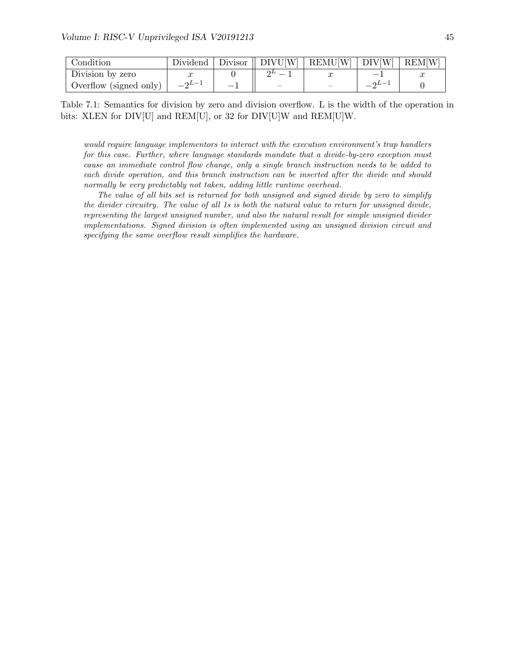| Condition              |            |   | Dividend   Divisor    DIVU[W]   REMU[W]   DIV[W]   REM[W] |            |  |
|------------------------|------------|---|-----------------------------------------------------------|------------|--|
| Division by zero       |            | വ |                                                           |            |  |
| Overflow (signed only) | $-2^{L-1}$ |   |                                                           | $-2^{L-1}$ |  |

Table 7.1: Semantics for division by zero and division overflow. L is the width of the operation in bits: XLEN for DIV[U] and REM[U], or 32 for DIV[U]W and REM[U]W.

<span id="page-62-0"></span>would require language implementors to interact with the execution environment's trap handlers for this case. Further, where language standards mandate that a divide-by-zero exception must cause an immediate control flow change, only a single branch instruction needs to be added to each divide operation, and this branch instruction can be inserted after the divide and should normally be very predictably not taken, adding little runtime overhead.

The value of all bits set is returned for both unsigned and signed divide by zero to simplify the divider circuitry. The value of all 1s is both the natural value to return for unsigned divide, representing the largest unsigned number, and also the natural result for simple unsigned divider implementations. Signed division is often implemented using an unsigned division circuit and specifying the same overflow result simplifies the hardware.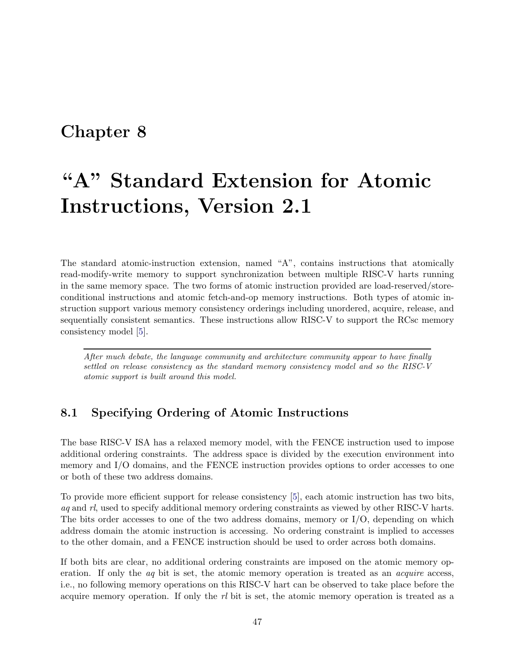# Chapter 8

# "A" Standard Extension for Atomic Instructions, Version 2.1

The standard atomic-instruction extension, named "A", contains instructions that atomically read-modify-write memory to support synchronization between multiple RISC-V harts running in the same memory space. The two forms of atomic instruction provided are load-reserved/storeconditional instructions and atomic fetch-and-op memory instructions. Both types of atomic instruction support various memory consistency orderings including unordered, acquire, release, and sequentially consistent semantics. These instructions allow RISC-V to support the RCsc memory consistency model [\[5\]](#page-236-3).

After much debate, the language community and architecture community appear to have finally settled on release consistency as the standard memory consistency model and so the RISC-V atomic support is built around this model.

# 8.1 Specifying Ordering of Atomic Instructions

The base RISC-V ISA has a relaxed memory model, with the FENCE instruction used to impose additional ordering constraints. The address space is divided by the execution environment into memory and I/O domains, and the FENCE instruction provides options to order accesses to one or both of these two address domains.

To provide more efficient support for release consistency [\[5\]](#page-236-3), each atomic instruction has two bits, aq and rl, used to specify additional memory ordering constraints as viewed by other RISC-V harts. The bits order accesses to one of the two address domains, memory or I/O, depending on which address domain the atomic instruction is accessing. No ordering constraint is implied to accesses to the other domain, and a FENCE instruction should be used to order across both domains.

If both bits are clear, no additional ordering constraints are imposed on the atomic memory operation. If only the *aq* bit is set, the atomic memory operation is treated as an *acquire* access, i.e., no following memory operations on this RISC-V hart can be observed to take place before the acquire memory operation. If only the  $rl$  bit is set, the atomic memory operation is treated as a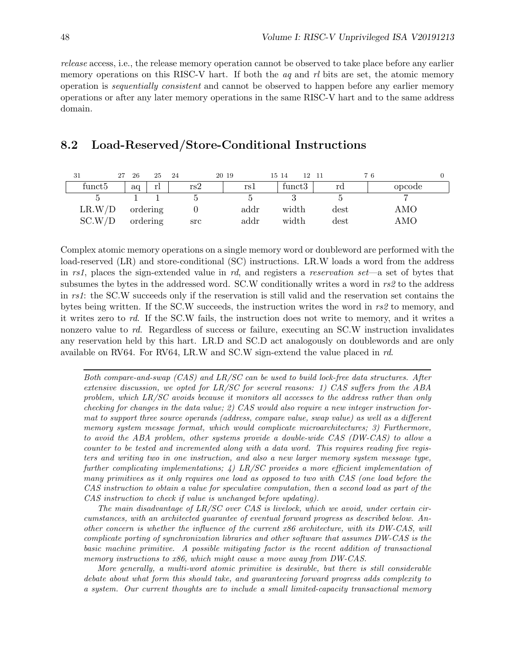release access, i.e., the release memory operation cannot be observed to take place before any earlier memory operations on this RISC-V hart. If both the  $aq$  and rl bits are set, the atomic memory operation is sequentially consistent and cannot be observed to happen before any earlier memory operations or after any later memory operations in the same RISC-V hart and to the same address domain.

### 8.2 Load-Reserved/Store-Conditional Instructions

| 31     | 27 | -26      | 25 | - 24 | 20 19 | 15 14  | 12 11           | 76     | $\bf{0}$ |
|--------|----|----------|----|------|-------|--------|-----------------|--------|----------|
| funct5 |    | aq       | rl | rs2  | rs1   | funct3 | rd              | opcode |          |
|        |    |          |    |      |       |        |                 |        |          |
| LR.W/D |    | ordering |    |      | addr  | width  | dest            | AMO    |          |
| SC.W/D |    | ordering |    | src  | addr  | width  | $\mathrm{dest}$ | AMO    |          |

Complex atomic memory operations on a single memory word or doubleword are performed with the load-reserved (LR) and store-conditional (SC) instructions. LR.W loads a word from the address in rs1, places the sign-extended value in rd, and registers a reservation set—a set of bytes that subsumes the bytes in the addressed word. SC.W conditionally writes a word in rs2 to the address in rs1: the SC.W succeeds only if the reservation is still valid and the reservation set contains the bytes being written. If the SC.W succeeds, the instruction writes the word in rs2 to memory, and it writes zero to rd. If the SC.W fails, the instruction does not write to memory, and it writes a nonzero value to rd. Regardless of success or failure, executing an SC.W instruction invalidates any reservation held by this hart. LR.D and SC.D act analogously on doublewords and are only available on RV64. For RV64, LR.W and SC.W sign-extend the value placed in rd.

Both compare-and-swap (CAS) and LR/SC can be used to build lock-free data structures. After extensive discussion, we opted for LR/SC for several reasons: 1) CAS suffers from the ABA problem, which LR/SC avoids because it monitors all accesses to the address rather than only checking for changes in the data value; 2) CAS would also require a new integer instruction format to support three source operands (address, compare value, swap value) as well as a different memory system message format, which would complicate microarchitectures; 3) Furthermore, to avoid the ABA problem, other systems provide a double-wide CAS (DW-CAS) to allow a counter to be tested and incremented along with a data word. This requires reading five registers and writing two in one instruction, and also a new larger memory system message type, further complicating implementations;  $\angle$ ) LR/SC provides a more efficient implementation of many primitives as it only requires one load as opposed to two with CAS (one load before the CAS instruction to obtain a value for speculative computation, then a second load as part of the CAS instruction to check if value is unchanged before updating).

The main disadvantage of LR/SC over CAS is livelock, which we avoid, under certain circumstances, with an architected guarantee of eventual forward progress as described below. Another concern is whether the influence of the current x86 architecture, with its DW-CAS, will complicate porting of synchronization libraries and other software that assumes DW-CAS is the basic machine primitive. A possible mitigating factor is the recent addition of transactional memory instructions to x86, which might cause a move away from DW-CAS.

More generally, a multi-word atomic primitive is desirable, but there is still considerable debate about what form this should take, and guaranteeing forward progress adds complexity to a system. Our current thoughts are to include a small limited-capacity transactional memory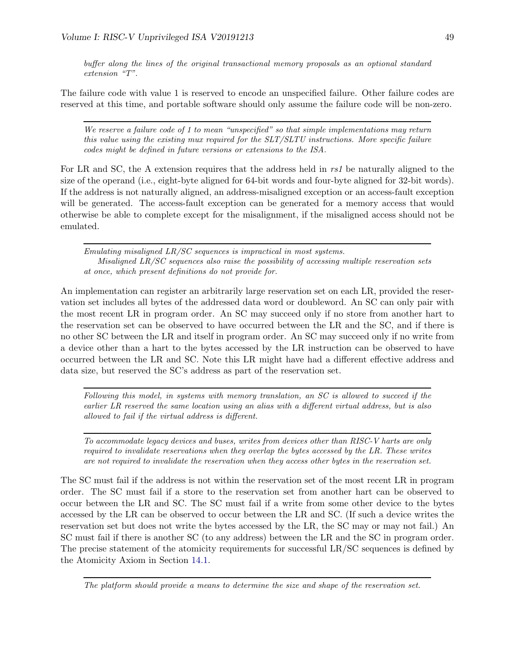buffer along the lines of the original transactional memory proposals as an optional standard extension "T".

The failure code with value 1 is reserved to encode an unspecified failure. Other failure codes are reserved at this time, and portable software should only assume the failure code will be non-zero.

We reserve a failure code of 1 to mean "unspecified" so that simple implementations may return this value using the existing mux required for the SLT/SLTU instructions. More specific failure codes might be defined in future versions or extensions to the ISA.

For LR and SC, the A extension requires that the address held in rs1 be naturally aligned to the size of the operand (i.e., eight-byte aligned for 64-bit words and four-byte aligned for 32-bit words). If the address is not naturally aligned, an address-misaligned exception or an access-fault exception will be generated. The access-fault exception can be generated for a memory access that would otherwise be able to complete except for the misalignment, if the misaligned access should not be emulated.

Emulating misaligned LR/SC sequences is impractical in most systems. Misaligned  $LR/SC$  sequences also raise the possibility of accessing multiple reservation sets at once, which present definitions do not provide for.

An implementation can register an arbitrarily large reservation set on each LR, provided the reservation set includes all bytes of the addressed data word or doubleword. An SC can only pair with the most recent LR in program order. An SC may succeed only if no store from another hart to the reservation set can be observed to have occurred between the LR and the SC, and if there is no other SC between the LR and itself in program order. An SC may succeed only if no write from a device other than a hart to the bytes accessed by the LR instruction can be observed to have occurred between the LR and SC. Note this LR might have had a different effective address and data size, but reserved the SC's address as part of the reservation set.

Following this model, in systems with memory translation, an SC is allowed to succeed if the earlier LR reserved the same location using an alias with a different virtual address, but is also allowed to fail if the virtual address is different.

To accommodate legacy devices and buses, writes from devices other than RISC-V harts are only required to invalidate reservations when they overlap the bytes accessed by the LR. These writes are not required to invalidate the reservation when they access other bytes in the reservation set.

The SC must fail if the address is not within the reservation set of the most recent LR in program order. The SC must fail if a store to the reservation set from another hart can be observed to occur between the LR and SC. The SC must fail if a write from some other device to the bytes accessed by the LR can be observed to occur between the LR and SC. (If such a device writes the reservation set but does not write the bytes accessed by the LR, the SC may or may not fail.) An SC must fail if there is another SC (to any address) between the LR and the SC in program order. The precise statement of the atomicity requirements for successful LR/SC sequences is defined by the Atomicity Axiom in Section [14.1.](#page-101-0)

The platform should provide a means to determine the size and shape of the reservation set.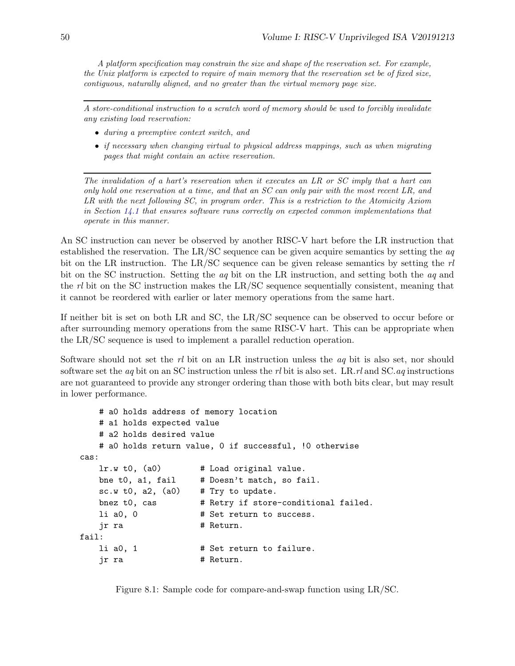A platform specification may constrain the size and shape of the reservation set. For example, the Unix platform is expected to require of main memory that the reservation set be of fixed size, contiguous, naturally aligned, and no greater than the virtual memory page size.

A store-conditional instruction to a scratch word of memory should be used to forcibly invalidate any existing load reservation:

- during a preemptive context switch, and
- if necessary when changing virtual to physical address mappings, such as when migrating pages that might contain an active reservation.

The invalidation of a hart's reservation when it executes an LR or SC imply that a hart can only hold one reservation at a time, and that an  $SC$  can only pair with the most recent  $LR$ , and LR with the next following SC, in program order. This is a restriction to the Atomicity Axiom in Section [14.1](#page-101-0) that ensures software runs correctly on expected common implementations that operate in this manner.

An SC instruction can never be observed by another RISC-V hart before the LR instruction that established the reservation. The LR/SC sequence can be given acquire semantics by setting the  $aq$ bit on the LR instruction. The LR/SC sequence can be given release semantics by setting the  $rl$ bit on the SC instruction. Setting the aq bit on the LR instruction, and setting both the aq and the  $rl$  bit on the SC instruction makes the LR/SC sequence sequentially consistent, meaning that it cannot be reordered with earlier or later memory operations from the same hart.

If neither bit is set on both LR and SC, the LR/SC sequence can be observed to occur before or after surrounding memory operations from the same RISC-V hart. This can be appropriate when the LR/SC sequence is used to implement a parallel reduction operation.

Software should not set the  $rl$  bit on an LR instruction unless the  $aq$  bit is also set, nor should software set the *aq* bit on an SC instruction unless the *rl* bit is also set. LR.*rl* and SC.*aq* instructions are not guaranteed to provide any stronger ordering than those with both bits clear, but may result in lower performance.

```
# a0 holds address of memory location
   # a1 holds expected value
   # a2 holds desired value
   # a0 holds return value, 0 if successful, !0 otherwise
cas:
   lr.w t0, (a0) # Load original value.
   bne t0, a1, fail # Doesn't match, so fail.
   sc.w t0, a2, (a0) # Try to update.
   bnez t0, cas # Retry if store-conditional failed.
   li a0, 0 \qquad # Set return to success.
   jr ra \qquad # Return.
fail:
   li a0, 1 \qquad # Set return to failure.
   jr ra \qquad # Return.
```
<span id="page-67-0"></span>Figure 8.1: Sample code for compare-and-swap function using LR/SC.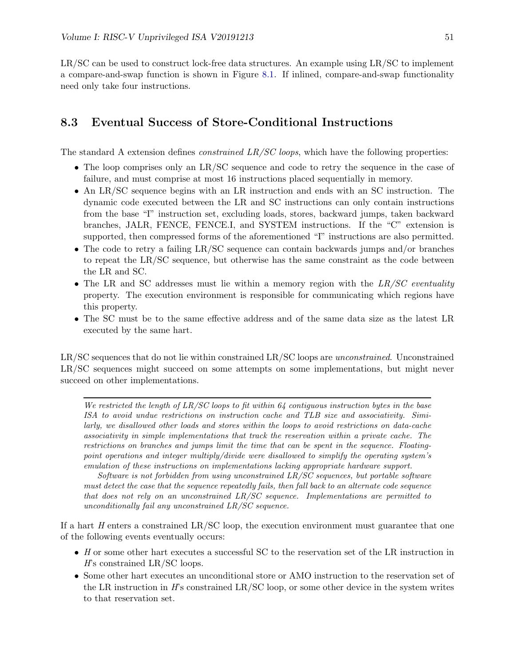LR/SC can be used to construct lock-free data structures. An example using LR/SC to implement a compare-and-swap function is shown in Figure [8.1.](#page-67-0) If inlined, compare-and-swap functionality need only take four instructions.

# 8.3 Eventual Success of Store-Conditional Instructions

The standard A extension defines *constrained LR/SC loops*, which have the following properties:

- The loop comprises only an LR/SC sequence and code to retry the sequence in the case of failure, and must comprise at most 16 instructions placed sequentially in memory.
- An LR/SC sequence begins with an LR instruction and ends with an SC instruction. The dynamic code executed between the LR and SC instructions can only contain instructions from the base "I" instruction set, excluding loads, stores, backward jumps, taken backward branches, JALR, FENCE, FENCE.I, and SYSTEM instructions. If the "C" extension is supported, then compressed forms of the aforementioned "I" instructions are also permitted.
- The code to retry a failing LR/SC sequence can contain backwards jumps and/or branches to repeat the LR/SC sequence, but otherwise has the same constraint as the code between the LR and SC.
- The LR and SC addresses must lie within a memory region with the  $LR/SC$  eventuality property. The execution environment is responsible for communicating which regions have this property.
- The SC must be to the same effective address and of the same data size as the latest LR executed by the same hart.

LR/SC sequences that do not lie within constrained LR/SC loops are unconstrained. Unconstrained LR/SC sequences might succeed on some attempts on some implementations, but might never succeed on other implementations.

We restricted the length of LR/SC loops to fit within  $64$  contiguous instruction bytes in the base ISA to avoid undue restrictions on instruction cache and TLB size and associativity. Similarly, we disallowed other loads and stores within the loops to avoid restrictions on data-cache associativity in simple implementations that track the reservation within a private cache. The restrictions on branches and jumps limit the time that can be spent in the sequence. Floatingpoint operations and integer multiply/divide were disallowed to simplify the operating system's emulation of these instructions on implementations lacking appropriate hardware support.

Software is not forbidden from using unconstrained LR/SC sequences, but portable software must detect the case that the sequence repeatedly fails, then fall back to an alternate code sequence that does not rely on an unconstrained  $LR/SC$  sequence. Implementations are permitted to unconditionally fail any unconstrained LR/SC sequence.

If a hart  $H$  enters a constrained LR/SC loop, the execution environment must guarantee that one of the following events eventually occurs:

- H or some other hart executes a successful SC to the reservation set of the LR instruction in H's constrained LR/SC loops.
- Some other hart executes an unconditional store or AMO instruction to the reservation set of the LR instruction in H's constrained LR/SC loop, or some other device in the system writes to that reservation set.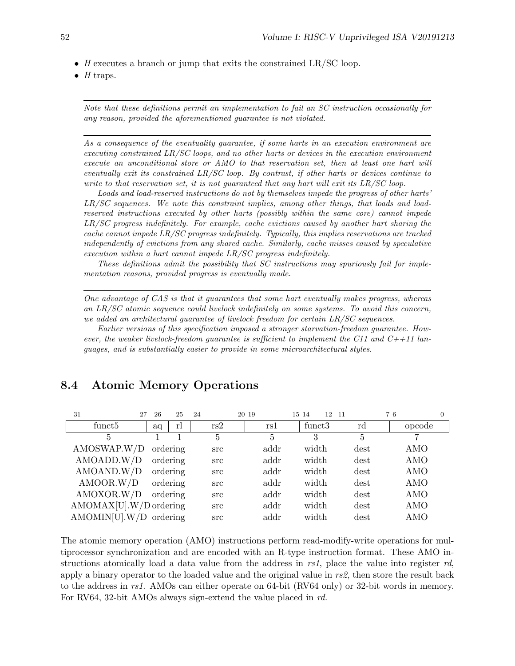- H executes a branch or jump that exits the constrained  $LR/SC$  loop.
- $\bullet$  *H* traps.

Note that these definitions permit an implementation to fail an SC instruction occasionally for any reason, provided the aforementioned guarantee is not violated.

As a consequence of the eventuality guarantee, if some harts in an execution environment are executing constrained  $LR/SC$  loops, and no other harts or devices in the execution environment execute an unconditional store or AMO to that reservation set, then at least one hart will eventually exit its constrained  $LR/SC$  loop. By contrast, if other harts or devices continue to write to that reservation set, it is not guaranteed that any hart will exit its  $LR/SC$  loop.

Loads and load-reserved instructions do not by themselves impede the progress of other harts' LR/SC sequences. We note this constraint implies, among other things, that loads and loadreserved instructions executed by other harts (possibly within the same core) cannot impede LR/SC progress indefinitely. For example, cache evictions caused by another hart sharing the cache cannot impede LR/SC progress indefinitely. Typically, this implies reservations are tracked independently of evictions from any shared cache. Similarly, cache misses caused by speculative execution within a hart cannot impede LR/SC progress indefinitely.

These definitions admit the possibility that SC instructions may spuriously fail for implementation reasons, provided progress is eventually made.

One advantage of CAS is that it guarantees that some hart eventually makes progress, whereas an LR/SC atomic sequence could livelock indefinitely on some systems. To avoid this concern, we added an architectural guarantee of livelock freedom for certain LR/SC sequences.

Earlier versions of this specification imposed a stronger starvation-freedom guarantee. However, the weaker livelock-freedom quarantee is sufficient to implement the C11 and  $C++11$  languages, and is substantially easier to provide in some microarchitectural styles.

| 31                       | 27 | 26       | 25 | 24              | 20 19 | 15 14  | 12 11 | 76         | $\Omega$ |
|--------------------------|----|----------|----|-----------------|-------|--------|-------|------------|----------|
| funct <sub>5</sub>       |    | aq       | rl | rs2             | rs1   | funct3 | rd    | opcode     |          |
| 5                        |    |          |    | $5\overline{)}$ | 5     | 3      | 5     |            |          |
| AMOSWAP.W/D              |    | ordering |    | <b>src</b>      | addr  | width  | dest  | AMO        |          |
| AMOADD.W/D               |    | ordering |    | <b>src</b>      | addr  | width  | dest  | AMO        |          |
| AMOAND.W/D               |    | ordering |    | <b>src</b>      | addr  | width  | dest  | AMO        |          |
| AMOOR.W/D                |    | ordering |    | <b>src</b>      | addr  | width  | dest  | <b>AMO</b> |          |
| AMOXOR.W/D               |    | ordering |    | <b>src</b>      | addr  | width  | dest  | AMO        |          |
| AMOMAX[U].W/D ordering   |    |          |    | <b>src</b>      | addr  | width  | dest  | AMO        |          |
| $AMOMIN[U].W/D$ ordering |    |          |    | src             | addr  | width  | dest  | AMO        |          |

### 8.4 Atomic Memory Operations

The atomic memory operation (AMO) instructions perform read-modify-write operations for multiprocessor synchronization and are encoded with an R-type instruction format. These AMO instructions atomically load a data value from the address in  $rs1$ , place the value into register  $rd$ , apply a binary operator to the loaded value and the original value in rs2, then store the result back to the address in rs1. AMOs can either operate on 64-bit (RV64 only) or 32-bit words in memory. For RV64, 32-bit AMOs always sign-extend the value placed in rd.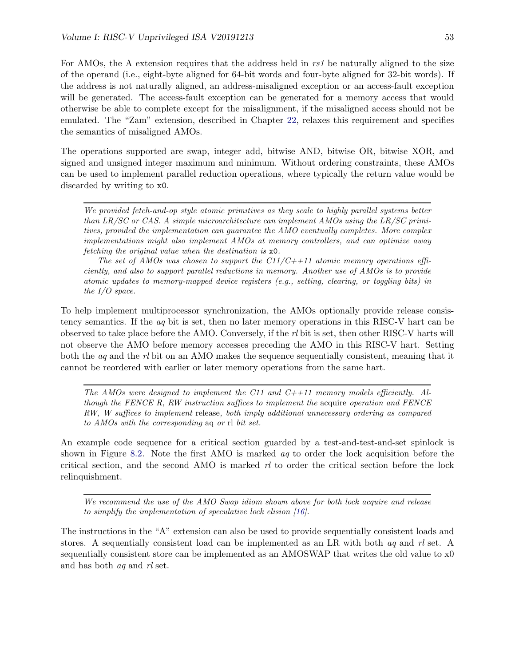For AMOs, the A extension requires that the address held in  $rs1$  be naturally aligned to the size of the operand (i.e., eight-byte aligned for 64-bit words and four-byte aligned for 32-bit words). If the address is not naturally aligned, an address-misaligned exception or an access-fault exception will be generated. The access-fault exception can be generated for a memory access that would otherwise be able to complete except for the misalignment, if the misaligned access should not be emulated. The "Zam" extension, described in Chapter [22,](#page-142-0) relaxes this requirement and specifies the semantics of misaligned AMOs.

The operations supported are swap, integer add, bitwise AND, bitwise OR, bitwise XOR, and signed and unsigned integer maximum and minimum. Without ordering constraints, these AMOs can be used to implement parallel reduction operations, where typically the return value would be discarded by writing to x0.

We provided fetch-and-op style atomic primitives as they scale to highly parallel systems better than LR/SC or CAS. A simple microarchitecture can implement AMOs using the LR/SC primitives, provided the implementation can guarantee the AMO eventually completes. More complex implementations might also implement AMOs at memory controllers, and can optimize away fetching the original value when the destination is x0.

The set of AMOs was chosen to support the  $C11/C+11$  atomic memory operations efficiently, and also to support parallel reductions in memory. Another use of AMOs is to provide atomic updates to memory-mapped device registers (e.g., setting, clearing, or toggling bits) in the  $I/O$  space.

To help implement multiprocessor synchronization, the AMOs optionally provide release consistency semantics. If the aq bit is set, then no later memory operations in this RISC-V hart can be observed to take place before the AMO. Conversely, if the rl bit is set, then other RISC-V harts will not observe the AMO before memory accesses preceding the AMO in this RISC-V hart. Setting both the *aq* and the rl bit on an AMO makes the sequence sequentially consistent, meaning that it cannot be reordered with earlier or later memory operations from the same hart.

The AMOs were designed to implement the C11 and  $C++11$  memory models efficiently. Although the FENCE R, RW instruction suffices to implement the acquire operation and FENCE RW, W suffices to implement release, both imply additional unnecessary ordering as compared to AMOs with the corresponding aq or rl bit set.

An example code sequence for a critical section guarded by a test-and-test-and-set spinlock is shown in Figure [8.2.](#page-71-0) Note the first AMO is marked aq to order the lock acquisition before the critical section, and the second AMO is marked  $rl$  to order the critical section before the lock relinquishment.

We recommend the use of the AMO Swap idiom shown above for both lock acquire and release to simplify the implementation of speculative lock elision [\[16\]](#page-237-2).

The instructions in the "A" extension can also be used to provide sequentially consistent loads and stores. A sequentially consistent load can be implemented as an LR with both  $aq$  and rl set. A sequentially consistent store can be implemented as an AMOSWAP that writes the old value to  $x0$ and has both aq and rl set.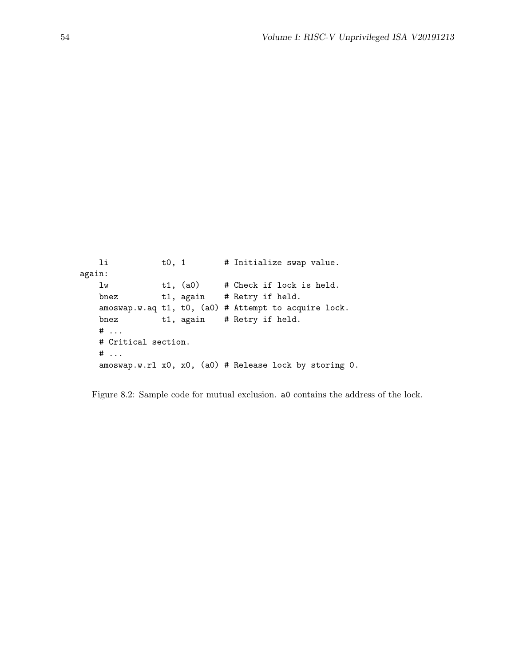```
li t0, 1   # Initialize swap value.
again:
   lw t1, (a0) # Check if lock is held.
   bnez t1, again # Retry if held.
   amoswap.w.aq t1, t0, (a0) # Attempt to acquire lock.
   bnez t1, again # Retry if held.
   # . . .
   # Critical section.
   # ...
   amoswap.w.rl x0, x0, (a0) # Release lock by storing 0.
```
<span id="page-71-0"></span>Figure 8.2: Sample code for mutual exclusion. a0 contains the address of the lock.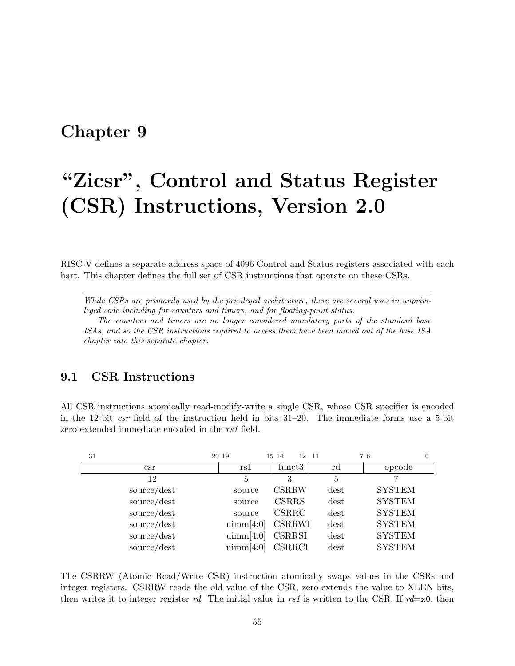## Chapter 9

## "Zicsr", Control and Status Register (CSR) Instructions, Version 2.0

RISC-V defines a separate address space of 4096 Control and Status registers associated with each hart. This chapter defines the full set of CSR instructions that operate on these CSRs.

While CSRs are primarily used by the privileged architecture, there are several uses in unprivileged code including for counters and timers, and for floating-point status.

The counters and timers are no longer considered mandatory parts of the standard base ISAs, and so the CSR instructions required to access them have been moved out of the base ISA chapter into this separate chapter.

#### 9.1 CSR Instructions

All CSR instructions atomically read-modify-write a single CSR, whose CSR specifier is encoded in the 12-bit *csr* field of the instruction held in bits  $31-20$ . The immediate forms use a 5-bit zero-extended immediate encoded in the rs1 field.

| 31                   | 20 19                      | 12 11<br>15 14 |      | 76            |  |
|----------------------|----------------------------|----------------|------|---------------|--|
| $\operatorname{csr}$ | rs1                        | funct3         | rd   | opcode        |  |
| 12                   | 5                          | 3              | 5    |               |  |
| source/dest          | source                     | <b>CSRRW</b>   | dest | <b>SYSTEM</b> |  |
| source/dest          | source                     | CSRRS          | dest | <b>SYSTEM</b> |  |
| source/dest          | source                     | CSRRC          | dest | <b>SYSTEM</b> |  |
| source/dest          | $\operatorname{uimm}[4:0]$ | <b>CSRRWI</b>  | dest | <b>SYSTEM</b> |  |
| source/dest          | $\operatorname{uimm}[4:0]$ | CSRRSI         | dest | <b>SYSTEM</b> |  |
| source/dest          | $\text{uimm}[4:0]$         | CSRRCI         | dest | <b>SYSTEM</b> |  |

The CSRRW (Atomic Read/Write CSR) instruction atomically swaps values in the CSRs and integer registers. CSRRW reads the old value of the CSR, zero-extends the value to XLEN bits, then writes it to integer register rd. The initial value in rs1 is written to the CSR. If  $rd=\mathbf{x}0$ , then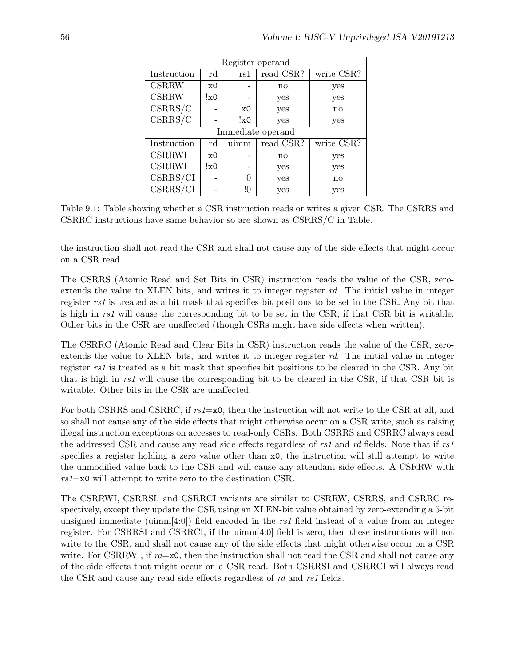<span id="page-73-0"></span>

| Register operand |     |           |                   |            |  |  |  |  |
|------------------|-----|-----------|-------------------|------------|--|--|--|--|
| Instruction      | rd  | rs1       | read CSR?         | write CSR? |  |  |  |  |
| <b>CSRRW</b>     | x0  |           | no                | yes        |  |  |  |  |
| <b>CSRRW</b>     | !x0 |           | yes               | yes        |  |  |  |  |
| CSRRS/C          |     | x0        | yes               | no         |  |  |  |  |
| CSRRS/C          |     | !x0       | yes               | yes        |  |  |  |  |
|                  |     |           | Immediate operand |            |  |  |  |  |
| Instruction      | rd  | $\liminf$ | read CSR?         | write CSR? |  |  |  |  |
| <b>CSRRWI</b>    | x0  |           | no                | yes        |  |  |  |  |
| <b>CSRRWI</b>    | !x0 |           | yes               | yes        |  |  |  |  |
| CSRRS/CI         |     |           | yes               | no         |  |  |  |  |
| CSRRS/CI         |     | !0        | yes               | yes        |  |  |  |  |

Table 9.1: Table showing whether a CSR instruction reads or writes a given CSR. The CSRRS and CSRRC instructions have same behavior so are shown as CSRRS/C in Table.

the instruction shall not read the CSR and shall not cause any of the side effects that might occur on a CSR read.

The CSRRS (Atomic Read and Set Bits in CSR) instruction reads the value of the CSR, zeroextends the value to XLEN bits, and writes it to integer register rd. The initial value in integer register rs1 is treated as a bit mask that specifies bit positions to be set in the CSR. Any bit that is high in rs1 will cause the corresponding bit to be set in the CSR, if that CSR bit is writable. Other bits in the CSR are unaffected (though CSRs might have side effects when written).

The CSRRC (Atomic Read and Clear Bits in CSR) instruction reads the value of the CSR, zeroextends the value to XLEN bits, and writes it to integer register rd. The initial value in integer register rs1 is treated as a bit mask that specifies bit positions to be cleared in the CSR. Any bit that is high in rs1 will cause the corresponding bit to be cleared in the CSR, if that CSR bit is writable. Other bits in the CSR are unaffected.

For both CSRRS and CSRRC, if  $rs1=x0$ , then the instruction will not write to the CSR at all, and so shall not cause any of the side effects that might otherwise occur on a CSR write, such as raising illegal instruction exceptions on accesses to read-only CSRs. Both CSRRS and CSRRC always read the addressed CSR and cause any read side effects regardless of rs1 and rd fields. Note that if rs1 specifies a register holding a zero value other than x0, the instruction will still attempt to write the unmodified value back to the CSR and will cause any attendant side effects. A CSRRW with rs1=x0 will attempt to write zero to the destination CSR.

The CSRRWI, CSRRSI, and CSRRCI variants are similar to CSRRW, CSRRS, and CSRRC respectively, except they update the CSR using an XLEN-bit value obtained by zero-extending a 5-bit unsigned immediate (uimm $[4:0]$ ) field encoded in the rs1 field instead of a value from an integer register. For CSRRSI and CSRRCI, if the uimm[4:0] field is zero, then these instructions will not write to the CSR, and shall not cause any of the side effects that might otherwise occur on a CSR write. For CSRRWI, if  $rd = x0$ , then the instruction shall not read the CSR and shall not cause any of the side effects that might occur on a CSR read. Both CSRRSI and CSRRCI will always read the CSR and cause any read side effects regardless of rd and rs1 fields.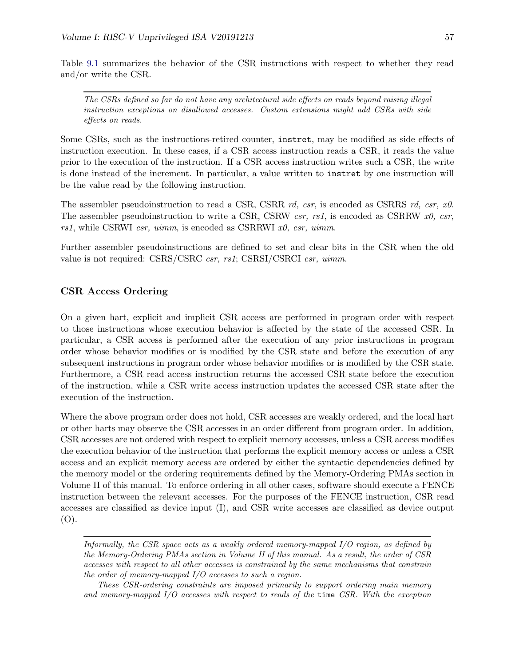Table [9.1](#page-73-0) summarizes the behavior of the CSR instructions with respect to whether they read and/or write the CSR.

The CSRs defined so far do not have any architectural side effects on reads beyond raising illegal instruction exceptions on disallowed accesses. Custom extensions might add CSRs with side effects on reads.

Some CSRs, such as the instructions-retired counter, instret, may be modified as side effects of instruction execution. In these cases, if a CSR access instruction reads a CSR, it reads the value prior to the execution of the instruction. If a CSR access instruction writes such a CSR, the write is done instead of the increment. In particular, a value written to instret by one instruction will be the value read by the following instruction.

The assembler pseudoinstruction to read a CSR, CSRR  $rd$ , csr, is encoded as CSRRS  $rd$ , csr, x0. The assembler pseudoinstruction to write a CSR, CSRW *csr*, rs1, is encoded as CSRRW  $x_0$ , csr, rs1, while CSRWI csr, uimm, is encoded as CSRRWI  $x0$ , csr, uimm.

Further assembler pseudoinstructions are defined to set and clear bits in the CSR when the old value is not required: CSRS/CSRC csr, rs1; CSRSI/CSRCI csr, uimm.

#### CSR Access Ordering

On a given hart, explicit and implicit CSR access are performed in program order with respect to those instructions whose execution behavior is affected by the state of the accessed CSR. In particular, a CSR access is performed after the execution of any prior instructions in program order whose behavior modifies or is modified by the CSR state and before the execution of any subsequent instructions in program order whose behavior modifies or is modified by the CSR state. Furthermore, a CSR read access instruction returns the accessed CSR state before the execution of the instruction, while a CSR write access instruction updates the accessed CSR state after the execution of the instruction.

Where the above program order does not hold, CSR accesses are weakly ordered, and the local hart or other harts may observe the CSR accesses in an order different from program order. In addition, CSR accesses are not ordered with respect to explicit memory accesses, unless a CSR access modifies the execution behavior of the instruction that performs the explicit memory access or unless a CSR access and an explicit memory access are ordered by either the syntactic dependencies defined by the memory model or the ordering requirements defined by the Memory-Ordering PMAs section in Volume II of this manual. To enforce ordering in all other cases, software should execute a FENCE instruction between the relevant accesses. For the purposes of the FENCE instruction, CSR read accesses are classified as device input (I), and CSR write accesses are classified as device output  $(O).$ 

Informally, the CSR space acts as a weakly ordered memory-mapped I/O region, as defined by the Memory-Ordering PMAs section in Volume II of this manual. As a result, the order of CSR accesses with respect to all other accesses is constrained by the same mechanisms that constrain the order of memory-mapped I/O accesses to such a region.

These CSR-ordering constraints are imposed primarily to support ordering main memory and memory-mapped  $I/O$  accesses with respect to reads of the time CSR. With the exception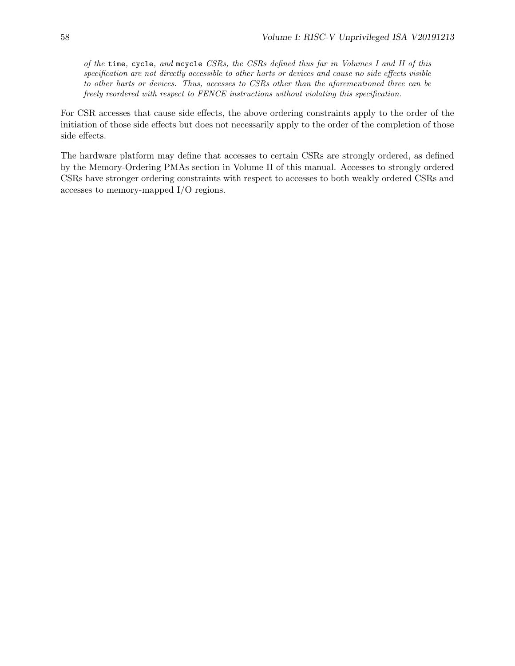of the time, cycle, and mcycle CSRs, the CSRs defined thus far in Volumes I and II of this specification are not directly accessible to other harts or devices and cause no side effects visible to other harts or devices. Thus, accesses to CSRs other than the aforementioned three can be freely reordered with respect to FENCE instructions without violating this specification.

For CSR accesses that cause side effects, the above ordering constraints apply to the order of the initiation of those side effects but does not necessarily apply to the order of the completion of those side effects.

The hardware platform may define that accesses to certain CSRs are strongly ordered, as defined by the Memory-Ordering PMAs section in Volume II of this manual. Accesses to strongly ordered CSRs have stronger ordering constraints with respect to accesses to both weakly ordered CSRs and accesses to memory-mapped I/O regions.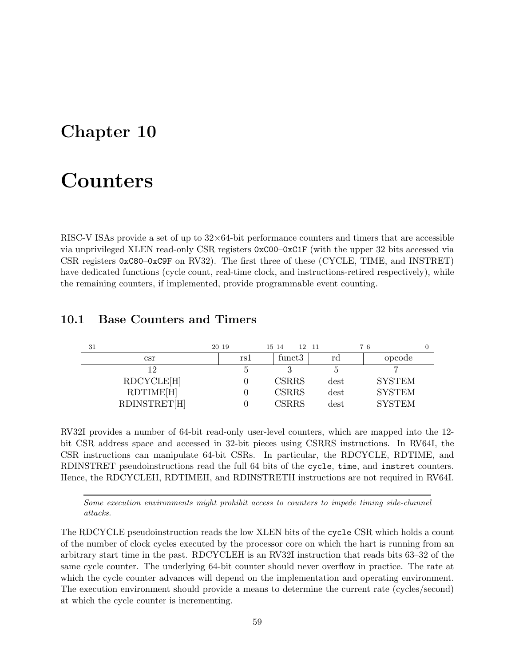## Chapter 10

## **Counters**

RISC-V ISAs provide a set of up to  $32\times64$ -bit performance counters and timers that are accessible via unprivileged XLEN read-only CSR registers 0xC00–0xC1F (with the upper 32 bits accessed via CSR registers 0xC80–0xC9F on RV32). The first three of these (CYCLE, TIME, and INSTRET) have dedicated functions (cycle count, real-time clock, and instructions-retired respectively), while the remaining counters, if implemented, provide programmable event counting.

#### 10.1 Base Counters and Timers

| 31                   | 20 19 |     | 15 14<br>12 11 |      | 76            |  |
|----------------------|-------|-----|----------------|------|---------------|--|
| $\operatorname{csr}$ |       | rsl | funct3         | rd   | opcode        |  |
|                      |       |     |                |      |               |  |
| RDCYCLE[H]           |       |     | <b>CSRRS</b>   | dest | <b>SYSTEM</b> |  |
| RDTIME[H]            |       |     | <b>CSRRS</b>   | dest | <b>SYSTEM</b> |  |
| RDINSTRET[H]         |       |     | <b>CSRRS</b>   | dest | <b>SYSTEM</b> |  |

RV32I provides a number of 64-bit read-only user-level counters, which are mapped into the 12 bit CSR address space and accessed in 32-bit pieces using CSRRS instructions. In RV64I, the CSR instructions can manipulate 64-bit CSRs. In particular, the RDCYCLE, RDTIME, and RDINSTRET pseudoinstructions read the full 64 bits of the cycle, time, and instret counters. Hence, the RDCYCLEH, RDTIMEH, and RDINSTRETH instructions are not required in RV64I.

Some execution environments might prohibit access to counters to impede timing side-channel attacks.

The RDCYCLE pseudoinstruction reads the low XLEN bits of the cycle CSR which holds a count of the number of clock cycles executed by the processor core on which the hart is running from an arbitrary start time in the past. RDCYCLEH is an RV32I instruction that reads bits 63–32 of the same cycle counter. The underlying 64-bit counter should never overflow in practice. The rate at which the cycle counter advances will depend on the implementation and operating environment. The execution environment should provide a means to determine the current rate (cycles/second) at which the cycle counter is incrementing.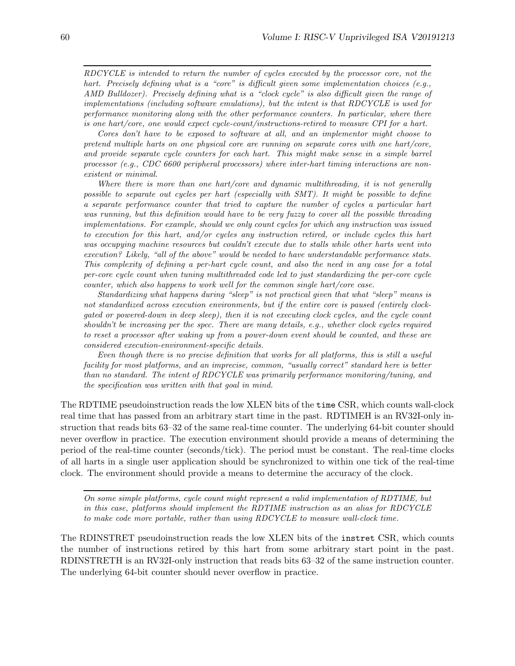RDCYCLE is intended to return the number of cycles executed by the processor core, not the hart. Precisely defining what is a "core" is difficult given some implementation choices (e.g., AMD Bulldozer). Precisely defining what is a "clock cycle" is also difficult given the range of implementations (including software emulations), but the intent is that RDCYCLE is used for performance monitoring along with the other performance counters. In particular, where there is one hart/core, one would expect cycle-count/instructions-retired to measure CPI for a hart.

Cores don't have to be exposed to software at all, and an implementor might choose to pretend multiple harts on one physical core are running on separate cores with one hart/core, and provide separate cycle counters for each hart. This might make sense in a simple barrel processor (e.g., CDC 6600 peripheral processors) where inter-hart timing interactions are nonexistent or minimal.

Where there is more than one hart/core and dynamic multithreading, it is not generally possible to separate out cycles per hart (especially with SMT). It might be possible to define a separate performance counter that tried to capture the number of cycles a particular hart was running, but this definition would have to be very fuzzy to cover all the possible threading implementations. For example, should we only count cycles for which any instruction was issued to execution for this hart, and/or cycles any instruction retired, or include cycles this hart was occupying machine resources but couldn't execute due to stalls while other harts went into execution? Likely, "all of the above" would be needed to have understandable performance stats. This complexity of defining a per-hart cycle count, and also the need in any case for a total per-core cycle count when tuning multithreaded code led to just standardizing the per-core cycle counter, which also happens to work well for the common single hart/core case.

Standardizing what happens during "sleep" is not practical given that what "sleep" means is not standardized across execution environments, but if the entire core is paused (entirely clockgated or powered-down in deep sleep), then it is not executing clock cycles, and the cycle count shouldn't be increasing per the spec. There are many details, e.g., whether clock cycles required to reset a processor after waking up from a power-down event should be counted, and these are considered execution-environment-specific details.

Even though there is no precise definition that works for all platforms, this is still a useful facility for most platforms, and an imprecise, common, "usually correct" standard here is better than no standard. The intent of RDCYCLE was primarily performance monitoring/tuning, and the specification was written with that goal in mind.

The RDTIME pseudoinstruction reads the low XLEN bits of the time CSR, which counts wall-clock real time that has passed from an arbitrary start time in the past. RDTIMEH is an RV32I-only instruction that reads bits 63–32 of the same real-time counter. The underlying 64-bit counter should never overflow in practice. The execution environment should provide a means of determining the period of the real-time counter (seconds/tick). The period must be constant. The real-time clocks of all harts in a single user application should be synchronized to within one tick of the real-time clock. The environment should provide a means to determine the accuracy of the clock.

On some simple platforms, cycle count might represent a valid implementation of RDTIME, but in this case, platforms should implement the RDTIME instruction as an alias for RDCYCLE to make code more portable, rather than using RDCYCLE to measure wall-clock time.

The RDINSTRET pseudoinstruction reads the low XLEN bits of the instret CSR, which counts the number of instructions retired by this hart from some arbitrary start point in the past. RDINSTRETH is an RV32I-only instruction that reads bits 63–32 of the same instruction counter. The underlying 64-bit counter should never overflow in practice.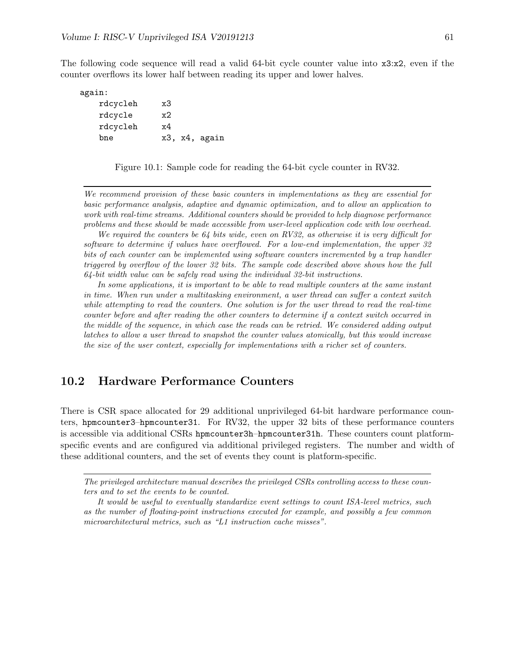The following code sequence will read a valid 64-bit cycle counter value into  $x3:x2$ , even if the counter overflows its lower half between reading its upper and lower halves.

again: rdcycleh x3 rdcycle x2 rdcycleh x4 bne x3, x4, again

Figure 10.1: Sample code for reading the 64-bit cycle counter in RV32.

We recommend provision of these basic counters in implementations as they are essential for basic performance analysis, adaptive and dynamic optimization, and to allow an application to work with real-time streams. Additional counters should be provided to help diagnose performance problems and these should be made accessible from user-level application code with low overhead.

We required the counters be 64 bits wide, even on RV32, as otherwise it is very difficult for software to determine if values have overflowed. For a low-end implementation, the upper 32 bits of each counter can be implemented using software counters incremented by a trap handler triggered by overflow of the lower 32 bits. The sample code described above shows how the full  $64$ -bit width value can be safely read using the individual 32-bit instructions.

In some applications, it is important to be able to read multiple counters at the same instant in time. When run under a multitasking environment, a user thread can suffer a context switch while attempting to read the counters. One solution is for the user thread to read the real-time counter before and after reading the other counters to determine if a context switch occurred in the middle of the sequence, in which case the reads can be retried. We considered adding output latches to allow a user thread to snapshot the counter values atomically, but this would increase the size of the user context, especially for implementations with a richer set of counters.

#### 10.2 Hardware Performance Counters

There is CSR space allocated for 29 additional unprivileged 64-bit hardware performance counters, hpmcounter3–hpmcounter31. For RV32, the upper 32 bits of these performance counters is accessible via additional CSRs hpmcounter3h–hpmcounter31h. These counters count platformspecific events and are configured via additional privileged registers. The number and width of these additional counters, and the set of events they count is platform-specific.

The privileged architecture manual describes the privileged CSRs controlling access to these counters and to set the events to be counted.

It would be useful to eventually standardize event settings to count ISA-level metrics, such as the number of floating-point instructions executed for example, and possibly a few common microarchitectural metrics, such as "L1 instruction cache misses".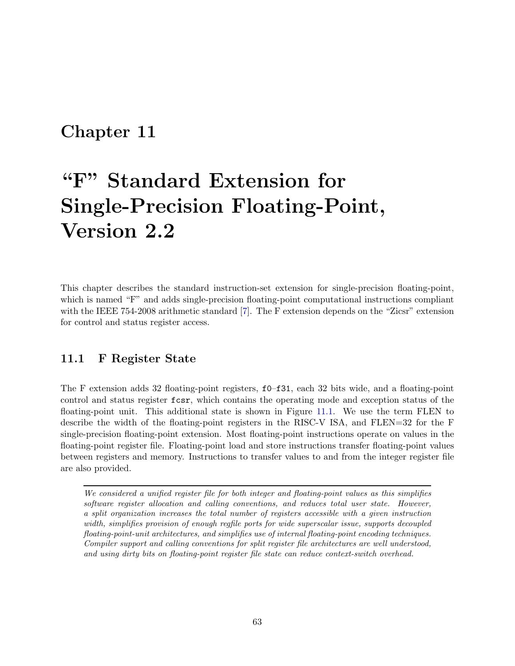## Chapter 11

# "F" Standard Extension for Single-Precision Floating-Point, Version 2.2

This chapter describes the standard instruction-set extension for single-precision floating-point, which is named "F" and adds single-precision floating-point computational instructions compliant with the IEEE 754-2008 arithmetic standard [\[7\]](#page-236-0). The F extension depends on the "Zicsr" extension for control and status register access.

#### 11.1 F Register State

The F extension adds 32 floating-point registers, f0–f31, each 32 bits wide, and a floating-point control and status register fcsr, which contains the operating mode and exception status of the floating-point unit. This additional state is shown in Figure [11.1.](#page-81-0) We use the term FLEN to describe the width of the floating-point registers in the RISC-V ISA, and FLEN=32 for the F single-precision floating-point extension. Most floating-point instructions operate on values in the floating-point register file. Floating-point load and store instructions transfer floating-point values between registers and memory. Instructions to transfer values to and from the integer register file are also provided.

We considered a unified register file for both integer and floating-point values as this simplifies software register allocation and calling conventions, and reduces total user state. However, a split organization increases the total number of registers accessible with a given instruction width, simplifies provision of enough regfile ports for wide superscalar issue, supports decoupled floating-point-unit architectures, and simplifies use of internal floating-point encoding techniques. Compiler support and calling conventions for split register file architectures are well understood, and using dirty bits on floating-point register file state can reduce context-switch overhead.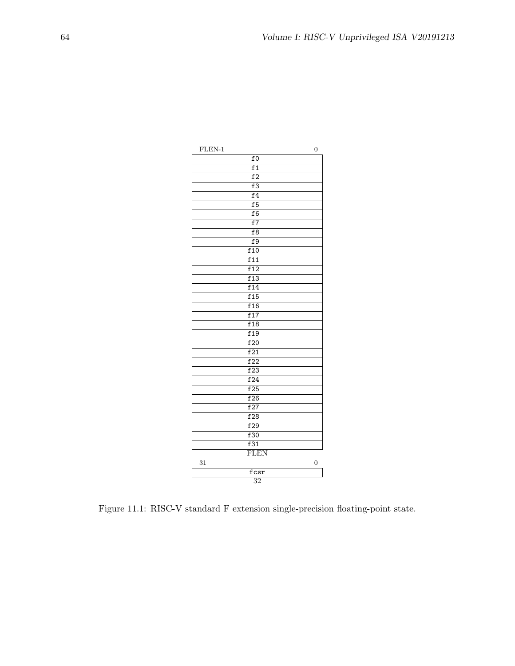| FLEN-1 |                           | $\overline{0}$ |
|--------|---------------------------|----------------|
|        | $\overline{f0}$           |                |
|        | f1                        |                |
|        | $\overline{f2}$           |                |
|        | $\overline{f3}$           |                |
|        | $\overline{f4}$           |                |
|        | f5                        |                |
|        | f6                        |                |
|        | f7                        |                |
|        | f8                        |                |
|        | f9                        |                |
|        | f10                       |                |
|        | f11                       |                |
|        | f12                       |                |
|        | f13                       |                |
|        | f14                       |                |
|        | f15                       |                |
|        | f16                       |                |
|        | f17                       |                |
|        | f18                       |                |
|        | f19                       |                |
|        | f20                       |                |
|        | f21                       |                |
|        | $\overline{f22}$          |                |
|        | f23                       |                |
|        | f24                       |                |
|        | f25                       |                |
|        | $\overline{f26}$          |                |
|        | f27                       |                |
|        | f28                       |                |
|        | f29                       |                |
|        | $\overline{f30}$          |                |
|        | $\overline{f31}$          |                |
|        | FLEN                      |                |
| 31     |                           | $\overline{0}$ |
|        | $\overline{\text{f}}$ csr |                |
|        | $\overline{32}$           |                |

<span id="page-81-0"></span>Figure 11.1: RISC-V standard F extension single-precision floating-point state.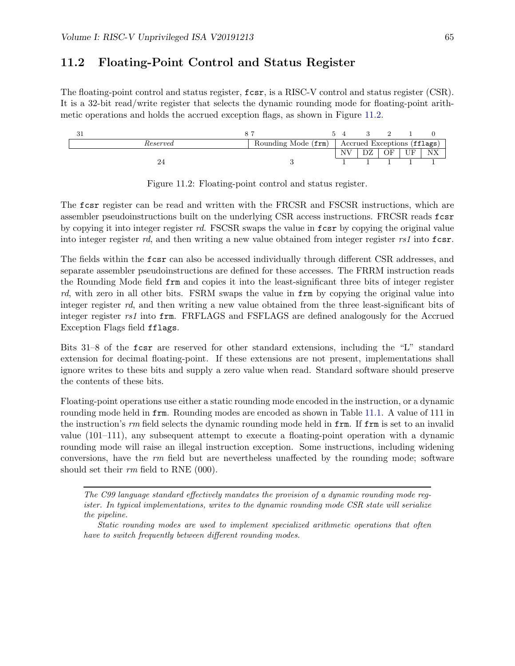#### 11.2 Floating-Point Control and Status Register

The floating-point control and status register, fcsr, is a RISC-V control and status register (CSR). It is a 32-bit read/write register that selects the dynamic rounding mode for floating-point arithmetic operations and holds the accrued exception flags, as shown in Figure [11.2.](#page-82-0)

| $\emph{Reserved}$ | Rounding Mode (frm)   Accrued Exceptions (fflags) |    |    |    |  |
|-------------------|---------------------------------------------------|----|----|----|--|
|                   |                                                   | NV | ЭF | UF |  |
|                   |                                                   |    |    |    |  |

Figure 11.2: Floating-point control and status register.

<span id="page-82-0"></span>The fcsr register can be read and written with the FRCSR and FSCSR instructions, which are assembler pseudoinstructions built on the underlying CSR access instructions. FRCSR reads fcsr by copying it into integer register rd. FSCSR swaps the value in fcsr by copying the original value into integer register rd, and then writing a new value obtained from integer register  $rs1$  into  $f \text{c}$ sr.

The fields within the fcsr can also be accessed individually through different CSR addresses, and separate assembler pseudoinstructions are defined for these accesses. The FRRM instruction reads the Rounding Mode field frm and copies it into the least-significant three bits of integer register rd, with zero in all other bits. FSRM swaps the value in frm by copying the original value into integer register rd, and then writing a new value obtained from the three least-significant bits of integer register rs1 into frm. FRFLAGS and FSFLAGS are defined analogously for the Accrued Exception Flags field fflags.

Bits 31–8 of the fcsr are reserved for other standard extensions, including the "L" standard extension for decimal floating-point. If these extensions are not present, implementations shall ignore writes to these bits and supply a zero value when read. Standard software should preserve the contents of these bits.

Floating-point operations use either a static rounding mode encoded in the instruction, or a dynamic rounding mode held in frm. Rounding modes are encoded as shown in Table [11.1.](#page-83-0) A value of 111 in the instruction's rm field selects the dynamic rounding mode held in frm. If frm is set to an invalid value (101–111), any subsequent attempt to execute a floating-point operation with a dynamic rounding mode will raise an illegal instruction exception. Some instructions, including widening conversions, have the  $rm$  field but are nevertheless unaffected by the rounding mode; software should set their rm field to RNE (000).

The C99 language standard effectively mandates the provision of a dynamic rounding mode register. In typical implementations, writes to the dynamic rounding mode CSR state will serialize the pipeline.

Static rounding modes are used to implement specialized arithmetic operations that often have to switch frequently between different rounding modes.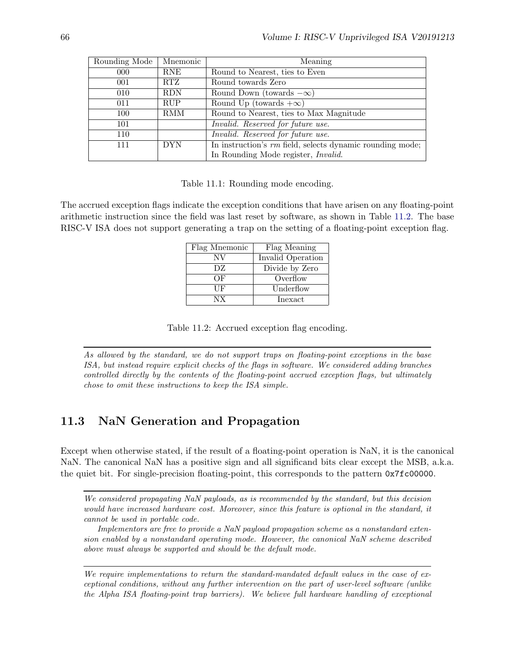| Rounding Mode | Mnemonic   | Meaning                                                   |
|---------------|------------|-----------------------------------------------------------|
| 000           | RNE        | Round to Nearest, ties to Even                            |
| 001           | <b>RTZ</b> | Round towards Zero                                        |
| 010           | <b>RDN</b> | Round Down (towards $-\infty$ )                           |
| 011           | <b>RUP</b> | Round Up (towards $+\infty$ )                             |
| 100           | <b>RMM</b> | Round to Nearest, ties to Max Magnitude                   |
| 101           |            | Invalid. Reserved for future use.                         |
| 110           |            | Invalid. Reserved for future use.                         |
| 111           | <b>DYN</b> | In instruction's rm field, selects dynamic rounding mode; |
|               |            | In Rounding Mode register, <i>Invalid.</i>                |

Table 11.1: Rounding mode encoding.

<span id="page-83-0"></span>The accrued exception flags indicate the exception conditions that have arisen on any floating-point arithmetic instruction since the field was last reset by software, as shown in Table [11.2.](#page-83-1) The base RISC-V ISA does not support generating a trap on the setting of a floating-point exception flag.

| Flag Mnemonic | Flag Meaning      |
|---------------|-------------------|
| NV            | Invalid Operation |
| DZ.           | Divide by Zero    |
| ΟF            | Overflow          |
| UЕ            | Underflow         |
| ΝX            | Inexact           |

Table 11.2: Accrued exception flag encoding.

<span id="page-83-1"></span>As allowed by the standard, we do not support traps on floating-point exceptions in the base ISA, but instead require explicit checks of the flags in software. We considered adding branches controlled directly by the contents of the floating-point accrued exception flags, but ultimately chose to omit these instructions to keep the ISA simple.

#### 11.3 NaN Generation and Propagation

Except when otherwise stated, if the result of a floating-point operation is NaN, it is the canonical NaN. The canonical NaN has a positive sign and all significand bits clear except the MSB, a.k.a. the quiet bit. For single-precision floating-point, this corresponds to the pattern 0x7fc00000.

We considered propagating NaN payloads, as is recommended by the standard, but this decision would have increased hardware cost. Moreover, since this feature is optional in the standard, it cannot be used in portable code.

Implementors are free to provide a NaN payload propagation scheme as a nonstandard extension enabled by a nonstandard operating mode. However, the canonical NaN scheme described above must always be supported and should be the default mode.

We require implementations to return the standard-mandated default values in the case of exceptional conditions, without any further intervention on the part of user-level software (unlike the Alpha ISA floating-point trap barriers). We believe full hardware handling of exceptional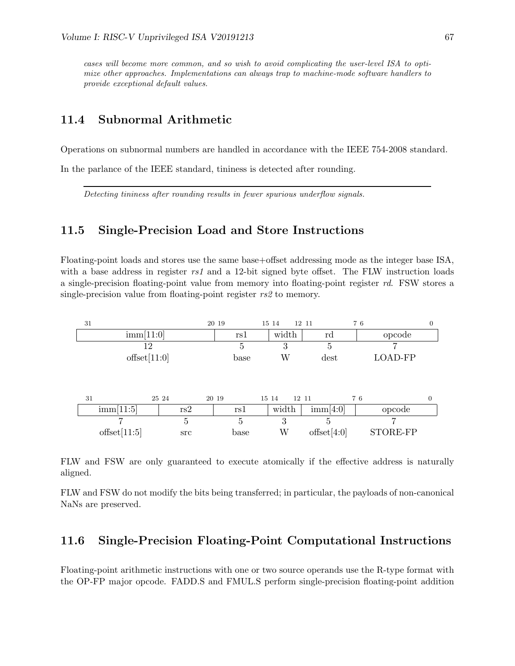cases will become more common, and so wish to avoid complicating the user-level ISA to optimize other approaches. Implementations can always trap to machine-mode software handlers to provide exceptional default values.

#### 11.4 Subnormal Arithmetic

Operations on subnormal numbers are handled in accordance with the IEEE 754-2008 standard.

In the parlance of the IEEE standard, tininess is detected after rounding.

Detecting tininess after rounding results in fewer spurious underflow signals.

#### 11.5 Single-Precision Load and Store Instructions

Floating-point loads and stores use the same base+offset addressing mode as the integer base ISA, with a base address in register  $rs1$  and a 12-bit signed byte offset. The FLW instruction loads a single-precision floating-point value from memory into floating-point register rd. FSW stores a single-precision value from floating-point register rs2 to memory.

| 31 |              |            | 20 19 |      | 15 14 | 12 11             | 76 |          | $\theta$ |
|----|--------------|------------|-------|------|-------|-------------------|----|----------|----------|
|    | imm[11:0]    |            |       | rs1  | width | rd                |    | opcode   |          |
|    | 12           |            |       | 5    | 3     | $\overline{5}$    |    |          |          |
|    | offset[11:0] |            |       | base | W     | dest              |    | LOAD-FP  |          |
|    |              |            |       |      |       |                   |    |          |          |
|    |              |            |       |      |       |                   |    |          |          |
| 31 |              | 25 24      | 20 19 |      | 15 14 | 12 11             | 76 |          | 0        |
|    | imm[11:5]    | rs2        |       | rs1  | width | $\text{imm}[4:0]$ |    | opcode   |          |
|    |              | 5          |       | 5    | 3     | 5                 |    |          |          |
|    | offset[11:5] | <b>src</b> |       | base | W     | offset[4:0]       |    | STORE-FP |          |

FLW and FSW are only guaranteed to execute atomically if the effective address is naturally aligned.

FLW and FSW do not modify the bits being transferred; in particular, the payloads of non-canonical NaNs are preserved.

#### 11.6 Single-Precision Floating-Point Computational Instructions

Floating-point arithmetic instructions with one or two source operands use the R-type format with the OP-FP major opcode. FADD.S and FMUL.S perform single-precision floating-point addition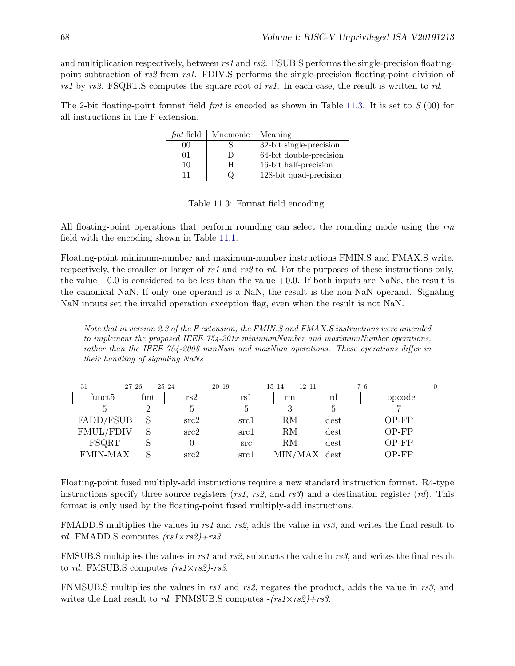and multiplication respectively, between rs1 and rs2. FSUB.S performs the single-precision floatingpoint subtraction of rs2 from rs1. FDIV.S performs the single-precision floating-point division of rs1 by rs2. FSQRT.S computes the square root of rs1. In each case, the result is written to rd.

The 2-bit floating-point format field  $fmt$  is encoded as shown in Table [11.3.](#page-85-0) It is set to  $S(00)$  for all instructions in the F extension.

| $fmt$ field | Mnemonic       | Meaning                 |
|-------------|----------------|-------------------------|
| Œ           |                | 32-bit single-precision |
| 01          | $\blacksquare$ | 64-bit double-precision |
| 10          | H              | 16-bit half-precision   |
|             |                | 128-bit quad-precision  |

Table 11.3: Format field encoding.

<span id="page-85-0"></span>All floating-point operations that perform rounding can select the rounding mode using the rm field with the encoding shown in Table [11.1.](#page-83-0)

Floating-point minimum-number and maximum-number instructions FMIN.S and FMAX.S write, respectively, the smaller or larger of rs1 and rs2 to rd. For the purposes of these instructions only, the value  $-0.0$  is considered to be less than the value  $+0.0$ . If both inputs are NaNs, the result is the canonical NaN. If only one operand is a NaN, the result is the non-NaN operand. Signaling NaN inputs set the invalid operation exception flag, even when the result is not NaN.

Note that in version 2.2 of the F extension, the FMIN.S and FMAX.S instructions were amended to implement the proposed IEEE 754-201x minimumNumber and maximumNumber operations, rather than the IEEE 754-2008 minNum and maxNum operations. These operations differ in their handling of signaling NaNs.

| 31                 | 27 26                       | 25 24        | 20 19 | 12 11<br>15 14 |      | 76      |
|--------------------|-----------------------------|--------------|-------|----------------|------|---------|
| funct <sub>5</sub> | $\mathop{\rm tmt}\nolimits$ | rs2          | rs l  | rm             | rd   | opcode  |
|                    |                             | <sub>6</sub> |       |                |      |         |
| FADD/FSUB          |                             | src2         | srcl  | RМ             | dest | OP-FP   |
| FMUL/FDIV          |                             | src2         | src1  | RМ             | dest | OP-FP   |
| FSQRT              |                             |              | src   | RM             | dest | $OP-FP$ |
| <b>FMIN-MAX</b>    |                             | src2         | srcl  | MIN/MAX dest   |      | $OP-FP$ |

Floating-point fused multiply-add instructions require a new standard instruction format. R4-type instructions specify three source registers (rs1, rs2, and rs3) and a destination register (rd). This format is only used by the floating-point fused multiply-add instructions.

FMADD.S multiplies the values in rs1 and rs2, adds the value in rs3, and writes the final result to rd. FMADD.S computes  $(rs1 \times rs2) + rs3$ .

FMSUB.S multiplies the values in rs1 and rs2, subtracts the value in rs3, and writes the final result to rd. FMSUB.S computes  $(rs1 \times rs2)$ -rs3.

FNMSUB.S multiplies the values in rs1 and rs2, negates the product, adds the value in rs3, and writes the final result to rd. FNMSUB.S computes  $-(rs1 \times rs2) + rs3$ .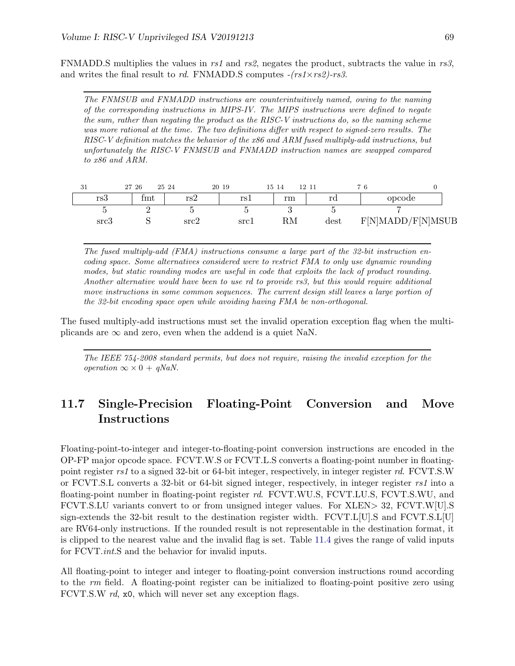FNMADD.S multiplies the values in rs1 and rs2, negates the product, subtracts the value in rs3, and writes the final result to rd. FNMADD.S computes  $-(rs1 \times rs2)$ -rs3.

The FNMSUB and FNMADD instructions are counterintuitively named, owing to the naming of the corresponding instructions in MIPS-IV. The MIPS instructions were defined to negate the sum, rather than negating the product as the RISC-V instructions do, so the naming scheme was more rational at the time. The two definitions differ with respect to signed-zero results. The RISC-V definition matches the behavior of the x86 and ARM fused multiply-add instructions, but unfortunately the RISC-V FNMSUB and FNMADD instruction names are swapped compared to x86 and ARM.

| υı   | 27 26         | 25 24 | 20 19 | 15 14 | 12 11           |                   |  |
|------|---------------|-------|-------|-------|-----------------|-------------------|--|
| rs3  | $_{\rm{fmt}}$ | rs∠   | rs 1  | rm    |                 | opcode            |  |
|      |               |       |       |       |                 |                   |  |
| src3 |               | src2  | srcl  | RM    | $\mathrm{dest}$ | F[N]MADD/F[N]MSUB |  |

The fused multiply-add (FMA) instructions consume a large part of the 32-bit instruction encoding space. Some alternatives considered were to restrict FMA to only use dynamic rounding modes, but static rounding modes are useful in code that exploits the lack of product rounding. Another alternative would have been to use rd to provide rs3, but this would require additional move instructions in some common sequences. The current design still leaves a large portion of the 32-bit encoding space open while avoiding having FMA be non-orthogonal.

The fused multiply-add instructions must set the invalid operation exception flag when the multiplicands are  $\infty$  and zero, even when the addend is a quiet NaN.

The IEEE 754-2008 standard permits, but does not require, raising the invalid exception for the operation  $\infty \times 0 + qNaN$ .

### 11.7 Single-Precision Floating-Point Conversion and Move Instructions

Floating-point-to-integer and integer-to-floating-point conversion instructions are encoded in the OP-FP major opcode space. FCVT.W.S or FCVT.L.S converts a floating-point number in floatingpoint register rs1 to a signed 32-bit or 64-bit integer, respectively, in integer register rd. FCVT.S.W or FCVT.S.L converts a 32-bit or 64-bit signed integer, respectively, in integer register rs1 into a floating-point number in floating-point register rd. FCVT.WU.S, FCVT.LU.S, FCVT.S.WU, and FCVT.S.LU variants convert to or from unsigned integer values. For XLEN> 32, FCVT.W[U].S sign-extends the 32-bit result to the destination register width. FCVT.L[U].S and FCVT.S.L[U] are RV64-only instructions. If the rounded result is not representable in the destination format, it is clipped to the nearest value and the invalid flag is set. Table [11.4](#page-87-0) gives the range of valid inputs for FCVT.int.S and the behavior for invalid inputs.

All floating-point to integer and integer to floating-point conversion instructions round according to the rm field. A floating-point register can be initialized to floating-point positive zero using FCVT.S.W rd, x0, which will never set any exception flags.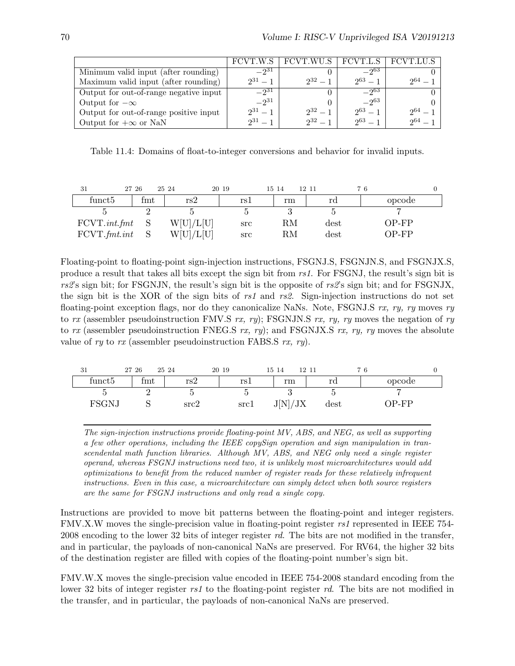|                                        | FCVT.W.S     | FCVT.WU.S  | FCVT.L.S     | FCVT.LU.S    |
|----------------------------------------|--------------|------------|--------------|--------------|
| Minimum valid input (after rounding)   | $-2^{31}$    |            | $-2^{63}$    |              |
| Maximum valid input (after rounding)   | $2^{31} - 1$ | $2^{32} -$ | $2^{63} - 1$ | $2^{64}$ –   |
| Output for out-of-range negative input | $-2^{31}$    |            | $-2^{63}$    |              |
| Output for $-\infty$                   | $-2^{31}$    |            | $-2^{63}$    |              |
| Output for out-of-range positive input | $2^{31} - 1$ | $2^{32} -$ | $2^{63} - 1$ | $2^{64} - 1$ |
| Output for $+\infty$ or NaN            | $2^{31} - 1$ | $2^{32} -$ | $2^{63} - 1$ | $2^{64} - 1$ |

<span id="page-87-0"></span>Table 11.4: Domains of float-to-integer conversions and behavior for invalid inputs.

| 31                           | 27 26         | 25 24     | 20 19 | 15 14 | 12 11 | 76     |
|------------------------------|---------------|-----------|-------|-------|-------|--------|
| funct5                       | $_{\rm{tmt}}$ | rs2       | rs 1  | rm    | rd    | opcode |
|                              |               |           |       |       |       |        |
| $\text{FCVT}.\text{int.fmt}$ |               | W[U]/L[U] | src   | RМ    | dest  | OP-FP  |
| $\text{FCVT}.fmt.int$        |               | W[U]/L[U] | src   | RМ    | dest  | OP-FP  |

Floating-point to floating-point sign-injection instructions, FSGNJ.S, FSGNJN.S, and FSGNJX.S, produce a result that takes all bits except the sign bit from rs1. For FSGNJ, the result's sign bit is rs2's sign bit; for FSGNJN, the result's sign bit is the opposite of rs2's sign bit; and for FSGNJX, the sign bit is the XOR of the sign bits of  $rs1$  and  $rs2$ . Sign-injection instructions do not set floating-point exception flags, nor do they canonicalize NaNs. Note, FSGNJ.S rx, ry, ry moves ry to rx (assembler pseudoinstruction FMV.S rx, ry); FSGNJN.S rx, ry, ry moves the negation of ry to rx (assembler pseudoinstruction FNEG.S rx, ry); and FSGNJX.S rx, ry, ry moves the absolute value of ry to rx (assembler pseudoinstruction FABS.S rx, ry).

| 31     | 27 26<br>25 24 |      | 20 19 | 15 14   | 12 11 | 76     |
|--------|----------------|------|-------|---------|-------|--------|
| funct5 | $_{\rm{tmt}}$  | rs2  | rs1   | rm      | rd    | opcode |
|        |                |      |       |         |       |        |
| FSGNJ  |                | src2 | srcl  | J[N]/JX | dest  | OP-FP  |

The sign-injection instructions provide floating-point MV, ABS, and NEG, as well as supporting a few other operations, including the IEEE copySign operation and sign manipulation in transcendental math function libraries. Although MV, ABS, and NEG only need a single register operand, whereas FSGNJ instructions need two, it is unlikely most microarchitectures would add optimizations to benefit from the reduced number of register reads for these relatively infrequent instructions. Even in this case, a microarchitecture can simply detect when both source registers are the same for FSGNJ instructions and only read a single copy.

Instructions are provided to move bit patterns between the floating-point and integer registers. FMV.X.W moves the single-precision value in floating-point register rs1 represented in IEEE 754-2008 encoding to the lower 32 bits of integer register rd. The bits are not modified in the transfer, and in particular, the payloads of non-canonical NaNs are preserved. For RV64, the higher 32 bits of the destination register are filled with copies of the floating-point number's sign bit.

FMV.W.X moves the single-precision value encoded in IEEE 754-2008 standard encoding from the lower 32 bits of integer register rs1 to the floating-point register rd. The bits are not modified in the transfer, and in particular, the payloads of non-canonical NaNs are preserved.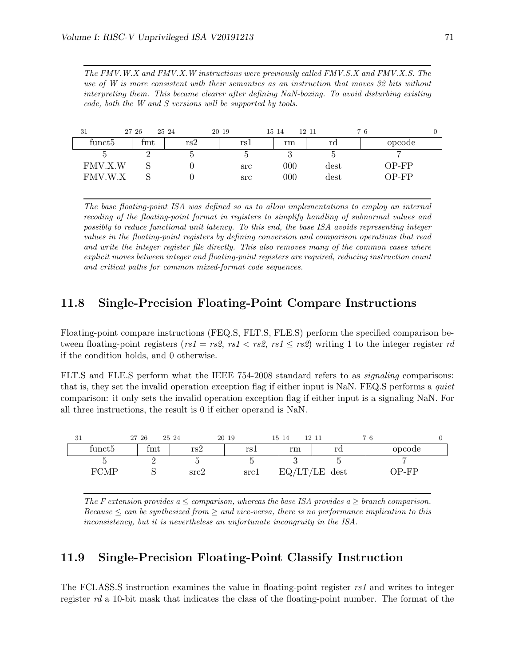The FMV.W.X and FMV.X.W instructions were previously called FMV.S.X and FMV.X.S. The use of W is more consistent with their semantics as an instruction that moves 32 bits without interpreting them. This became clearer after defining NaN-boxing. To avoid disturbing existing code, both the W and S versions will be supported by tools.

| 31             | 27 26         | 25 24 | 20 19 | 15 14     | 12 11 | 76      |
|----------------|---------------|-------|-------|-----------|-------|---------|
| funct5         | $_{\rm{tmt}}$ | rs2   | rs 1  | $\rm{rm}$ | rd    | opcode  |
|                |               |       |       |           |       |         |
| <b>FMV.X.W</b> |               |       | src   | $000\,$   | dest  | OP-FP   |
| FMV.W.X        |               |       | src   | $000\,$   | dest  | $OP-FP$ |

The base floating-point ISA was defined so as to allow implementations to employ an internal recoding of the floating-point format in registers to simplify handling of subnormal values and possibly to reduce functional unit latency. To this end, the base ISA avoids representing integer values in the floating-point registers by defining conversion and comparison operations that read and write the integer register file directly. This also removes many of the common cases where explicit moves between integer and floating-point registers are required, reducing instruction count and critical paths for common mixed-format code sequences.

#### 11.8 Single-Precision Floating-Point Compare Instructions

Floating-point compare instructions (FEQ.S, FLT.S, FLE.S) perform the specified comparison between floating-point registers (rs1 = rs2, rs1 < rs2, rs1  $\leq$  rs2) writing 1 to the integer register rd if the condition holds, and 0 otherwise.

FLT.S and FLE.S perform what the IEEE 754-2008 standard refers to as signaling comparisons: that is, they set the invalid operation exception flag if either input is NaN. FEQ.S performs a quiet comparison: it only sets the invalid operation exception flag if either input is a signaling NaN. For all three instructions, the result is 0 if either operand is NaN.

| 31                 | 27 26 | 25 24 | 20 19 | 15 14 | 12 11           | 76     |
|--------------------|-------|-------|-------|-------|-----------------|--------|
| funct <sub>5</sub> | tmt   | rs2   | rsl   | rm    | rd              | opcode |
|                    |       |       |       |       |                 |        |
| <b>FCMP</b>        |       | src2  | srcl  |       | $EQ/LT/LE$ dest | OP-FP  |

The F extension provides  $a \leq$  comparison, whereas the base ISA provides  $a \geq$  branch comparison. Because  $\leq$  can be synthesized from  $\geq$  and vice-versa, there is no performance implication to this inconsistency, but it is nevertheless an unfortunate incongruity in the ISA.

#### 11.9 Single-Precision Floating-Point Classify Instruction

The FCLASS.S instruction examines the value in floating-point register rs1 and writes to integer register  $rd$  a 10-bit mask that indicates the class of the floating-point number. The format of the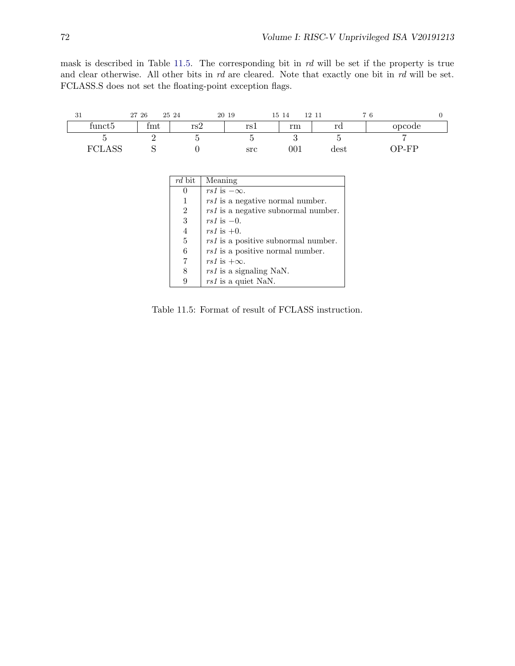mask is described in Table [11.5.](#page-89-0) The corresponding bit in  $rd$  will be set if the property is true and clear otherwise. All other bits in  $rd$  are cleared. Note that exactly one bit in  $rd$  will be set. FCLASS.S does not set the floating-point exception flags.

| 31 |                    | 27 26 | 25 24 | 20 19 | 15 14 | 12 11 |        |
|----|--------------------|-------|-------|-------|-------|-------|--------|
|    | funct <sub>5</sub> | tmt   | rs2   | rs1   | rm    | rd    | opcode |
|    |                    |       |       |       |       |       |        |
|    | LAOO               |       |       | src   | 001   | dest  | OP-FP  |

| rd bit         | Meaning                               |
|----------------|---------------------------------------|
|                | rs1 is $-\infty$ .                    |
| 1              | $rs1$ is a negative normal number.    |
| $\overline{2}$ | $rs1$ is a negative subnormal number. |
| 3              | $rs1$ is $-0$ .                       |
| 4              | $rs1$ is $+0$ .                       |
| 5              | $rs1$ is a positive subnormal number. |
| 6              | $rs1$ is a positive normal number.    |
| 7              | $rs1$ is $+\infty$ .                  |
| 8              | $rs1$ is a signaling NaN.             |
|                | $rs1$ is a quiet NaN.                 |

<span id="page-89-0"></span>Table 11.5: Format of result of FCLASS instruction.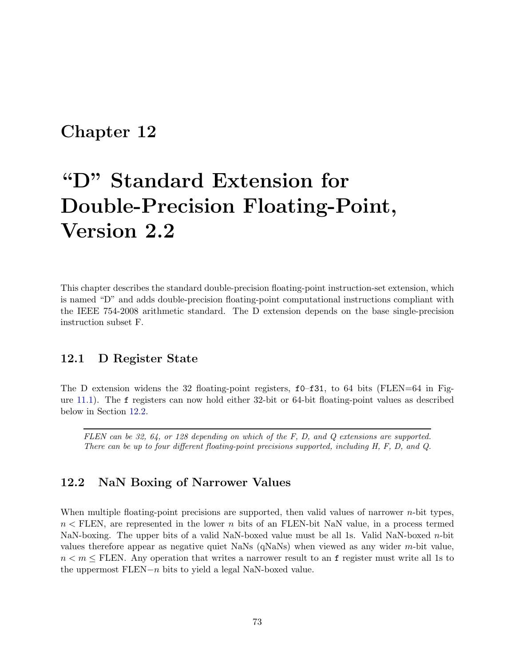## Chapter 12

# "D" Standard Extension for Double-Precision Floating-Point, Version 2.2

This chapter describes the standard double-precision floating-point instruction-set extension, which is named "D" and adds double-precision floating-point computational instructions compliant with the IEEE 754-2008 arithmetic standard. The D extension depends on the base single-precision instruction subset F.

#### 12.1 D Register State

The D extension widens the 32 floating-point registers,  $f0-f31$ , to 64 bits (FLEN=64 in Figure [11.1\)](#page-81-0). The f registers can now hold either 32-bit or 64-bit floating-point values as described below in Section [12.2.](#page-90-0)

FLEN can be 32, 64, or 128 depending on which of the F, D, and Q extensions are supported. There can be up to four different floating-point precisions supported, including H, F, D, and Q.

#### <span id="page-90-0"></span>12.2 NaN Boxing of Narrower Values

When multiple floating-point precisions are supported, then valid values of narrower *n*-bit types,  $n \leq$  FLEN, are represented in the lower n bits of an FLEN-bit NaN value, in a process termed NaN-boxing. The upper bits of a valid NaN-boxed value must be all 1s. Valid NaN-boxed n-bit values therefore appear as negative quiet NaNs (qNaNs) when viewed as any wider m-bit value,  $n < m \leq$  FLEN. Any operation that writes a narrower result to an f register must write all 1s to the uppermost  $FLEN-n$  bits to yield a legal NaN-boxed value.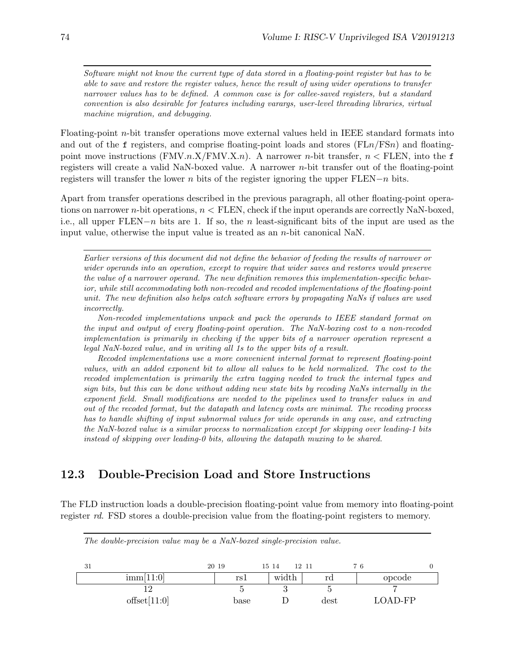Software might not know the current type of data stored in a floating-point register but has to be able to save and restore the register values, hence the result of using wider operations to transfer narrower values has to be defined. A common case is for callee-saved registers, but a standard convention is also desirable for features including varargs, user-level threading libraries, virtual machine migration, and debugging.

Floating-point n-bit transfer operations move external values held in IEEE standard formats into and out of the f registers, and comprise floating-point loads and stores  $(FLn/FSn)$  and floatingpoint move instructions (FMV.n.X/FMV.X.n). A narrower n-bit transfer,  $n <$  FLEN, into the f registers will create a valid NaN-boxed value. A narrower  $n$ -bit transfer out of the floating-point registers will transfer the lower n bits of the register ignoring the upper FLEN $-n$  bits.

Apart from transfer operations described in the previous paragraph, all other floating-point operations on narrower *n*-bit operations,  $n <$  FLEN, check if the input operands are correctly NaN-boxed, i.e., all upper  $FLEN-n$  bits are 1. If so, the n least-significant bits of the input are used as the input value, otherwise the input value is treated as an  $n$ -bit canonical NaN.

Earlier versions of this document did not define the behavior of feeding the results of narrower or wider operands into an operation, except to require that wider saves and restores would preserve the value of a narrower operand. The new definition removes this implementation-specific behavior, while still accommodating both non-recoded and recoded implementations of the floating-point unit. The new definition also helps catch software errors by propagating NaNs if values are used incorrectly.

Non-recoded implementations unpack and pack the operands to IEEE standard format on the input and output of every floating-point operation. The NaN-boxing cost to a non-recoded implementation is primarily in checking if the upper bits of a narrower operation represent a legal NaN-boxed value, and in writing all 1s to the upper bits of a result.

Recoded implementations use a more convenient internal format to represent floating-point values, with an added exponent bit to allow all values to be held normalized. The cost to the recoded implementation is primarily the extra tagging needed to track the internal types and sign bits, but this can be done without adding new state bits by recoding NaNs internally in the exponent field. Small modifications are needed to the pipelines used to transfer values in and out of the recoded format, but the datapath and latency costs are minimal. The recoding process has to handle shifting of input subnormal values for wide operands in any case, and extracting the NaN-boxed value is a similar process to normalization except for skipping over leading-1 bits instead of skipping over leading-0 bits, allowing the datapath muxing to be shared.

#### <span id="page-91-0"></span>12.3 Double-Precision Load and Store Instructions

The FLD instruction loads a double-precision floating-point value from memory into floating-point register rd. FSD stores a double-precision value from the floating-point registers to memory.

| -31          | 20 19 | 15 14 | 12 11 | 76      |  |
|--------------|-------|-------|-------|---------|--|
| imm[11:0]    | rs1   | width | rd    | opcode  |  |
|              |       |       |       |         |  |
| offset[11:0] | base  |       | dest  | LOAD-FP |  |

The double-precision value may be a NaN-boxed single-precision value.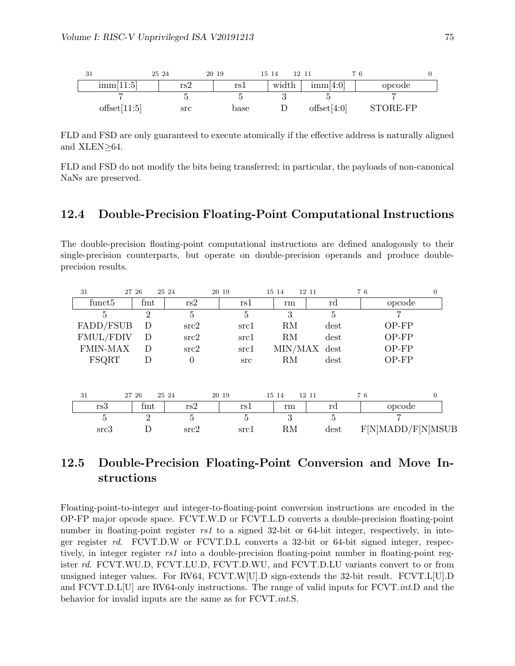| υı | 25 24        |                   | 20 19 | 15 14 | 12 11               |          |  |
|----|--------------|-------------------|-------|-------|---------------------|----------|--|
|    | imm[11:5]    | rs2               | rs1   | width | $\mathrm{imm}[4:0]$ | opcode   |  |
|    |              |                   |       |       |                     |          |  |
|    | offset[11:5] | $_{\mathrm{src}}$ | base  |       | offset[4:0]         | STORE-FP |  |

FLD and FSD are only guaranteed to execute atomically if the effective address is naturally aligned and XLEN≥64.

FLD and FSD do not modify the bits being transferred; in particular, the payloads of non-canonical NaNs are preserved.

#### 12.4 Double-Precision Floating-Point Computational Instructions

The double-precision floating-point computational instructions are defined analogously to their single-precision counterparts, but operate on double-precision operands and produce doubleprecision results.

| 31                 | 27 26                        | 25 24 |      | 20 19 |      | 15 14     | 12 11 |              | 76 |                   | $\overline{0}$ |
|--------------------|------------------------------|-------|------|-------|------|-----------|-------|--------------|----|-------------------|----------------|
| funct <sub>5</sub> | fmt                          |       | rs2  |       | rs1  | rm        |       | rd           |    | opcode            |                |
| 5                  | $\overline{2}$               |       | 5    |       | 5    | 3         |       | 5            |    |                   |                |
| FADD/FSUB          | D                            |       | src2 |       | src1 | RM        |       | dest         |    | OP-FP             |                |
| FMUL/FDIV          | D                            |       | src2 |       | src1 | RM        |       | dest         |    | OP-FP             |                |
| <b>FMIN-MAX</b>    | D                            |       | src2 |       | src1 |           |       | MIN/MAX dest |    | OP-FP             |                |
| <b>FSQRT</b>       | D                            |       | 0    |       | src  | RM        |       | dest         |    | OP-FP             |                |
|                    |                              |       |      |       |      |           |       |              |    |                   |                |
|                    |                              |       |      |       |      |           |       |              |    |                   |                |
| 31                 | 27 26                        | 25 24 |      | 20 19 |      | 15 14     | 12 11 |              | 76 |                   | $\mathbf{0}$   |
| rs3                | $\mathop{\rm frnt}\nolimits$ |       | rs2  |       | rs1  | rm        |       | rd           |    | opcode            |                |
| 5                  | $\mathcal{D}$                |       | 5    |       | 5    | 3         |       | $\mathbf{5}$ |    | 7                 |                |
| src3               | D                            |       | src2 |       | src1 | <b>RM</b> |       | dest         |    | F[N]MADD/F[N]MSUB |                |

### 12.5 Double-Precision Floating-Point Conversion and Move Instructions

Floating-point-to-integer and integer-to-floating-point conversion instructions are encoded in the OP-FP major opcode space. FCVT.W.D or FCVT.L.D converts a double-precision floating-point number in floating-point register  $rs1$  to a signed 32-bit or 64-bit integer, respectively, in integer register  $rd.$  FCVT.D.W or FCVT.D.L converts a 32-bit or 64-bit signed integer, respectively, in integer register rs1 into a double-precision floating-point number in floating-point register rd. FCVT.WU.D, FCVT.LU.D, FCVT.D.WU, and FCVT.D.LU variants convert to or from unsigned integer values. For RV64, FCVT.W[U].D sign-extends the 32-bit result. FCVT.L[U].D and FCVT.D.L[U] are RV64-only instructions. The range of valid inputs for FCVT.*int*.D and the behavior for invalid inputs are the same as for FCVT.int.S.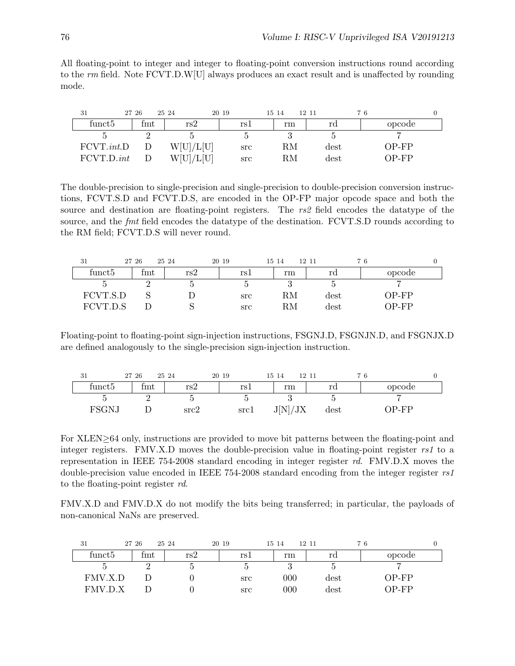All floating-point to integer and integer to floating-point conversion instructions round according to the rm field. Note FCVT.D.W[U] always produces an exact result and is unaffected by rounding mode.

| 31                  | 27 26         | 25 24     | 20 19             | 15 14 | 12 11 | 76       |  |
|---------------------|---------------|-----------|-------------------|-------|-------|----------|--|
| funct5              | $_{\rm{tmt}}$ | rs2       | rsl               | rm    | rd    | opcode   |  |
|                     |               |           |                   |       |       |          |  |
| $\text{FCVT}.int.D$ |               | W[U]/L[U] | $_{\mathrm{src}}$ | RМ    | dest  | OP-FP    |  |
| FCVT.D. int         |               | W[U]/L[U] | $_{\mathrm{src}}$ | RM    | dest  | $OP$ -FP |  |

The double-precision to single-precision and single-precision to double-precision conversion instructions, FCVT.S.D and FCVT.D.S, are encoded in the OP-FP major opcode space and both the source and destination are floating-point registers. The rs2 field encodes the datatype of the source, and the fmt field encodes the datatype of the destination. FCVT.S.D rounds according to the RM field; FCVT.D.S will never round.

| 31       | 27 26 | 25 24 | 20 19 | 15 14 | 12 11 | 76      |  |
|----------|-------|-------|-------|-------|-------|---------|--|
| funct5   | tmt   | rs2   | rs1   | rm    | rd    | opcode  |  |
|          |       |       |       |       |       |         |  |
| FCVT.S.D |       |       | src   | RM    | dest  | OP-FP   |  |
| FCVT.D.S |       |       | src   | RM    | dest  | $OP-FP$ |  |

Floating-point to floating-point sign-injection instructions, FSGNJ.D, FSGNJN.D, and FSGNJX.D are defined analogously to the single-precision sign-injection instruction.

| 31     | 27 26 | 25 24 | 20 19 | 15 14   | 12 11 | 76     |
|--------|-------|-------|-------|---------|-------|--------|
| tunctb | fmt   | rs2   | rs1   | rm      | rd    | opcode |
|        |       |       |       |         |       |        |
| FSGNJ  |       | src2  | srcl  | J[N]/JX | dest  | OP-FP  |

For XLEN≥64 only, instructions are provided to move bit patterns between the floating-point and integer registers. FMV.X.D moves the double-precision value in floating-point register  $rs1$  to a representation in IEEE 754-2008 standard encoding in integer register rd. FMV.D.X moves the double-precision value encoded in IEEE 754-2008 standard encoding from the integer register rs1 to the floating-point register rd.

FMV.X.D and FMV.D.X do not modify the bits being transferred; in particular, the payloads of non-canonical NaNs are preserved.

| 31                 | 27 26         | 25 24 | 20 19 | 15 14   | 12 11 | 76     |  |
|--------------------|---------------|-------|-------|---------|-------|--------|--|
| funct <sub>5</sub> | $_{\rm{fmt}}$ | rs2   | rs 1  | rm      | rd    | opcode |  |
|                    |               |       |       |         |       |        |  |
| FMV.X.D            |               |       | src   | $000\,$ | dest  | OP-FP  |  |
| FMV D.X            |               |       | src   | $000\,$ | dest  | OP-FP  |  |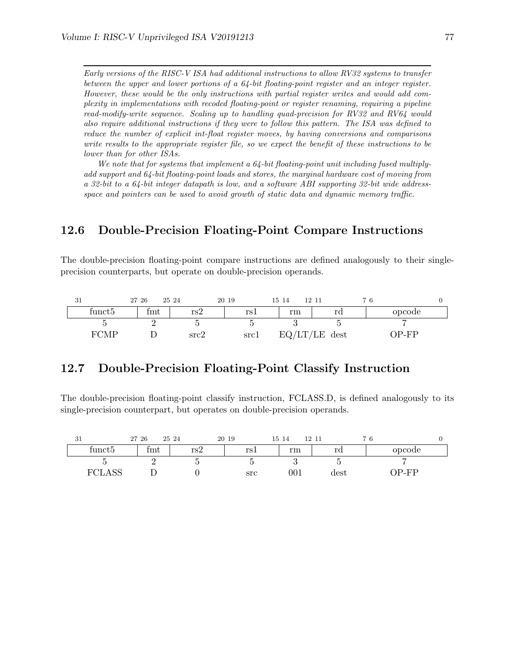Early versions of the RISC-V ISA had additional instructions to allow RV32 systems to transfer between the upper and lower portions of a 64-bit floating-point register and an integer register. However, these would be the only instructions with partial register writes and would add complexity in implementations with recoded floating-point or register renaming, requiring a pipeline read-modify-write sequence. Scaling up to handling quad-precision for RV32 and RV64 would also require additional instructions if they were to follow this pattern. The ISA was defined to reduce the number of explicit int-float register moves, by having conversions and comparisons write results to the appropriate register file, so we expect the benefit of these instructions to be lower than for other ISAs.

We note that for systems that implement a  $64$ -bit floating-point unit including fused multiplyadd support and 64-bit floating-point loads and stores, the marginal hardware cost of moving from a 32-bit to a 64-bit integer datapath is low, and a software ABI supporting 32-bit wide addressspace and pointers can be used to avoid growth of static data and dynamic memory traffic.

#### 12.6 Double-Precision Floating-Point Compare Instructions

The double-precision floating-point compare instructions are defined analogously to their singleprecision counterparts, but operate on double-precision operands.

| -31 |                    | 27 26 | 25 24 | 20 19 | 15 14    | 12 11         |        |
|-----|--------------------|-------|-------|-------|----------|---------------|--------|
|     | funct <sub>5</sub> | tmt   | rs2   | rs1   | rm       | rd            | opcode |
|     |                    |       |       |       |          |               |        |
|     | $\rm FCMP$         |       | src2  | srcl  | EQ/LT/LE | $\text{dest}$ | OP-FP  |

#### 12.7 Double-Precision Floating-Point Classify Instruction

The double-precision floating-point classify instruction, FCLASS.D, is defined analogously to its single-precision counterpart, but operates on double-precision operands.

| 31                 | 27 26 | 25 24 | 20 19 | 15 14    | 19,11 |        |
|--------------------|-------|-------|-------|----------|-------|--------|
| tunct <sub>5</sub> | fmt   | rs2   | rs1   | rm       | rd    | opcode |
|                    |       |       |       |          |       |        |
|                    |       |       | src   | $_{001}$ | dest  | ገP-FP  |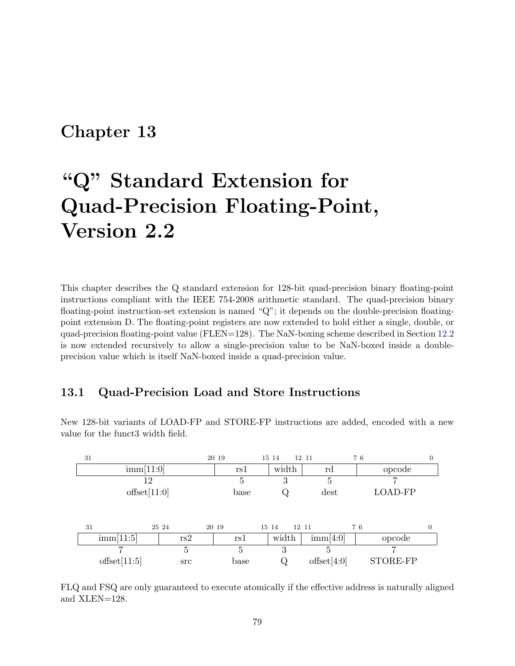## Chapter 13

# "Q" Standard Extension for Quad-Precision Floating-Point, Version 2.2

This chapter describes the Q standard extension for 128-bit quad-precision binary floating-point instructions compliant with the IEEE 754-2008 arithmetic standard. The quad-precision binary floating-point instruction-set extension is named "Q"; it depends on the double-precision floatingpoint extension D. The floating-point registers are now extended to hold either a single, double, or quad-precision floating-point value (FLEN=128). The NaN-boxing scheme described in Section [12.2](#page-90-0) is now extended recursively to allow a single-precision value to be NaN-boxed inside a doubleprecision value which is itself NaN-boxed inside a quad-precision value.

#### 13.1 Quad-Precision Load and Store Instructions

| 31 |                      |       | 20 19 |      | 15 14 | 12 11 |             | 76 |          | $\Omega$ |
|----|----------------------|-------|-------|------|-------|-------|-------------|----|----------|----------|
|    | imm[11:0]            |       |       | rs1  | width |       | rd          |    | opcode   |          |
|    | 12                   |       |       | 5    | 3     |       | 5           |    |          |          |
|    | offset[11:0]         |       |       | base | Q     |       | dest        |    | LOAD-FP  |          |
|    |                      |       |       |      |       |       |             |    |          |          |
|    |                      |       |       |      |       |       |             |    |          |          |
|    | 31                   | 25 24 | 20 19 |      | 15 14 | 12 11 |             | 76 |          | $\theta$ |
|    | $\mathrm{imm}[11:5]$ | rs2   |       | rs1  | width |       | imm[4:0]    |    | opcode   |          |
|    |                      | 5     |       | 5    | 3     |       | 5           |    |          |          |
|    | offset[11:5]         | src   |       | base |       |       | offset[4:0] |    | STORE-FP |          |

New 128-bit variants of LOAD-FP and STORE-FP instructions are added, encoded with a new value for the funct3 width field.

FLQ and FSQ are only guaranteed to execute atomically if the effective address is naturally aligned and XLEN=128.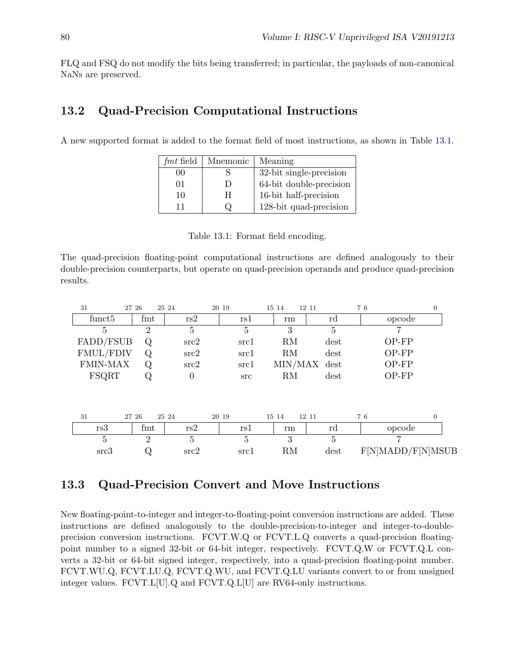FLQ and FSQ do not modify the bits being transferred; in particular, the payloads of non-canonical NaNs are preserved.

### 13.2 Quad-Precision Computational Instructions

A new supported format is added to the format field of most instructions, as shown in Table [13.1.](#page-97-0)

| $fmt$ field | Mnemonic | Meaning                 |
|-------------|----------|-------------------------|
| 00          | S        | 32-bit single-precision |
| 01          | Ð        | 64-bit double-precision |
| 10          | H        | 16-bit half-precision   |
| 11          | O        | 128-bit quad-precision  |

|  |  |  |  | Table 13.1: Format field encoding. |
|--|--|--|--|------------------------------------|
|--|--|--|--|------------------------------------|

<span id="page-97-0"></span>The quad-precision floating-point computational instructions are defined analogously to their double-precision counterparts, but operate on quad-precision operands and produce quad-precision results.

| 31                 | 27 26                        | 25 24 |          | 20 19 |                | 15 14     |       | 12 11 |              | 76 |                   | $\theta$       |
|--------------------|------------------------------|-------|----------|-------|----------------|-----------|-------|-------|--------------|----|-------------------|----------------|
| funct <sub>5</sub> | $\mathop{\rm fint}\nolimits$ |       | rs2      |       | rs1            | rm        |       |       | rd           |    | opcode            |                |
| 5                  | $\overline{2}$               |       | 5        |       | $\overline{5}$ | 3         |       |       | 5            |    | 7                 |                |
| FADD/FSUB          | Q                            |       | src2     |       | src1           | RM        |       |       | dest         |    | OP-FP             |                |
| FMUL/FDIV          | Q                            |       | src2     |       | src1           | RM        |       |       | dest         |    | OP-FP             |                |
| <b>FMIN-MAX</b>    | Q                            |       | src2     |       | src1           |           |       |       | MIN/MAX dest |    | OP-FP             |                |
| FSQRT              | Q                            |       | $\theta$ |       | src            | <b>RM</b> |       |       | dest         |    | OP-FP             |                |
|                    |                              |       |          |       |                |           |       |       |              |    |                   |                |
|                    |                              |       |          |       |                |           |       |       |              |    |                   |                |
| 31                 | 27 26                        | 25 24 |          | 20 19 |                | 15 14     | 12 11 |       |              | 76 |                   | $\overline{0}$ |
| rs3                | $\mathop{\rm f\!m}\nolimits$ |       | rs2      |       | rs1            | rm        |       |       | rd           |    | opcode            |                |
| $\overline{5}$     | $\mathcal{D}_{\mathcal{L}}$  |       | 5        |       | 5              | 3         |       |       | $\mathbf{5}$ |    | 7                 |                |
| src3               | Q                            |       | src2     |       | src1           | RM        |       |       | dest         |    | F[N MADD/F[N]MSUB |                |

#### 13.3 Quad-Precision Convert and Move Instructions

New floating-point-to-integer and integer-to-floating-point conversion instructions are added. These instructions are defined analogously to the double-precision-to-integer and integer-to-doubleprecision conversion instructions. FCVT.W.Q or FCVT.L.Q converts a quad-precision floatingpoint number to a signed 32-bit or 64-bit integer, respectively. FCVT.Q.W or FCVT.Q.L converts a 32-bit or 64-bit signed integer, respectively, into a quad-precision floating-point number. FCVT.WU.Q, FCVT.LU.Q, FCVT.Q.WU, and FCVT.Q.LU variants convert to or from unsigned integer values. FCVT.L[U].Q and FCVT.Q.L[U] are RV64-only instructions.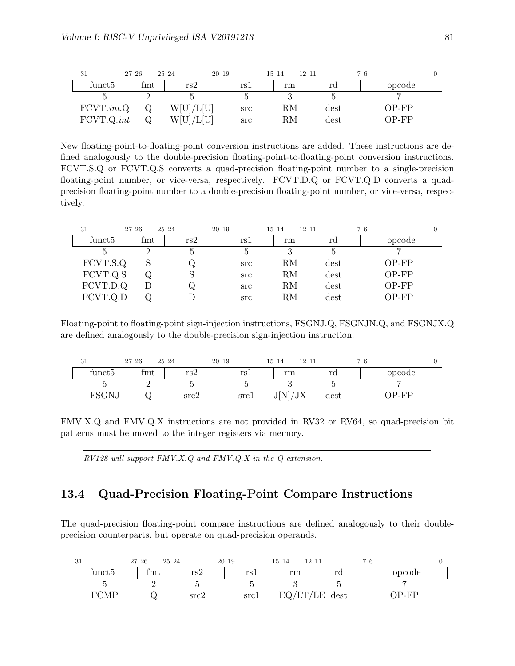| 31                         | 27 26         | 25 24     | 20 19 | 15 14 | 12 11 | 76      |  |
|----------------------------|---------------|-----------|-------|-------|-------|---------|--|
| funct <sub>5</sub>         | $_{\rm{imt}}$ | rs2       | rs 1  | rm    | rd    | opcode  |  |
|                            |               |           |       |       |       |         |  |
| $\text{FCVT}.int.\text{Q}$ | Q             | W[U]/L[U] | src   | RМ    | dest  | OP-FP   |  |
| $\text{FCVT}.Q.int$        | $\omega$      | W[U]/L[U] | src   | RM    | dest  | $OP-FP$ |  |

New floating-point-to-floating-point conversion instructions are added. These instructions are defined analogously to the double-precision floating-point-to-floating-point conversion instructions. FCVT.S.Q or FCVT.Q.S converts a quad-precision floating-point number to a single-precision floating-point number, or vice-versa, respectively. FCVT.D.Q or FCVT.Q.D converts a quadprecision floating-point number to a double-precision floating-point number, or vice-versa, respectively.

| 31       | 27 26 | 25 24 | 20 19             | 15 14 | 12 11 | 76       |  |
|----------|-------|-------|-------------------|-------|-------|----------|--|
| funct5   | tmt   | rs2   | rsl               | rm    | rd    | opcode   |  |
|          |       | 5.    |                   |       |       |          |  |
| FCVT.S.Q |       |       | $_{\mathrm{src}}$ | RM    | dest  | OP-FP    |  |
| FCVT.Q.S |       |       | src               | RM    | dest  | OP-FP    |  |
| FCVT.D.Q |       |       | src               | RM    | dest  | OP-FP    |  |
| FCVT.Q.D |       |       | src               | RМ    | dest  | $OP$ -FP |  |

Floating-point to floating-point sign-injection instructions, FSGNJ.Q, FSGNJN.Q, and FSGNJX.Q are defined analogously to the double-precision sign-injection instruction.

| 31                 | 27 26<br>25 24 |      | 20 19 | 15 14   | 12 11 |        |
|--------------------|----------------|------|-------|---------|-------|--------|
| funct <sub>5</sub> | tmt            | rs2  | rsı   | rm      | rd    | opcode |
|                    |                |      |       |         |       |        |
| FSGNJ              |                | src2 | srcl  | J[N]/JX | dest  | OP-FP  |

FMV.X.Q and FMV.Q.X instructions are not provided in RV32 or RV64, so quad-precision bit patterns must be moved to the integer registers via memory.

RV128 will support FMV.X.Q and FMV.Q.X in the Q extension.

#### 13.4 Quad-Precision Floating-Point Compare Instructions

The quad-precision floating-point compare instructions are defined analogously to their doubleprecision counterparts, but operate on quad-precision operands.

| 31                 | 27 26 | 25 24        | 20 19 | 15 14    | 12 11 | 76     |
|--------------------|-------|--------------|-------|----------|-------|--------|
| funct <sub>5</sub> | tmt   | rc')<br>⊥ ∪∠ | rsl   | rm       | rd    | opcode |
|                    | -     |              |       |          |       |        |
| FCMP               |       | src2         | srcl  | EQ/LT/LE | dest  | OP-FP  |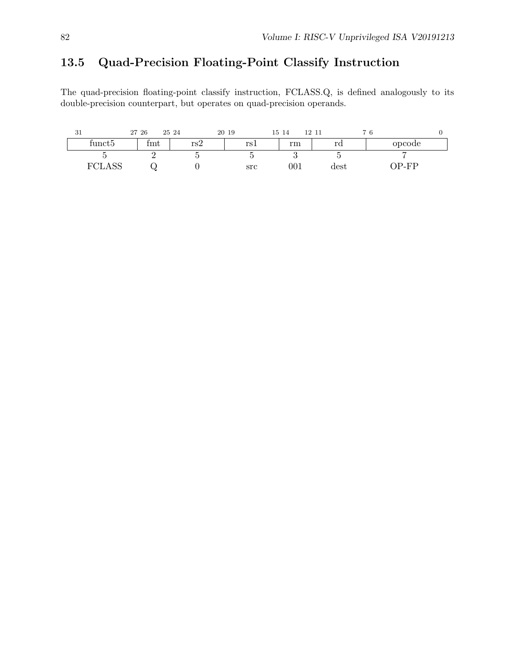### 13.5 Quad-Precision Floating-Point Classify Instruction

The quad-precision floating-point classify instruction, FCLASS.Q, is defined analogously to its double-precision counterpart, but operates on quad-precision operands.

| $\Omega$<br>-O T | 27 26 | 25 24 | 20 19      | 15 14     | 12 11 |        |
|------------------|-------|-------|------------|-----------|-------|--------|
| tunctb           | tmt   | rs2   | rs1        | $\rm{rm}$ | rd    | opcode |
|                  |       |       |            |           |       |        |
| EC1              |       |       | <b>src</b> | 001       | dest  | 7P-FP  |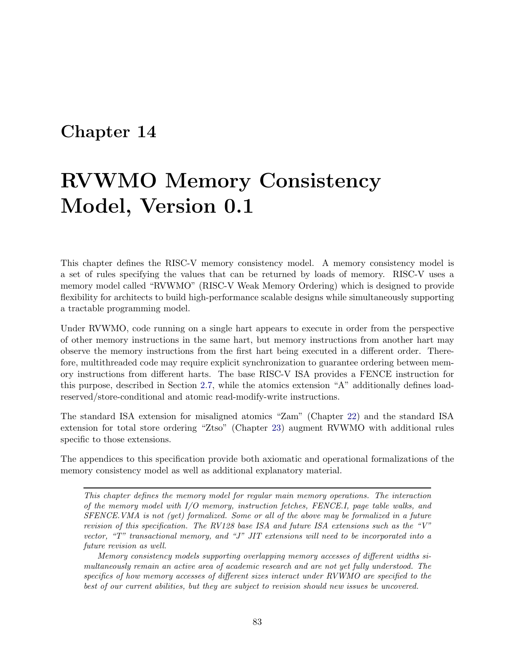## Chapter 14

# RVWMO Memory Consistency Model, Version 0.1

This chapter defines the RISC-V memory consistency model. A memory consistency model is a set of rules specifying the values that can be returned by loads of memory. RISC-V uses a memory model called "RVWMO" (RISC-V Weak Memory Ordering) which is designed to provide flexibility for architects to build high-performance scalable designs while simultaneously supporting a tractable programming model.

Under RVWMO, code running on a single hart appears to execute in order from the perspective of other memory instructions in the same hart, but memory instructions from another hart may observe the memory instructions from the first hart being executed in a different order. Therefore, multithreaded code may require explicit synchronization to guarantee ordering between memory instructions from different harts. The base RISC-V ISA provides a FENCE instruction for this purpose, described in Section [2.7,](#page-43-0) while the atomics extension "A" additionally defines loadreserved/store-conditional and atomic read-modify-write instructions.

The standard ISA extension for misaligned atomics "Zam" (Chapter [22\)](#page-142-0) and the standard ISA extension for total store ordering "Ztso" (Chapter [23\)](#page-144-0) augment RVWMO with additional rules specific to those extensions.

The appendices to this specification provide both axiomatic and operational formalizations of the memory consistency model as well as additional explanatory material.

This chapter defines the memory model for regular main memory operations. The interaction of the memory model with I/O memory, instruction fetches, FENCE.I, page table walks, and SFENCE.VMA is not (yet) formalized. Some or all of the above may be formalized in a future revision of this specification. The RV128 base ISA and future ISA extensions such as the " $V$ " vector, "T" transactional memory, and "J" JIT extensions will need to be incorporated into a future revision as well.

Memory consistency models supporting overlapping memory accesses of different widths simultaneously remain an active area of academic research and are not yet fully understood. The specifics of how memory accesses of different sizes interact under RVWMO are specified to the best of our current abilities, but they are subject to revision should new issues be uncovered.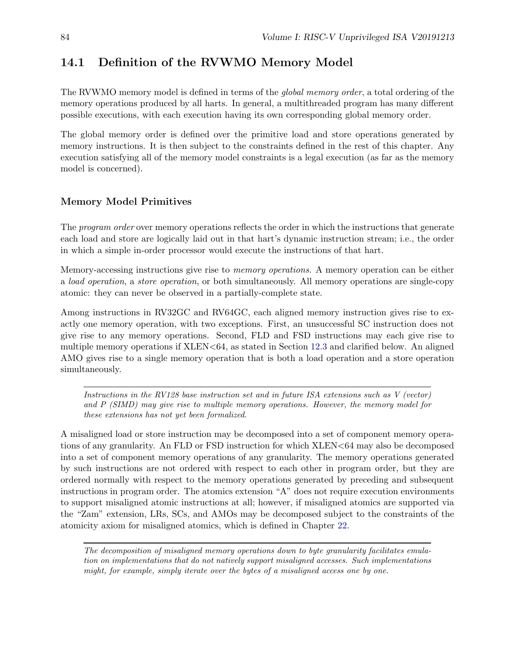#### 14.1 Definition of the RVWMO Memory Model

The RVWMO memory model is defined in terms of the *global memory order*, a total ordering of the memory operations produced by all harts. In general, a multithreaded program has many different possible executions, with each execution having its own corresponding global memory order.

The global memory order is defined over the primitive load and store operations generated by memory instructions. It is then subject to the constraints defined in the rest of this chapter. Any execution satisfying all of the memory model constraints is a legal execution (as far as the memory model is concerned).

#### Memory Model Primitives

The *program order* over memory operations reflects the order in which the instructions that generate each load and store are logically laid out in that hart's dynamic instruction stream; i.e., the order in which a simple in-order processor would execute the instructions of that hart.

Memory-accessing instructions give rise to memory operations. A memory operation can be either a load operation, a store operation, or both simultaneously. All memory operations are single-copy atomic: they can never be observed in a partially-complete state.

Among instructions in RV32GC and RV64GC, each aligned memory instruction gives rise to exactly one memory operation, with two exceptions. First, an unsuccessful SC instruction does not give rise to any memory operations. Second, FLD and FSD instructions may each give rise to multiple memory operations if XLEN<64, as stated in Section [12.3](#page-91-0) and clarified below. An aligned AMO gives rise to a single memory operation that is both a load operation and a store operation simultaneously.

Instructions in the RV128 base instruction set and in future ISA extensions such as V (vector) and P (SIMD) may give rise to multiple memory operations. However, the memory model for these extensions has not yet been formalized.

A misaligned load or store instruction may be decomposed into a set of component memory operations of any granularity. An FLD or FSD instruction for which XLEN<64 may also be decomposed into a set of component memory operations of any granularity. The memory operations generated by such instructions are not ordered with respect to each other in program order, but they are ordered normally with respect to the memory operations generated by preceding and subsequent instructions in program order. The atomics extension "A" does not require execution environments to support misaligned atomic instructions at all; however, if misaligned atomics are supported via the "Zam" extension, LRs, SCs, and AMOs may be decomposed subject to the constraints of the atomicity axiom for misaligned atomics, which is defined in Chapter [22.](#page-142-0)

The decomposition of misaligned memory operations down to byte granularity facilitates emulation on implementations that do not natively support misaligned accesses. Such implementations might, for example, simply iterate over the bytes of a misaligned access one by one.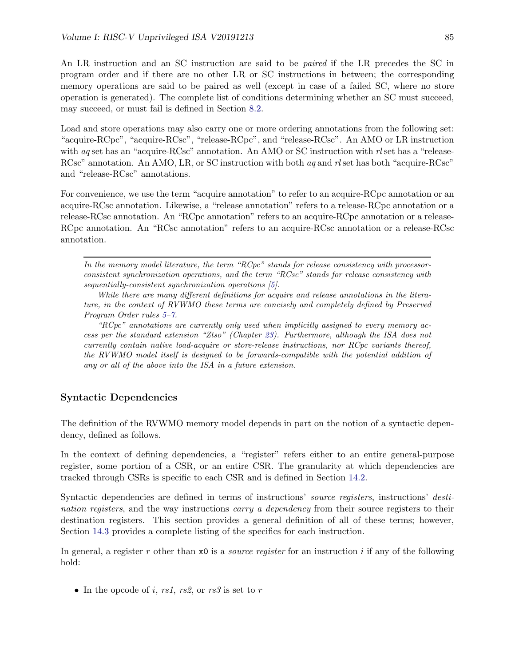An LR instruction and an SC instruction are said to be paired if the LR precedes the SC in program order and if there are no other LR or SC instructions in between; the corresponding memory operations are said to be paired as well (except in case of a failed SC, where no store operation is generated). The complete list of conditions determining whether an SC must succeed, may succeed, or must fail is defined in Section [8.2.](#page-65-0)

Load and store operations may also carry one or more ordering annotations from the following set: "acquire-RCpc", "acquire-RCsc", "release-RCpc", and "release-RCsc". An AMO or LR instruction with aq set has an "acquire-RCsc" annotation. An AMO or SC instruction with  $r$ l set has a "release-RCsc" annotation. An AMO, LR, or SC instruction with both aq and rl set has both "acquire-RCsc" and "release-RCsc" annotations.

For convenience, we use the term "acquire annotation" to refer to an acquire-RCpc annotation or an acquire-RCsc annotation. Likewise, a "release annotation" refers to a release-RCpc annotation or a release-RCsc annotation. An "RCpc annotation" refers to an acquire-RCpc annotation or a release-RCpc annotation. An "RCsc annotation" refers to an acquire-RCsc annotation or a release-RCsc annotation.

In the memory model literature, the term "RCpc" stands for release consistency with processorconsistent synchronization operations, and the term "RCsc" stands for release consistency with sequentially-consistent synchronization operations [\[5\]](#page-236-1).

While there are many different definitions for acquire and release annotations in the literature, in the context of RVWMO these terms are concisely and completely defined by Preserved Program Order rules [5–](#page-104-0)[7.](#page-104-1)

"RCpc" annotations are currently only used when implicitly assigned to every memory access per the standard extension "Ztso" (Chapter [23\)](#page-144-0). Furthermore, although the ISA does not currently contain native load-acquire or store-release instructions, nor RCpc variants thereof, the RVWMO model itself is designed to be forwards-compatible with the potential addition of any or all of the above into the ISA in a future extension.

#### <span id="page-102-0"></span>Syntactic Dependencies

The definition of the RVWMO memory model depends in part on the notion of a syntactic dependency, defined as follows.

In the context of defining dependencies, a "register" refers either to an entire general-purpose register, some portion of a CSR, or an entire CSR. The granularity at which dependencies are tracked through CSRs is specific to each CSR and is defined in Section [14.2.](#page-105-0)

Syntactic dependencies are defined in terms of instructions' source registers, instructions' destination registers, and the way instructions carry a dependency from their source registers to their destination registers. This section provides a general definition of all of these terms; however, Section [14.3](#page-105-1) provides a complete listing of the specifics for each instruction.

In general, a register r other than  $x0$  is a *source register* for an instruction i if any of the following hold:

• In the opcode of i, rs1, rs2, or rs3 is set to r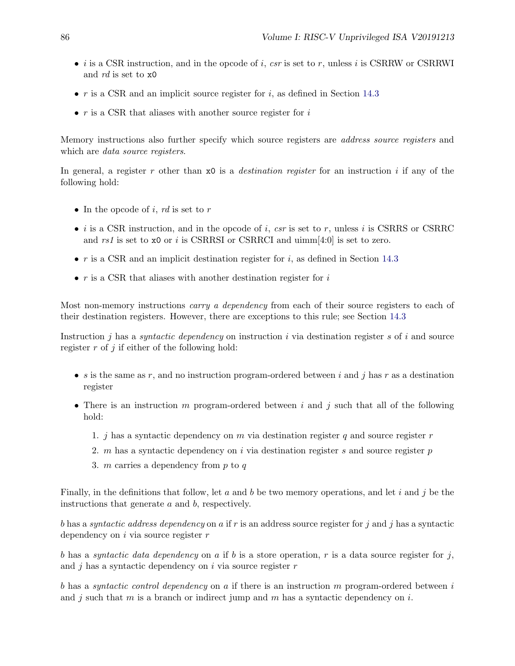- i is a CSR instruction, and in the opcode of i, csr is set to r, unless i is CSRRW or CSRRWI and rd is set to x0
- r is a CSR and an implicit source register for i, as defined in Section [14.3](#page-105-1)
- $r$  is a CSR that aliases with another source register for  $i$

Memory instructions also further specify which source registers are *address source registers* and which are *data source registers*.

In general, a register r other than  $x0$  is a *destination register* for an instruction i if any of the following hold:

- In the opcode of i, rd is set to r
- i is a CSR instruction, and in the opcode of i, csr is set to r, unless i is CSRRS or CSRRC and rs1 is set to  $x0$  or i is CSRRSI or CSRRCI and uimm $[4:0]$  is set to zero.
- r is a CSR and an implicit destination register for  $i$ , as defined in Section [14.3](#page-105-1)
- $r$  is a CSR that aliases with another destination register for  $i$

Most non-memory instructions *carry a dependency* from each of their source registers to each of their destination registers. However, there are exceptions to this rule; see Section [14.3](#page-105-1)

Instruction j has a *syntactic dependency* on instruction  $i$  via destination register  $s$  of  $i$  and source register  $r$  of  $j$  if either of the following hold:

- s is the same as r, and no instruction program-ordered between i and j has r as a destination register
- There is an instruction m program-ordered between i and j such that all of the following hold:
	- 1. j has a syntactic dependency on  $m$  via destination register  $q$  and source register  $r$
	- 2. m has a syntactic dependency on i via destination register s and source register  $p$
	- 3.  $m$  carries a dependency from  $p$  to  $q$

Finally, in the definitions that follow, let a and b be two memory operations, and let i and j be the instructions that generate a and b, respectively.

b has a syntactic address dependency on a if r is an address source register for j and j has a syntactic dependency on  $i$  via source register  $r$ 

b has a syntactic data dependency on a if b is a store operation, r is a data source register for j, and  $i$  has a syntactic dependency on  $i$  via source register  $r$ 

b has a syntactic control dependency on a if there is an instruction  $m$  program-ordered between  $i$ and j such that m is a branch or indirect jump and m has a syntactic dependency on i.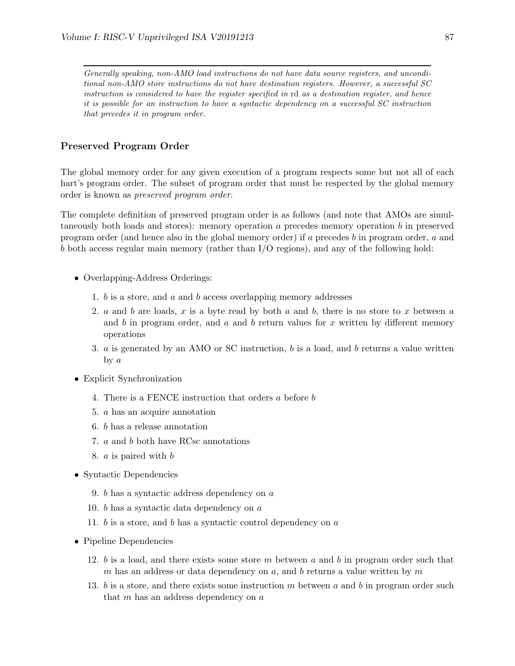Generally speaking, non-AMO load instructions do not have data source registers, and unconditional non-AMO store instructions do not have destination registers. However, a successful SC instruction is considered to have the register specified in rd as a destination register, and hence it is possible for an instruction to have a syntactic dependency on a successful SC instruction that precedes it in program order.

#### Preserved Program Order

The global memory order for any given execution of a program respects some but not all of each hart's program order. The subset of program order that must be respected by the global memory order is known as preserved program order.

The complete definition of preserved program order is as follows (and note that AMOs are simultaneously both loads and stores): memory operation a precedes memory operation b in preserved program order (and hence also in the global memory order) if a precedes b in program order, a and b both access regular main memory (rather than I/O regions), and any of the following hold:

- Overlapping-Address Orderings:
	- 1. b is a store, and a and b access overlapping memory addresses
	- 2. a and b are loads, x is a byte read by both a and b, there is no store to x between a and b in program order, and a and b return values for  $x$  written by different memory operations
	- 3.  $\alpha$  is generated by an AMO or SC instruction,  $\dot{b}$  is a load, and  $\dot{b}$  returns a value written by  $a$
- <span id="page-104-0"></span>• Explicit Synchronization
	- 4. There is a FENCE instruction that orders a before b
	- 5. a has an acquire annotation
	- 6. b has a release annotation
	- 7. a and b both have RCsc annotations
	- 8. a is paired with b
- <span id="page-104-1"></span>• Syntactic Dependencies
	- 9. b has a syntactic address dependency on a
	- 10. b has a syntactic data dependency on a
	- 11.  $b$  is a store, and  $b$  has a syntactic control dependency on  $a$
- Pipeline Dependencies
	- 12. b is a load, and there exists some store m between a and b in program order such that m has an address or data dependency on a, and b returns a value written by  $m$
	- 13. b is a store, and there exists some instruction m between a and b in program order such that  $m$  has an address dependency on  $a$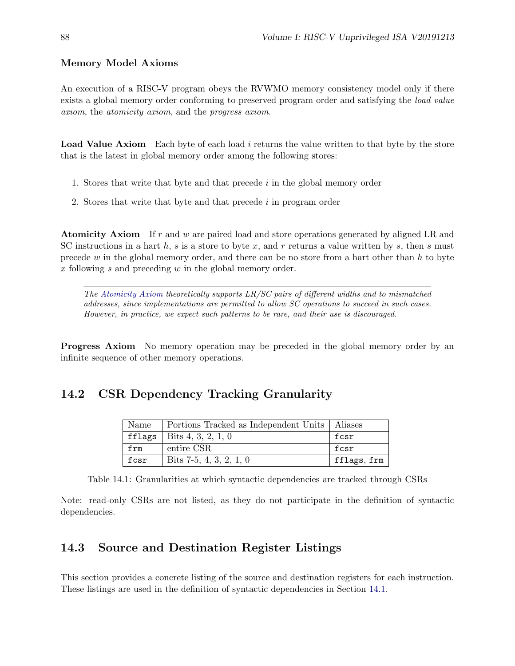#### Memory Model Axioms

An execution of a RISC-V program obeys the RVWMO memory consistency model only if there exists a global memory order conforming to preserved program order and satisfying the load value axiom, the atomicity axiom, and the progress axiom.

**Load Value Axiom** Each byte of each load  $i$  returns the value written to that byte by the store that is the latest in global memory order among the following stores:

- 1. Stores that write that byte and that precede  $i$  in the global memory order
- 2. Stores that write that byte and that precede i in program order

<span id="page-105-2"></span>Atomicity Axiom If r and w are paired load and store operations generated by aligned LR and SC instructions in a hart h, s is a store to byte x, and r returns a value written by s, then s must precede w in the global memory order, and there can be no store from a hart other than h to byte x following s and preceding  $w$  in the global memory order.

The [Atomicity Axiom](#page-105-2) theoretically supports LR/SC pairs of different widths and to mismatched addresses, since implementations are permitted to allow SC operations to succeed in such cases. However, in practice, we expect such patterns to be rare, and their use is discouraged.

Progress Axiom No memory operation may be preceded in the global memory order by an infinite sequence of other memory operations.

#### <span id="page-105-0"></span>14.2 CSR Dependency Tracking Granularity

| Name | Portions Tracked as Independent Units   Aliases |             |
|------|-------------------------------------------------|-------------|
|      | <b>fflags</b>   Bits 4, 3, 2, 1, 0              | fcsr        |
| frm  | entire CSR                                      | fcsr        |
| fcsr | Bits $7-5, 4, 3, 2, 1, 0$                       | fflags, frm |

Table 14.1: Granularities at which syntactic dependencies are tracked through CSRs

Note: read-only CSRs are not listed, as they do not participate in the definition of syntactic dependencies.

#### <span id="page-105-1"></span>14.3 Source and Destination Register Listings

This section provides a concrete listing of the source and destination registers for each instruction. These listings are used in the definition of syntactic dependencies in Section [14.1.](#page-102-0)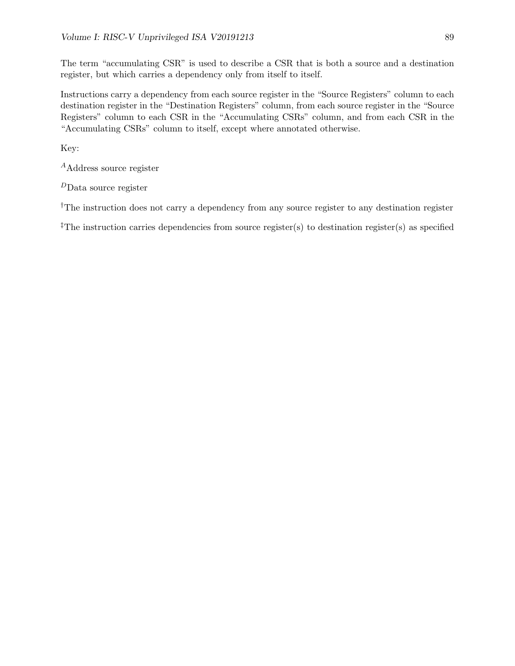The term "accumulating CSR" is used to describe a CSR that is both a source and a destination register, but which carries a dependency only from itself to itself.

Instructions carry a dependency from each source register in the "Source Registers" column to each destination register in the "Destination Registers" column, from each source register in the "Source Registers" column to each CSR in the "Accumulating CSRs" column, and from each CSR in the "Accumulating CSRs" column to itself, except where annotated otherwise.

Key:

<sup>A</sup>Address source register

 $D$ Data source register

<sup>†</sup>The instruction does not carry a dependency from any source register to any destination register

‡The instruction carries dependencies from source register(s) to destination register(s) as specified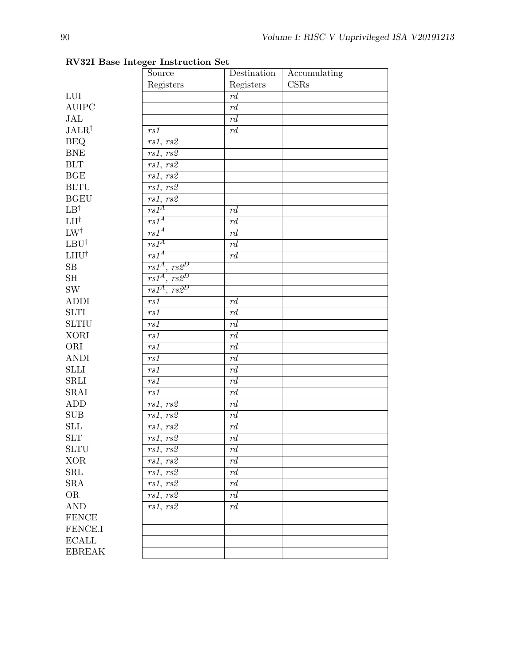|                        | Source                              | Destination     | Accumulating |
|------------------------|-------------------------------------|-----------------|--------------|
|                        | Registers                           | Registers       | CSRs         |
| LUI                    |                                     | $\overline{rd}$ |              |
| <b>AUIPC</b>           |                                     | $\overline{rd}$ |              |
| JAL                    |                                     | rd              |              |
| $JALR^{\dagger}$       | rs1                                 | rd              |              |
| <b>BEQ</b>             | rs1, rs2                            |                 |              |
| <b>BNE</b>             | rs1, rs2                            |                 |              |
| BLT                    | rs1, rs2                            |                 |              |
| BGE                    | rs1, rs2                            |                 |              |
| <b>BLTU</b>            | rs1, rs2                            |                 |              |
| <b>BGEU</b>            | rs1, rs2                            |                 |              |
| $LB^{\dagger}$         | $\overline{rsI^A}$                  | rd              |              |
| $LH^{\dagger}$         | $\overline{rs1^A}$                  | rd              |              |
| $LW^{\dagger}$         | $\overline{rs1^A}$                  | rd              |              |
| $LBU^{\dagger}$        | rs1 <sup>A</sup>                    | rd              |              |
| $LHU^{\dagger}$        | rs1 <sup>A</sup>                    | rd              |              |
| $\rm SB$               | rs1 <sup>A</sup> , rs2 <sup>D</sup> |                 |              |
| SH                     | rs1 <sup>A</sup> , rs2 <sup>D</sup> |                 |              |
| <b>SW</b>              | rs1 <sup>A</sup> , rs2 <sup>D</sup> |                 |              |
| <b>ADDI</b>            | rs1                                 | rd              |              |
| <b>SLTI</b>            | rs1                                 | rd              |              |
| <b>SLTIU</b>           | rs1                                 | rd              |              |
| <b>XORI</b>            | rs1                                 | rd              |              |
| ORI                    | rs1                                 | rd              |              |
| <b>ANDI</b>            | $rs\sqrt{1}$                        | rd              |              |
| <b>SLLI</b>            | $rs1$                               | $\it rd$        |              |
| <b>SRLI</b>            | rs1                                 | rd              |              |
| <b>SRAI</b>            | rs1                                 | rd              |              |
| <b>ADD</b>             | rs1, rs2                            | rd              |              |
| SUB                    | rs1, rs2                            | rd              |              |
| <b>SLL</b>             | rs1, rs2                            | rd              |              |
| <b>SLT</b>             | rs1, rs2                            | rd              |              |
| <b>SLTU</b>            | rs1, rs2                            | rd              |              |
| <b>XOR</b>             | rs1, rs2                            | rd              |              |
| SRL                    | rs1, rs2                            | rd              |              |
| SRA                    | rs1, rs2                            | rd              |              |
| $\rm OR$               | rs1, rs2                            | rd              |              |
| <b>AND</b>             | rs1, rs2                            | rd              |              |
| <b>FENCE</b>           |                                     |                 |              |
| FENCE.I                |                                     |                 |              |
| $\operatorname{ECALL}$ |                                     |                 |              |
| <b>EBREAK</b>          |                                     |                 |              |

RV32I Base Integer Instruction Set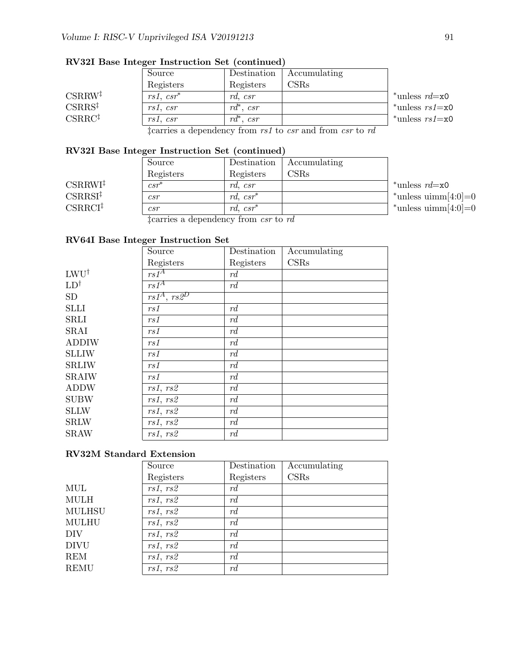|                    | Source          | Destination           | Accumulating |                    |
|--------------------|-----------------|-----------------------|--------------|--------------------|
|                    | Registers       | Registers             | CSRs         |                    |
| $CSRRW^{\ddagger}$ | $rs1. \; csr^*$ | $rd. \; csr$          |              | *unless $rd=x0$    |
| $CSRRS^{\ddagger}$ | $rs1. \; csr$   | $rd^*$ , $csr$        |              | *unless $rs1 = x0$ |
| $CSRRC^{\ddagger}$ | $rs1. \; csr$   | $rd^*$<br>$\cdot$ csr |              | *unless $rs1 = x0$ |
|                    |                 |                       | $\mathbf{r}$ |                    |

### RV32I Base Integer Instruction Set (continued)

‡carries a dependency from rs1 to csr and from csr to rd

### RV32I Base Integer Instruction Set (continued)

|                     | Source                                 | Destination    | Accumulating |                                      |
|---------------------|----------------------------------------|----------------|--------------|--------------------------------------|
|                     | Registers                              | Registers      | CSRs         |                                      |
| $CSRRWI^{\ddagger}$ | $\mathit{csr}^*$                       | rd, csr        |              | *unless $rd = x0$                    |
| $CSRRSI^{\ddagger}$ | csr                                    | $rd, \ csr^*$  |              | *unless $\operatorname{uimm}[4:0]=0$ |
| $CSRRCI^{\ddagger}$ | csr                                    | $rd. \; csr^*$ |              | *unless uimm $[4:0]=0$               |
|                     | tearnics a dependency from each to red |                |              |                                      |

‡carries a dependency from csr to rd

### RV64I Base Integer Instruction Set

|                 | Source                              | Destination | Accumulating |
|-----------------|-------------------------------------|-------------|--------------|
|                 | Registers                           | Registers   | CSRs         |
| $LWU^{\dagger}$ | $\overline{rs1^A}$                  | rd          |              |
| $LD^{\dagger}$  | $\overline{rsI^A}$                  | rd          |              |
| SD              | rs1 <sup>A</sup> , rs2 <sup>D</sup> |             |              |
| <b>SLLI</b>     | rs1                                 | rd          |              |
| <b>SRLI</b>     | rs1                                 | rd          |              |
| <b>SRAI</b>     | rs1                                 | rd          |              |
| <b>ADDIW</b>    | rs1                                 | rd          |              |
| <b>SLLIW</b>    | rs1                                 | rd          |              |
| <b>SRLIW</b>    | rs1                                 | rd          |              |
| <b>SRAIW</b>    | rs1                                 | rd          |              |
| <b>ADDW</b>     | rs1, rs2                            | rd          |              |
| <b>SUBW</b>     | rs1, rs2                            | rd          |              |
| <b>SLLW</b>     | rs1, rs2                            | rd          |              |
| <b>SRLW</b>     | rs1, rs2                            | rd          |              |
| <b>SRAW</b>     | rs1, rs2                            | rd          |              |

### RV32M Standard Extension

|               | Source    | Destination | Accumulating |
|---------------|-----------|-------------|--------------|
|               | Registers | Registers   | CSRs         |
| MUL           | rs1, rs2  | rd          |              |
| <b>MULH</b>   | rs1, rs2  | rd          |              |
| <b>MULHSU</b> | rs1, rs2  | rd          |              |
| MULHU         | rs1, rs2  | rd          |              |
| DIV           | rs1, rs2  | rd          |              |
| <b>DIVU</b>   | rs1, rs2  | rd          |              |
| <b>REM</b>    | rs1, rs2  | rd          |              |
| <b>REMU</b>   | rs1, rs2  | rd          |              |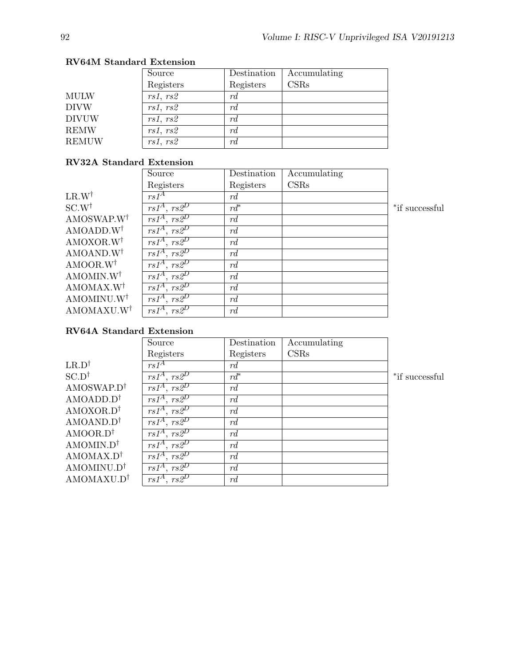|              | Source    | Destination | Accumulating |
|--------------|-----------|-------------|--------------|
|              | Registers | Registers   | CSRs         |
| <b>MULW</b>  | rs1, rs2  | rd          |              |
| <b>DIVW</b>  | rs1, rs2  | rd          |              |
| <b>DIVUW</b> | rs1, rs2  | rd          |              |
| <b>REMW</b>  | rs1, rs2  | rd          |              |
| <b>REMUW</b> | rs1, rs2  | rd          |              |

## RV64M Standard Extension

## RV32A Standard Extension

|                        | Source                                | Destination | Accumulating |                |
|------------------------|---------------------------------------|-------------|--------------|----------------|
|                        | Registers                             | Registers   | CSRs         |                |
| $LR.W^{\dagger}$       | rs1 <sup>A</sup>                      | rd          |              |                |
| $SC.W^{\dagger}$       | $rs1^A, \overline{rs2^D}$             | $rd^*$      |              | *if successful |
| AMOSWAP.W <sup>†</sup> | $rs\overline{I^A,}\;rs\overline{2^D}$ | rd          |              |                |
| AMOADD.W <sup>†</sup>  | $rs1A$ , $rs2D$                       | rd          |              |                |
| AMOXOR.W <sup>†</sup>  | rs1 <sup>A</sup> , rs2 <sup>D</sup>   | rd          |              |                |
| AMOAND.W <sup>†</sup>  | rs1 <sup>A</sup> , rs2 <sup>D</sup>   | rd          |              |                |
| AMOOR.W <sup>†</sup>   | $rs1^A$ , $rs2^D$                     | rd          |              |                |
| AMOMIN.W <sup>†</sup>  | $rs1^A$ , $rs2^D$                     | rd          |              |                |
| AMOMAX.W <sup>†</sup>  | $rs1^A, \overline{rs2^D}$             | rd          |              |                |
| AMOMINU.W <sup>†</sup> | $rs1^A, rs2^D$                        | rd          |              |                |
| AMOMAXU.W <sup>†</sup> | $rs1^A$ , $rs2^D$                     | rd          |              |                |

## RV64A Standard Extension

| CSRs<br>Registers<br>Registers<br>$LR.D^{\dagger}$<br>rs1 <sup>A</sup><br>rd<br>$SC.D^{\dagger}$<br>$rs1^A, rs2^D$<br>$rd^*$<br>*if successful<br>$AMOSWAP.D^{\dagger}$<br>$rs1^A$ , $rs2^D$<br>rd<br>$AMOADD.D^{\dagger}$<br>rs1 <sup>A</sup> , rs2 <sup>D</sup><br>rd<br>$AMOXOR.D^{\dagger}$<br>$rs\overline{I^A, rs2^D}$<br>rd<br>$AMOAND.D^{\dagger}$<br>$rs1^A, rs2^D$<br>rd<br>$AMOOR.D^{\dagger}$<br>$rs1^A$ , $rs2^D$<br>rd<br>$AMOMIN.D^{\dagger}$<br>$rs1^A$ , $rs2^D$<br>rd<br>AMOMAX.D <sup>†</sup><br>rs1 <sup>A</sup> , rs2 <sup>D</sup><br>rd<br>AMOMINU.D <sup>†</sup><br>$rs1A$ , $rs2D$<br>rd<br>AMOMAXU.D <sup>†</sup><br>$rs1^A, rs2^D$<br>rd | Source | Destination | Accumulating |  |
|--------------------------------------------------------------------------------------------------------------------------------------------------------------------------------------------------------------------------------------------------------------------------------------------------------------------------------------------------------------------------------------------------------------------------------------------------------------------------------------------------------------------------------------------------------------------------------------------------------------------------------------------------------------------|--------|-------------|--------------|--|
|                                                                                                                                                                                                                                                                                                                                                                                                                                                                                                                                                                                                                                                                    |        |             |              |  |
|                                                                                                                                                                                                                                                                                                                                                                                                                                                                                                                                                                                                                                                                    |        |             |              |  |
|                                                                                                                                                                                                                                                                                                                                                                                                                                                                                                                                                                                                                                                                    |        |             |              |  |
|                                                                                                                                                                                                                                                                                                                                                                                                                                                                                                                                                                                                                                                                    |        |             |              |  |
|                                                                                                                                                                                                                                                                                                                                                                                                                                                                                                                                                                                                                                                                    |        |             |              |  |
|                                                                                                                                                                                                                                                                                                                                                                                                                                                                                                                                                                                                                                                                    |        |             |              |  |
|                                                                                                                                                                                                                                                                                                                                                                                                                                                                                                                                                                                                                                                                    |        |             |              |  |
|                                                                                                                                                                                                                                                                                                                                                                                                                                                                                                                                                                                                                                                                    |        |             |              |  |
|                                                                                                                                                                                                                                                                                                                                                                                                                                                                                                                                                                                                                                                                    |        |             |              |  |
|                                                                                                                                                                                                                                                                                                                                                                                                                                                                                                                                                                                                                                                                    |        |             |              |  |
|                                                                                                                                                                                                                                                                                                                                                                                                                                                                                                                                                                                                                                                                    |        |             |              |  |
|                                                                                                                                                                                                                                                                                                                                                                                                                                                                                                                                                                                                                                                                    |        |             |              |  |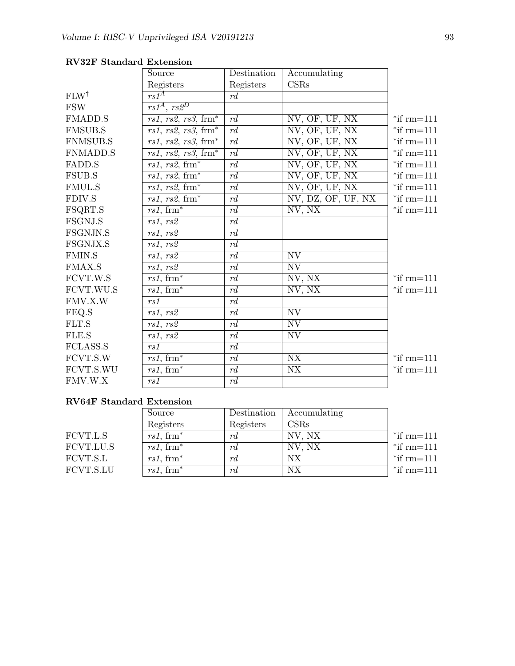|                                         | Source                        | Destination | Accumulating                                 |               |
|-----------------------------------------|-------------------------------|-------------|----------------------------------------------|---------------|
|                                         | Registers                     | Registers   | CSRs                                         |               |
| <b>FLW<sup>†</sup></b>                  | $rs1^A$                       | rd          |                                              |               |
| <b>FSW</b>                              | $rs1^A$ , $rs2^D$             |             |                                              |               |
| <b>FMADD.S</b>                          | $rs1, rs2, rs3, frm^*$        | rd          | NV, OF, UF, NX                               | $*$ if rm=111 |
| <b>FMSUB.S</b>                          | $rs1, rs2, rs3, frm^*$        | rd          | NV, OF, UF, NX                               | $*$ if rm=111 |
| <b>FNMSUB.S</b>                         | $rs1, rs2, rs3, frm^*$        | rd          | NV, OF, UF, NX                               | $*$ if rm=111 |
| <b>FNMADD.S</b>                         | $rs1, rs2, rs3, frm^*$        | rd          | NV, OF, UF, NX                               | $*$ if rm=111 |
| FADD.S                                  | $rs1, rs2, frm*$              | rd          | NV, OF, UF, NX                               | $*$ if rm=111 |
| <b>FSUB.S</b>                           | $rs1, rs2, frm^*$             | rd          | NV, OF, UF, NX                               | $*$ if rm=111 |
| <b>FMUL.S</b>                           | $rs1, rs2, frm*$              | rd          | NV, OF, UF, NX                               | $*$ if rm=111 |
| <b>FDIV.S</b>                           | $rs1, rs2, frm^*$             | rd          | NV, DZ, OF, UF, NX                           | $*$ if rm=111 |
| FSQRT.S                                 | $rs\overline{1, \text{fm}^*}$ | rd          | NV, NX                                       | $*$ if rm=111 |
| FSGNJ.S                                 | rs1, rs2                      | rd          |                                              |               |
| FSGNJN.S                                | rs1, rs2                      | rd          |                                              |               |
| FSGNJX.S                                | rs1, rs2                      | rd          |                                              |               |
| <b>FMIN.S</b>                           | rs1, rs2                      | rd          | $\overline{\text{NV}}$                       |               |
| <b>FMAX.S</b>                           | rs1, rs2                      | rd          | $\overline{\text{NV}}$                       |               |
| FCVT.W.S                                | $rs1, \text{fm}^*$            | rd          | $\overline{\text{NV}}, \overline{\text{NX}}$ | $*$ if rm=111 |
| <b>FCVT.WU.S</b>                        | $rs1$ , frm <sup>*</sup>      | rd          | NV, NX                                       | $*$ if rm=111 |
| FMV.X.W                                 | rs1                           | rd          |                                              |               |
| FEQ.S                                   | rs1, rs2                      | rd          | $\overline{\text{NV}}$                       |               |
| FLT.S                                   | rs1, rs2                      | rd          | $\overline{\text{NV}}$                       |               |
| FLE.S                                   | rs1, rs2                      | rd          | $\overline{\text{NV}}$                       |               |
| FCLASS.S                                | rs1                           | rd          |                                              |               |
| ${\mbox{FCVT}}. {\mbox{S}}. {\mbox{W}}$ | $rs1$ , frm <sup>*</sup>      | rd          | $\overline{\text{NX}}$                       | $*$ if rm=111 |
| FCVT.S.WU                               | $rs1$ , frm <sup>*</sup>      | rd          | <b>NX</b>                                    | $*$ if rm=111 |
| FMV.W.X                                 | rs1                           | rd          |                                              |               |

## RV32F Standard Extension

## RV64F Standard Extension

|           | Source                   | Destination | Accumulating |               |
|-----------|--------------------------|-------------|--------------|---------------|
|           | Registers                | Registers   | CSRs         |               |
| FCVT.L.S  | $rs1$ , frm <sup>*</sup> | rd          | NV, NX       | $*$ if rm=111 |
| FCVT.LU.S | $rs1$ , frm <sup>*</sup> | rd          | NV, NX       | $*$ if rm=111 |
| FCVT.S.L  | $rs1$ , frm <sup>*</sup> | rd          | NX           | $*$ if rm=111 |
| FCVT.S.LU | $rs1$ , frm <sup>*</sup> | rd          | NX           | $*$ if rm=111 |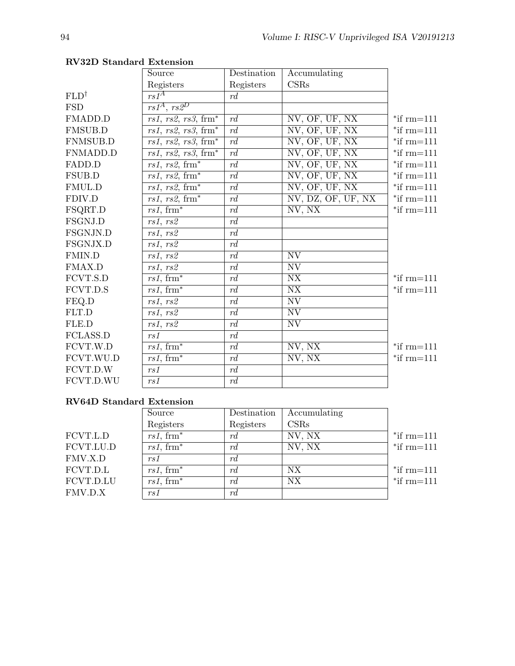|                  | Source                   | Destination     | Accumulating           |               |
|------------------|--------------------------|-----------------|------------------------|---------------|
|                  | Registers                | Registers       | CSRs                   |               |
| FLD <sup>†</sup> | rs1 <sup>A</sup>         | rd              |                        |               |
| <b>FSD</b>       | $rs1A$ , $rs2D$          |                 |                        |               |
| FMADD.D          | $rs1, rs2, rs3, frm^*$   | rd              | NV, OF, UF, NX         | $*$ if rm=111 |
| <b>FMSUB.D</b>   | $rs1, rs2, rs3, frm^*$   | rd              | NV, OF, UF, NX         | $*$ if rm=111 |
| FNMSUB.D         | $rs1, rs2, rs3, frm^*$   | rd              | NV, OF, UF, NX         | $*$ if rm=111 |
| <b>FNMADD.D</b>  | $rs1, rs2, rs3, frm*$    | rd              | NV, OF, UF, NX         | $*$ if rm=111 |
| FADD.D           | $rs1, rs2, frm*$         | rd              | NV, OF, UF, NX         | $*$ if rm=111 |
| FSUB.D           | $rs1, rs2, frm^*$        | rd              | NV, OF, UF, NX         | $*$ if rm=111 |
| <b>FMUL.D</b>    | $rs1, rs2, frm*$         | $\overline{rd}$ | NV, OF, UF, NX         | $*$ if rm=111 |
| FDIV.D           | $rs1, rs2, frm^*$        | rd              | NV, DZ, OF, UF, NX     | $*$ if rm=111 |
| FSQRT.D          | $rs1$ , frm <sup>*</sup> | rd              | NV, NX                 | $*$ if rm=111 |
| FSGNJ.D          | rs1, rs2                 | rd              |                        |               |
| FSGNJN.D         | rs1, rs2                 | rd              |                        |               |
| FSGNJX.D         | rs1, rs2                 | rd              |                        |               |
| FMIN.D           | rs1, rs2                 | rd              | $\overline{\text{NV}}$ |               |
| <b>FMAX.D</b>    | rs1, rs2                 | rd              | <b>NV</b>              |               |
| FCVT.S.D         | $rs1$ , frm <sup>*</sup> | rd              | $\overline{\text{NX}}$ | $*$ if rm=111 |
| FCVT.D.S         | $rs1, \overline{frm^*}$  | rd              | <b>NX</b>              | $*$ if rm=111 |
| FEQ.D            | rs1, rs2                 | rd              | $\overline{\text{NV}}$ |               |
| FLT.D            | rs1, rs2                 | rd              | NV                     |               |
| FLE.D            | rs1, rs2                 | rd              | NV                     |               |
| FCLASS.D         | rs1                      | rd              |                        |               |
| FCVT.W.D         | $rs1$ , frm <sup>*</sup> | rd              | NV, NX                 | $*$ if rm=111 |
| FCVT.WU.D        | $rs1$ , frm <sup>*</sup> | rd              | NV, NX                 | $*$ if rm=111 |
| FCVT.D.W         | rs1                      | rd              |                        |               |
| FCVT.D.WU        | rs1                      | rd              |                        |               |

# RV32D Standard Extension

## RV64D Standard Extension

|           | Source                   | Destination | Accumulating   |                       |
|-----------|--------------------------|-------------|----------------|-----------------------|
|           | Registers                | Registers   | CSRs           |                       |
| FCVT.L.D  | $rs1$ , frm <sup>*</sup> | rd          | NV, NX         | $\text{``if } rm=111$ |
| FCVT.LU.D | $rs1$ , frm <sup>*</sup> | rd          | NV, NX         | $*$ if rm=111         |
| FMV.X.D   | rs1                      | rd          |                |                       |
| FCVT.D.L  | $rs1$ , frm <sup>*</sup> | rd          | NX.            | $*$ if rm=111         |
| FCVT.D.LU | $rs1$ , frm <sup>*</sup> | rd          | $\overline{X}$ | $*$ if rm=111         |
| FMV.D.X   | rs1                      | rd          |                |                       |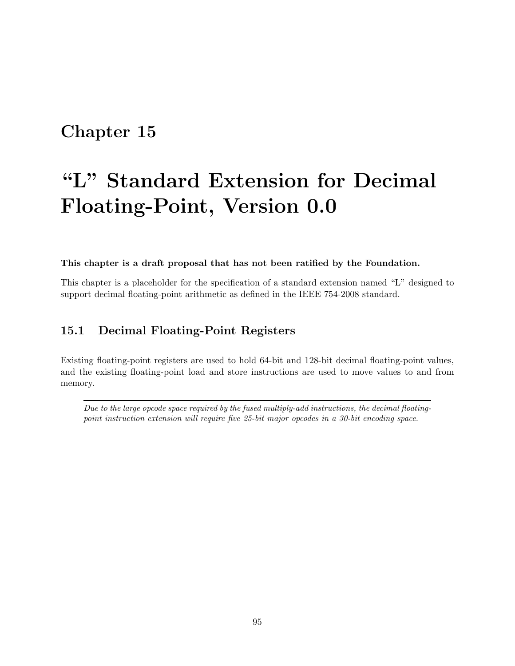# "L" Standard Extension for Decimal Floating-Point, Version 0.0

#### This chapter is a draft proposal that has not been ratified by the Foundation.

This chapter is a placeholder for the specification of a standard extension named "L" designed to support decimal floating-point arithmetic as defined in the IEEE 754-2008 standard.

# 15.1 Decimal Floating-Point Registers

Existing floating-point registers are used to hold 64-bit and 128-bit decimal floating-point values, and the existing floating-point load and store instructions are used to move values to and from memory.

Due to the large opcode space required by the fused multiply-add instructions, the decimal floatingpoint instruction extension will require five 25-bit major opcodes in a 30-bit encoding space.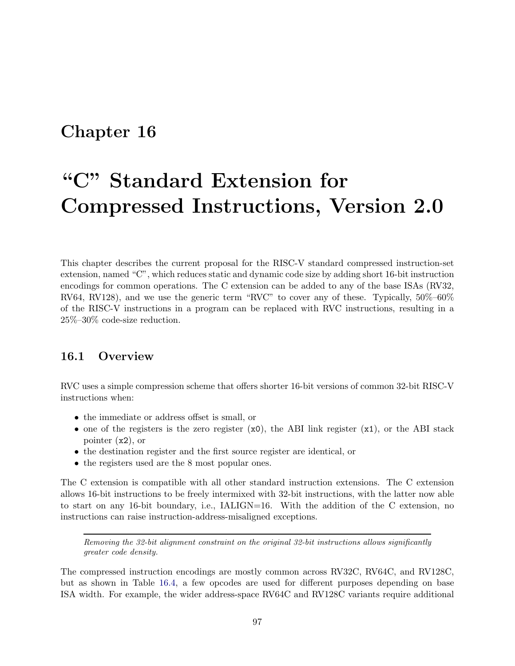# "C" Standard Extension for Compressed Instructions, Version 2.0

This chapter describes the current proposal for the RISC-V standard compressed instruction-set extension, named "C", which reduces static and dynamic code size by adding short 16-bit instruction encodings for common operations. The C extension can be added to any of the base ISAs (RV32, RV64, RV128), and we use the generic term "RVC" to cover any of these. Typically, 50%–60% of the RISC-V instructions in a program can be replaced with RVC instructions, resulting in a 25%–30% code-size reduction.

## 16.1 Overview

RVC uses a simple compression scheme that offers shorter 16-bit versions of common 32-bit RISC-V instructions when:

- the immediate or address offset is small, or
- one of the registers is the zero register  $(x0)$ , the ABI link register  $(x1)$ , or the ABI stack pointer (x2), or
- the destination register and the first source register are identical, or
- the registers used are the 8 most popular ones.

The C extension is compatible with all other standard instruction extensions. The C extension allows 16-bit instructions to be freely intermixed with 32-bit instructions, with the latter now able to start on any 16-bit boundary, i.e., IALIGN=16. With the addition of the C extension, no instructions can raise instruction-address-misaligned exceptions.

Removing the 32-bit alignment constraint on the original 32-bit instructions allows significantly greater code density.

The compressed instruction encodings are mostly common across RV32C, RV64C, and RV128C, but as shown in Table [16.4,](#page-129-0) a few opcodes are used for different purposes depending on base ISA width. For example, the wider address-space RV64C and RV128C variants require additional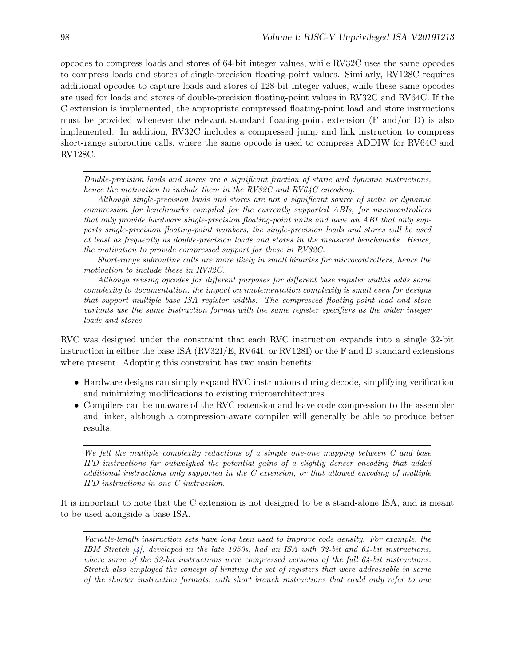opcodes to compress loads and stores of 64-bit integer values, while RV32C uses the same opcodes to compress loads and stores of single-precision floating-point values. Similarly, RV128C requires additional opcodes to capture loads and stores of 128-bit integer values, while these same opcodes are used for loads and stores of double-precision floating-point values in RV32C and RV64C. If the C extension is implemented, the appropriate compressed floating-point load and store instructions must be provided whenever the relevant standard floating-point extension (F and/or D) is also implemented. In addition, RV32C includes a compressed jump and link instruction to compress short-range subroutine calls, where the same opcode is used to compress ADDIW for RV64C and RV128C.

Double-precision loads and stores are a significant fraction of static and dynamic instructions, hence the motivation to include them in the RV32C and RV64C encoding.

Although single-precision loads and stores are not a significant source of static or dynamic compression for benchmarks compiled for the currently supported ABIs, for microcontrollers that only provide hardware single-precision floating-point units and have an ABI that only supports single-precision floating-point numbers, the single-precision loads and stores will be used at least as frequently as double-precision loads and stores in the measured benchmarks. Hence, the motivation to provide compressed support for these in RV32C.

Short-range subroutine calls are more likely in small binaries for microcontrollers, hence the motivation to include these in RV32C.

Although reusing opcodes for different purposes for different base register widths adds some complexity to documentation, the impact on implementation complexity is small even for designs that support multiple base ISA register widths. The compressed floating-point load and store variants use the same instruction format with the same register specifiers as the wider integer loads and stores.

RVC was designed under the constraint that each RVC instruction expands into a single 32-bit instruction in either the base ISA (RV32I/E, RV64I, or RV128I) or the F and D standard extensions where present. Adopting this constraint has two main benefits:

- Hardware designs can simply expand RVC instructions during decode, simplifying verification and minimizing modifications to existing microarchitectures.
- Compilers can be unaware of the RVC extension and leave code compression to the assembler and linker, although a compression-aware compiler will generally be able to produce better results.

We felt the multiple complexity reductions of a simple one-one mapping between  $C$  and base IFD instructions far outweighed the potential gains of a slightly denser encoding that added additional instructions only supported in the C extension, or that allowed encoding of multiple IFD instructions in one C instruction.

It is important to note that the C extension is not designed to be a stand-alone ISA, and is meant to be used alongside a base ISA.

Variable-length instruction sets have long been used to improve code density. For example, the IBM Stretch  $\vert 4 \vert$ , developed in the late 1950s, had an ISA with 32-bit and 64-bit instructions, where some of the 32-bit instructions were compressed versions of the full 64-bit instructions. Stretch also employed the concept of limiting the set of registers that were addressable in some of the shorter instruction formats, with short branch instructions that could only refer to one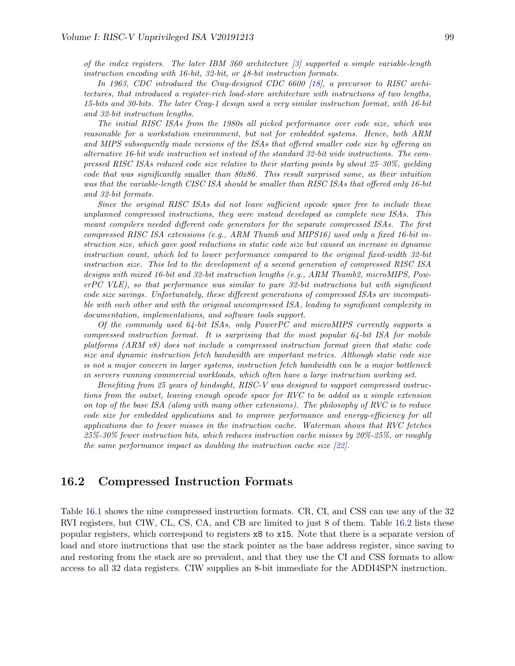of the index registers. The later IBM 360 architecture [\[3\]](#page-236-1) supported a simple variable-length instruction encoding with 16-bit, 32-bit, or 48-bit instruction formats.

In 1963, CDC introduced the Cray-designed CDC 6600 [\[18\]](#page-237-0), a precursor to RISC architectures, that introduced a register-rich load-store architecture with instructions of two lengths, 15-bits and 30-bits. The later Cray-1 design used a very similar instruction format, with 16-bit and 32-bit instruction lengths.

The initial RISC ISAs from the 1980s all picked performance over code size, which was reasonable for a workstation environment, but not for embedded systems. Hence, both ARM and MIPS subsequently made versions of the ISAs that offered smaller code size by offering an alternative 16-bit wide instruction set instead of the standard 32-bit wide instructions. The compressed RISC ISAs reduced code size relative to their starting points by about 25–30%, yielding code that was significantly smaller than 80x86. This result surprised some, as their intuition was that the variable-length CISC ISA should be smaller than RISC ISAs that offered only 16-bit and 32-bit formats.

Since the original RISC ISAs did not leave sufficient opcode space free to include these unplanned compressed instructions, they were instead developed as complete new ISAs. This meant compilers needed different code generators for the separate compressed ISAs. The first compressed RISC ISA extensions (e.g., ARM Thumb and MIPS16) used only a fixed 16-bit instruction size, which gave good reductions in static code size but caused an increase in dynamic instruction count, which led to lower performance compared to the original fixed-width 32-bit instruction size. This led to the development of a second generation of compressed RISC ISA designs with mixed 16-bit and 32-bit instruction lengths (e.g., ARM Thumb2, microMIPS, PowerPC VLE), so that performance was similar to pure 32-bit instructions but with significant code size savings. Unfortunately, these different generations of compressed ISAs are incompatible with each other and with the original uncompressed ISA, leading to significant complexity in documentation, implementations, and software tools support.

Of the commonly used 64-bit ISAs, only PowerPC and microMIPS currently supports a compressed instruction format. It is surprising that the most popular 64-bit ISA for mobile platforms (ARM v8) does not include a compressed instruction format given that static code size and dynamic instruction fetch bandwidth are important metrics. Although static code size is not a major concern in larger systems, instruction fetch bandwidth can be a major bottleneck in servers running commercial workloads, which often have a large instruction working set.

Benefiting from 25 years of hindsight, RISC-V was designed to support compressed instructions from the outset, leaving enough opcode space for RVC to be added as a simple extension on top of the base ISA (along with many other extensions). The philosophy of RVC is to reduce code size for embedded applications and to improve performance and energy-efficiency for all applications due to fewer misses in the instruction cache. Waterman shows that RVC fetches 25%-30% fewer instruction bits, which reduces instruction cache misses by 20%-25%, or roughly the same performance impact as doubling the instruction cache size [\[22\]](#page-237-1).

### 16.2 Compressed Instruction Formats

Table [16.1](#page-117-0) shows the nine compressed instruction formats. CR, CI, and CSS can use any of the 32 RVI registers, but CIW, CL, CS, CA, and CB are limited to just 8 of them. Table [16.2](#page-117-1) lists these popular registers, which correspond to registers x8 to x15. Note that there is a separate version of load and store instructions that use the stack pointer as the base address register, since saving to and restoring from the stack are so prevalent, and that they use the CI and CSS formats to allow access to all 32 data registers. CIW supplies an 8-bit immediate for the ADDI4SPN instruction.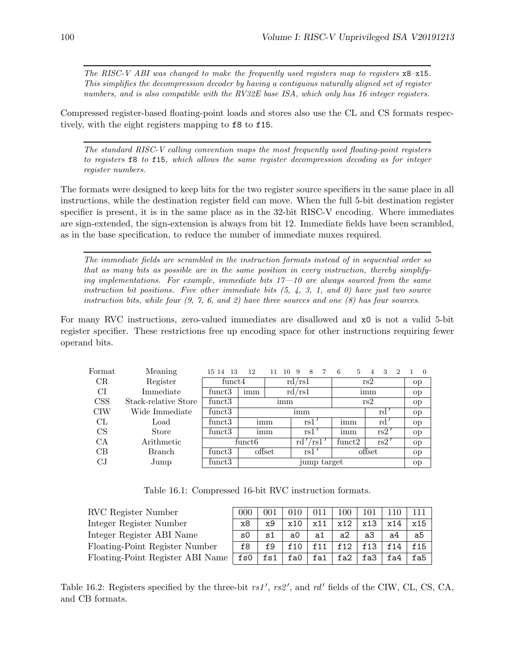The RISC-V ABI was changed to make the frequently used registers map to registers  $x8-x15$ . This simplifies the decompression decoder by having a contiguous naturally aligned set of register numbers, and is also compatible with the RV32E base ISA, which only has 16 integer registers.

Compressed register-based floating-point loads and stores also use the CL and CS formats respectively, with the eight registers mapping to f8 to f15.

The standard RISC-V calling convention maps the most frequently used floating-point registers to registers f8 to f15, which allows the same register decompression decoding as for integer register numbers.

The formats were designed to keep bits for the two register source specifiers in the same place in all instructions, while the destination register field can move. When the full 5-bit destination register specifier is present, it is in the same place as in the 32-bit RISC-V encoding. Where immediates are sign-extended, the sign-extension is always from bit 12. Immediate fields have been scrambled, as in the base specification, to reduce the number of immediate muxes required.

The immediate fields are scrambled in the instruction formats instead of in sequential order so that as many bits as possible are in the same position in every instruction, thereby simplifying implementations. For example, immediate bits  $17-10$  are always sourced from the same instruction bit positions. Five other immediate bits  $(5, 4, 3, 1, 1)$  and 0) have just two source instruction bits, while four  $(9, 7, 6,$  and  $2)$  have three sources and one  $(8)$  has four sources.

For many RVC instructions, zero-valued immediates are disallowed and x0 is not a valid 5-bit register specifier. These restrictions free up encoding space for other instructions requiring fewer operand bits.

| $\rm{Format}$ | Meaning              | -13<br>15 14       | 12          | 11     | -9<br>10 | 8    | 7      | 6           | 5 | 4    | 3             | $\overline{2}$ |    | $\Omega$ |
|---------------|----------------------|--------------------|-------------|--------|----------|------|--------|-------------|---|------|---------------|----------------|----|----------|
| CR.           | Register             | funct4             |             | rd/rs1 |          |      |        | rs2         |   |      | op            |                |    |          |
| CI            | Immediate            | funct3             | ımm         |        | rd/rs1   |      |        | $\text{mm}$ |   |      |               |                | op |          |
| <b>CSS</b>    | Stack-relative Store | funct3             | 1mm         |        |          | rs2  |        |             |   | op   |               |                |    |          |
| <b>CIW</b>    | Wide Immediate       | funct3             | 1mm         |        |          | rd'  |        |             |   | op   |               |                |    |          |
| CL            | Load                 | funct3             | 1mm         |        |          | rs1' |        | 1mm         |   |      | $\mathrm{rd}$ |                |    | op       |
| CS            | <b>Store</b>         | funct3             | 1mm         |        |          | rs1' |        | 1mm         |   |      | rs2'          |                |    | op       |
| CA            | Arithmetic           | funct <sub>6</sub> |             |        | rd'/rs1' |      | funct2 |             |   | rs2' |               |                | op |          |
| CB            | Branch               | funct3             | offset      |        | rs1'     |      | offset |             |   |      | op            |                |    |          |
| СJ            | Jump                 | funct3             | jump target |        |          |      |        | op          |   |      |               |                |    |          |

Table 16.1: Compressed 16-bit RVC instruction formats.

<span id="page-117-0"></span>

| RVC Register Number              | 000            | 001           | 010 | 011 | $100\,$ | 101 |     |     |
|----------------------------------|----------------|---------------|-----|-----|---------|-----|-----|-----|
| Integer Register Number          | x8             | x9            | x10 | x11 | x12     | x13 | x14 | x15 |
| Integer Register ABI Name        | $\mathbf{s}$ 0 | $\mathrm{s}1$ | a0  | a1  | a2      | a3  | a4  | a5  |
| Floating-Point Register Number   | f8             | f9            | f10 | f11 | f12     | f13 | f14 | f15 |
| Floating-Point Register ABI Name | fs0            | fs1           | fa0 | fa1 | fa2     | fa3 | fa4 | fa5 |

<span id="page-117-1"></span>Table 16.2: Registers specified by the three-bit  $rs1'$ ,  $rs2'$ , and  $rd'$  fields of the CIW, CL, CS, CA, and CB formats.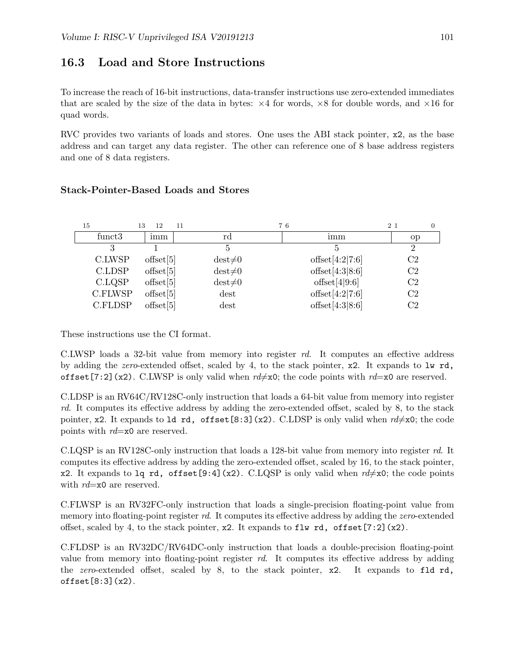## 16.3 Load and Store Instructions

To increase the reach of 16-bit instructions, data-transfer instructions use zero-extended immediates that are scaled by the size of the data in bytes:  $\times$ 4 for words,  $\times$ 8 for double words, and  $\times$ 16 for quad words.

RVC provides two variants of loads and stores. One uses the ABI stack pointer, x2, as the base address and can target any data register. The other can reference one of 8 base address registers and one of 8 data registers.

#### Stack-Pointer-Based Loads and Stores

| 15             | 12<br>13<br>11 |             | 76                 | 2 <sub>1</sub> |  |
|----------------|----------------|-------------|--------------------|----------------|--|
| funct3         | ımm            | rd          | 1mm                | op             |  |
| 3              |                |             |                    |                |  |
| C.LWSP         | offset[5]      | $dest\neq0$ | offset $[4:2 7:6]$ | $\rm C2$       |  |
| C.LDSP         | offset[5]      | $dest\neq0$ | offset $[4:3 8:6]$ | C <sub>2</sub> |  |
| C.LQSP         | offset[5]      | $dest\neq0$ | offset $[4 9:6]$   | C <sub>2</sub> |  |
| <b>C.FLWSP</b> | offset[5]      | dest        | offset $[4:2 7:6]$ | C <sub>2</sub> |  |
| C.FLDSP        | offset[5]      | dest        | offset $[4:3 8:6]$ | C2             |  |

These instructions use the CI format.

C.LWSP loads a 32-bit value from memory into register rd. It computes an effective address by adding the *zero*-extended offset, scaled by 4, to the stack pointer, x2. It expands to  $\mathbf{lw}$  rd, offset [7:2] (x2). C.LWSP is only valid when  $rd\neq x0$ ; the code points with  $rd=x0$  are reserved.

C.LDSP is an RV64C/RV128C-only instruction that loads a 64-bit value from memory into register rd. It computes its effective address by adding the zero-extended offset, scaled by 8, to the stack pointer, x2. It expands to 1d rd, offset [8:3](x2). C.LDSP is only valid when  $\eta \neq x0$ ; the code points with rd=x0 are reserved.

C.LQSP is an RV128C-only instruction that loads a 128-bit value from memory into register rd. It computes its effective address by adding the zero-extended offset, scaled by 16, to the stack pointer, x2. It expands to lq rd, offset[9:4](x2). C.LQSP is only valid when  $rd\neq x0$ ; the code points with  $rd = x0$  are reserved.

C.FLWSP is an RV32FC-only instruction that loads a single-precision floating-point value from memory into floating-point register  $rd$ . It computes its effective address by adding the *zero*-extended offset, scaled by 4, to the stack pointer,  $x2$ . It expands to flw rd, offset [7:2] (x2).

C.FLDSP is an RV32DC/RV64DC-only instruction that loads a double-precision floating-point value from memory into floating-point register  $rd$ . It computes its effective address by adding the zero-extended offset, scaled by 8, to the stack pointer, x2. It expands to fld rd, offset[8:3](x2).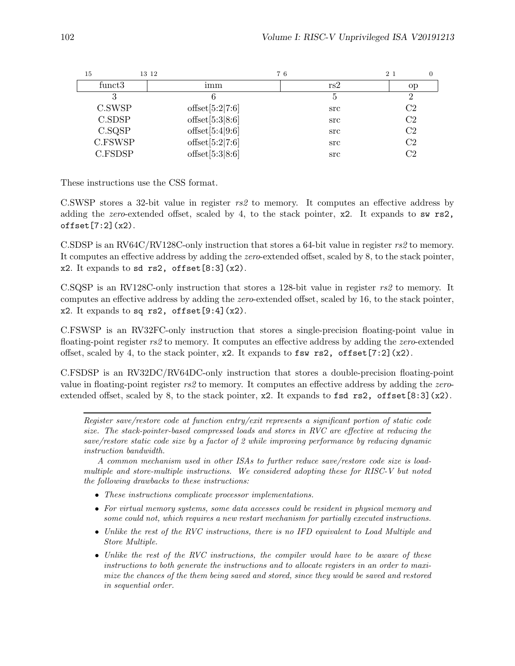| 15      | 13 12              | 76         | 2 1            |
|---------|--------------------|------------|----------------|
| funct3  | 1mm                | rs2        | op             |
|         |                    | b          |                |
| C.SWSP  | offset $[5:2 7:6]$ | src        | C2             |
| C.SDSP  | offset $[5:3 8:6]$ | <b>src</b> | C <sub>2</sub> |
| C.SQSP  | offset $[5:4 9:6]$ | src        | C2             |
| C.FSWSP | offset $[5:2 7:6]$ | src        | C <sub>2</sub> |
| C.FSDSP | offset $[5:3 8:6]$ | src        | C2             |

These instructions use the CSS format.

C.SWSP stores a 32-bit value in register rs2 to memory. It computes an effective address by adding the zero-extended offset, scaled by 4, to the stack pointer,  $x^2$ . It expands to sw rs2, offset[7:2](x2).

C.SDSP is an RV64C/RV128C-only instruction that stores a 64-bit value in register rs2 to memory. It computes an effective address by adding the zero-extended offset, scaled by 8, to the stack pointer, x2. It expands to sd  $rs2$ , offset $[8:3](x2)$ .

C.SQSP is an RV128C-only instruction that stores a 128-bit value in register rs2 to memory. It computes an effective address by adding the zero-extended offset, scaled by 16, to the stack pointer,  $x2.$  It expands to sq rs2, offset  $[9:4](x2)$ .

C.FSWSP is an RV32FC-only instruction that stores a single-precision floating-point value in floating-point register rs2 to memory. It computes an effective address by adding the zero-extended offset, scaled by 4, to the stack pointer, x2. It expands to fsw rs2, offset  $[7:2]$  (x2).

C.FSDSP is an RV32DC/RV64DC-only instruction that stores a double-precision floating-point value in floating-point register rs2 to memory. It computes an effective address by adding the zeroextended offset, scaled by 8, to the stack pointer, x2. It expands to fsd rs2, offset  $[8:3](x2)$ .

Register save/restore code at function entry/exit represents a significant portion of static code size. The stack-pointer-based compressed loads and stores in RVC are effective at reducing the save/restore static code size by a factor of 2 while improving performance by reducing dynamic instruction bandwidth.

A common mechanism used in other ISAs to further reduce save/restore code size is loadmultiple and store-multiple instructions. We considered adopting these for RISC-V but noted the following drawbacks to these instructions:

- These instructions complicate processor implementations.
- For virtual memory systems, some data accesses could be resident in physical memory and some could not, which requires a new restart mechanism for partially executed instructions.
- Unlike the rest of the RVC instructions, there is no IFD equivalent to Load Multiple and Store Multiple.
- Unlike the rest of the RVC instructions, the compiler would have to be aware of these instructions to both generate the instructions and to allocate registers in an order to maximize the chances of the them being saved and stored, since they would be saved and restored in sequential order.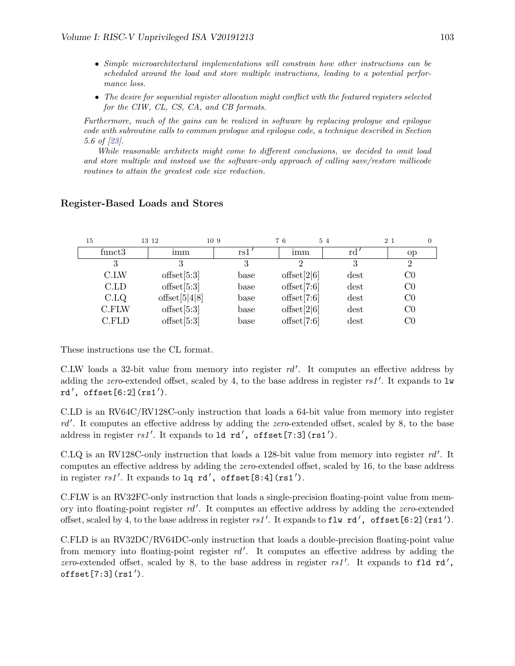- Simple microarchitectural implementations will constrain how other instructions can be scheduled around the load and store multiple instructions, leading to a potential performance loss.
- The desire for sequential register allocation might conflict with the featured registers selected for the CIW, CL, CS, CA, and CB formats.

Furthermore, much of the gains can be realized in software by replacing prologue and epilogue code with subroutine calls to common prologue and epilogue code, a technique described in Section 5.6 of [\[23\]](#page-237-2).

While reasonable architects might come to different conclusions, we decided to omit load and store multiple and instead use the software-only approach of calling save/restore millicode routines to attain the greatest code size reduction.

| 15 |        | 13 12         | 109  | 76          | 54   | 2 <sub>1</sub> |  |
|----|--------|---------------|------|-------------|------|----------------|--|
|    | funct3 | ımm           | rs1' | ımm         | rd ' | op             |  |
|    | 3      |               |      |             |      |                |  |
|    | C.LW   | offset[5:3]   | base | offset[2 6] | dest | $\rm CO$       |  |
|    | C.LD   | offset[5:3]   | base | offset[7:6] | dest | C <sub>0</sub> |  |
|    | C.LQ   | offset[5 4 8] | base | offset[7:6] | dest | $_{\rm C0}$    |  |
|    | C.FLW  | offset[5:3]   | base | offset[2 6] | dest | $\rm CO$       |  |
|    | C.FLD  | offset[5:3]   | base | offset[7:6] | dest | $\rm CO$       |  |

#### Register-Based Loads and Stores

These instructions use the CL format.

C.LW loads a 32-bit value from memory into register  $rd'$ . It computes an effective address by adding the zero-extended offset, scaled by 4, to the base address in register rs1'. It expands to lw  $rd'$ , offset $[6:2](rs1')$ .

C.LD is an RV64C/RV128C-only instruction that loads a 64-bit value from memory into register rd'. It computes an effective address by adding the zero-extended offset, scaled by 8, to the base address in register  $rs1'$ . It expands to  $1d$  rd', offset[7:3](rs1').

C.LQ is an RV128C-only instruction that loads a 128-bit value from memory into register  $rd'$ . It computes an effective address by adding the zero-extended offset, scaled by 16, to the base address in register  $rs1'$ . It expands to  $lq$  rd', offset [8:4] (rs1').

C.FLW is an RV32FC-only instruction that loads a single-precision floating-point value from memory into floating-point register rd'. It computes an effective address by adding the zero-extended offset, scaled by 4, to the base address in register  $rs1'$ . It expands to  $flw rd'$ , offset [6:2] (rs1').

C.FLD is an RV32DC/RV64DC-only instruction that loads a double-precision floating-point value from memory into floating-point register  $rd'$ . It computes an effective address by adding the zero-extended offset, scaled by 8, to the base address in register  $rs1'$ . It expands to fld rd',  $offset[7:3](rs1').$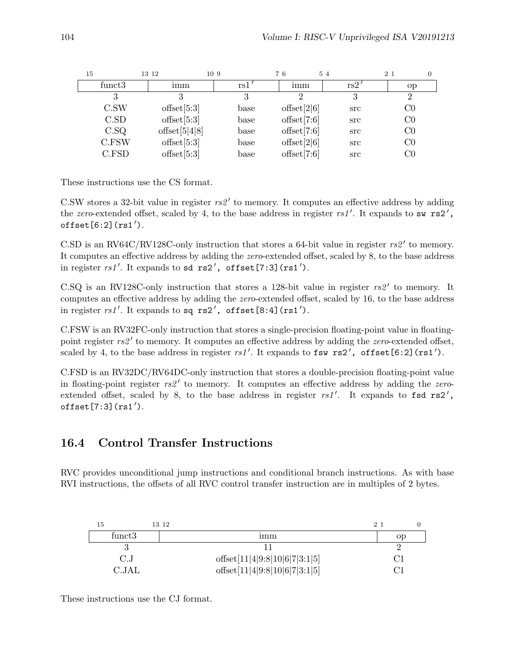| 15     | 13 12 |                  | 109  | 76          | 54         | 2 1            |
|--------|-------|------------------|------|-------------|------------|----------------|
| funct3 |       | 1mm              | rs1' | 1mm         | rs2'       | op             |
| 3      |       |                  | 3    |             | 3          |                |
| C.SW   |       | offset[5:3]      | base | offset[2 6] | <b>STC</b> | $\rm{C0}$      |
| C.SD   |       | offset[5:3]      | base | offset[7:6] | src        | $\rm CO$       |
| C.SQ   |       | offset $[5 4 8]$ | base | offset[7:6] | <b>STC</b> | $\rm CO$       |
| C.FSW  |       | offset[5:3]      | base | offset[2 6] | <b>STC</b> | C <sub>0</sub> |
| C.FSD  |       | offset[5:3]      | base | offset[7:6] | <b>src</b> | $\rm CO$       |

These instructions use the CS format.

C.SW stores a 32-bit value in register  $rs2'$  to memory. It computes an effective address by adding the zero-extended offset, scaled by 4, to the base address in register  $rs1'$ . It expands to sw rs2',  $offset[6:2](rs1').$ 

C.SD is an RV64C/RV128C-only instruction that stores a 64-bit value in register  $rs2'$  to memory. It computes an effective address by adding the zero-extended offset, scaled by 8, to the base address in register  $rs1'$ . It expands to  $sd$   $rs2'$ , offset[7:3]( $rs1'$ ).

C.SQ is an RV128C-only instruction that stores a 128-bit value in register  $rs2'$  to memory. It computes an effective address by adding the zero-extended offset, scaled by 16, to the base address in register  $rs1'$ . It expands to  $sq, rs2'$ , offset [8:4] (rs1').

C.FSW is an RV32FC-only instruction that stores a single-precision floating-point value in floatingpoint register rs2' to memory. It computes an effective address by adding the zero-extended offset, scaled by 4, to the base address in register  $rs1'$ . It expands to  $fsw\ rs2'$ , offset [6:2] (rs1').

C.FSD is an RV32DC/RV64DC-only instruction that stores a double-precision floating-point value in floating-point register  $rs2'$  to memory. It computes an effective address by adding the zeroextended offset, scaled by 8, to the base address in register  $rs1'$ . It expands to fsd rs2',  $offset[7:3](rs1').$ 

# 16.4 Control Transfer Instructions

RVC provides unconditional jump instructions and conditional branch instructions. As with base RVI instructions, the offsets of all RVC control transfer instruction are in multiples of 2 bytes.

| 15     | 13 12 |                                  | 2.1 |    |
|--------|-------|----------------------------------|-----|----|
| funct3 |       | ımm                              |     | op |
|        |       |                                  |     |    |
| C.J    |       | offset $[11 4 9:8 10 6 7 3:1 5]$ |     |    |
| C.JAL  |       | offset $[11 4 9:8 10 6 7 3:1 5]$ |     |    |

These instructions use the CJ format.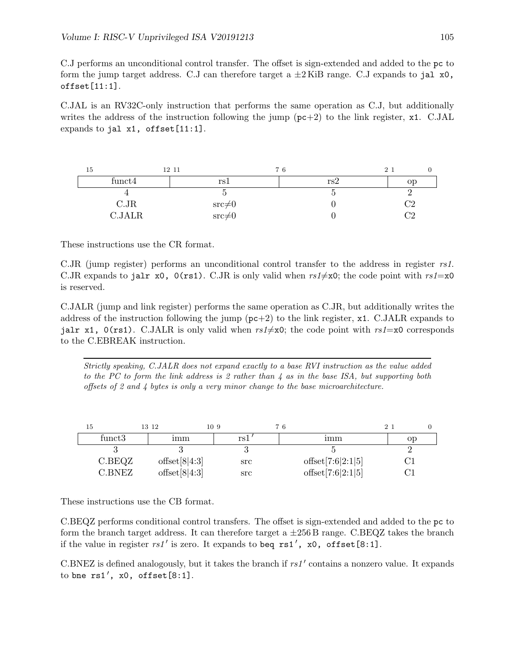C.J performs an unconditional control transfer. The offset is sign-extended and added to the pc to form the jump target address. C.J can therefore target a  $\pm 2$  KiB range. C.J expands to jal  $\alpha$ , offset[11:1].

C.JAL is an RV32C-only instruction that performs the same operation as C.J, but additionally writes the address of the instruction following the jump  $(pc+2)$  to the link register, x1. C.JAL expands to jal x1, offset[11:1].

| 15 |                              | 12 11        | 76  | 2 <sub>1</sub> |
|----|------------------------------|--------------|-----|----------------|
|    | funct4                       | rs 1         | rs2 | op             |
|    |                              |              |     |                |
|    | C.JR<br>$\sim$ $\sim$ $\sim$ | $src \neq 0$ |     | ាត             |
|    | C.JALR                       | $src \neq 0$ |     | הי             |

These instructions use the CR format.

C.JR (jump register) performs an unconditional control transfer to the address in register rs1. C.JR expands to jalr x0,  $0$ (rs1). C.JR is only valid when  $rs1\neq x0$ ; the code point with  $rs1=x0$ is reserved.

C.JALR (jump and link register) performs the same operation as C.JR, but additionally writes the address of the instruction following the jump  $(pc+2)$  to the link register, x1. C.JALR expands to jalr x1, 0(rs1). C.JALR is only valid when  $rs1\neq x0$ ; the code point with  $rs1=x0$  corresponds to the C.EBREAK instruction.

Strictly speaking, C.JALR does not expand exactly to a base RVI instruction as the value added to the PC to form the link address is 2 rather than  $\lambda$  as in the base ISA, but supporting both offsets of 2 and 4 bytes is only a very minor change to the base microarchitecture.

| 15     | 13 12            | 10.9 |                      |    |  |
|--------|------------------|------|----------------------|----|--|
| funct3 | ımm              | rsl  | ımm                  | op |  |
|        |                  |      |                      |    |  |
| C.BEQZ | offset $[8 4:3]$ | src  | offset $[7:6 2:1 5]$ |    |  |
| C.BNEZ | offset $[8 4:3]$ | src  | offset $[7:6 2:1 5]$ |    |  |

These instructions use the CB format.

C.BEQZ performs conditional control transfers. The offset is sign-extended and added to the pc to form the branch target address. It can therefore target a  $\pm 256$  B range. C.BEQZ takes the branch if the value in register  $rs1'$  is zero. It expands to beq  $rs1'$ , x0, offset [8:1].

C.BNEZ is defined analogously, but it takes the branch if  $rs1'$  contains a nonzero value. It expands to bne  $rs1'$ ,  $x0$ , offset[8:1].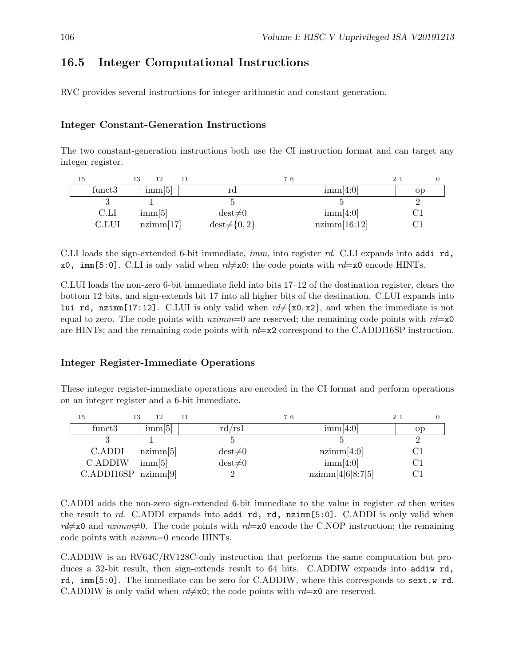# 16.5 Integer Computational Instructions

RVC provides several instructions for integer arithmetic and constant generation.

#### Integer Constant-Generation Instructions

The two constant-generation instructions both use the CI instruction format and can target any integer register.

| 15 |        | 12<br>13          |                     | 76                |    |  |
|----|--------|-------------------|---------------------|-------------------|----|--|
|    | funct3 | imm[5]            | rd                  | imm[4:0]          | op |  |
|    |        |                   |                     |                   |    |  |
|    | C.LI   | $\mathrm{imm}[5]$ | $dest \neq 0$       | $\text{imm}[4:0]$ |    |  |
|    | C.LUI  | nzimm[17]         | $dest \neq \{0,2\}$ | nzimm[16:12]      |    |  |

C.LI loads the sign-extended 6-bit immediate,  $imm$ , into register rd. C.LI expands into addi rd, x0, imm[5:0]. C.LI is only valid when  $\eta \neq x0$ ; the code points with  $\eta = x0$  encode HINTs.

C.LUI loads the non-zero 6-bit immediate field into bits 17–12 of the destination register, clears the bottom 12 bits, and sign-extends bit 17 into all higher bits of the destination. C.LUI expands into lui rd, nzimm[17:12]. C.LUI is only valid when  $rd \neq {\mathbf{x0}, \mathbf{x2}}$ , and when the immediate is not equal to zero. The code points with  $nzimm=0$  are reserved; the remaining code points with  $rd=x0$ are HINTs; and the remaining code points with  $rd=x2$  correspond to the C.ADDI16SP instruction.

#### Integer Register-Immediate Operations

These integer register-immediate operations are encoded in the CI format and perform operations on an integer register and a 6-bit immediate.

| 15 |                           | 12              |               | 76                  |    |  |
|----|---------------------------|-----------------|---------------|---------------------|----|--|
|    | funct3                    | imm[5]          | rd/rs1        | $\mathrm{imm}[4:0]$ | op |  |
|    |                           |                 |               |                     |    |  |
|    | C.ADDI                    | nzimm[5]        | $dest \neq 0$ | nzimm[4:0]          |    |  |
|    | C.ADDIW                   | $\text{imm}[5]$ | $dest \neq 0$ | imm[4:0]            |    |  |
|    | $C.$ ADDI16SP nzimm $[9]$ |                 |               | nzimm[4 6 8:7 5]    |    |  |

C.ADDI adds the non-zero sign-extended 6-bit immediate to the value in register  $rd$  then writes the result to rd. C.ADDI expands into addi rd, rd, nzimm [5:0]. C.ADDI is only valid when rd $\neq$ x0 and nzimm $\neq$ 0. The code points with rd=x0 encode the C.NOP instruction; the remaining code points with nzimm=0 encode HINTs.

C.ADDIW is an RV64C/RV128C-only instruction that performs the same computation but produces a 32-bit result, then sign-extends result to 64 bits. C.ADDIW expands into addiw rd, rd, imm[5:0]. The immediate can be zero for C.ADDIW, where this corresponds to sext.w rd. C.ADDIW is only valid when  $rd\neq x0$ ; the code points with  $rd=x0$  are reserved.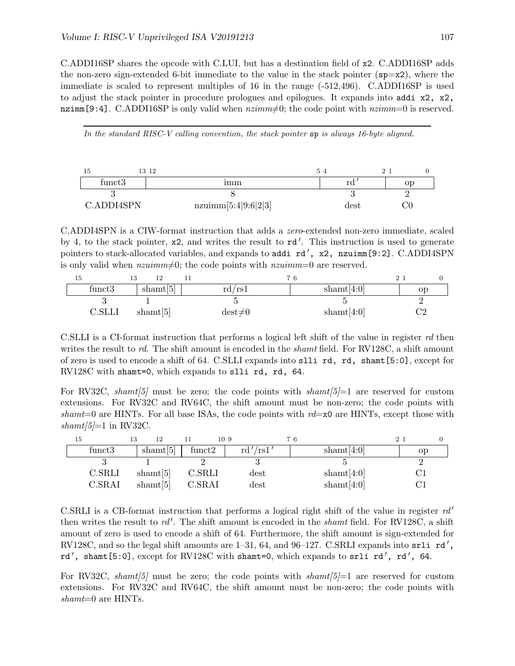C.ADDI16SP shares the opcode with C.LUI, but has a destination field of x2. C.ADDI16SP adds the non-zero sign-extended 6-bit immediate to the value in the stack pointer  $(sp=x2)$ , where the immediate is scaled to represent multiples of 16 in the range (-512,496). C.ADDI16SP is used to adjust the stack pointer in procedure prologues and epilogues. It expands into addi x2, x2,  $\texttt{nzimm}[9:4]$ . C.ADDI16SP is only valid when  $nzimm\neq 0$ ; the code point with  $nzimm=0$  is reserved.

In the standard RISC-V calling convention, the stack pointer sp is always 16-byte aligned.

| Τp         | 13 12               | 54          |    |
|------------|---------------------|-------------|----|
| funct3     | ımm                 | $r\epsilon$ | op |
|            |                     |             |    |
| C.ADDI4SPN | nzuimm[5:4 9:6 2 3] | dest        | 20 |

C.ADDI4SPN is a CIW-format instruction that adds a zero-extended non-zero immediate, scaled by 4, to the stack pointer, x2, and writes the result to  $rd'$ . This instruction is used to generate pointers to stack-allocated variables, and expands to addi rd ′, x2, nzuimm[9:2]. C.ADDI4SPN is only valid when  $nzuimm\neq 0$ ; the code points with  $nzuimm=0$  are reserved.

| 15            |          |               | 76 |            |    |
|---------------|----------|---------------|----|------------|----|
| funct3        | shamt[5] | rd/rs1        |    | shamt[4:0] | op |
|               |          |               |    |            |    |
| <b>C.SLLI</b> | shamt[5] | $dest \neq 0$ |    | shamt[4:0] | Ξ2 |

C.SLLI is a CI-format instruction that performs a logical left shift of the value in register rd then writes the result to rd. The shift amount is encoded in the *shamt* field. For RV128C, a shift amount of zero is used to encode a shift of 64. C.SLLI expands into slli rd, rd, shamt[5:0], except for RV128C with shamt=0, which expands to slli rd, rd, 64.

For RV32C, shamt<sup>[5]</sup> must be zero; the code points with shamt<sup>[5]</sup> $=$ 1 are reserved for custom extensions. For RV32C and RV64C, the shift amount must be non-zero; the code points with shamt=0 are HINTs. For all base ISAs, the code points with  $rd = x0$  are HINTs, except those with  $shamt[5]=1$  in RV32C.

| 15 |        | 13 | 12       |        | 109 |                 | 76 |            |    |  |
|----|--------|----|----------|--------|-----|-----------------|----|------------|----|--|
|    | funct3 |    | shamt[5] | funct2 |     | rd'/rs1'        |    | shamt[4:0] | op |  |
|    |        |    |          |        |     |                 |    |            |    |  |
|    | C.SRLI |    | shamt[5] | C.SRLI |     | dest            |    | shamt[4:0] |    |  |
|    | C.SRAI |    | shamt[5] | C.SRAI |     | $\mathrm{dest}$ |    | shamt[4:0] |    |  |

C.SRLI is a CB-format instruction that performs a logical right shift of the value in register  $rd'$ then writes the result to  $rd'$ . The shift amount is encoded in the *shamt* field. For RV128C, a shift amount of zero is used to encode a shift of 64. Furthermore, the shift amount is sign-extended for RV128C, and so the legal shift amounts are  $1-31$ , 64, and  $96-127$ . C.SRLI expands into srli rd', rd', shamt[5:0], except for RV128C with shamt=0, which expands to srli rd', rd', 64.

For RV32C, shamt<sup>[5]</sup> must be zero; the code points with shamt<sup>[5]</sup> $=$ 1 are reserved for custom extensions. For RV32C and RV64C, the shift amount must be non-zero; the code points with shamt=0 are HINTs.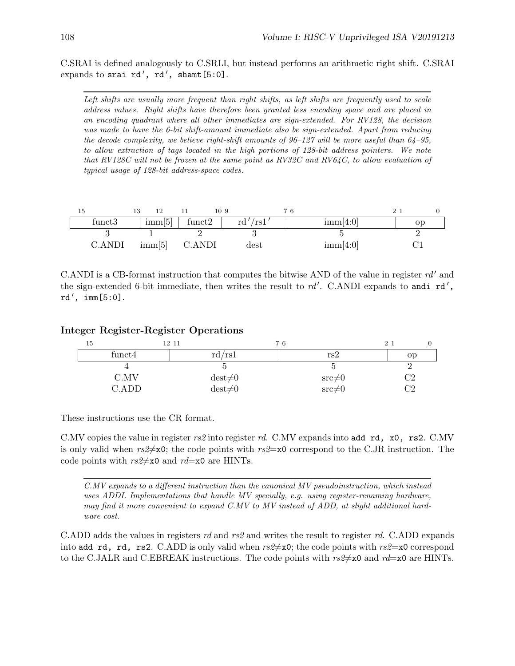C.SRAI is defined analogously to C.SRLI, but instead performs an arithmetic right shift. C.SRAI expands to srai rd', rd', shamt $[5:0]$ .

Left shifts are usually more frequent than right shifts, as left shifts are frequently used to scale address values. Right shifts have therefore been granted less encoding space and are placed in an encoding quadrant where all other immediates are sign-extended. For RV128, the decision was made to have the 6-bit shift-amount immediate also be sign-extended. Apart from reducing the decode complexity, we believe right-shift amounts of  $96-127$  will be more useful than  $64-95$ . to allow extraction of tags located in the high portions of 128-bit address pointers. We note that RV128C will not be frozen at the same point as RV32C and RV64C, to allow evaluation of typical usage of 128-bit address-space codes.

| 15     |                   | 12     | 10.9 |          |                     |              |
|--------|-------------------|--------|------|----------|---------------------|--------------|
| funct3 | imm[5]            | funct2 |      | rd'/rs1' | $\mathrm{imm}[4:0]$ | <sub>O</sub> |
|        |                   |        |      |          |                     |              |
| C.ANDI | $\mathrm{imm}[5]$ | C.ANDI |      | dest     | imm[4:0]            |              |

C.ANDI is a CB-format instruction that computes the bitwise AND of the value in register  $rd'$  and the sign-extended 6-bit immediate, then writes the result to  $rd'$ . C.ANDI expands to andi rd',  $rd', \text{imm}[5:0].$ 

#### Integer Register-Register Operations

| 15 |        | 12 11                                                                       | 76           |    |
|----|--------|-----------------------------------------------------------------------------|--------------|----|
|    | funct4 | rd/rs1                                                                      | rs2          | op |
|    |        |                                                                             |              |    |
|    | C.MV   |                                                                             | $src \neq 0$ | 22 |
|    | C.ADD  | $\begin{array}{c} \mathrm{dest} \neq 0 \\ \mathrm{dest} \neq 0 \end{array}$ | $src \neq 0$ | 72 |

These instructions use the CR format.

C.MV copies the value in register rs2 into register rd. C.MV expands into add rd, x0, rs2. C.MV is only valid when  $rs2\neq x0$ ; the code points with  $rs2=x0$  correspond to the C.JR instruction. The code points with  $rs2\neq x0$  and  $rd=x0$  are HINTs.

C.MV expands to a different instruction than the canonical MV pseudoinstruction, which instead uses ADDI. Implementations that handle MV specially, e.g. using register-renaming hardware, may find it more convenient to expand C.MV to MV instead of ADD, at slight additional hardware cost.

C.ADD adds the values in registers rd and rs2 and writes the result to register rd. C.ADD expands into add rd, rd, rs2. C.ADD is only valid when  $rs2\neq x0$ ; the code points with  $rs2=x0$  correspond to the C.JALR and C.EBREAK instructions. The code points with  $rs\ll\neq x0$  and  $rd=\infty$  are HINTs.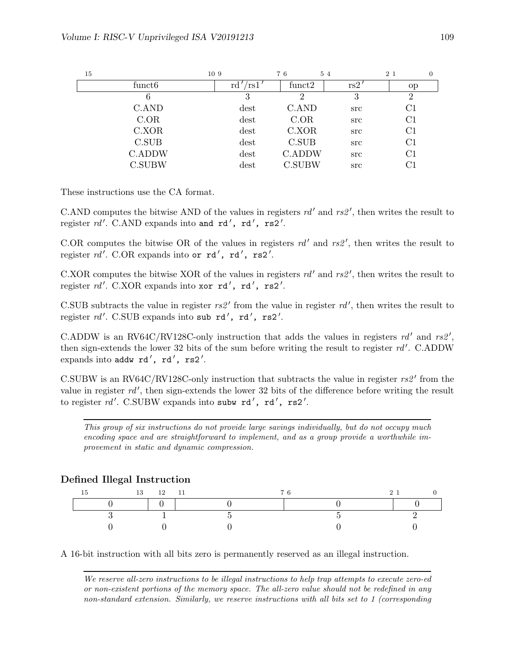| 15            | 10 9     | 76<br>54      |            | 2 <sub>1</sub><br>0 |
|---------------|----------|---------------|------------|---------------------|
| funct6        | rd'/rs1' | funct2        | rs2'       | op                  |
| 6             | 3        | 2             | 3          | $\overline{2}$      |
| C.AND         | dest     | C.AND         | src        | C1                  |
| C.OR          | dest     | C.OR          | src        | C1                  |
| C.XOR         | dest     | C.XOR         | src        | C1                  |
| C.SUB         | dest     | C.SUB         | src        | C1                  |
| <b>C.ADDW</b> | dest     | C.ADDW        | src        | C1                  |
| <b>C.SUBW</b> | dest     | <b>C.SUBW</b> | <b>src</b> | C1                  |

These instructions use the CA format.

C.AND computes the bitwise AND of the values in registers  $rd'$  and  $rs2'$ , then writes the result to register  $rd'$ . C.AND expands into and  $rd'$ ,  $rd'$ ,  $rs2'$ .

C.OR computes the bitwise OR of the values in registers  $rd'$  and  $rs2'$ , then writes the result to register  $rd'$ . C.OR expands into or  $rd'$ ,  $rd'$ ,  $rs2'$ .

C.XOR computes the bitwise XOR of the values in registers  $rd'$  and  $rs2'$ , then writes the result to register  $rd'$ . C.XOR expands into  $\mathbf{x}$ or  $\mathbf{rd}'$ ,  $\mathbf{rd}'$ ,  $\mathbf{rs2}'$ .

C.SUB subtracts the value in register  $rs2'$  from the value in register  $rd'$ , then writes the result to register  $rd'$ . C.SUB expands into sub rd', rd', rs2'.

C.ADDW is an RV64C/RV128C-only instruction that adds the values in registers  $rd'$  and  $rs2'$ , then sign-extends the lower 32 bits of the sum before writing the result to register  $rd'$ . C.ADDW expands into  $addw$  rd', rd', rs2'.

C.SUBW is an RV64C/RV128C-only instruction that subtracts the value in register  $rs2'$  from the value in register  $rd'$ , then sign-extends the lower 32 bits of the difference before writing the result to register  $rd'$ . C.SUBW expands into subw  $rd'$ ,  $rd'$ ,  $rs2'$ .

This group of six instructions do not provide large savings individually, but do not occupy much encoding space and are straightforward to implement, and as a group provide a worthwhile improvement in static and dynamic compression.

|  | 13   12   11 |  |  |
|--|--------------|--|--|
|  |              |  |  |
|  |              |  |  |
|  |              |  |  |

#### Defined Illegal Instruction

A 16-bit instruction with all bits zero is permanently reserved as an illegal instruction.

We reserve all-zero instructions to be illegal instructions to help trap attempts to execute zero-ed or non-existent portions of the memory space. The all-zero value should not be redefined in any non-standard extension. Similarly, we reserve instructions with all bits set to 1 (corresponding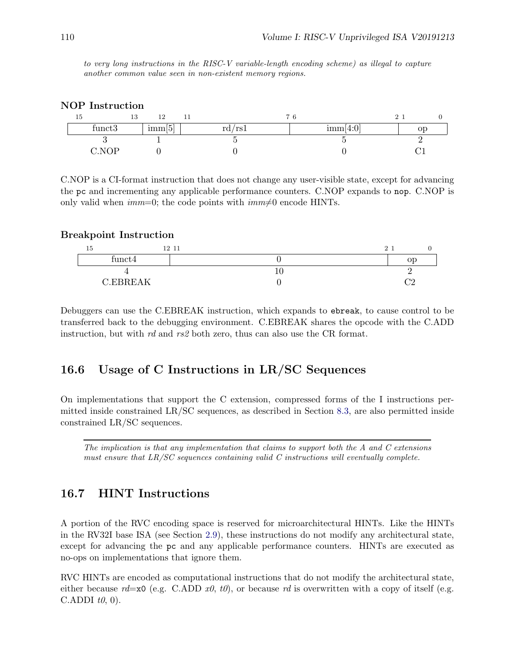to very long instructions in the RISC-V variable-length encoding scheme) as illegal to capture another common value seen in non-existent memory regions.

|    | $1.01$ motion devicing |    |        |        |                     |    |  |
|----|------------------------|----|--------|--------|---------------------|----|--|
| 15 |                        | 13 | 12     |        | 76                  |    |  |
|    | funct3                 |    | imm[5] | rd/rs1 | $\mathrm{imm}[4:0]$ | ΟD |  |
|    |                        |    |        |        |                     |    |  |
|    | C.NOP                  |    |        |        |                     |    |  |

C.NOP is a CI-format instruction that does not change any user-visible state, except for advancing the pc and incrementing any applicable performance counters. C.NOP expands to nop. C.NOP is only valid when  $imm=0$ ; the code points with  $imm\neq 0$  encode HINTs.

#### Breakpoint Instruction

NOP Instruction

| Тp |                 | 12 11<br>$\Omega$ |         |  |
|----|-----------------|-------------------|---------|--|
|    | funct4          |                   | op      |  |
|    |                 | τu                |         |  |
|    | <b>C.EBREAK</b> |                   | ٦<br>◡▵ |  |

Debuggers can use the C.EBREAK instruction, which expands to ebreak, to cause control to be transferred back to the debugging environment. C.EBREAK shares the opcode with the C.ADD instruction, but with rd and rs2 both zero, thus can also use the CR format.

## 16.6 Usage of C Instructions in LR/SC Sequences

On implementations that support the C extension, compressed forms of the I instructions permitted inside constrained LR/SC sequences, as described in Section [8.3,](#page-68-0) are also permitted inside constrained LR/SC sequences.

The implication is that any implementation that claims to support both the A and C extensions must ensure that  $LR/SC$  sequences containing valid  $C$  instructions will eventually complete.

# <span id="page-127-0"></span>16.7 HINT Instructions

A portion of the RVC encoding space is reserved for microarchitectural HINTs. Like the HINTs in the RV32I base ISA (see Section [2.9\)](#page-45-0), these instructions do not modify any architectural state, except for advancing the pc and any applicable performance counters. HINTs are executed as no-ops on implementations that ignore them.

RVC HINTs are encoded as computational instructions that do not modify the architectural state, either because  $rd = x0$  (e.g. C.ADD  $x0$ ,  $t0$ ), or because rd is overwritten with a copy of itself (e.g. C.ADDI  $t\theta$ , 0).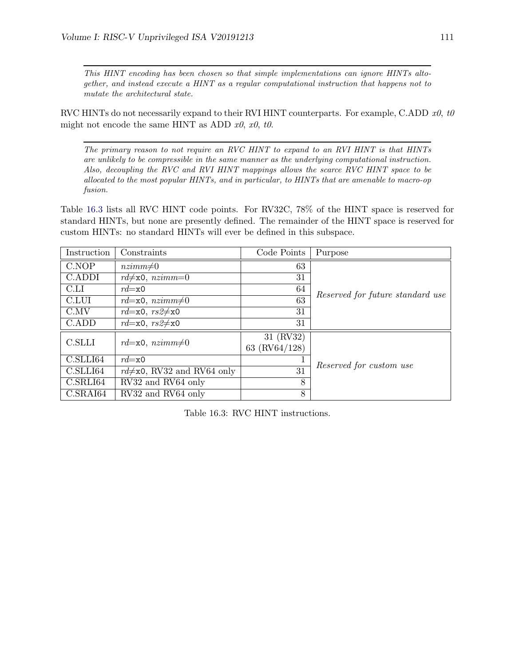This HINT encoding has been chosen so that simple implementations can ignore HINTs altogether, and instead execute a HINT as a regular computational instruction that happens not to mutate the architectural state.

RVC HINTs do not necessarily expand to their RVI HINT counterparts. For example, C.ADD  $x_0$ ,  $t_0$ might not encode the same HINT as ADD  $x\theta$ ,  $x\theta$ ,  $t\theta$ .

The primary reason to not require an RVC HINT to expand to an RVI HINT is that HINTs are unlikely to be compressible in the same manner as the underlying computational instruction. Also, decoupling the RVC and RVI HINT mappings allows the scarce RVC HINT space to be allocated to the most popular HINTs, and in particular, to HINTs that are amenable to macro-op fusion.

Table [16.3](#page-128-0) lists all RVC HINT code points. For RV32C, 78% of the HINT space is reserved for standard HINTs, but none are presently defined. The remainder of the HINT space is reserved for custom HINTs: no standard HINTs will ever be defined in this subspace.

| Instruction                    | Constraints                       | Code Points   | Purpose                          |
|--------------------------------|-----------------------------------|---------------|----------------------------------|
| C.NOP                          | $nzimm\neq0$                      | 63            |                                  |
| C.ADDI                         | $rd \neq x0$ , $nzimm=0$          | 31            |                                  |
| C.LI                           | $rd = x0$                         | 64            | Reserved for future standard use |
| C.LUI                          | $rd = x0$ , $nzimm \neq 0$        |               |                                  |
| C.MV                           | $rd = x0$ , $rs2 \neq x0$         | 31            |                                  |
| C.ADD                          | $rd=x0, rs2\neq x0$               | 31            |                                  |
| <b>C.SLLI</b>                  | $rd = x0$ , $nzimm \neq 0$        | 31 (RV32)     |                                  |
|                                |                                   | 63 (RV64/128) |                                  |
| C.SLLI64                       | $rd = x0$                         |               | Reserved for custom use          |
| C.SLLI64                       | $rd \neq x0$ , RV32 and RV64 only |               |                                  |
| C.SRLI64<br>RV32 and RV64 only |                                   | 8             |                                  |
| C.SRAI64                       | RV32 and RV64 only                | 8             |                                  |

<span id="page-128-0"></span>Table 16.3: RVC HINT instructions.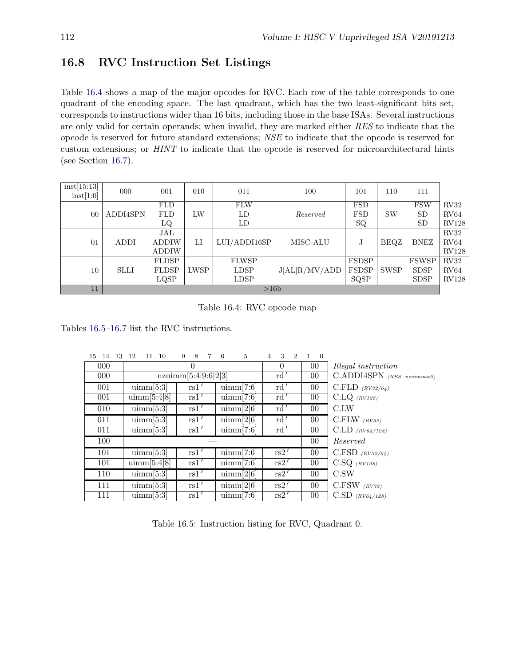# 16.8 RVC Instruction Set Listings

Table [16.4](#page-129-0) shows a map of the major opcodes for RVC. Each row of the table corresponds to one quadrant of the encoding space. The last quadrant, which has the two least-significant bits set, corresponds to instructions wider than 16 bits, including those in the base ISAs. Several instructions are only valid for certain operands; when invalid, they are marked either RES to indicate that the opcode is reserved for future standard extensions; NSE to indicate that the opcode is reserved for custom extensions; or HINT to indicate that the opcode is reserved for microarchitectural hints (see Section [16.7\)](#page-127-0).

| inst[15:13]<br>inst[1:0] | 000         | 001          | 010         | 011          | 100           | 101          | 110         | 111          |              |  |
|--------------------------|-------------|--------------|-------------|--------------|---------------|--------------|-------------|--------------|--------------|--|
|                          |             | <b>FLD</b>   |             | <b>FLW</b>   |               | <b>FSD</b>   |             | <b>FSW</b>   | RV32         |  |
| 00                       | ADDI4SPN    | <b>FLD</b>   | LW          | LD           | Reserved      | <b>FSD</b>   | SW          | <b>SD</b>    | RV64         |  |
|                          |             | LQ           |             | LD           |               | SQ           |             | <b>SD</b>    | <b>RV128</b> |  |
|                          |             | JAL          |             |              |               |              |             |              | RV32         |  |
| 01                       | ADDI        | <b>ADDIW</b> | LІ          | LUI/ADDI16SP | MISC-ALU      | J            | <b>BEQZ</b> | <b>BNEZ</b>  | RV64         |  |
|                          |             | <b>ADDIW</b> |             |              |               |              |             |              | <b>RV128</b> |  |
|                          |             | <b>FLDSP</b> |             | <b>FLWSP</b> |               | <b>FSDSP</b> |             | <b>FSWSP</b> | RV32         |  |
| 10                       | <b>SLLI</b> | <b>FLDSP</b> | <b>LWSP</b> | <b>LDSP</b>  | J[AL]R/MV/ADD | <b>FSDSP</b> | <b>SWSP</b> | <b>SDSP</b>  | RV64         |  |
|                          |             | LQSP         |             | <b>LDSP</b>  |               | SQSP         |             | <b>SDSP</b>  | <b>RV128</b> |  |
| 11                       | >16b        |              |             |              |               |              |             |              |              |  |

Table 16.4: RVC opcode map

<span id="page-129-0"></span>Tables [16.5–](#page-129-1)[16.7](#page-130-0) list the RVC instructions.

| 13<br>15 14 | 11 10<br>-12         | 9<br>-8<br>7        | $\overline{5}$<br>- 6 | 3<br>$\overline{4}$<br>$\mathcal{D}$ | $\Omega$        |                            |
|-------------|----------------------|---------------------|-----------------------|--------------------------------------|-----------------|----------------------------|
| 000         |                      |                     |                       | $\theta$                             | 00 <sup>°</sup> | <i>Illegal instruction</i> |
| 000         |                      | nzuimm[5:4 9:6 2 3] |                       | $\overline{\text{rd}}'$              | 00 <sup>°</sup> | C.ADDI4SPN (RES, nzuimm=0) |
| 001         | $\text{uimm}[5:3]$   | rs1'                | $\text{uimm}[7:6]$    | $\mathrm{rd}^{\,\prime}$             | 00 <sup>°</sup> | C.FLD $(RV32/64)$          |
| 001         | $\text{uimm}[5:4 8]$ | rs1'                | $\text{uimm}[7:6]$    | $\mathrm{rd}^{\,\prime}$             | 00 <sup>°</sup> | $CLQ$ (RV128)              |
| 010         | $\text{uimm}[5:3]$   | rs1'                | $\text{uimm}[2 6]$    | $\mathrm{rd}^{\prime}$               | 00 <sup>°</sup> | C.LW                       |
| 011         | $\text{uimm}[5:3]$   | rs1'                | $\text{uimm}[2 6]$    | $\mathrm{rd}$ '                      | 00 <sup>1</sup> | $C.$ FLW $(RV32)$          |
| 011         | $\text{uimm}[5:3]$   | rs1'                | $\text{uimm}[7:6]$    | $\mathrm{rd}^{\prime}$               | $00\,$          | $\text{C.LD}$ (RV64/128)   |
| 100         |                      |                     |                       |                                      | 00 <sup>°</sup> | Reserved                   |
| 101         | $\text{uimm}[5:3]$   | rs1'                | $\text{uimm}[7:6]$    | rs2'                                 | 00 <sup>°</sup> | $C.FSD$ (RV32/64)          |
| 101         | $\text{uimm}[5:4 8]$ | rs1'                | $\text{uimm}[7:6]$    | rs2'                                 | 00 <sup>°</sup> | $C.SQ$ (RV128)             |
| 110         | $\text{uimm}[5:3]$   | rs1'                | $\text{uimm}[2 6]$    | rs2'                                 | 00 <sup>°</sup> | C.SW                       |
| 111         | $\mu$ imm $[5:3]$    | rs1'                | $\text{uimm}[2 6]$    | rs2'                                 | 00 <sup>°</sup> | $C.FSW$ (RV32)             |
| 111         | $\text{uimm}[5:3]$   | rs1'                | $\text{uimm}[7:6]$    | rs2'                                 | 00 <sup>°</sup> | $C.SD$ (RV64/128)          |

<span id="page-129-1"></span>Table 16.5: Instruction listing for RVC, Quadrant 0.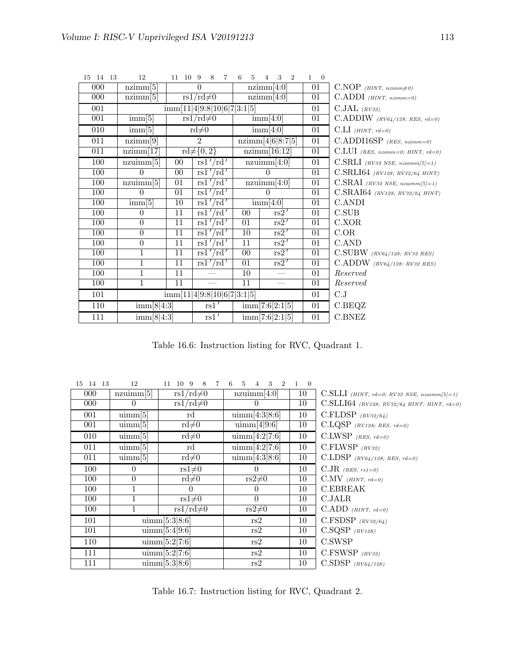| 15 14 13 | 12                  | 11 10 9 | $\overline{7}$<br>8                 | 6<br>5         | 3<br>$\overline{2}$<br>4 | $\mathbf{1}$<br>$\overline{0}$ |                                      |
|----------|---------------------|---------|-------------------------------------|----------------|--------------------------|--------------------------------|--------------------------------------|
| 000      | nzimm[5]            |         | $\Omega$                            |                | nzimm[4:0]               | $\overline{01}$                | $C.NOP$ (HINT, $nzimm \neq 0$ )      |
| 000      | nzimm[5]            |         | $rs1/rd \neq 0$                     |                | nzimm[4:0]               | 01                             | $C. ADDI$ (HINT, nzimm=0)            |
| 001      |                     |         | $\text{imm}[11 4 9:8 10 6 7 3:1 5]$ |                |                          | 01                             | $C.JAL$ (RV32)                       |
| 001      | $\mathrm{imm}[5]$   |         | $rs1/rd \neq 0$                     |                | $\mathrm{imm}[4:0]$      | 01                             | C.ADDIW ( $RV64/128$ ; RES, $rd=0$ ) |
| 010      | $\mathrm{imm}[5]$   |         | $\mathrm{rd}\neq 0$                 |                | imm[4:0]                 | 01                             | C.LI (HINT, $rd=0$ )                 |
| 011      | nzimm[9]            |         | $\mathfrak{D}$                      |                | nzimm[4 6 8:7 5]         | 01                             | C.ADDI16SP (RES, $nzimm=0$ )         |
| 011      | nzimm[17]           |         | $\mathrm{rd}\neq\{0,2\}$            |                | nzimm[16:12]             | 01                             | $C.LUI$ (RES, nzimm=0; HINT, rd=0)   |
| 100      | nzuimm[5]           | $00\,$  | rs1'/rd'                            |                | nzuimm[4:0]              | 01                             | $C.SRLI$ (RV32 NSE, nzuimm[5]=1)     |
| 100      | $\theta$            | $00\,$  | rs1'/rd'                            |                | $\Omega$                 | 01                             | $C.SRLI64$ (RV128; RV32/64 HINT)     |
| 100      | nzuimm[5]           | 01      | rs1'/rd'                            |                | nzuimm[4:0]              | 01                             | $C.SRAI$ (RV32 NSE, nzuimm[5]=1)     |
| 100      | $\theta$            | 01      | rs1'/rd'                            |                | 0                        | 01                             | $C.SRAI64$ (RV128; RV32/64 HINT)     |
| 100      | $\mathrm{imm}[5]$   | 10      | rs1'/rd'                            |                | imm[4:0]                 | 01                             | C.ANDI                               |
| 100      | $\overline{0}$      | 11      | rs1'/rd'                            | $00\,$         | rs2'                     | 01                             | C.SUB                                |
| 100      | $\boldsymbol{0}$    | 11      | rs1'/rd'                            | 01             | rs2'                     | 01                             | C.XOR                                |
| 100      | $\overline{0}$      | 11      | rs1'/rd'                            | 10             | rs2'                     | 01                             | $C \cdot OR$                         |
| 100      | $\overline{0}$      | 11      | rs1'/rd'                            | 11             | rs2'                     | 01                             | C.AND                                |
| 100      | $\mathbf{1}$        | 11      | rs1'/rd'                            | $00\,$         | rs2'                     | 01                             | $C.SUBW$ (RV64/128; RV32 RES)        |
| 100      | $\mathbf{1}$        | 11      | rs1'/rd'                            | 01             | rs2'                     | 01                             | $C. ADDW$ (RV64/128; RV32 RES)       |
| 100      | 1                   | 11      |                                     | 10             |                          | 01                             | Reserved                             |
| 100      | 1                   | 11      |                                     | 11             |                          | 01                             | Reserved                             |
| 101      |                     |         | $\text{imm}[11 4 9:8 10 6 7 3:1 5]$ |                |                          | 01                             | C.J                                  |
| 110      | imm[8]4:3]          |         | rs1'                                | imm[7:6 2:1 5] |                          | 01                             | C.BEQZ                               |
| 111      | $\text{imm}[8 4:3]$ |         | rs1'                                | imm[7:6 2:1 5] |                          | 01                             | C.BNEZ                               |

Table 16.6: Instruction listing for RVC, Quadrant 1.

| 15 14 13 | 12               | 11 10 9<br>8<br>$\overline{7}$ | 5<br>3<br>6<br>$\overline{4}$<br>$\overline{2}$ | $1 \quad 0$ |                                               |
|----------|------------------|--------------------------------|-------------------------------------------------|-------------|-----------------------------------------------|
| 000      | nzuimm[5]        | $rs1/rd \neq 0$                | nzuimm[4:0]                                     | 10          | $C. SLLI$ (HINT, rd=0; RV32 NSE, nzuimm[5]=1) |
| 000      | $\theta$         | $rs1/rd \neq 0$                | $\theta$                                        | 10          | C.SLLI64 (RV128; RV32/64 HINT; HINT, $rd=0$ ) |
| 001      | $\text{uimm}[5]$ | rd                             | $\mu$ imm $[4:3 8:6]$                           | 10          | C.FLDSP $(RV32/64)$                           |
| 001      | $\text{uimm}[5]$ | $\mathrm{rd}\neq 0$            | $\overline{\text{uimm}[4 9:6]}$                 | 10          | $CLQSP$ (RV128; RES, rd=0)                    |
| 010      | $\text{uimm}[5]$ | $\mathrm{rd}\neq 0$            | $\mu$ imm $[4:2 7:6]$                           | 10          | C.LWSP (RES, $rd=0$ )                         |
| 011      | $\text{uimm}[5]$ | rd                             | $\mu$ imm $[4:2 7:6]$                           | 10          | C.FLWSP $(RV32)$                              |
| 011      | $\text{uimm}[5]$ | $\mathrm{rd}\neq 0$            | $\overline{\text{uimm}[4:3 8:6]}$               | 10          | C.LDSP ( $RV64/128$ ; RES, $rd=0$ )           |
| 100      | $\overline{0}$   | $rs1\neq0$                     | $\Omega$                                        | 10          | $C.JR$ (RES. rs1=0)                           |
| 100      | $\overline{0}$   | $\mathrm{rd}\neq 0$            | $rs2\neq0$                                      | 10          | C.MV (HINT, $rd=0$ )                          |
| 100      | 1                | 0                              | $\left( \right)$                                | 10          | C.EBREAK                                      |
| 100      | 1                | $rs1\neq0$                     | $\Omega$                                        | 10          | C.JALR                                        |
| 100      |                  | $rs1/rd \neq 0$                | $rs2\neq0$                                      | 10          | C.ADD (HINT, $rd=0$ )                         |
| 101      |                  | $\mu$ imm $[5:3 8:6]$          | rs2                                             | 10          | C.FSDSP $(RV32/64)$                           |
| 101      |                  | $\mu$ imm $[5:4 9:6]$          | rs2                                             | 10          | $C.SQSP$ (RV128)                              |
| 110      |                  | $\mu$ imm $[5:2 7:6]$          | rs2                                             | 10          | C.SWSP                                        |
| 111      |                  | $\mu$ imm $[5:2 7:6]$          | rs2                                             | 10          | $C.FSWSP$ (RV32)                              |
| 111      |                  | $\mu$ imm $[5:3 8:6]$          | rs2                                             | 10          | C.SDSP $(RV64/128)$                           |

<span id="page-130-0"></span>Table 16.7: Instruction listing for RVC, Quadrant 2.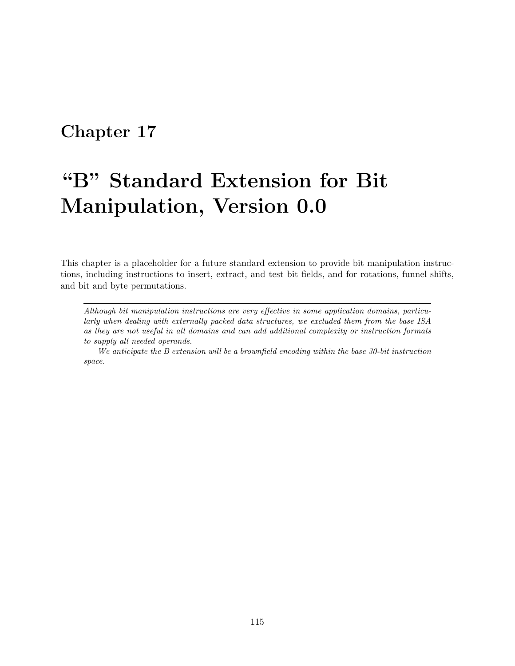# "B" Standard Extension for Bit Manipulation, Version 0.0

This chapter is a placeholder for a future standard extension to provide bit manipulation instructions, including instructions to insert, extract, and test bit fields, and for rotations, funnel shifts, and bit and byte permutations.

Although bit manipulation instructions are very effective in some application domains, particularly when dealing with externally packed data structures, we excluded them from the base ISA as they are not useful in all domains and can add additional complexity or instruction formats to supply all needed operands.

We anticipate the B extension will be a brownfield encoding within the base 30-bit instruction space.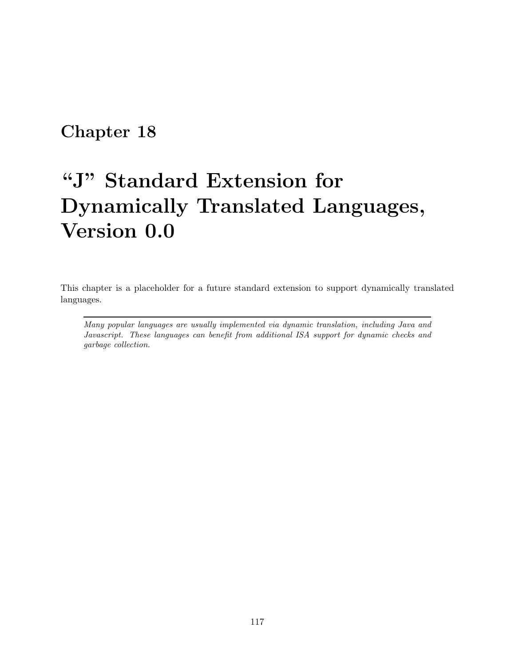# "J" Standard Extension for Dynamically Translated Languages, Version 0.0

This chapter is a placeholder for a future standard extension to support dynamically translated languages.

Many popular languages are usually implemented via dynamic translation, including Java and Javascript. These languages can benefit from additional ISA support for dynamic checks and garbage collection.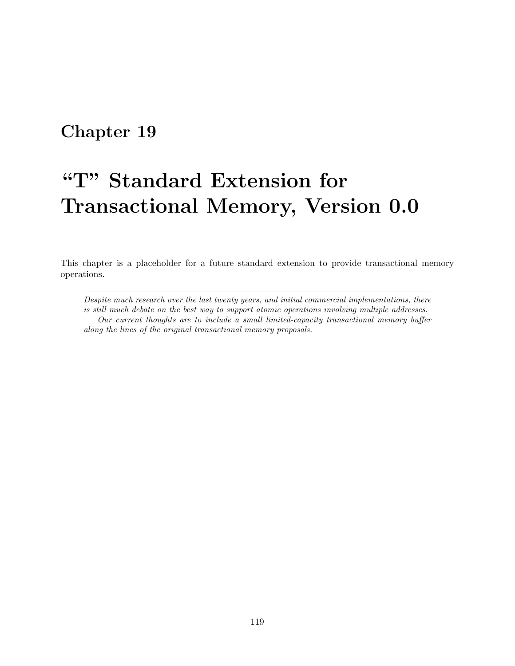# "T" Standard Extension for Transactional Memory, Version 0.0

This chapter is a placeholder for a future standard extension to provide transactional memory operations.

Despite much research over the last twenty years, and initial commercial implementations, there is still much debate on the best way to support atomic operations involving multiple addresses. Our current thoughts are to include a small limited-capacity transactional memory buffer along the lines of the original transactional memory proposals.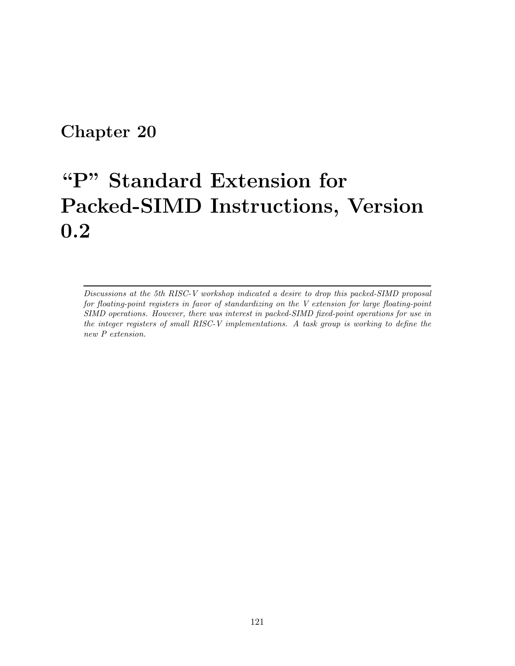# "P" Standard Extension for Packed-SIMD Instructions, Version 0.2

Discussions at the 5th RISC-V workshop indicated a desire to drop this packed-SIMD proposal for floating-point registers in favor of standardizing on the V extension for large floating-point SIMD operations. However, there was interest in packed-SIMD fixed-point operations for use in the integer registers of small RISC-V implementations. A task group is working to define the new P extension.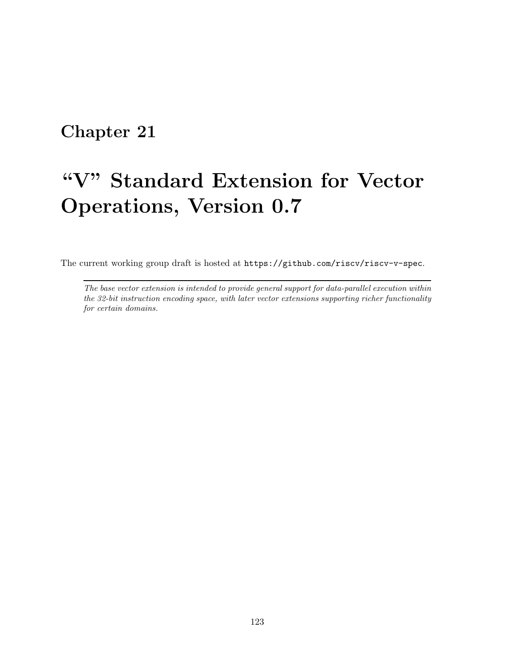# "V" Standard Extension for Vector Operations, Version 0.7

The current working group draft is hosted at https://github.com/riscv/riscv-v-spec.

The base vector extension is intended to provide general support for data-parallel execution within the 32-bit instruction encoding space, with later vector extensions supporting richer functionality for certain domains.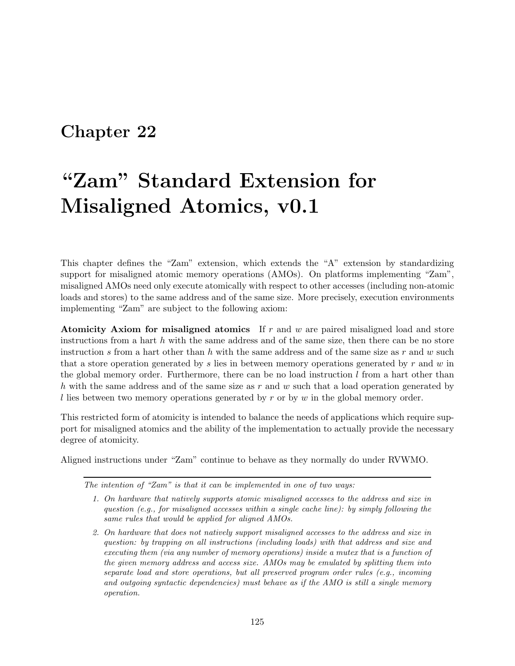# "Zam" Standard Extension for Misaligned Atomics, v0.1

This chapter defines the "Zam" extension, which extends the "A" extension by standardizing support for misaligned atomic memory operations (AMOs). On platforms implementing "Zam", misaligned AMOs need only execute atomically with respect to other accesses (including non-atomic loads and stores) to the same address and of the same size. More precisely, execution environments implementing "Zam" are subject to the following axiom:

**Atomicity Axiom for misaligned atomics** If r and w are paired misaligned load and store instructions from a hart  $h$  with the same address and of the same size, then there can be no store instruction s from a hart other than h with the same address and of the same size as r and w such that a store operation generated by s lies in between memory operations generated by r and w in the global memory order. Furthermore, there can be no load instruction  $l$  from a hart other than h with the same address and of the same size as r and w such that a load operation generated by l lies between two memory operations generated by  $r$  or by  $w$  in the global memory order.

This restricted form of atomicity is intended to balance the needs of applications which require support for misaligned atomics and the ability of the implementation to actually provide the necessary degree of atomicity.

Aligned instructions under "Zam" continue to behave as they normally do under RVWMO.

The intention of "Zam" is that it can be implemented in one of two ways:

- 1. On hardware that natively supports atomic misaligned accesses to the address and size in question (e.g., for misaligned accesses within a single cache line): by simply following the same rules that would be applied for aligned AMOs.
- 2. On hardware that does not natively support misaligned accesses to the address and size in question: by trapping on all instructions (including loads) with that address and size and executing them (via any number of memory operations) inside a mutex that is a function of the given memory address and access size. AMOs may be emulated by splitting them into separate load and store operations, but all preserved program order rules (e.g., incoming and outgoing syntactic dependencies) must behave as if the AMO is still a single memory operation.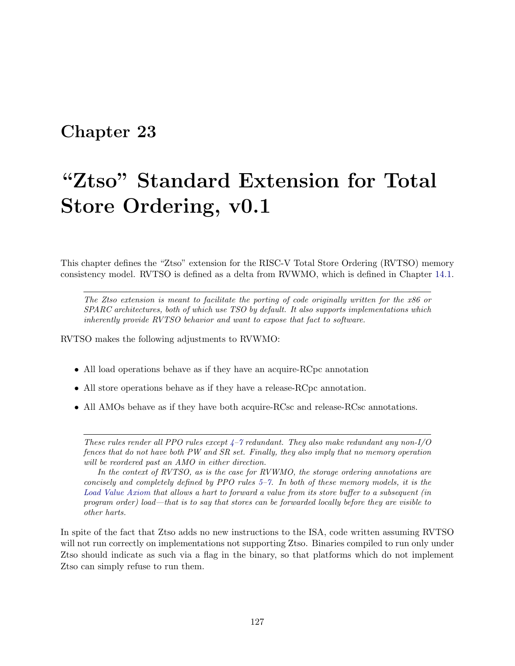# Chapter 23

# "Ztso" Standard Extension for Total Store Ordering, v0.1

This chapter defines the "Ztso" extension for the RISC-V Total Store Ordering (RVTSO) memory consistency model. RVTSO is defined as a delta from RVWMO, which is defined in Chapter [14.1.](#page-101-0)

The Ztso extension is meant to facilitate the porting of code originally written for the x86 or SPARC architectures, both of which use TSO by default. It also supports implementations which inherently provide RVTSO behavior and want to expose that fact to software.

RVTSO makes the following adjustments to RVWMO:

- All load operations behave as if they have an acquire-RCpc annotation
- All store operations behave as if they have a release-RCpc annotation.
- All AMOs behave as if they have both acquire-RCsc and release-RCsc annotations.

In the context of RVTSO, as is the case for RVWMO, the storage ordering annotations are concisely and completely defined by PPO rules [5](#page-104-2)[–7.](#page-104-1) In both of these memory models, it is the [Load Value Axiom](#page-105-0) that allows a hart to forward a value from its store buffer to a subsequent (in program order) load—that is to say that stores can be forwarded locally before they are visible to other harts.

In spite of the fact that Ztso adds no new instructions to the ISA, code written assuming RVTSO will not run correctly on implementations not supporting Ztso. Binaries compiled to run only under Ztso should indicate as such via a flag in the binary, so that platforms which do not implement Ztso can simply refuse to run them.

These rules render all PPO rules except  $\lambda$ -7 redundant. They also make redundant any non-I/O fences that do not have both PW and SR set. Finally, they also imply that no memory operation will be reordered past an AMO in either direction.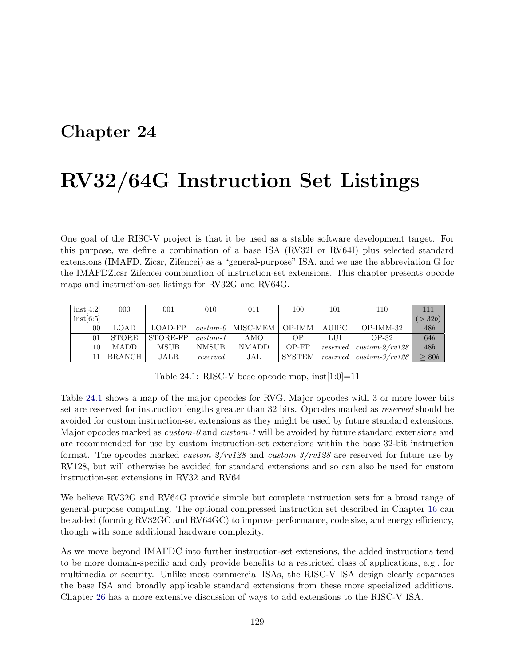# Chapter 24

# RV32/64G Instruction Set Listings

One goal of the RISC-V project is that it be used as a stable software development target. For this purpose, we define a combination of a base ISA (RV32I or RV64I) plus selected standard extensions (IMAFD, Zicsr, Zifencei) as a "general-purpose" ISA, and we use the abbreviation G for the IMAFDZicsr Zifencei combination of instruction-set extensions. This chapter presents opcode maps and instruction-set listings for RV32G and RV64G.

| inst[4:2] | 000           | 001         | 010                 | 011          | 100            | 101      | 110                     | 111        |
|-----------|---------------|-------------|---------------------|--------------|----------------|----------|-------------------------|------------|
| inst[6:5] |               |             |                     |              |                |          |                         | $\leq 32b$ |
| $00\,$    | LOAD          | LOAD-FP     | $\textit{custom-0}$ | MISC-MEM     | OP-IMM         | AUIPC.   | $OP-IMM-32$             | 48b        |
| 01        | <b>STORE</b>  | STORE-FP    | $\it{custom-1}$     | AMO          | 0 <sub>P</sub> | LUI      | $OP-32$                 | <b>64b</b> |
| 10        | <b>MADD</b>   | MSUB        | <b>NMSUB</b>        | <b>NMADD</b> | $OP-FP$        | reserved | $\emph{custom-2/rv128}$ | <b>48b</b> |
|           | <b>BRANCH</b> | <b>JALR</b> | reserved            | JAL          | <b>SYSTEM</b>  | reserved | $\emph{custom-3/rv128}$ | $\geq 80b$ |

Table 24.1: RISC-V base opcode map,  $inst[1:0]=11$ 

<span id="page-146-0"></span>Table [24.1](#page-146-0) shows a map of the major opcodes for RVG. Major opcodes with 3 or more lower bits set are reserved for instruction lengths greater than 32 bits. Opcodes marked as reserved should be avoided for custom instruction-set extensions as they might be used by future standard extensions. Major opcodes marked as *custom-0* and *custom-1* will be avoided by future standard extensions and are recommended for use by custom instruction-set extensions within the base 32-bit instruction format. The opcodes marked custom-2/rv128 and custom-3/rv128 are reserved for future use by RV128, but will otherwise be avoided for standard extensions and so can also be used for custom instruction-set extensions in RV32 and RV64.

We believe RV32G and RV64G provide simple but complete instruction sets for a broad range of general-purpose computing. The optional compressed instruction set described in Chapter [16](#page-114-0) can be added (forming RV32GC and RV64GC) to improve performance, code size, and energy efficiency, though with some additional hardware complexity.

As we move beyond IMAFDC into further instruction-set extensions, the added instructions tend to be more domain-specific and only provide benefits to a restricted class of applications, e.g., for multimedia or security. Unlike most commercial ISAs, the RISC-V ISA design clearly separates the base ISA and broadly applicable standard extensions from these more specialized additions. Chapter [26](#page-158-0) has a more extensive discussion of ways to add extensions to the RISC-V ISA.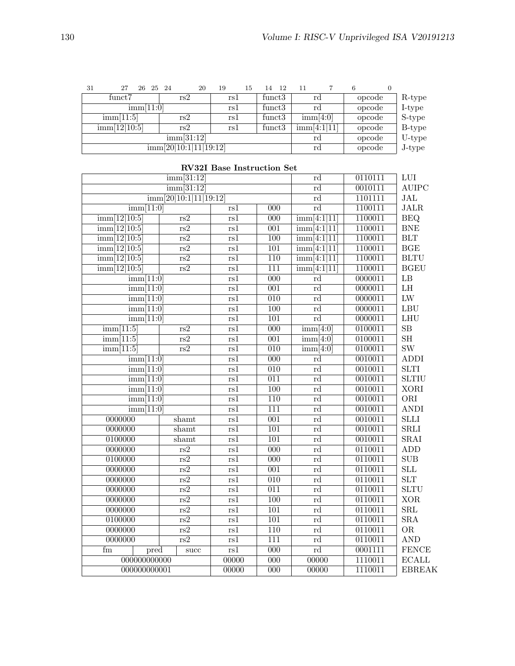| 31                                        | 27                    |           |  | 26 25 24 |            | 20 | 19  | 15 | 14     | 12     |             |        |           |
|-------------------------------------------|-----------------------|-----------|--|----------|------------|----|-----|----|--------|--------|-------------|--------|-----------|
|                                           | funct7                |           |  |          | rs2        |    | rs1 |    | funct3 |        | rd          | opcode | R-type    |
|                                           |                       | imm[11:0] |  |          |            |    | rsl |    | funct3 |        | rd          | opcode | I-type    |
|                                           | imm[11:5]             |           |  |          | rs2        |    | rs1 |    | funct3 |        | imm[4:0]    | opcode | S-type    |
|                                           | $\text{imm}[12 10:5]$ |           |  |          | rs2        |    | rs1 |    | funct3 |        | imm[4:1 11] | opcode | B-type    |
|                                           |                       |           |  |          | imm[31:12] |    |     |    |        |        | rd          | opcode | $U$ -type |
| $\overline{\text{imm}[20 10:1 11 19:12]}$ |                       |           |  |          |            |    |     |    | rd     | opcode | J-type      |        |           |

|                                    | $\mathrm{imm}[31:12]$                       |                         |                  | rd                                | 0110111 | LUI                        |
|------------------------------------|---------------------------------------------|-------------------------|------------------|-----------------------------------|---------|----------------------------|
|                                    | $\overline{\text{imm}[31:12]}$              |                         |                  | rd                                | 0010111 | <b>AUIPC</b>               |
|                                    | $\overline{\mathrm{imm}[20 10:1 11 19:12]}$ |                         |                  | $\overline{\text{rd}}$            | 1101111 | JAL                        |
| $\overline{\text{imm}[11:0]}$      |                                             | rs1                     | $\overline{000}$ | rd                                | 1100111 | <b>JALR</b>                |
| $\overline{\text{imm}[12 10:5]}$   | rs2                                         | rs1                     | 000              | $\overline{\text{imm}[4:1 11]}$   | 1100011 | <b>BEQ</b>                 |
| $\mathrm{imm}[12 10:5]$            | rs2                                         | rs1                     | 001              | imm[4:1 11]                       | 1100011 | ${\rm BNE}$                |
| $\mathrm{imm}[12 10:5]$            | rs2                                         | rs1                     | 100              | imm[4:1 11]                       | 1100011 | BLT                        |
| $\mathrm{imm}[12 10:5]$            | $\overline{\text{rs2}}$                     | rs1                     | 101              | $\overline{\text{imm}[4:1 11]}$   | 1100011 | $\rm BGE$                  |
| $\overline{\text{imm}[12 10:5]}$   | $\overline{\text{rs2}}$                     | rs1                     | 110              | $\overline{\mathrm{imm}[4:1 11]}$ | 1100011 | <b>BLTU</b>                |
| $\overline{\text{imm}[12 10:5]}$   | $\overline{\text{rs2}}$                     | rs1                     | $\overline{111}$ | $\overline{\text{imm}[4:1 11]}$   | 1100011 | <b>BGEU</b>                |
| $\overline{\text{imm}[11:0]}$      |                                             | rs1                     | $\overline{000}$ | rd                                | 0000011 | $\rm{LB}$                  |
| $\overline{\mathrm{imm}[11:0]}$    |                                             | rs1                     | $\overline{001}$ | rd                                | 0000011 | $\mathop{\rm LH}\nolimits$ |
| $\overline{\text{imm}[11:0]}$      |                                             | rs1                     | 010              | rd                                | 0000011 | ${\rm LW}$                 |
| imm[11:0]                          |                                             | rs1                     | 100              | rd                                | 0000011 | ${\rm LBU}$                |
| $\overline{\text{imm}[11:0]}$      |                                             | rs1                     | 101              | rd                                | 0000011 | ${\rm LHU}$                |
| $\mathrm{imm}[11:5]$               | rs2                                         | rs1                     | $\overline{000}$ | $\overline{\text{imm}[4:0]}$      | 0100011 | SB                         |
| $\overline{\text{imm}[11:5]}$      | $\overline{\text{rs2}}$                     | rs1                     | $\overline{001}$ | $\overline{\text{imm}[4:0]}$      | 0100011 | $\operatorname{SH}$        |
| $\overline{\text{imm}[11:5]}$      | $\overline{\text{rs2}}$                     | $\overline{\text{rs1}}$ | $\overline{010}$ | $\overline{\text{imm}[4:0]}$      | 0100011 | $\mathrm{SW}$              |
| $\overline{\text{imm}[11:0]}$      |                                             | rs1                     | $\overline{000}$ | rd                                | 0010011 | <b>ADDI</b>                |
| $\overline{\text{imm}[11:0]}$      |                                             | rs1                     | $\overline{010}$ | rd                                | 0010011 | SLTI                       |
| $\overline{\text{imm}[11:0]}$      |                                             | rs1                     | $\overline{011}$ | rd                                | 0010011 | <b>SLTIU</b>               |
| $\mathrm{imm}[11:0]$               |                                             | rs1                     | 100              | rd                                | 0010011 | <b>XORI</b>                |
| imm[11:0]                          |                                             | rs1                     | 110<br>rd        |                                   | 0010011 | ORI                        |
| $\overline{\text{imm}[11:0]}$      |                                             | rs1                     | $\overline{111}$ | rd                                | 0010011 | <b>ANDI</b>                |
| 0000000                            | shamt                                       | rs1                     | $\overline{001}$ | $\overline{\text{rd}}$            | 0010011 | <b>SLLI</b>                |
| 0000000                            | shamt                                       | rs1                     | $\overline{101}$ | rd                                | 0010011 | <b>SRLI</b>                |
| 0100000                            | shamt                                       | rs1                     | $\overline{101}$ | rd                                | 0010011 | <b>SRAI</b>                |
| 0000000                            | rs2                                         | rs1                     | $\overline{000}$ | rd                                | 0110011 | <b>ADD</b>                 |
| 0100000                            | rs2                                         | rs1                     | $\overline{000}$ | rd                                | 0110011 | SUB                        |
| 0000000                            | rs2                                         | rs1                     | 001              | rd                                | 0110011 | ${\rm SLL}$                |
| 0000000                            | rs2                                         | rs1                     | 010              | rd                                | 0110011 | <b>SLT</b>                 |
| 0000000                            | rs2                                         | rs1                     | 011              | rd                                | 0110011 | <b>SLTU</b>                |
| 0000000                            | $\overline{\text{rs2}}$                     | rs1                     | 100              | rd                                | 0110011 | <b>XOR</b>                 |
| 0000000                            | rs2                                         |                         | $\overline{101}$ | rd                                | 0110011 | SRL                        |
| 0100000<br>$\overline{\text{rs2}}$ |                                             | rs1                     | $\overline{101}$ | rd                                | 0110011 | <b>SRA</b>                 |
| 0000000                            | $\overline{\text{rs2}}$                     | rs1                     | $\overline{110}$ | $\overline{\text{rd}}$            | 0110011 | $\rm OR$                   |
| 0000000<br>$\overline{\text{rs2}}$ |                                             | rs1                     | $\overline{111}$ | $\overline{\text{rd}}$            | 0110011 | <b>AND</b>                 |
| $\operatorname{fm}$<br>pred        | succ                                        | rs1                     | 000              | rd                                | 0001111 | <b>FENCE</b>               |
| 000000000000                       |                                             | 00000                   | 000              | 00000                             | 1110011 | $\operatorname{ECALL}$     |
| 000000000001                       |                                             | 00000                   | 000              | 00000                             | 1110011 | <b>EBREAK</b>              |

#### RV32I Base Instruction Set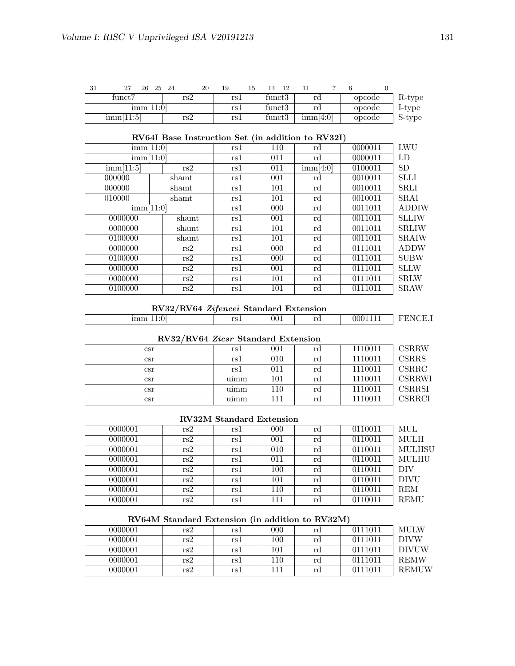| 27<br>31          |           | 26 25 24 |     | 20 | 19  | 14     |                     |  |        |        |
|-------------------|-----------|----------|-----|----|-----|--------|---------------------|--|--------|--------|
| $\mathrm{funct}7$ |           |          | rs2 |    | rs1 | funct3 | rd                  |  | opcode | R-type |
|                   | imm[11:0] |          |     |    | rsl | funct3 | rd                  |  | opcode | 1-type |
| imm[11:5]         |           |          | rs2 |    | rsl | funct3 | $\mathrm{imm}[4:0]$ |  | opcode | S-type |

| $\overline{\text{imm}}[11:0]$ |       | rs1 | 110 | rd                             | 0000011 | LWU          |  |  |  |  |
|-------------------------------|-------|-----|-----|--------------------------------|---------|--------------|--|--|--|--|
| imm[11:0]                     |       | rs1 | 011 | rd                             | 0000011 | LD           |  |  |  |  |
| $\mathrm{imm}[11:5]$          | rs2   | rs1 | 011 | $\overline{\mathrm{imm}}[4:0]$ | 0100011 | <b>SD</b>    |  |  |  |  |
| 000000                        | shamt | rs1 | 001 | rd                             | 0010011 | <b>SLLI</b>  |  |  |  |  |
| 000000                        | shamt | rs1 | 101 | rd                             | 0010011 | <b>SRLI</b>  |  |  |  |  |
| 010000                        | shamt | rs1 | 101 | rd                             | 0010011 | <b>SRAI</b>  |  |  |  |  |
| $\overline{\text{imm}[11:0]}$ |       | rs1 | 000 | rd                             | 0011011 | <b>ADDIW</b> |  |  |  |  |
| 0000000                       | shamt | rs1 | 001 | rd                             | 0011011 | <b>SLLIW</b> |  |  |  |  |
| 0000000                       | shamt | rs1 | 101 | rd                             | 0011011 | <b>SRLIW</b> |  |  |  |  |
| 0100000                       | shamt | rs1 | 101 | rd                             | 0011011 | SRAIW        |  |  |  |  |
| 0000000                       | rs2   | rs1 | 000 | rd                             | 0111011 | <b>ADDW</b>  |  |  |  |  |
| 0100000                       | rs2   | rs1 | 000 | rd                             | 0111011 | <b>SUBW</b>  |  |  |  |  |
| 0000000                       | rs2   | rs1 | 001 | rd                             | 0111011 | <b>SLLW</b>  |  |  |  |  |
| 0000000                       | rs2   |     | 101 | rd                             | 0111011 | <b>SRLW</b>  |  |  |  |  |
| 0100000                       | rs2   | rs1 | 101 | rd                             | 0111011 | <b>SRAW</b>  |  |  |  |  |

#### RV64I Base Instruction Set (in addition to RV32I)

#### RV32/RV64 Zifencei Standard Extension

| 1 <sub>mm</sub> | rc<br>TOT | 001<br><u>. на т</u> | rd | 000 | $\sim$<br>. . |
|-----------------|-----------|----------------------|----|-----|---------------|
|-----------------|-----------|----------------------|----|-----|---------------|

#### RV32/RV64 Zicsr Standard Extension

| $\operatorname{csr}$ | rs1      | 001 | rd | 1110011 | <b>CSRRW</b>  |
|----------------------|----------|-----|----|---------|---------------|
| $\operatorname{csr}$ | rs 1     | 010 | rd | 1110011 | <b>CSRRS</b>  |
| $\operatorname{csr}$ | rs 1     | 011 | rd | 1110011 | <b>CSRRC</b>  |
| $\operatorname{csr}$ | $\mu$ mm | 101 | rd | 1110011 | <b>CSRRWI</b> |
| $\operatorname{csr}$ | uimm     | 110 | rd | 1110011 | <b>CSRRSI</b> |
| $\operatorname{csr}$ | $\mu$ mm | .11 | rd | 1110011 | <b>CSRRCI</b> |

#### RV32M Standard Extension

| 0000001 | rs2 | rs1 | 000 | rd | 0110011 | MUL           |
|---------|-----|-----|-----|----|---------|---------------|
| 0000001 | rs2 | rs1 | 001 | rd | 0110011 | MULH          |
| 0000001 | rs2 | rs1 | 010 | rd | 0110011 | <b>MULHSU</b> |
| 0000001 | rs2 | rs1 | 011 | rd | 0110011 | MULHU         |
| 0000001 | rs2 | rs1 | 100 | rd | 0110011 | DIV           |
| 0000001 | rs2 | rsl | 101 | rd | 0110011 | <b>DIVU</b>   |
| 0000001 | rs2 | rs1 | 110 | rd | 0110011 | <b>REM</b>    |
| 0000001 | rs2 | rsl |     | rd | 0110011 | <b>REMU</b>   |

#### RV64M Standard Extension (in addition to RV32M)

| 0000001 | rs2 | rs1  | 000     | rd | 0111011 | MULW        |
|---------|-----|------|---------|----|---------|-------------|
| 0000001 | rs2 | rs 1 | $.00\,$ | rd | 0111011 | DIVW        |
| 0000001 | rs2 | rs 1 |         | rd | 0111011 | DIVUW.      |
| 0000001 | rs2 | rsı  | 10      | rd | 0111011 | <b>REMW</b> |
| 0000001 | rs2 | rs 1 |         | rd | 0111011 | REMUW       |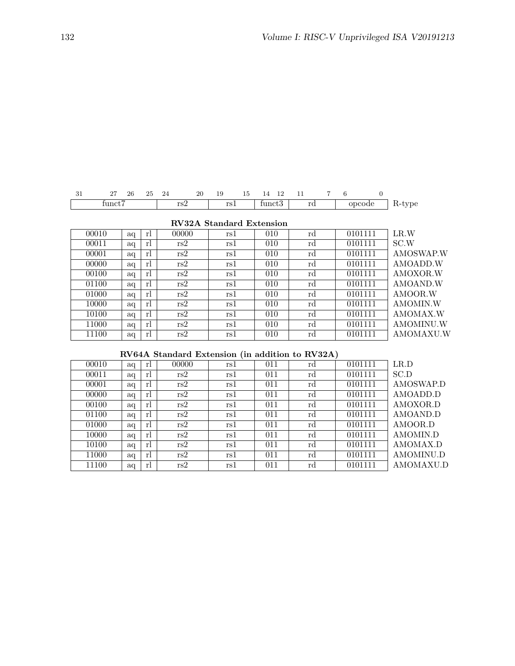| ົ<br>-<br>- | 26 | n r | $-$ | or<br>20                   | <b>16</b>                  | . |        |                       |  |                   |
|-------------|----|-----|-----|----------------------------|----------------------------|---|--------|-----------------------|--|-------------------|
|             |    |     |     | $\mathbf{v}$<br><b>IN-</b> | $\mathbf{v}$<br><b>TOT</b> |   | ranceo | $r\epsilon$<br>$\sim$ |  | n o<br>v<br>. L L |

#### RV32A Standard Extension

| 00010 | aq | rl             | 00000 | rs1 | 010 | rd | 0101111 | LR.W      |
|-------|----|----------------|-------|-----|-----|----|---------|-----------|
| 00011 | aq | rl             | rs2   | rs1 | 010 | rd | 0101111 | SC.W      |
| 00001 | aq | rl             | rs2   | rs1 | 010 | rd | 0101111 | AMOSWAP.W |
| 00000 | aq | rl             | rs2   | rs1 | 010 | rd | 0101111 | AMOADD.W  |
| 00100 | aq | rl             | rs2   | rs1 | 010 | rd | 0101111 | AMOXOR.W  |
| 01100 | aq | rl             | rs2   | rs1 | 010 | rd | 0101111 | AMOAND.W  |
| 01000 | aq | r <sup>1</sup> | rs2   | rs1 | 010 | rd | 0101111 | AMOOR.W   |
| 10000 | aq | rl             | rs2   | rs1 | 010 | rd | 0101111 | AMOMIN.W  |
| 10100 | aq | rl             | rs2   | rs1 | 010 | rd | 0101111 | AMOMAX.W  |
| 11000 | aq | rl             | rs2   | rs1 | 010 | rd | 0101111 | AMOMINU.W |
| 11100 | aq | rl             | rs2   | rs1 | 010 | rd | 0101111 | AMOMAXU.W |
|       |    |                |       |     |     |    |         |           |

## RV64A Standard Extension (in addition to RV32A)

| 00010 | aq | rl | 00000 | rs1 | 011 | rd | 0101111 | LR.D      |
|-------|----|----|-------|-----|-----|----|---------|-----------|
| 00011 | aq | rl | rs2   | rs1 | 011 | rd | 0101111 | SC.D      |
| 00001 | aq | rl | rs2   | rs1 | 011 | rd | 0101111 | AMOSWAP.D |
| 00000 | aq | rl | rs2   | rs1 | 011 | rd | 0101111 | AMOADD.D  |
| 00100 | aq | rl | rs2   | rs1 | 011 | rd | 0101111 | AMOXOR.D  |
| 01100 | aq | rl | rs2   | rs1 | 011 | rd | 0101111 | AMOAND.D  |
| 01000 | aq | rl | rs2   | rs1 | 011 | rd | 0101111 | AMOOR.D   |
| 10000 | aq | rl | rs2   | rs1 | 011 | rd | 0101111 | AMOMIN.D  |
| 10100 | aq | rl | rs2   | rs1 | 011 | rd | 0101111 | AMOMAX.D  |
| 11000 | aq | rl | rs2   | rs1 | 011 | rd | 0101111 | AMOMINU.D |
| 11100 | aq | rl | rs2   | rs1 | 011 | rd | 0101111 | AMOMAXU.D |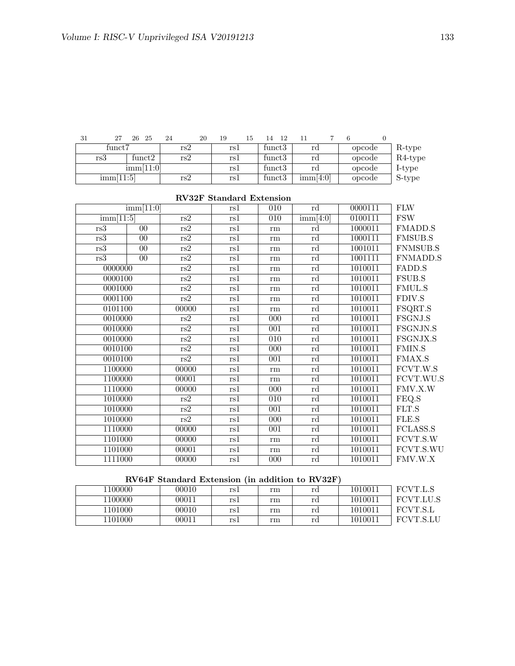| -31 |                   | 26 | -25       | 24 |     | 20 | 19   | 14     | - 12 |          |        |            |
|-----|-------------------|----|-----------|----|-----|----|------|--------|------|----------|--------|------------|
|     | $\mathrm{funct}7$ |    |           |    | rs2 |    | rs1  | funct3 |      | rd       | opcode | R-type     |
| rs3 |                   |    | funct2    |    | rs2 |    | rsl  | funct3 |      | rd       | opcode | $R4$ -type |
|     |                   |    | imm[11:0] |    |     |    | rs l | funct3 |      | rd       | opcode | I-type     |
|     | imm[11:5]         |    |           |    | rs2 |    | rsl  | funct3 |      | imm[4:0] | opcode | S-type     |

|           |                 |                         | <b>RV32F Standard Extension</b> |                  |                     |         |                 |
|-----------|-----------------|-------------------------|---------------------------------|------------------|---------------------|---------|-----------------|
|           | imm[11:0]       |                         | rs1                             | 010              | rd                  | 0000111 | <b>FLW</b>      |
| imm[11:5] |                 | rs2                     | rs1                             | 010              | $\mathrm{imm}[4:0]$ | 0100111 | <b>FSW</b>      |
| rs3       | 00              | rs2                     | rs1                             | rm               | rd                  | 1000011 | <b>FMADD.S</b>  |
| rs3       | $\overline{00}$ | rs2                     | rs1                             | rm               | rd                  | 1000111 | <b>FMSUB.S</b>  |
| rs3       | $\overline{00}$ | rs2                     | rs1                             | rm               | rd                  | 1001011 | <b>FNMSUB.S</b> |
| rs3       | $\overline{00}$ | rs2                     | rs1                             | rm               | rd                  | 1001111 | <b>FNMADD.S</b> |
| 0000000   |                 | rs2                     | rs1                             | rm               | rd                  | 1010011 | FADD.S          |
| 0000100   |                 | rs2                     | rs1                             | rm               | rd                  | 1010011 | <b>FSUB.S</b>   |
| 0001000   |                 | rs2                     | rs1                             | rm               | rd                  | 1010011 | <b>FMUL.S</b>   |
| 0001100   |                 | rs2                     | rs1                             | rm               | rd                  | 1010011 | <b>FDIV.S</b>   |
| 0101100   |                 | 00000                   | rs1                             | rm               | rd                  | 1010011 | FSQRT.S         |
| 0010000   |                 | rs2                     | rs1                             | 000              | rd                  | 1010011 | FSGNJ.S         |
| 0010000   |                 | rs2                     | rs1                             | 001              | rd                  | 1010011 | FSGNJN.S        |
| 0010000   |                 | $\overline{\text{rs2}}$ | rs1                             | $\overline{010}$ | rd                  | 1010011 | FSGNJX.S        |
| 0010100   |                 | rs2                     | rs1                             | 000              | rd                  | 1010011 | <b>FMIN.S</b>   |
| 0010100   |                 | rs2                     | rs1                             | $\overline{001}$ | rd                  | 1010011 | <b>FMAX.S</b>   |
| 1100000   |                 | 00000                   | rs1                             | rm               | rd                  | 1010011 | FCVT.W.S        |
| 1100000   |                 | 00001                   | rs1                             | rm               | rd                  | 1010011 | FCVT.WU.S       |
| 1110000   |                 | 00000                   | rs1                             | 000              | rd                  | 1010011 | FMV.X.W         |
| 1010000   |                 | rs2                     | rs1                             | 010              | rd                  | 1010011 | FEQ.S           |
| 1010000   |                 | rs2                     | rs1                             | $\overline{001}$ | rd                  | 1010011 | FLT.S           |
| 1010000   |                 | rs2                     | rs1                             | $\overline{000}$ | rd                  | 1010011 | FLE.S           |
| 1110000   |                 | 00000                   | rs1                             | 001              | rd                  | 1010011 | FCLASS.S        |
| 1101000   |                 | 00000                   | rs1                             | rm               | rd                  | 1010011 | FCVT.S.W        |
| 1101000   |                 | 00001                   | rs1                             | rm               | rd                  | 1010011 | FCVT.S.WU       |
| 1111000   |                 | 00000                   | rs1                             | 000              | rd                  | 1010011 | FMV.W.X         |

## RV64F Standard Extension (in addition to RV32F)

| 1100000 | 00010 | rsl  | rm | rd | 1010011 | FCVT.L.S  |
|---------|-------|------|----|----|---------|-----------|
| 1100000 | 00011 | rsl  | rm | rd | 1010011 | FCVT.LU.S |
| 1101000 | 00010 | rs 1 | rm | rd | 1010011 | FCVT.S.L  |
| 1101000 | 00011 | rs 1 | rm | rd | 1010011 | FCVT.S.LU |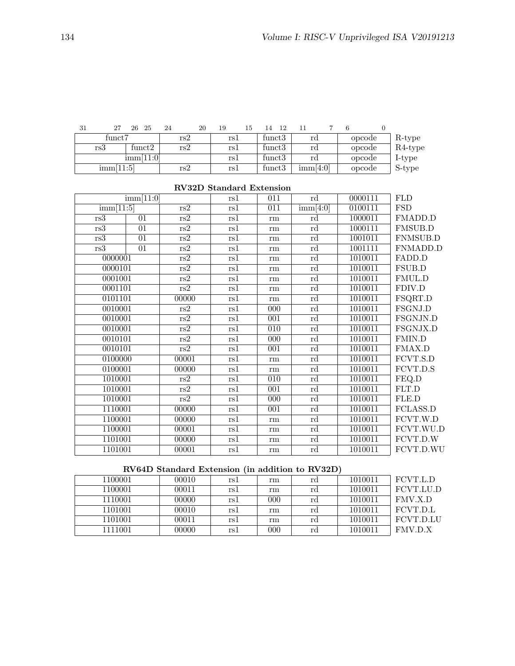| 31        | 26 | -25       | 24 | 20  | 19 |      | 14     | - 12 |                     |        |            |
|-----------|----|-----------|----|-----|----|------|--------|------|---------------------|--------|------------|
| funct7    |    |           |    | rs2 |    | rs 1 | funct3 |      | rd                  | opcode | R-type     |
| rs3       |    | funct2    |    | rs2 |    | rs1  | funct3 |      | rd                  | opcode | $R4$ -type |
|           |    | imm[11:0] |    |     |    | rsl  | funct3 |      | rd                  | opcode | I-type     |
| imm[11:5] |    |           |    | rs2 |    | rsl  | funct3 |      | $\mathrm{imm}[4:0]$ | opcode | S-type     |

|                      |                               |                         | <b>RV32D Standard Extension</b> |                  |                              |         |                 |
|----------------------|-------------------------------|-------------------------|---------------------------------|------------------|------------------------------|---------|-----------------|
|                      | $\overline{\text{imm}[11:0]}$ |                         | rs1                             | 011              | rd                           | 0000111 | ${\rm FLD}$     |
| $\mathrm{imm}[11:5]$ |                               | rs2                     | rs1                             | 011              | $\overline{\text{imm}[4:0]}$ | 0100111 | <b>FSD</b>      |
| rs3                  | $\overline{01}$               | rs2                     | rs1                             | rm               | rd                           | 1000011 | FMADD.D         |
| rs3                  | $\overline{01}$               | rs2                     | rs1                             | rm               | rd                           | 1000111 | <b>FMSUB.D</b>  |
| rs3                  | $\overline{01}$               | rs2                     | rs1                             | rm               | rd                           | 1001011 | FNMSUB.D        |
| rs3                  | $\overline{01}$               | rs2                     | rs1                             | rm               | rd                           | 1001111 | <b>FNMADD.D</b> |
| 0000001              |                               | rs2                     | rs1                             | rm               | rd                           | 1010011 | FADD.D          |
| 0000101              |                               | rs2                     | rs1                             | rm               | rd                           | 1010011 | FSUB.D          |
| 0001001              |                               | rs2                     | rs1                             | rm               | rd                           | 1010011 | <b>FMUL.D</b>   |
| 0001101              |                               | $\overline{\text{rs2}}$ | rs1                             | rm               | rd                           | 1010011 | FDIV.D          |
| 0101101              |                               | 00000                   | rs1                             | rm               | rd                           | 1010011 | FSQRT.D         |
| 0010001              |                               | rs2                     | rs1                             | 000              | rd                           | 1010011 | FSGNJ.D         |
| 0010001              |                               | rs2                     | rs1                             | 001              | rd                           | 1010011 | FSGNJN.D        |
| 0010001              |                               | rs2                     | rs1                             | 010              | rd                           | 1010011 | FSGNJX.D        |
| 0010101              |                               | rs2                     | rs1                             | $\overline{000}$ | rd                           | 1010011 | FMIN.D          |
| 0010101              |                               | rs2                     | rs1                             | $\overline{001}$ | rd                           | 1010011 | <b>FMAX.D</b>   |
| 0100000              |                               | 00001                   | rs1                             | rm               | rd                           | 1010011 | FCVT.S.D        |
| 0100001              |                               | 00000                   | rs1                             | rm               | rd                           | 1010011 | FCVT.D.S        |
| 1010001              |                               | rs2                     | rs1                             | $\overline{010}$ | rd                           | 1010011 | FEQ.D           |
| 1010001              |                               | rs2                     | rs1                             | 001              | rd                           | 1010011 | FLT.D           |
| 1010001              |                               | rs2                     | rs1                             | 000              | rd                           | 1010011 | FLE.D           |
| 1110001              |                               | 00000                   | rs1                             | 001              | rd                           | 1010011 | FCLASS.D        |
| 1100001              |                               | 00000                   | rs1                             | rm               | rd                           | 1010011 | FCVT.W.D        |
| 1100001              |                               | 00001                   | rs1                             | rm               | rd                           | 1010011 | FCVT.WU.D       |
| 1101001              |                               | 00000                   | rs1                             | rm               | rd                           | 1010011 | FCVT.D.W        |
| 1101001              |                               | 00001                   | rs1                             | rm               | rd                           | 1010011 | FCVT.D.WU       |

### RV64D Standard Extension (in addition to RV32D)

| 1100001 | 00010 | rs 1 | rm  | rd | 1010011 | FCVT.L.D  |
|---------|-------|------|-----|----|---------|-----------|
| 1100001 | 00011 | rsl  | rm  | rd | 1010011 | FCVT.LU.D |
| 1110001 | 00000 | rs l | 000 | rd | 1010011 | FMV.X.D   |
| 1101001 | 00010 | rsl  | rm  | rd | 1010011 | FCVT.D.L  |
| 1101001 | 00011 | rsl  | rm  | rd | 1010011 | FCVT.D.LU |
| 1111001 | 00000 | rs l | 000 | rd | 1010011 | FMV.D.X   |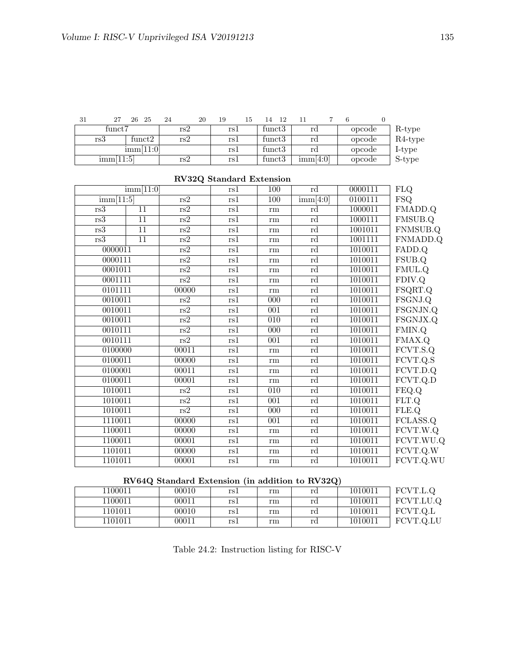| 31 |           |  | 26 25     | 24 |     | 20 | 19 | 15   |        | 14 12 |                     |        |            |
|----|-----------|--|-----------|----|-----|----|----|------|--------|-------|---------------------|--------|------------|
|    | funct7    |  |           |    | rs2 |    |    | rsl  | funct3 |       | rd                  | opcode | R-type     |
|    | rs3       |  | funct2    |    | rs2 |    |    | rsl  | funct3 |       | rd                  | opcode | $R4$ -type |
|    |           |  | imm[11:0] |    |     |    |    | rs 1 | funct3 |       | rd                  | opcode | I-type     |
|    | imm[11:5] |  |           |    | rs2 |    |    | rsl  | funct3 |       | $\mathrm{imm}[4:0]$ | opcode | S-type     |

|                      |                      |                         | RV32Q Standard Extension |                  |                     |         |                 |
|----------------------|----------------------|-------------------------|--------------------------|------------------|---------------------|---------|-----------------|
|                      | $\mathrm{imm}[11:0]$ |                         | rs1                      | 100              | rd                  | 0000111 | <b>FLQ</b>      |
| $\mathrm{imm}[11:5]$ |                      | rs2                     | rs1                      | $\overline{100}$ | $\mathrm{imm}[4:0]$ | 0100111 | <b>FSQ</b>      |
| rs3                  | $\overline{11}$      | rs2                     | rs1                      | rm               | rd                  | 1000011 | FMADD.Q         |
| rs3                  | 11                   | rs2                     | rs1                      | rm               | rd                  | 1000111 | <b>FMSUB.Q</b>  |
| rs3                  | $\overline{11}$      | rs2                     | rs1                      | rm               | rd                  | 1001011 | FNMSUB.Q        |
| rs3                  | $\overline{11}$      | rs2                     | rs1                      | rm               | rd                  | 1001111 | <b>FNMADD.Q</b> |
| 0000011              |                      | rs2                     | rs1                      | rm               | rd                  | 1010011 | FADD.Q          |
| 0000111              |                      | rs2                     | rs1                      | rm               | rd                  | 1010011 | FSUB.Q          |
| 0001011              |                      | rs2                     | rs1                      | rm               | rd                  | 1010011 | FMUL.Q          |
| 0001111              |                      | rs2                     | rs1                      | rm               | rd                  | 1010011 | FDIV.Q          |
| 0101111              |                      | 00000                   | rs1                      | rm               | rd                  | 1010011 | FSQRT.Q         |
| 0010011              |                      | $\overline{\text{rs2}}$ | rs1                      | $\overline{000}$ | rd                  | 1010011 | FSGNJ.Q         |
| 0010011              |                      | rs2                     | rs1                      | 001              | rd                  | 1010011 | FSGNJN.Q        |
| 0010011              |                      | rs2                     | rs1                      | $\overline{010}$ | rd                  | 1010011 | FSGNJX.Q        |
| 0010111              |                      | rs2                     | rs1                      | 000              | rd                  | 1010011 | FMIN.Q          |
| 0010111              |                      | rs2                     | rs1                      | 001              | rd                  | 1010011 | FMAX.Q          |
| 0100000              |                      | 00011                   | rs1                      | rm               | rd                  | 1010011 | FCVT.S.Q        |
| 0100011              |                      | 00000                   | rs1                      | rm               | rd                  | 1010011 | FCVT.Q.S        |
| 0100001              |                      | 00011                   | rs1                      | rm               | rd                  | 1010011 | FCVT.D.Q        |
| 0100011              |                      | 00001                   | rs1                      | rm               | rd                  | 1010011 | FCVT.Q.D        |
| 1010011              |                      | rs2                     | rs1                      | $\overline{010}$ | rd                  | 1010011 | FEQ.Q           |
| 1010011              |                      | rs2                     | rs1                      | 001              | rd                  | 1010011 | FLT.Q           |
| 1010011              |                      | rs2                     | rs1                      | 000              | rd                  | 1010011 | FLE.Q           |
| 1110011              |                      | 00000                   | rs1                      | 001              | rd                  | 1010011 | FCLASS.Q        |
| 1100011              |                      | 00000                   | rs1                      | rm               | rd                  | 1010011 | FCVT.W.Q        |
| 1100011              |                      | 00001                   | rs1                      | rm               | rd                  | 1010011 | FCVT.WU.Q       |
| 1101011              |                      | 00000                   | rs1                      | rm               | rd                  | 1010011 | FCVT.Q.W        |
| 1101011              |                      | 00001                   | rs1                      | rm               | rd                  | 1010011 | FCVT.Q.WU       |

#### RV64Q Standard Extension (in addition to RV32Q)

| 1100011 | 00010 | rs1 | rm | rd | 1010011 | FCVT.L.Q  |
|---------|-------|-----|----|----|---------|-----------|
| 1100011 | 00011 | rsl | rm | rd | 1010011 | FCVT.LU.Q |
| 1101011 | 00010 | rsl | rm | rd | 1010011 | FCVT.Q.L  |
| 1101011 | 90011 | rs1 | rm | rd | 1010011 | FCVT.Q.LU |

Table 24.2: Instruction listing for RISC-V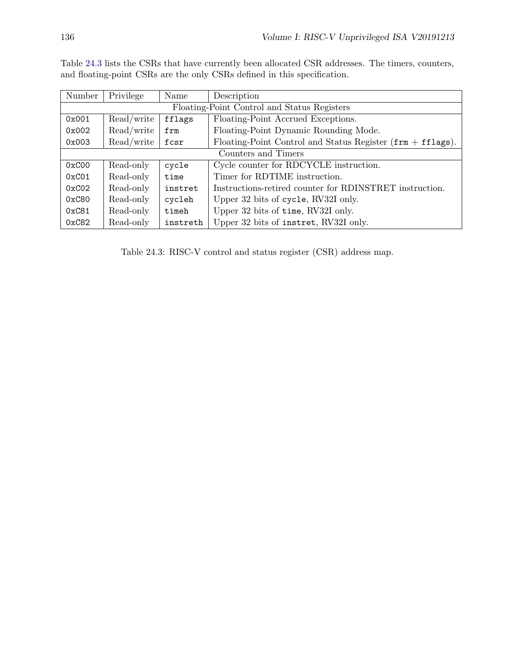| Number              | Privilege  | Name     | Description                                                                 |  |  |  |  |
|---------------------|------------|----------|-----------------------------------------------------------------------------|--|--|--|--|
|                     |            |          | Floating-Point Control and Status Registers                                 |  |  |  |  |
| 0x001               | Read/write | fflags   | Floating-Point Accrued Exceptions.                                          |  |  |  |  |
| 0x002               | Read/write | frm      | Floating-Point Dynamic Rounding Mode.                                       |  |  |  |  |
| 0x003               | Read/write | fcsr     | Floating-Point Control and Status Register $(f\text{rm} + ff\text{lags})$ . |  |  |  |  |
| Counters and Timers |            |          |                                                                             |  |  |  |  |
| 0xC00               | Read-only  | cycle    | Cycle counter for RDCYCLE instruction.                                      |  |  |  |  |
| 0xC01               | Read-only  | time     | Timer for RDTIME instruction.                                               |  |  |  |  |
| 0xC02               | Read-only  | instret  | Instructions-retired counter for RDINSTRET instruction.                     |  |  |  |  |
| 0xC80               | Read-only  | cycleh   | Upper 32 bits of cycle, RV32I only.                                         |  |  |  |  |
| 0xC81               | Read-only  | timeh    | Upper 32 bits of time, RV32I only.                                          |  |  |  |  |
| 0xC82               | Read-only  | instreth | Upper 32 bits of instret, RV32I only.                                       |  |  |  |  |

Table [24.3](#page-153-0) lists the CSRs that have currently been allocated CSR addresses. The timers, counters, and floating-point CSRs are the only CSRs defined in this specification.

<span id="page-153-0"></span>Table 24.3: RISC-V control and status register (CSR) address map.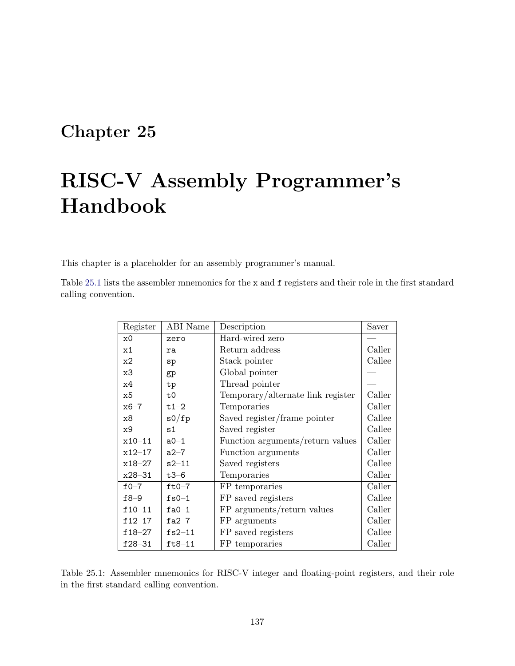# Chapter 25

# RISC-V Assembly Programmer's Handbook

This chapter is a placeholder for an assembly programmer's manual.

Table [25.1](#page-154-0) lists the assembler mnemonics for the x and f registers and their role in the first standard calling convention.

| Register   | <b>ABI</b> Name | Description                       | Saver  |
|------------|-----------------|-----------------------------------|--------|
| x0         | zero            | Hard-wired zero                   |        |
| х1         | ra              | Return address                    | Caller |
| x2         | sp              | Stack pointer                     | Callee |
| x3         | gp              | Global pointer                    |        |
| x4         | tp              | Thread pointer                    |        |
| x5         | t0              | Temporary/alternate link register | Caller |
| $x6-7$     | $t1-2$          | Temporaries                       | Caller |
| х8         | s0/fp           | Saved register/frame pointer      | Callee |
| х9         | s1              | Saved register                    | Callee |
| $x10 - 11$ | $a0-1$          | Function arguments/return values  | Caller |
| $x12 - 17$ | $a2-7$          | Function arguments                | Caller |
| $x18 - 27$ | $s2 - 11$       | Saved registers                   | Callee |
| $x28 - 31$ | $t3-6$          | Temporaries                       | Caller |
| $f0-7$     | $ft0-7$         | FP temporaries                    | Caller |
| $f8-9$     | $fs0-1$         | FP saved registers                | Callee |
| $f10-11$   | $fa0-1$         | FP arguments/return values        | Caller |
| $f12 - 17$ | $fa2-7$         | FP arguments                      | Caller |
| $f18 - 27$ | $fs2-11$        | FP saved registers                | Callee |
| $f28 - 31$ | $ft8-11$        | FP temporaries                    | Caller |
|            |                 |                                   |        |

<span id="page-154-0"></span>Table 25.1: Assembler mnemonics for RISC-V integer and floating-point registers, and their role in the first standard calling convention.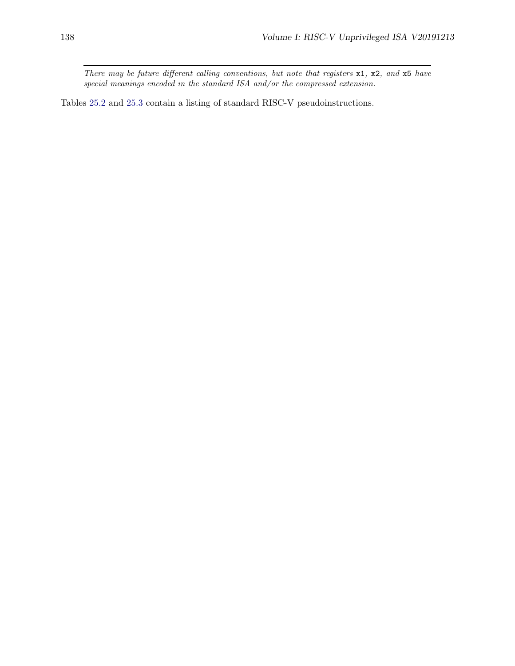There may be future different calling conventions, but note that registers  $x1$ ,  $x2$ , and  $x5$  have special meanings encoded in the standard ISA and/or the compressed extension.

Tables [25.2](#page-156-0) and [25.3](#page-157-0) contain a listing of standard RISC-V pseudoinstructions.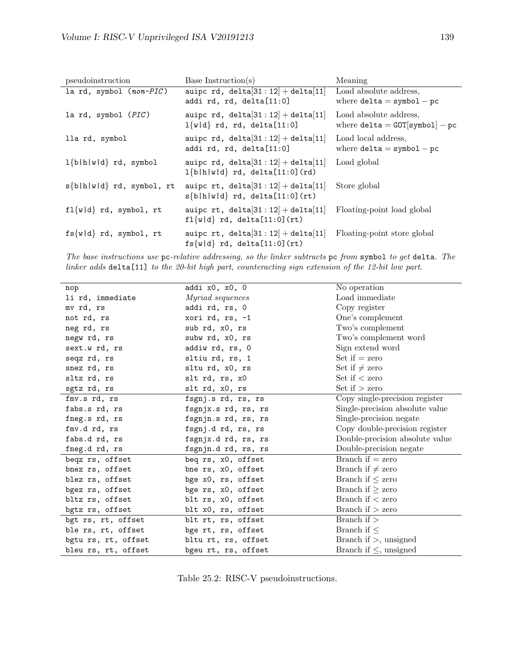| pseudoinstruction           | Base Instruction(s)                                                      | Meaning                                                    |
|-----------------------------|--------------------------------------------------------------------------|------------------------------------------------------------|
| la rd, symbol $(non-PIC)$   | auipc rd, $delta[31:12] + delta[11]$                                     | Load absolute address,                                     |
|                             | addi rd, rd, delta[11:0]                                                 | where $delta = symbol - pc$                                |
| la rd, symbol (PIC)         | auipc rd, $delta[31:12] + delta[11]$<br>$1\{w d\}$ rd, rd, delta[11:0]   | Load absolute address.<br>where $delta = GOT[symbol] - pc$ |
| lla rd, symbol              | auipc rd, $delta[31:12] + delta[11]$<br>addi rd, rd, delta[11:0]         | Load local address,<br>where $delta = symbol - pc$         |
| $1{b h w d}$ rd, symbol     | auipc rd, $delta[31:12] + delta[11]$<br>$1{b h w d}$ rd, delta[11:0](rd) | Load global                                                |
| $s{b h w d}$ rd, symbol, rt | auipc rt, $dela[31:12] + delta[11]$<br>$s{b h w d}$ rd, delta[11:0](rt)  | Store global                                               |
| $f1\{w d\}$ rd, symbol, rt  | auipc rt, $dela[31:12] + delta[11]$<br>$f1\{w d\}$ rd, delta[11:0](rt)   | Floating-point load global                                 |
| $fs{w d}$ rd, symbol, rt    | auipc rt, $dela[31:12] + delta[11]$<br>$fs{w d} rd, delta[11:0](rt)$     | Floating-point store global                                |

The base instructions use pc-relative addressing, so the linker subtracts pc from symbol to get delta. The linker adds delta[11] to the 20-bit high part, counteracting sign extension of the 12-bit low part.

| nop                 | addi x0, x0, 0      | No operation                    |
|---------------------|---------------------|---------------------------------|
| li rd, immediate    | Myriad sequences    | Load immediate                  |
| mv rd, rs           | addi rd, rs, 0      | Copy register                   |
| not rd, rs          | xori rd, rs, -1     | One's complement                |
| neg rd, rs          | sub rd, x0, rs      | Two's complement                |
| negw rd, rs         | subw rd, x0, rs     | Two's complement word           |
| sext.w rd, rs       | addiw rd, rs, 0     | Sign extend word                |
| seqz rd, rs         | sltiu rd, rs, 1     | Set if $=$ zero                 |
| snez rd, rs         | sltu rd, x0, rs     | Set if $\neq$ zero              |
| sltz rd, rs         | slt rd, rs, x0      | Set if $\langle$ zero           |
| sgtz rd, rs         | slt rd, x0, rs      | Set if $>$ zero                 |
| fmv.s rd, rs        | fsgnj.s rd, rs, rs  | Copy single-precision register  |
| fabs.s rd, rs       | fsgnjx.s rd, rs, rs | Single-precision absolute value |
| fneg.s rd, rs       | fsgnjn.s rd, rs, rs | Single-precision negate         |
| fmv.d rd, rs        | fsgnj.d rd, rs, rs  | Copy double-precision register  |
| fabs.d rd, rs       | fsgnjx.d rd, rs, rs | Double-precision absolute value |
| fneg.d rd, rs       | fsgnjn.d rd, rs, rs | Double-precision negate         |
| beqz rs, offset     | beq rs, x0, offset  | Branch if $=$ zero              |
| bnez rs, offset     | bne rs, x0, offset  | Branch if $\neq$ zero           |
| blez rs, offset     | bge x0, rs, offset  | Branch if $\le$ zero            |
| bgez rs, offset     | bge rs, x0, offset  | Branch if $\ge$ zero            |
| bltz rs, offset     | blt rs, x0, offset  | Branch if $\langle$ zero        |
| bgtz rs, offset     | blt x0, rs, offset  | Branch if $>$ zero              |
| bgt rs, rt, offset  | blt rt, rs, offset  | Branch if $>$                   |
| ble rs, rt, offset  | bge rt, rs, offset  | Branch if $\leq$                |
| bgtu rs, rt, offset | bltu rt, rs, offset | Branch if $>$ , unsigned        |
| bleu rs, rt, offset | bgeu rt, rs, offset | Branch if $\leq$ , unsigned     |

<span id="page-156-0"></span>Table 25.2: RISC-V pseudoinstructions.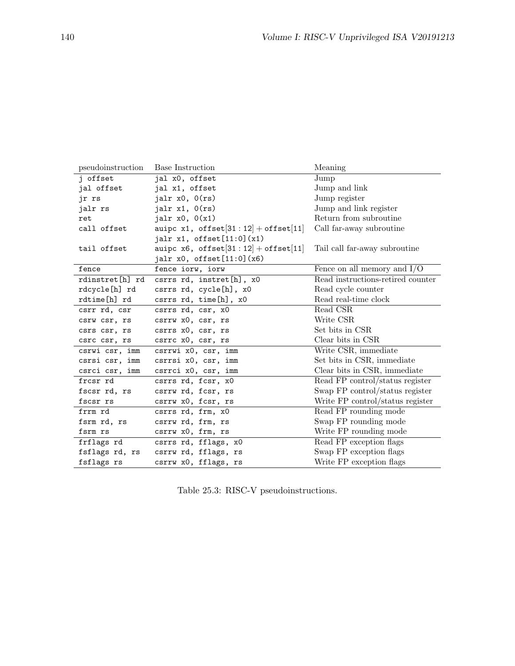| pseudoinstruction | Base Instruction                              | Meaning                           |
|-------------------|-----------------------------------------------|-----------------------------------|
| j offset          | jal x0, offset                                | Jump                              |
| jal offset        | jal x1, offset                                | Jump and link                     |
| jr rs             | jalr x0, 0(rs)                                | Jump register                     |
| jalr rs           | jalr $x1$ , $0(rs)$                           | Jump and link register            |
| ret               | jalr $x0$ , $0(x1)$                           | Return from subroutine            |
| call offset       | auipc $x1$ , offset $[31:12]$ + offset $[11]$ | Call far-away subroutine          |
|                   | jalr $x1$ , offset $[11:0](x1)$               |                                   |
| tail offset       | auipc $x6$ , offset $[31:12]$ + offset $[11]$ | Tail call far-away subroutine     |
|                   | jalr $x0$ , offset $[11:0](x6)$               |                                   |
| fence             | fence iorw, iorw                              | Fence on all memory and $I/O$     |
| rdinstret[h] rd   | csrrs rd, instret[h], x0                      | Read instructions-retired counter |
| rdcycle[h] rd     | csrrs rd, cycle[h], x0                        | Read cycle counter                |
| rdtime[h] rd      | csrrs rd, time[h], x0                         | Read real-time clock              |
| csrr rd, csr      | csrrs rd, csr, x0                             | Read CSR                          |
| csrw csr, rs      | csrrw x0, csr, rs                             | Write CSR                         |
| csrs csr, rs      | csrrs x0, csr, rs                             | Set bits in CSR                   |
| csrc csr, rs      | csrrc x0, csr, rs                             | Clear bits in CSR                 |
| csrwi csr, imm    | csrrwi x0, csr, imm                           | Write CSR, immediate              |
| csrsi csr, imm    | csrrsi x0, csr, imm                           | Set bits in CSR, immediate        |
| csrci csr, imm    | csrrci x0, csr, imm                           | Clear bits in CSR, immediate      |
| frcsr rd          | csrrs rd, fcsr, x0                            | Read FP control/status register   |
| fscsr rd, rs      | csrrw rd, fcsr, rs                            | Swap FP control/status register   |
| fscsr rs          | csrrw x0, fcsr, rs                            | Write FP control/status register  |
| frrm rd           | csrrs rd, frm, x0                             | Read FP rounding mode             |
| fsrm rd, rs       | csrrw rd, frm, rs                             | Swap FP rounding mode             |
| fsrm rs           | csrrw x0, frm, rs                             | Write FP rounding mode            |
| frflags rd        | csrrs rd, fflags, x0                          | Read FP exception flags           |
| fsflags rd, rs    | csrrw rd, fflags, rs                          | Swap FP exception flags           |
| fsflags rs        | csrrw x0, fflags, rs                          | Write FP exception flags          |

<span id="page-157-0"></span>Table 25.3: RISC-V pseudoinstructions.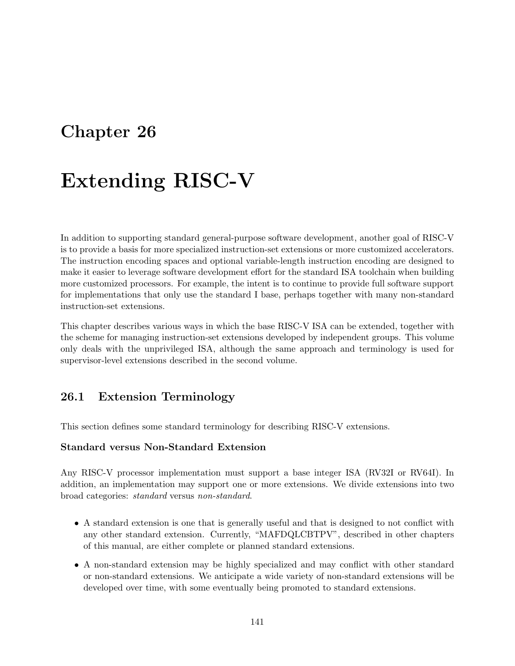# <span id="page-158-0"></span>Chapter 26

# Extending RISC-V

In addition to supporting standard general-purpose software development, another goal of RISC-V is to provide a basis for more specialized instruction-set extensions or more customized accelerators. The instruction encoding spaces and optional variable-length instruction encoding are designed to make it easier to leverage software development effort for the standard ISA toolchain when building more customized processors. For example, the intent is to continue to provide full software support for implementations that only use the standard I base, perhaps together with many non-standard instruction-set extensions.

This chapter describes various ways in which the base RISC-V ISA can be extended, together with the scheme for managing instruction-set extensions developed by independent groups. This volume only deals with the unprivileged ISA, although the same approach and terminology is used for supervisor-level extensions described in the second volume.

# 26.1 Extension Terminology

This section defines some standard terminology for describing RISC-V extensions.

#### Standard versus Non-Standard Extension

Any RISC-V processor implementation must support a base integer ISA (RV32I or RV64I). In addition, an implementation may support one or more extensions. We divide extensions into two broad categories: standard versus non-standard.

- A standard extension is one that is generally useful and that is designed to not conflict with any other standard extension. Currently, "MAFDQLCBTPV", described in other chapters of this manual, are either complete or planned standard extensions.
- A non-standard extension may be highly specialized and may conflict with other standard or non-standard extensions. We anticipate a wide variety of non-standard extensions will be developed over time, with some eventually being promoted to standard extensions.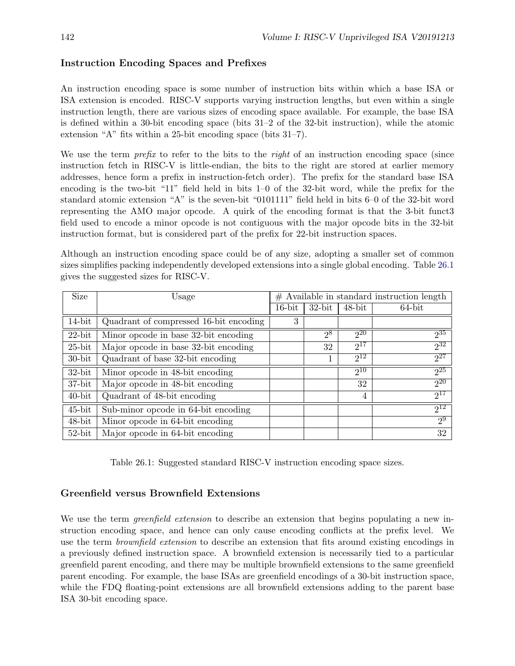#### Instruction Encoding Spaces and Prefixes

An instruction encoding space is some number of instruction bits within which a base ISA or ISA extension is encoded. RISC-V supports varying instruction lengths, but even within a single instruction length, there are various sizes of encoding space available. For example, the base ISA is defined within a 30-bit encoding space (bits 31–2 of the 32-bit instruction), while the atomic extension "A" fits within a 25-bit encoding space (bits 31–7).

We use the term *prefix* to refer to the bits to the *right* of an instruction encoding space (since instruction fetch in RISC-V is little-endian, the bits to the right are stored at earlier memory addresses, hence form a prefix in instruction-fetch order). The prefix for the standard base ISA encoding is the two-bit "11" field held in bits 1–0 of the 32-bit word, while the prefix for the standard atomic extension "A" is the seven-bit "0101111" field held in bits 6–0 of the 32-bit word representing the AMO major opcode. A quirk of the encoding format is that the 3-bit funct3 field used to encode a minor opcode is not contiguous with the major opcode bits in the 32-bit instruction format, but is considered part of the prefix for 22-bit instruction spaces.

Although an instruction encoding space could be of any size, adopting a smaller set of common sizes simplifies packing independently developed extensions into a single global encoding. Table [26.1](#page-159-0) gives the suggested sizes for RISC-V.

| Size      | Usage                                  |           |        |                | $#$ Available in standard instruction length |
|-----------|----------------------------------------|-----------|--------|----------------|----------------------------------------------|
|           |                                        | $16$ -bit | 32-bit | 48-bit         | $64$ -bit                                    |
| $14$ -bit | Quadrant of compressed 16-bit encoding | 3         |        |                |                                              |
| $22$ -bit | Minor opcode in base 32-bit encoding   |           | $2^8$  | $2^{20}$       | $2^{35}$                                     |
| $25$ -bit | Major opcode in base 32-bit encoding   |           | 32     | $2^{17}$       | $2^{32}$                                     |
| $30$ -bit | Quadrant of base 32-bit encoding       |           |        | $2^{12}$       | $2^{27}$                                     |
| $32$ -bit | Minor opcode in 48-bit encoding        |           |        | $2^{10}$       | $2^{25}$                                     |
| $37$ -bit | Major opcode in 48-bit encoding        |           |        | 32             | $2^{20}$                                     |
| $40$ -bit | Quadrant of 48-bit encoding            |           |        | $\overline{4}$ | $2^{17}$                                     |
| $45$ -bit | Sub-minor opcode in 64-bit encoding    |           |        |                | $2^{12}$                                     |
| $48$ -bit | Minor opcode in 64-bit encoding        |           |        |                | $2^9$                                        |
| $52$ -bit | Major opcode in 64-bit encoding        |           |        |                | 32                                           |

Table 26.1: Suggested standard RISC-V instruction encoding space sizes.

#### <span id="page-159-0"></span>Greenfield versus Brownfield Extensions

We use the term *greenfield extension* to describe an extension that begins populating a new instruction encoding space, and hence can only cause encoding conflicts at the prefix level. We use the term brownfield extension to describe an extension that fits around existing encodings in a previously defined instruction space. A brownfield extension is necessarily tied to a particular greenfield parent encoding, and there may be multiple brownfield extensions to the same greenfield parent encoding. For example, the base ISAs are greenfield encodings of a 30-bit instruction space, while the FDQ floating-point extensions are all brownfield extensions adding to the parent base ISA 30-bit encoding space.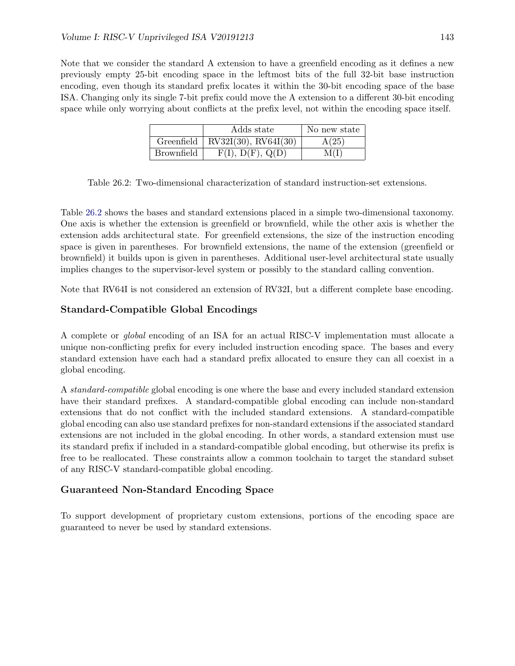Note that we consider the standard A extension to have a greenfield encoding as it defines a new previously empty 25-bit encoding space in the leftmost bits of the full 32-bit base instruction encoding, even though its standard prefix locates it within the 30-bit encoding space of the base ISA. Changing only its single 7-bit prefix could move the A extension to a different 30-bit encoding space while only worrying about conflicts at the prefix level, not within the encoding space itself.

|            | Adds state                | No new state             |
|------------|---------------------------|--------------------------|
| Greenfield | $RV32I(30)$ , $RV64I(30)$ | A(25)                    |
| Brownfield | F(I), D(F), Q(D)          | $\mathrm{M}(\mathrm{I})$ |

<span id="page-160-0"></span>Table 26.2: Two-dimensional characterization of standard instruction-set extensions.

Table [26.2](#page-160-0) shows the bases and standard extensions placed in a simple two-dimensional taxonomy. One axis is whether the extension is greenfield or brownfield, while the other axis is whether the extension adds architectural state. For greenfield extensions, the size of the instruction encoding space is given in parentheses. For brownfield extensions, the name of the extension (greenfield or brownfield) it builds upon is given in parentheses. Additional user-level architectural state usually implies changes to the supervisor-level system or possibly to the standard calling convention.

Note that RV64I is not considered an extension of RV32I, but a different complete base encoding.

#### Standard-Compatible Global Encodings

A complete or global encoding of an ISA for an actual RISC-V implementation must allocate a unique non-conflicting prefix for every included instruction encoding space. The bases and every standard extension have each had a standard prefix allocated to ensure they can all coexist in a global encoding.

A standard-compatible global encoding is one where the base and every included standard extension have their standard prefixes. A standard-compatible global encoding can include non-standard extensions that do not conflict with the included standard extensions. A standard-compatible global encoding can also use standard prefixes for non-standard extensions if the associated standard extensions are not included in the global encoding. In other words, a standard extension must use its standard prefix if included in a standard-compatible global encoding, but otherwise its prefix is free to be reallocated. These constraints allow a common toolchain to target the standard subset of any RISC-V standard-compatible global encoding.

#### Guaranteed Non-Standard Encoding Space

To support development of proprietary custom extensions, portions of the encoding space are guaranteed to never be used by standard extensions.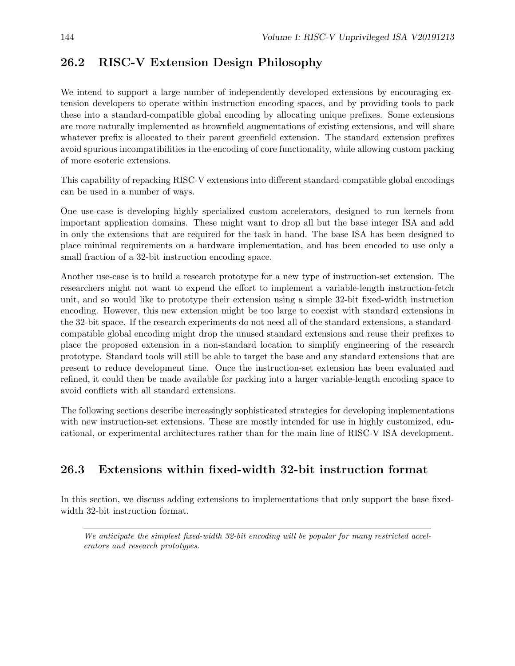# 26.2 RISC-V Extension Design Philosophy

We intend to support a large number of independently developed extensions by encouraging extension developers to operate within instruction encoding spaces, and by providing tools to pack these into a standard-compatible global encoding by allocating unique prefixes. Some extensions are more naturally implemented as brownfield augmentations of existing extensions, and will share whatever prefix is allocated to their parent greenfield extension. The standard extension prefixes avoid spurious incompatibilities in the encoding of core functionality, while allowing custom packing of more esoteric extensions.

This capability of repacking RISC-V extensions into different standard-compatible global encodings can be used in a number of ways.

One use-case is developing highly specialized custom accelerators, designed to run kernels from important application domains. These might want to drop all but the base integer ISA and add in only the extensions that are required for the task in hand. The base ISA has been designed to place minimal requirements on a hardware implementation, and has been encoded to use only a small fraction of a 32-bit instruction encoding space.

Another use-case is to build a research prototype for a new type of instruction-set extension. The researchers might not want to expend the effort to implement a variable-length instruction-fetch unit, and so would like to prototype their extension using a simple 32-bit fixed-width instruction encoding. However, this new extension might be too large to coexist with standard extensions in the 32-bit space. If the research experiments do not need all of the standard extensions, a standardcompatible global encoding might drop the unused standard extensions and reuse their prefixes to place the proposed extension in a non-standard location to simplify engineering of the research prototype. Standard tools will still be able to target the base and any standard extensions that are present to reduce development time. Once the instruction-set extension has been evaluated and refined, it could then be made available for packing into a larger variable-length encoding space to avoid conflicts with all standard extensions.

The following sections describe increasingly sophisticated strategies for developing implementations with new instruction-set extensions. These are mostly intended for use in highly customized, educational, or experimental architectures rather than for the main line of RISC-V ISA development.

### 26.3 Extensions within fixed-width 32-bit instruction format

In this section, we discuss adding extensions to implementations that only support the base fixedwidth 32-bit instruction format.

We anticipate the simplest fixed-width 32-bit encoding will be popular for many restricted accelerators and research prototypes.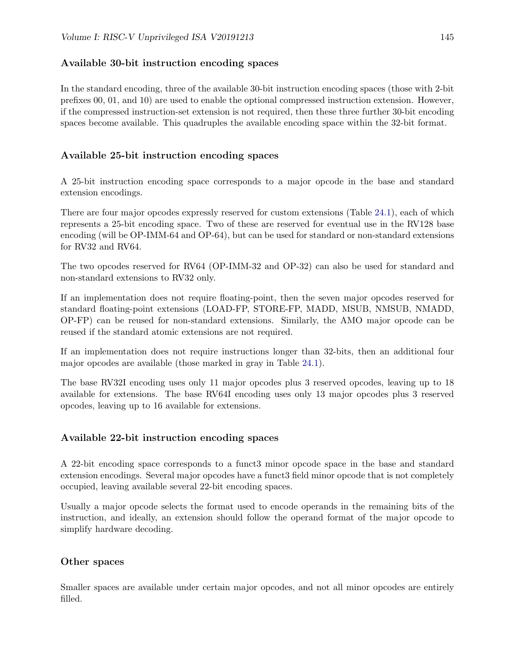#### Available 30-bit instruction encoding spaces

In the standard encoding, three of the available 30-bit instruction encoding spaces (those with 2-bit prefixes 00, 01, and 10) are used to enable the optional compressed instruction extension. However, if the compressed instruction-set extension is not required, then these three further 30-bit encoding spaces become available. This quadruples the available encoding space within the 32-bit format.

### Available 25-bit instruction encoding spaces

A 25-bit instruction encoding space corresponds to a major opcode in the base and standard extension encodings.

There are four major opcodes expressly reserved for custom extensions (Table [24.1\)](#page-146-0), each of which represents a 25-bit encoding space. Two of these are reserved for eventual use in the RV128 base encoding (will be OP-IMM-64 and OP-64), but can be used for standard or non-standard extensions for RV32 and RV64.

The two opcodes reserved for RV64 (OP-IMM-32 and OP-32) can also be used for standard and non-standard extensions to RV32 only.

If an implementation does not require floating-point, then the seven major opcodes reserved for standard floating-point extensions (LOAD-FP, STORE-FP, MADD, MSUB, NMSUB, NMADD, OP-FP) can be reused for non-standard extensions. Similarly, the AMO major opcode can be reused if the standard atomic extensions are not required.

If an implementation does not require instructions longer than 32-bits, then an additional four major opcodes are available (those marked in gray in Table [24.1\)](#page-146-0).

The base RV32I encoding uses only 11 major opcodes plus 3 reserved opcodes, leaving up to 18 available for extensions. The base RV64I encoding uses only 13 major opcodes plus 3 reserved opcodes, leaving up to 16 available for extensions.

#### Available 22-bit instruction encoding spaces

A 22-bit encoding space corresponds to a funct3 minor opcode space in the base and standard extension encodings. Several major opcodes have a funct3 field minor opcode that is not completely occupied, leaving available several 22-bit encoding spaces.

Usually a major opcode selects the format used to encode operands in the remaining bits of the instruction, and ideally, an extension should follow the operand format of the major opcode to simplify hardware decoding.

#### Other spaces

Smaller spaces are available under certain major opcodes, and not all minor opcodes are entirely filled.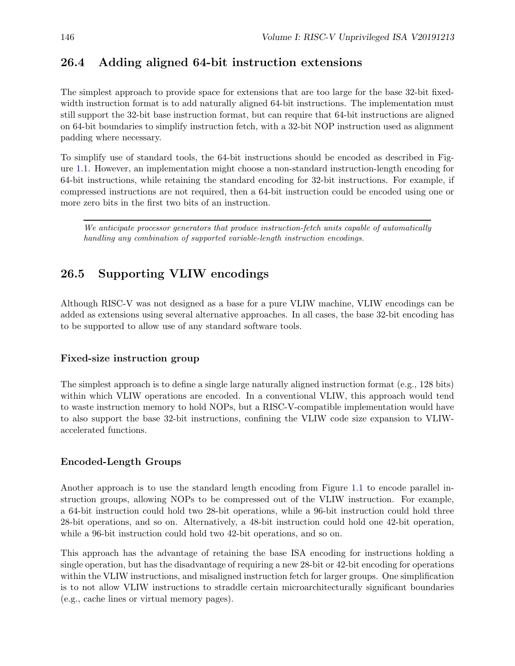# 26.4 Adding aligned 64-bit instruction extensions

The simplest approach to provide space for extensions that are too large for the base 32-bit fixedwidth instruction format is to add naturally aligned 64-bit instructions. The implementation must still support the 32-bit base instruction format, but can require that 64-bit instructions are aligned on 64-bit boundaries to simplify instruction fetch, with a 32-bit NOP instruction used as alignment padding where necessary.

To simplify use of standard tools, the 64-bit instructions should be encoded as described in Figure [1.1.](#page-25-0) However, an implementation might choose a non-standard instruction-length encoding for 64-bit instructions, while retaining the standard encoding for 32-bit instructions. For example, if compressed instructions are not required, then a 64-bit instruction could be encoded using one or more zero bits in the first two bits of an instruction.

We anticipate processor generators that produce instruction-fetch units capable of automatically handling any combination of supported variable-length instruction encodings.

# 26.5 Supporting VLIW encodings

Although RISC-V was not designed as a base for a pure VLIW machine, VLIW encodings can be added as extensions using several alternative approaches. In all cases, the base 32-bit encoding has to be supported to allow use of any standard software tools.

#### Fixed-size instruction group

The simplest approach is to define a single large naturally aligned instruction format (e.g., 128 bits) within which VLIW operations are encoded. In a conventional VLIW, this approach would tend to waste instruction memory to hold NOPs, but a RISC-V-compatible implementation would have to also support the base 32-bit instructions, confining the VLIW code size expansion to VLIWaccelerated functions.

### Encoded-Length Groups

Another approach is to use the standard length encoding from Figure [1.1](#page-25-0) to encode parallel instruction groups, allowing NOPs to be compressed out of the VLIW instruction. For example, a 64-bit instruction could hold two 28-bit operations, while a 96-bit instruction could hold three 28-bit operations, and so on. Alternatively, a 48-bit instruction could hold one 42-bit operation, while a 96-bit instruction could hold two 42-bit operations, and so on.

This approach has the advantage of retaining the base ISA encoding for instructions holding a single operation, but has the disadvantage of requiring a new 28-bit or 42-bit encoding for operations within the VLIW instructions, and misaligned instruction fetch for larger groups. One simplification is to not allow VLIW instructions to straddle certain microarchitecturally significant boundaries (e.g., cache lines or virtual memory pages).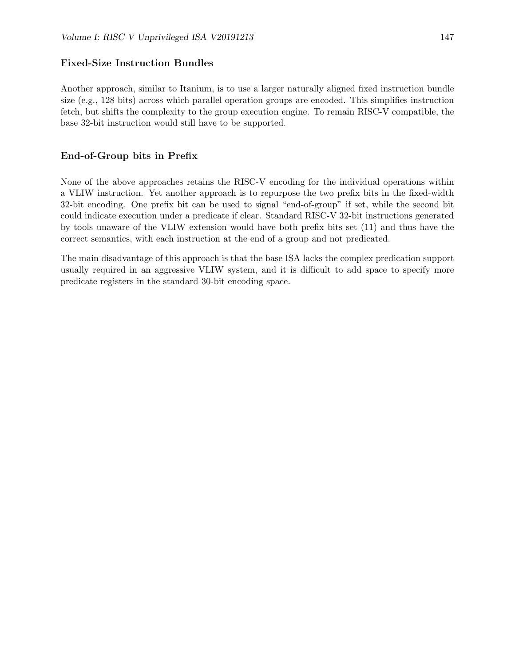#### Fixed-Size Instruction Bundles

Another approach, similar to Itanium, is to use a larger naturally aligned fixed instruction bundle size (e.g., 128 bits) across which parallel operation groups are encoded. This simplifies instruction fetch, but shifts the complexity to the group execution engine. To remain RISC-V compatible, the base 32-bit instruction would still have to be supported.

#### End-of-Group bits in Prefix

None of the above approaches retains the RISC-V encoding for the individual operations within a VLIW instruction. Yet another approach is to repurpose the two prefix bits in the fixed-width 32-bit encoding. One prefix bit can be used to signal "end-of-group" if set, while the second bit could indicate execution under a predicate if clear. Standard RISC-V 32-bit instructions generated by tools unaware of the VLIW extension would have both prefix bits set (11) and thus have the correct semantics, with each instruction at the end of a group and not predicated.

The main disadvantage of this approach is that the base ISA lacks the complex predication support usually required in an aggressive VLIW system, and it is difficult to add space to specify more predicate registers in the standard 30-bit encoding space.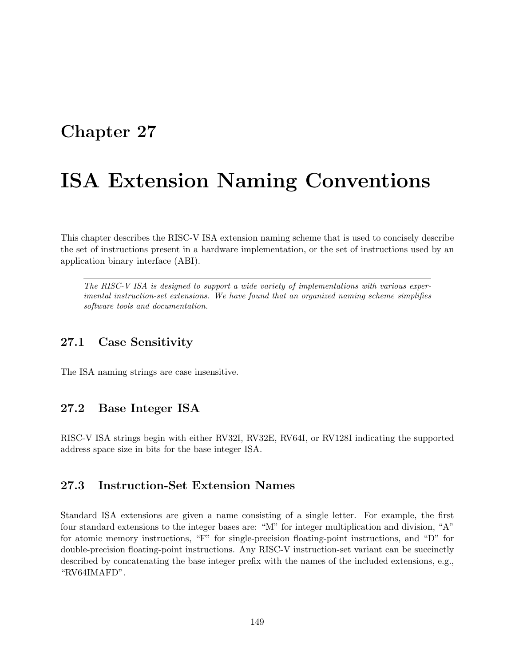# Chapter 27

# ISA Extension Naming Conventions

This chapter describes the RISC-V ISA extension naming scheme that is used to concisely describe the set of instructions present in a hardware implementation, or the set of instructions used by an application binary interface (ABI).

The RISC-V ISA is designed to support a wide variety of implementations with various experimental instruction-set extensions. We have found that an organized naming scheme simplifies software tools and documentation.

#### 27.1 Case Sensitivity

The ISA naming strings are case insensitive.

# 27.2 Base Integer ISA

RISC-V ISA strings begin with either RV32I, RV32E, RV64I, or RV128I indicating the supported address space size in bits for the base integer ISA.

## 27.3 Instruction-Set Extension Names

Standard ISA extensions are given a name consisting of a single letter. For example, the first four standard extensions to the integer bases are: "M" for integer multiplication and division, "A" for atomic memory instructions, "F" for single-precision floating-point instructions, and "D" for double-precision floating-point instructions. Any RISC-V instruction-set variant can be succinctly described by concatenating the base integer prefix with the names of the included extensions, e.g., "RV64IMAFD".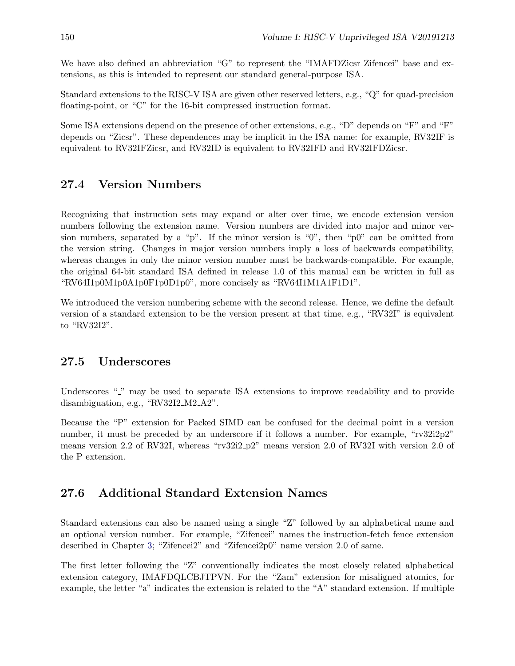We have also defined an abbreviation "G" to represent the "IMAFDZicsr\_Zifencei" base and extensions, as this is intended to represent our standard general-purpose ISA.

Standard extensions to the RISC-V ISA are given other reserved letters, e.g., "Q" for quad-precision floating-point, or "C" for the 16-bit compressed instruction format.

Some ISA extensions depend on the presence of other extensions, e.g., "D" depends on "F" and "F" depends on "Zicsr". These dependences may be implicit in the ISA name: for example, RV32IF is equivalent to RV32IFZicsr, and RV32ID is equivalent to RV32IFD and RV32IFDZicsr.

### 27.4 Version Numbers

Recognizing that instruction sets may expand or alter over time, we encode extension version numbers following the extension name. Version numbers are divided into major and minor version numbers, separated by a "p". If the minor version is " $0$ ", then "p $0$ " can be omitted from the version string. Changes in major version numbers imply a loss of backwards compatibility, whereas changes in only the minor version number must be backwards-compatible. For example, the original 64-bit standard ISA defined in release 1.0 of this manual can be written in full as "RV64I1p0M1p0A1p0F1p0D1p0", more concisely as "RV64I1M1A1F1D1".

We introduced the version numbering scheme with the second release. Hence, we define the default version of a standard extension to be the version present at that time, e.g., "RV32I" is equivalent to "RV32I2".

#### 27.5 Underscores

Underscores "<sup>"</sup> may be used to separate ISA extensions to improve readability and to provide disambiguation, e.g., "RV32I2 M2 A2".

Because the "P" extension for Packed SIMD can be confused for the decimal point in a version number, it must be preceded by an underscore if it follows a number. For example, "rv32i2p2" means version 2.2 of RV32I, whereas "rv32i2 p2" means version 2.0 of RV32I with version 2.0 of the P extension.

### 27.6 Additional Standard Extension Names

Standard extensions can also be named using a single "Z" followed by an alphabetical name and an optional version number. For example, "Zifencei" names the instruction-fetch fence extension described in Chapter [3;](#page-48-0) "Zifencei2" and "Zifencei2p0" name version 2.0 of same.

The first letter following the "Z" conventionally indicates the most closely related alphabetical extension category, IMAFDQLCBJTPVN. For the "Zam" extension for misaligned atomics, for example, the letter "a" indicates the extension is related to the "A" standard extension. If multiple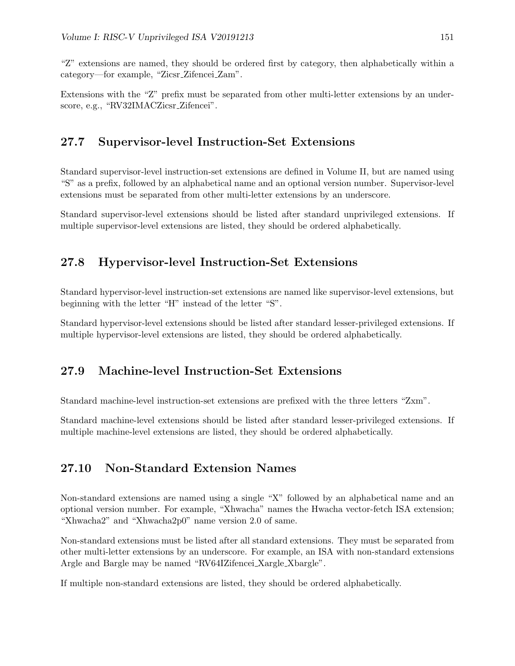"Z" extensions are named, they should be ordered first by category, then alphabetically within a category—for example, "Zicsr Zifencei Zam".

Extensions with the "Z" prefix must be separated from other multi-letter extensions by an underscore, e.g., "RV32IMACZicsr Zifencei".

### 27.7 Supervisor-level Instruction-Set Extensions

Standard supervisor-level instruction-set extensions are defined in Volume II, but are named using "S" as a prefix, followed by an alphabetical name and an optional version number. Supervisor-level extensions must be separated from other multi-letter extensions by an underscore.

Standard supervisor-level extensions should be listed after standard unprivileged extensions. If multiple supervisor-level extensions are listed, they should be ordered alphabetically.

## 27.8 Hypervisor-level Instruction-Set Extensions

Standard hypervisor-level instruction-set extensions are named like supervisor-level extensions, but beginning with the letter "H" instead of the letter "S".

Standard hypervisor-level extensions should be listed after standard lesser-privileged extensions. If multiple hypervisor-level extensions are listed, they should be ordered alphabetically.

### 27.9 Machine-level Instruction-Set Extensions

Standard machine-level instruction-set extensions are prefixed with the three letters "Zxm".

Standard machine-level extensions should be listed after standard lesser-privileged extensions. If multiple machine-level extensions are listed, they should be ordered alphabetically.

# 27.10 Non-Standard Extension Names

Non-standard extensions are named using a single "X" followed by an alphabetical name and an optional version number. For example, "Xhwacha" names the Hwacha vector-fetch ISA extension; "Xhwacha2" and "Xhwacha2p0" name version 2.0 of same.

Non-standard extensions must be listed after all standard extensions. They must be separated from other multi-letter extensions by an underscore. For example, an ISA with non-standard extensions Argle and Bargle may be named "RV64IZifencei Xargle Xbargle".

If multiple non-standard extensions are listed, they should be ordered alphabetically.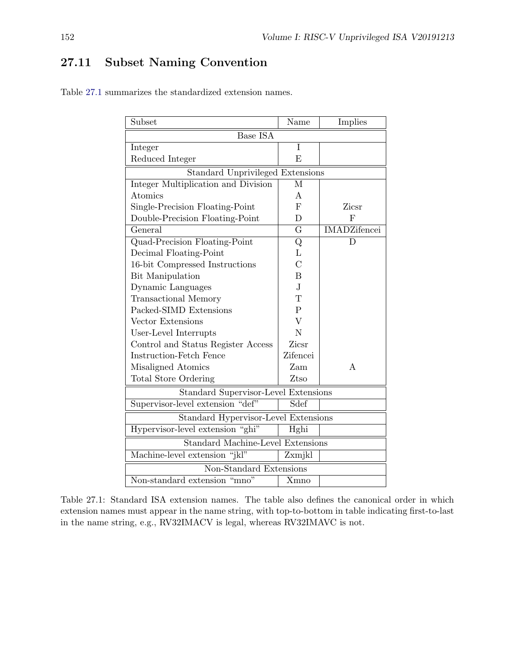# 27.11 Subset Naming Convention

Table [27.1](#page-169-0) summarizes the standardized extension names.

<span id="page-169-0"></span>

| Subset                               | Name                    | Implies      |  |
|--------------------------------------|-------------------------|--------------|--|
| Base ISA                             |                         |              |  |
| Integer                              | I                       |              |  |
| Reduced Integer                      | E                       |              |  |
| Standard Unprivileged Extensions     |                         |              |  |
| Integer Multiplication and Division  | $\mathbf M$             |              |  |
| Atomics                              | A                       |              |  |
| Single-Precision Floating-Point      | F                       | Zicsr        |  |
| Double-Precision Floating-Point      | D                       | $\mathbf{F}$ |  |
| General                              | $\overline{\mathrm{G}}$ | IMADZifencei |  |
| Quad-Precision Floating-Point        | $\overline{\mathrm{Q}}$ | D            |  |
| Decimal Floating-Point               | L                       |              |  |
| 16-bit Compressed Instructions       | $\overline{C}$          |              |  |
| <b>Bit Manipulation</b>              | B                       |              |  |
| Dynamic Languages                    | $\mathbf{J}$            |              |  |
| <b>Transactional Memory</b>          | T                       |              |  |
| Packed-SIMD Extensions               | $\overline{P}$          |              |  |
| Vector Extensions                    | $\overline{V}$          |              |  |
| User-Level Interrupts                | N                       |              |  |
| Control and Status Register Access   | Zicsr                   |              |  |
| <b>Instruction-Fetch Fence</b>       | Zifencei                |              |  |
| Misaligned Atomics                   | Zam                     | A            |  |
| <b>Total Store Ordering</b>          | Ztso                    |              |  |
| Standard Supervisor-Level Extensions |                         |              |  |
| Supervisor-level extension "def"     | Sdef                    |              |  |
| Standard Hypervisor-Level Extensions |                         |              |  |
| Hypervisor-level extension "ghi"     | Hghi                    |              |  |
| Standard Machine-Level Extensions    |                         |              |  |
| Machine-level extension "jkl"        | Zxmjkl                  |              |  |
| Non-Standard Extensions              |                         |              |  |
| Non-standard extension "mno"         | Xmno                    |              |  |

Table 27.1: Standard ISA extension names. The table also defines the canonical order in which extension names must appear in the name string, with top-to-bottom in table indicating first-to-last in the name string, e.g., RV32IMACV is legal, whereas RV32IMAVC is not.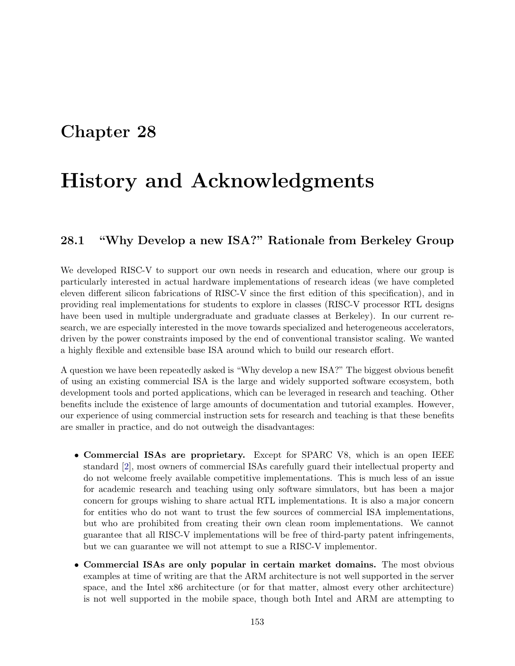# Chapter 28

# History and Acknowledgments

# 28.1 "Why Develop a new ISA?" Rationale from Berkeley Group

We developed RISC-V to support our own needs in research and education, where our group is particularly interested in actual hardware implementations of research ideas (we have completed eleven different silicon fabrications of RISC-V since the first edition of this specification), and in providing real implementations for students to explore in classes (RISC-V processor RTL designs have been used in multiple undergraduate and graduate classes at Berkeley). In our current research, we are especially interested in the move towards specialized and heterogeneous accelerators, driven by the power constraints imposed by the end of conventional transistor scaling. We wanted a highly flexible and extensible base ISA around which to build our research effort.

A question we have been repeatedly asked is "Why develop a new ISA?" The biggest obvious benefit of using an existing commercial ISA is the large and widely supported software ecosystem, both development tools and ported applications, which can be leveraged in research and teaching. Other benefits include the existence of large amounts of documentation and tutorial examples. However, our experience of using commercial instruction sets for research and teaching is that these benefits are smaller in practice, and do not outweigh the disadvantages:

- Commercial ISAs are proprietary. Except for SPARC V8, which is an open IEEE standard [\[2\]](#page-236-0), most owners of commercial ISAs carefully guard their intellectual property and do not welcome freely available competitive implementations. This is much less of an issue for academic research and teaching using only software simulators, but has been a major concern for groups wishing to share actual RTL implementations. It is also a major concern for entities who do not want to trust the few sources of commercial ISA implementations, but who are prohibited from creating their own clean room implementations. We cannot guarantee that all RISC-V implementations will be free of third-party patent infringements, but we can guarantee we will not attempt to sue a RISC-V implementor.
- Commercial ISAs are only popular in certain market domains. The most obvious examples at time of writing are that the ARM architecture is not well supported in the server space, and the Intel x86 architecture (or for that matter, almost every other architecture) is not well supported in the mobile space, though both Intel and ARM are attempting to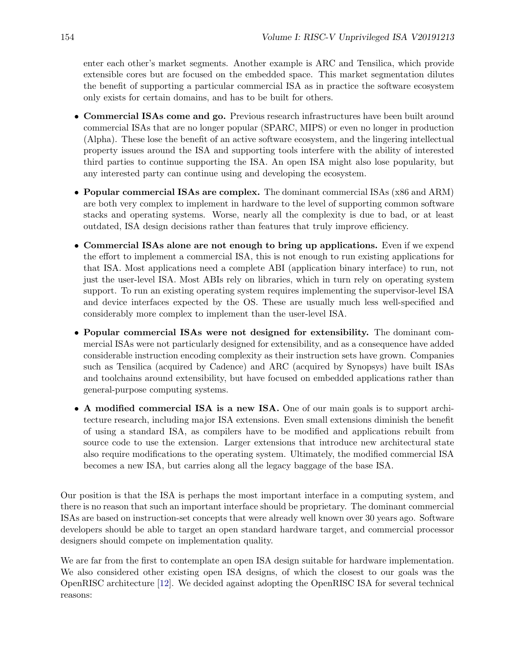enter each other's market segments. Another example is ARC and Tensilica, which provide extensible cores but are focused on the embedded space. This market segmentation dilutes the benefit of supporting a particular commercial ISA as in practice the software ecosystem only exists for certain domains, and has to be built for others.

- Commercial ISAs come and go. Previous research infrastructures have been built around commercial ISAs that are no longer popular (SPARC, MIPS) or even no longer in production (Alpha). These lose the benefit of an active software ecosystem, and the lingering intellectual property issues around the ISA and supporting tools interfere with the ability of interested third parties to continue supporting the ISA. An open ISA might also lose popularity, but any interested party can continue using and developing the ecosystem.
- Popular commercial ISAs are complex. The dominant commercial ISAs (x86 and ARM) are both very complex to implement in hardware to the level of supporting common software stacks and operating systems. Worse, nearly all the complexity is due to bad, or at least outdated, ISA design decisions rather than features that truly improve efficiency.
- Commercial ISAs alone are not enough to bring up applications. Even if we expend the effort to implement a commercial ISA, this is not enough to run existing applications for that ISA. Most applications need a complete ABI (application binary interface) to run, not just the user-level ISA. Most ABIs rely on libraries, which in turn rely on operating system support. To run an existing operating system requires implementing the supervisor-level ISA and device interfaces expected by the OS. These are usually much less well-specified and considerably more complex to implement than the user-level ISA.
- Popular commercial ISAs were not designed for extensibility. The dominant commercial ISAs were not particularly designed for extensibility, and as a consequence have added considerable instruction encoding complexity as their instruction sets have grown. Companies such as Tensilica (acquired by Cadence) and ARC (acquired by Synopsys) have built ISAs and toolchains around extensibility, but have focused on embedded applications rather than general-purpose computing systems.
- A modified commercial ISA is a new ISA. One of our main goals is to support architecture research, including major ISA extensions. Even small extensions diminish the benefit of using a standard ISA, as compilers have to be modified and applications rebuilt from source code to use the extension. Larger extensions that introduce new architectural state also require modifications to the operating system. Ultimately, the modified commercial ISA becomes a new ISA, but carries along all the legacy baggage of the base ISA.

Our position is that the ISA is perhaps the most important interface in a computing system, and there is no reason that such an important interface should be proprietary. The dominant commercial ISAs are based on instruction-set concepts that were already well known over 30 years ago. Software developers should be able to target an open standard hardware target, and commercial processor designers should compete on implementation quality.

We are far from the first to contemplate an open ISA design suitable for hardware implementation. We also considered other existing open ISA designs, of which the closest to our goals was the OpenRISC architecture [\[12\]](#page-236-1). We decided against adopting the OpenRISC ISA for several technical reasons: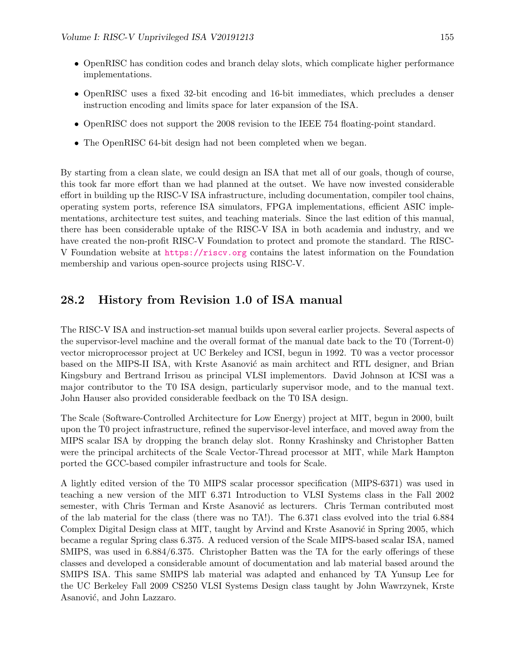- OpenRISC has condition codes and branch delay slots, which complicate higher performance implementations.
- OpenRISC uses a fixed 32-bit encoding and 16-bit immediates, which precludes a denser instruction encoding and limits space for later expansion of the ISA.
- OpenRISC does not support the 2008 revision to the IEEE 754 floating-point standard.
- The OpenRISC 64-bit design had not been completed when we began.

By starting from a clean slate, we could design an ISA that met all of our goals, though of course, this took far more effort than we had planned at the outset. We have now invested considerable effort in building up the RISC-V ISA infrastructure, including documentation, compiler tool chains, operating system ports, reference ISA simulators, FPGA implementations, efficient ASIC implementations, architecture test suites, and teaching materials. Since the last edition of this manual, there has been considerable uptake of the RISC-V ISA in both academia and industry, and we have created the non-profit RISC-V Foundation to protect and promote the standard. The RISC-V Foundation website at <https://riscv.org> contains the latest information on the Foundation membership and various open-source projects using RISC-V.

## 28.2 History from Revision 1.0 of ISA manual

The RISC-V ISA and instruction-set manual builds upon several earlier projects. Several aspects of the supervisor-level machine and the overall format of the manual date back to the T0 (Torrent-0) vector microprocessor project at UC Berkeley and ICSI, begun in 1992. T0 was a vector processor based on the MIPS-II ISA, with Krste Asanović as main architect and RTL designer, and Brian Kingsbury and Bertrand Irrisou as principal VLSI implementors. David Johnson at ICSI was a major contributor to the T0 ISA design, particularly supervisor mode, and to the manual text. John Hauser also provided considerable feedback on the T0 ISA design.

The Scale (Software-Controlled Architecture for Low Energy) project at MIT, begun in 2000, built upon the T0 project infrastructure, refined the supervisor-level interface, and moved away from the MIPS scalar ISA by dropping the branch delay slot. Ronny Krashinsky and Christopher Batten were the principal architects of the Scale Vector-Thread processor at MIT, while Mark Hampton ported the GCC-based compiler infrastructure and tools for Scale.

A lightly edited version of the T0 MIPS scalar processor specification (MIPS-6371) was used in teaching a new version of the MIT 6.371 Introduction to VLSI Systems class in the Fall 2002 semester, with Chris Terman and Krste Asanović as lecturers. Chris Terman contributed most of the lab material for the class (there was no TA!). The 6.371 class evolved into the trial 6.884 Complex Digital Design class at MIT, taught by Arvind and Krste Asanović in Spring 2005, which became a regular Spring class 6.375. A reduced version of the Scale MIPS-based scalar ISA, named SMIPS, was used in 6.884/6.375. Christopher Batten was the TA for the early offerings of these classes and developed a considerable amount of documentation and lab material based around the SMIPS ISA. This same SMIPS lab material was adapted and enhanced by TA Yunsup Lee for the UC Berkeley Fall 2009 CS250 VLSI Systems Design class taught by John Wawrzynek, Krste Asanović, and John Lazzaro.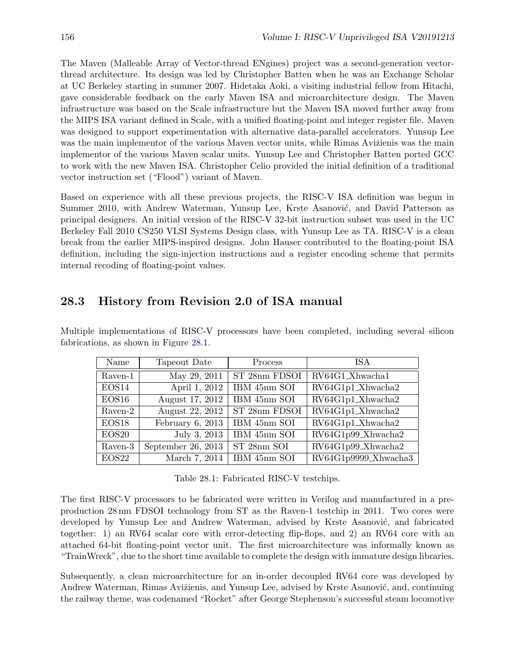The Maven (Malleable Array of Vector-thread ENgines) project was a second-generation vectorthread architecture. Its design was led by Christopher Batten when he was an Exchange Scholar at UC Berkeley starting in summer 2007. Hidetaka Aoki, a visiting industrial fellow from Hitachi, gave considerable feedback on the early Maven ISA and microarchitecture design. The Maven infrastructure was based on the Scale infrastructure but the Maven ISA moved further away from the MIPS ISA variant defined in Scale, with a unified floating-point and integer register file. Maven was designed to support experimentation with alternative data-parallel accelerators. Yunsup Lee was the main implementor of the various Maven vector units, while Rimas Avižienis was the main implementor of the various Maven scalar units. Yunsup Lee and Christopher Batten ported GCC to work with the new Maven ISA. Christopher Celio provided the initial definition of a traditional vector instruction set ("Flood") variant of Maven.

Based on experience with all these previous projects, the RISC-V ISA definition was begun in Summer 2010, with Andrew Waterman, Yunsup Lee, Krste Asanović, and David Patterson as principal designers. An initial version of the RISC-V 32-bit instruction subset was used in the UC Berkeley Fall 2010 CS250 VLSI Systems Design class, with Yunsup Lee as TA. RISC-V is a clean break from the earlier MIPS-inspired designs. John Hauser contributed to the floating-point ISA definition, including the sign-injection instructions and a register encoding scheme that permits internal recoding of floating-point values.

### 28.3 History from Revision 2.0 of ISA manual

Multiple implementations of RISC-V processors have been completed, including several silicon fabrications, as shown in Figure [28.1.](#page-173-0)

| Name              | Tapeout Date       | Process       | <b>ISA</b>                                                  |
|-------------------|--------------------|---------------|-------------------------------------------------------------|
| Raven-1           | May 29, 2011       | ST 28nm FDSOI | RV64G1_Xhwacha1                                             |
| EOS14             | April 1, 2012      | IBM 45nm SOI  | RV64G1p1_Xhwacha2                                           |
| EOS16             | August 17, 2012    | IBM 45nm SOI  | RV64G1p1_Xhwacha2                                           |
| Raven-2           | August 22, 2012    | ST 28nm FDSOI | RV64G1p1_Xhwacha2                                           |
| EOS <sub>18</sub> | February $6, 2013$ | IBM 45nm SOI  | RV64G1p1_Xhwacha2                                           |
| EOS20             | July 3, 2013       | IBM 45nm SOI  | $\overline{\text{RV}64\text{G}1\text{p}99\text{}}$ Xhwacha2 |
| Raven-3           | September 26, 2013 | ST 28nm SOI   | $\overline{\text{RV}64}$ G1p99_Xhwacha2                     |
| EOS22             | March 7, 2014      | IBM 45nm SOI  | RV64G1p9999_Xhwacha3                                        |

Table 28.1: Fabricated RISC-V testchips.

<span id="page-173-0"></span>The first RISC-V processors to be fabricated were written in Verilog and manufactured in a preproduction 28 nm FDSOI technology from ST as the Raven-1 testchip in 2011. Two cores were developed by Yunsup Lee and Andrew Waterman, advised by Krste Asanović, and fabricated together: 1) an RV64 scalar core with error-detecting flip-flops, and 2) an RV64 core with an attached 64-bit floating-point vector unit. The first microarchitecture was informally known as "TrainWreck", due to the short time available to complete the design with immature design libraries.

Subsequently, a clean microarchitecture for an in-order decoupled RV64 core was developed by Andrew Waterman, Rimas Avižienis, and Yunsup Lee, advised by Krste Asanović, and, continuing the railway theme, was codenamed "Rocket" after George Stephenson's successful steam locomotive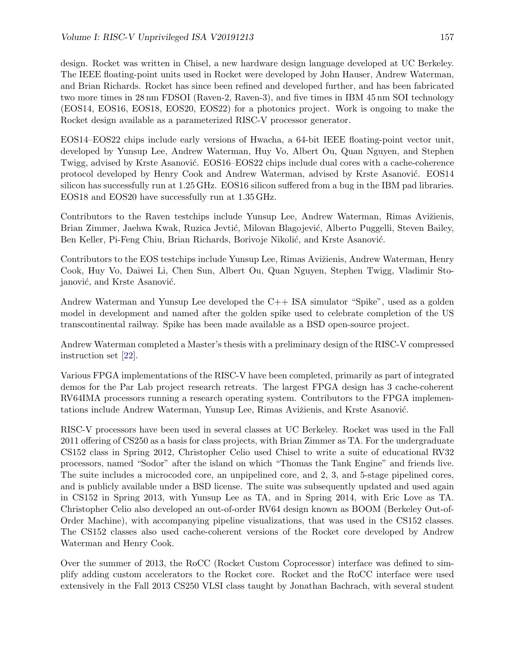design. Rocket was written in Chisel, a new hardware design language developed at UC Berkeley. The IEEE floating-point units used in Rocket were developed by John Hauser, Andrew Waterman, and Brian Richards. Rocket has since been refined and developed further, and has been fabricated two more times in 28 nm FDSOI (Raven-2, Raven-3), and five times in IBM 45 nm SOI technology (EOS14, EOS16, EOS18, EOS20, EOS22) for a photonics project. Work is ongoing to make the Rocket design available as a parameterized RISC-V processor generator.

EOS14–EOS22 chips include early versions of Hwacha, a 64-bit IEEE floating-point vector unit, developed by Yunsup Lee, Andrew Waterman, Huy Vo, Albert Ou, Quan Nguyen, and Stephen Twigg, advised by Krste Asanović. EOS16–EOS22 chips include dual cores with a cache-coherence protocol developed by Henry Cook and Andrew Waterman, advised by Krste Asanović. EOS14 silicon has successfully run at 1.25 GHz. EOS16 silicon suffered from a bug in the IBM pad libraries. EOS18 and EOS20 have successfully run at 1.35 GHz.

Contributors to the Raven testchips include Yunsup Lee, Andrew Waterman, Rimas Avižienis, Brian Zimmer, Jaehwa Kwak, Ruzica Jevtić, Milovan Blagojević, Alberto Puggelli, Steven Bailey, Ben Keller, Pi-Feng Chiu, Brian Richards, Borivoje Nikolić, and Krste Asanović.

Contributors to the EOS testchips include Yunsup Lee, Rimas Avižienis, Andrew Waterman, Henry Cook, Huy Vo, Daiwei Li, Chen Sun, Albert Ou, Quan Nguyen, Stephen Twigg, Vladimir Stojanović, and Krste Asanović.

Andrew Waterman and Yunsup Lee developed the C++ ISA simulator "Spike", used as a golden model in development and named after the golden spike used to celebrate completion of the US transcontinental railway. Spike has been made available as a BSD open-source project.

Andrew Waterman completed a Master's thesis with a preliminary design of the RISC-V compressed instruction set [\[22\]](#page-237-0).

Various FPGA implementations of the RISC-V have been completed, primarily as part of integrated demos for the Par Lab project research retreats. The largest FPGA design has 3 cache-coherent RV64IMA processors running a research operating system. Contributors to the FPGA implementations include Andrew Waterman, Yunsup Lee, Rimas Avižienis, and Krste Asanović.

RISC-V processors have been used in several classes at UC Berkeley. Rocket was used in the Fall 2011 offering of CS250 as a basis for class projects, with Brian Zimmer as TA. For the undergraduate CS152 class in Spring 2012, Christopher Celio used Chisel to write a suite of educational RV32 processors, named "Sodor" after the island on which "Thomas the Tank Engine" and friends live. The suite includes a microcoded core, an unpipelined core, and 2, 3, and 5-stage pipelined cores, and is publicly available under a BSD license. The suite was subsequently updated and used again in CS152 in Spring 2013, with Yunsup Lee as TA, and in Spring 2014, with Eric Love as TA. Christopher Celio also developed an out-of-order RV64 design known as BOOM (Berkeley Out-of-Order Machine), with accompanying pipeline visualizations, that was used in the CS152 classes. The CS152 classes also used cache-coherent versions of the Rocket core developed by Andrew Waterman and Henry Cook.

Over the summer of 2013, the RoCC (Rocket Custom Coprocessor) interface was defined to simplify adding custom accelerators to the Rocket core. Rocket and the RoCC interface were used extensively in the Fall 2013 CS250 VLSI class taught by Jonathan Bachrach, with several student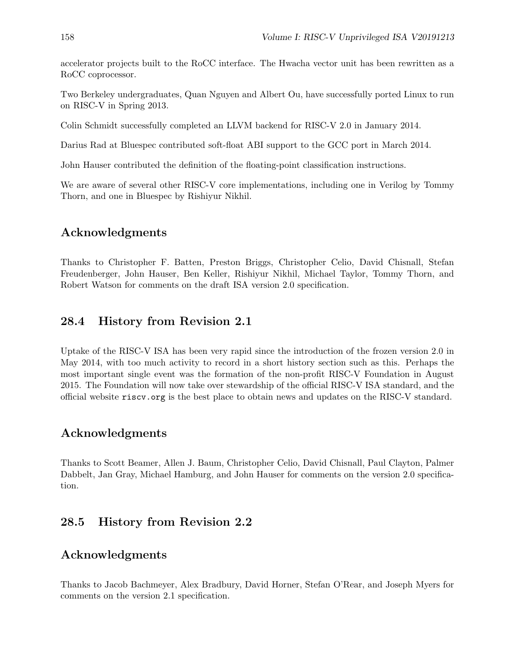accelerator projects built to the RoCC interface. The Hwacha vector unit has been rewritten as a RoCC coprocessor.

Two Berkeley undergraduates, Quan Nguyen and Albert Ou, have successfully ported Linux to run on RISC-V in Spring 2013.

Colin Schmidt successfully completed an LLVM backend for RISC-V 2.0 in January 2014.

Darius Rad at Bluespec contributed soft-float ABI support to the GCC port in March 2014.

John Hauser contributed the definition of the floating-point classification instructions.

We are aware of several other RISC-V core implementations, including one in Verilog by Tommy Thorn, and one in Bluespec by Rishiyur Nikhil.

### Acknowledgments

Thanks to Christopher F. Batten, Preston Briggs, Christopher Celio, David Chisnall, Stefan Freudenberger, John Hauser, Ben Keller, Rishiyur Nikhil, Michael Taylor, Tommy Thorn, and Robert Watson for comments on the draft ISA version 2.0 specification.

#### 28.4 History from Revision 2.1

Uptake of the RISC-V ISA has been very rapid since the introduction of the frozen version 2.0 in May 2014, with too much activity to record in a short history section such as this. Perhaps the most important single event was the formation of the non-profit RISC-V Foundation in August 2015. The Foundation will now take over stewardship of the official RISC-V ISA standard, and the official website riscv.org is the best place to obtain news and updates on the RISC-V standard.

#### Acknowledgments

Thanks to Scott Beamer, Allen J. Baum, Christopher Celio, David Chisnall, Paul Clayton, Palmer Dabbelt, Jan Gray, Michael Hamburg, and John Hauser for comments on the version 2.0 specification.

### 28.5 History from Revision 2.2

### Acknowledgments

Thanks to Jacob Bachmeyer, Alex Bradbury, David Horner, Stefan O'Rear, and Joseph Myers for comments on the version 2.1 specification.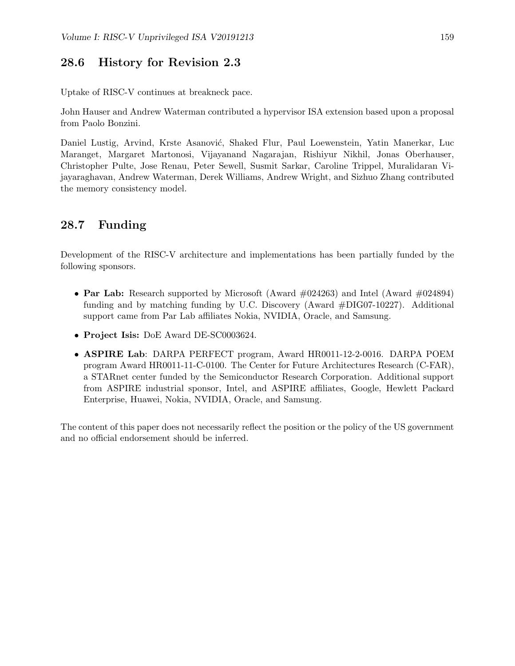## 28.6 History for Revision 2.3

Uptake of RISC-V continues at breakneck pace.

John Hauser and Andrew Waterman contributed a hypervisor ISA extension based upon a proposal from Paolo Bonzini.

Daniel Lustig, Arvind, Krste Asanović, Shaked Flur, Paul Loewenstein, Yatin Manerkar, Luc Maranget, Margaret Martonosi, Vijayanand Nagarajan, Rishiyur Nikhil, Jonas Oberhauser, Christopher Pulte, Jose Renau, Peter Sewell, Susmit Sarkar, Caroline Trippel, Muralidaran Vijayaraghavan, Andrew Waterman, Derek Williams, Andrew Wright, and Sizhuo Zhang contributed the memory consistency model.

# 28.7 Funding

Development of the RISC-V architecture and implementations has been partially funded by the following sponsors.

- Par Lab: Research supported by Microsoft (Award  $\#024263$ ) and Intel (Award  $\#024894$ ) funding and by matching funding by U.C. Discovery (Award #DIG07-10227). Additional support came from Par Lab affiliates Nokia, NVIDIA, Oracle, and Samsung.
- Project Isis: DoE Award DE-SC0003624.
- ASPIRE Lab: DARPA PERFECT program, Award HR0011-12-2-0016. DARPA POEM program Award HR0011-11-C-0100. The Center for Future Architectures Research (C-FAR), a STARnet center funded by the Semiconductor Research Corporation. Additional support from ASPIRE industrial sponsor, Intel, and ASPIRE affiliates, Google, Hewlett Packard Enterprise, Huawei, Nokia, NVIDIA, Oracle, and Samsung.

The content of this paper does not necessarily reflect the position or the policy of the US government and no official endorsement should be inferred.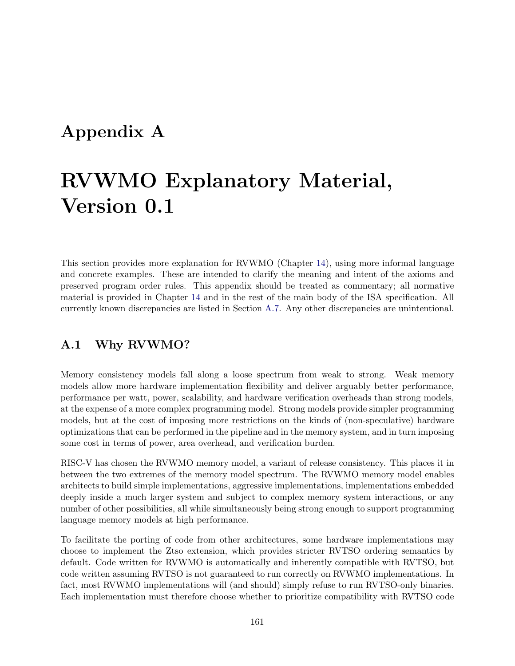# Appendix A

# RVWMO Explanatory Material, Version 0.1

This section provides more explanation for RVWMO (Chapter [14\)](#page-100-0), using more informal language and concrete examples. These are intended to clarify the meaning and intent of the axioms and preserved program order rules. This appendix should be treated as commentary; all normative material is provided in Chapter [14](#page-100-0) and in the rest of the main body of the ISA specification. All currently known discrepancies are listed in Section [A.7.](#page-205-0) Any other discrepancies are unintentional.

# A.1 Why RVWMO?

Memory consistency models fall along a loose spectrum from weak to strong. Weak memory models allow more hardware implementation flexibility and deliver arguably better performance, performance per watt, power, scalability, and hardware verification overheads than strong models, at the expense of a more complex programming model. Strong models provide simpler programming models, but at the cost of imposing more restrictions on the kinds of (non-speculative) hardware optimizations that can be performed in the pipeline and in the memory system, and in turn imposing some cost in terms of power, area overhead, and verification burden.

RISC-V has chosen the RVWMO memory model, a variant of release consistency. This places it in between the two extremes of the memory model spectrum. The RVWMO memory model enables architects to build simple implementations, aggressive implementations, implementations embedded deeply inside a much larger system and subject to complex memory system interactions, or any number of other possibilities, all while simultaneously being strong enough to support programming language memory models at high performance.

To facilitate the porting of code from other architectures, some hardware implementations may choose to implement the Ztso extension, which provides stricter RVTSO ordering semantics by default. Code written for RVWMO is automatically and inherently compatible with RVTSO, but code written assuming RVTSO is not guaranteed to run correctly on RVWMO implementations. In fact, most RVWMO implementations will (and should) simply refuse to run RVTSO-only binaries. Each implementation must therefore choose whether to prioritize compatibility with RVTSO code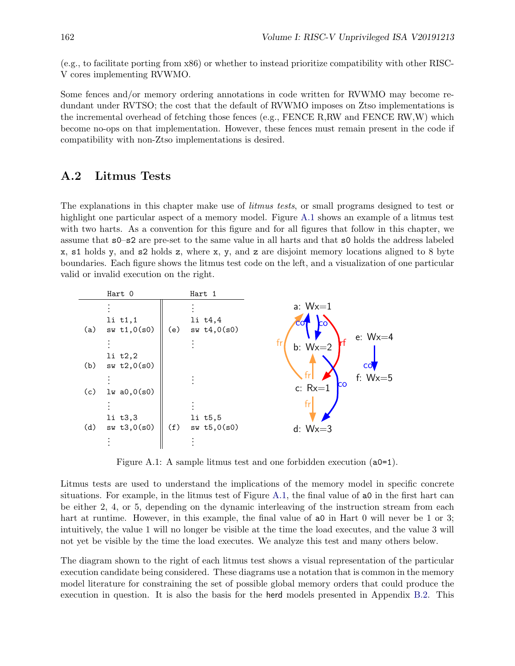(e.g., to facilitate porting from x86) or whether to instead prioritize compatibility with other RISC-V cores implementing RVWMO.

Some fences and/or memory ordering annotations in code written for RVWMO may become redundant under RVTSO; the cost that the default of RVWMO imposes on Ztso implementations is the incremental overhead of fetching those fences (e.g., FENCE R,RW and FENCE RW,W) which become no-ops on that implementation. However, these fences must remain present in the code if compatibility with non-Ztso implementations is desired.

#### A.2 Litmus Tests

The explanations in this chapter make use of *litmus tests*, or small programs designed to test or highlight one particular aspect of a memory model. Figure [A.1](#page-179-0) shows an example of a litmus test with two harts. As a convention for this figure and for all figures that follow in this chapter, we assume that s0–s2 are pre-set to the same value in all harts and that s0 holds the address labeled x, s1 holds y, and s2 holds z, where x, y, and z are disjoint memory locations aligned to 8 byte boundaries. Each figure shows the litmus test code on the left, and a visualization of one particular valid or invalid execution on the right.

|     | Hart 0                     | Hart 1                            |                                              |
|-----|----------------------------|-----------------------------------|----------------------------------------------|
|     | $li$ $t1,1$                | li $t4,4$                         | a: $Wx=1$<br>$\mathbf{b}$<br>CO <sub>1</sub> |
| (a) | sw t1,0(s0)<br>li $t2,2$   | (e)<br>sw t4,0(s0)                | e: $Wx=4$<br>fr/<br>$b: Wx=2$                |
| (b) | sw t2,0(s0)                |                                   | <b>CO</b><br>$fr_1$<br>f: $Wx=5$<br>cо       |
| (c) | $lw$ a0,0(s0)              |                                   | $c: Rx=1$<br>fr                              |
| (d) | $li$ $t3,3$<br>sw t3,0(s0) | $li$ $t5,5$<br>(f)<br>sw t5,0(s0) | d: $Wx=3$                                    |

<span id="page-179-0"></span>Figure A.1: A sample litmus test and one forbidden execution ( $a0=1$ ).

Litmus tests are used to understand the implications of the memory model in specific concrete situations. For example, in the litmus test of Figure [A.1,](#page-179-0) the final value of a0 in the first hart can be either 2, 4, or 5, depending on the dynamic interleaving of the instruction stream from each hart at runtime. However, in this example, the final value of  $a0$  in Hart 0 will never be 1 or 3; intuitively, the value 1 will no longer be visible at the time the load executes, and the value 3 will not yet be visible by the time the load executes. We analyze this test and many others below.

The diagram shown to the right of each litmus test shows a visual representation of the particular execution candidate being considered. These diagrams use a notation that is common in the memory model literature for constraining the set of possible global memory orders that could produce the execution in question. It is also the basis for the herd models presented in Appendix [B.2.](#page-214-0) This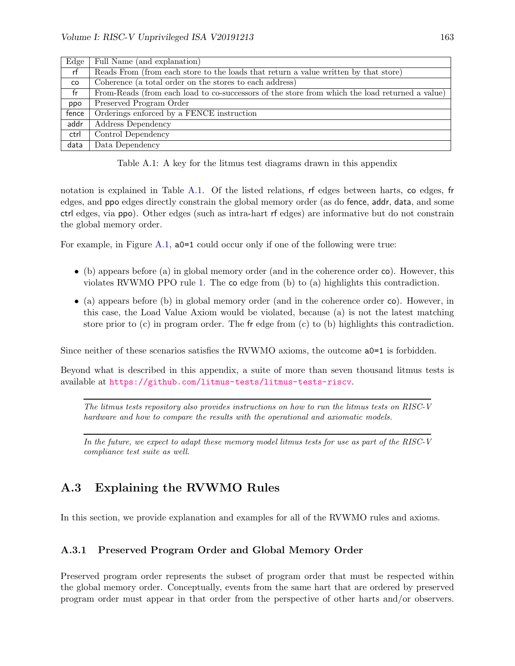| Edge  | Full Name (and explanation)                                                                    |
|-------|------------------------------------------------------------------------------------------------|
| rf    | Reads From (from each store to the loads that return a value written by that store)            |
| CO    | Coherence (a total order on the stores to each address)                                        |
| fr    | From-Reads (from each load to co-successors of the store from which the load returned a value) |
| ppo   | Preserved Program Order                                                                        |
| fence | Orderings enforced by a FENCE instruction                                                      |
| addr  | Address Dependency                                                                             |
| ctrl  | Control Dependency                                                                             |
| data  | Data Dependency                                                                                |

<span id="page-180-0"></span>Table A.1: A key for the litmus test diagrams drawn in this appendix

notation is explained in Table [A.1.](#page-180-0) Of the listed relations, rf edges between harts, co edges, fr edges, and ppo edges directly constrain the global memory order (as do fence, addr, data, and some ctrl edges, via ppo). Other edges (such as intra-hart rf edges) are informative but do not constrain the global memory order.

For example, in Figure [A.1,](#page-179-0)  $a0=1$  could occur only if one of the following were true:

- (b) appears before (a) in global memory order (and in the coherence order co). However, this violates RVWMO PPO rule [1.](#page-104-0) The co edge from (b) to (a) highlights this contradiction.
- (a) appears before (b) in global memory order (and in the coherence order co). However, in this case, the Load Value Axiom would be violated, because (a) is not the latest matching store prior to (c) in program order. The fr edge from (c) to (b) highlights this contradiction.

Since neither of these scenarios satisfies the RVWMO axioms, the outcome  $a0=1$  is forbidden.

Beyond what is described in this appendix, a suite of more than seven thousand litmus tests is available at <https://github.com/litmus-tests/litmus-tests-riscv>.

The litmus tests repository also provides instructions on how to run the litmus tests on RISC-V hardware and how to compare the results with the operational and axiomatic models.

In the future, we expect to adapt these memory model litmus tests for use as part of the RISC-V compliance test suite as well.

## A.3 Explaining the RVWMO Rules

In this section, we provide explanation and examples for all of the RVWMO rules and axioms.

#### A.3.1 Preserved Program Order and Global Memory Order

Preserved program order represents the subset of program order that must be respected within the global memory order. Conceptually, events from the same hart that are ordered by preserved program order must appear in that order from the perspective of other harts and/or observers.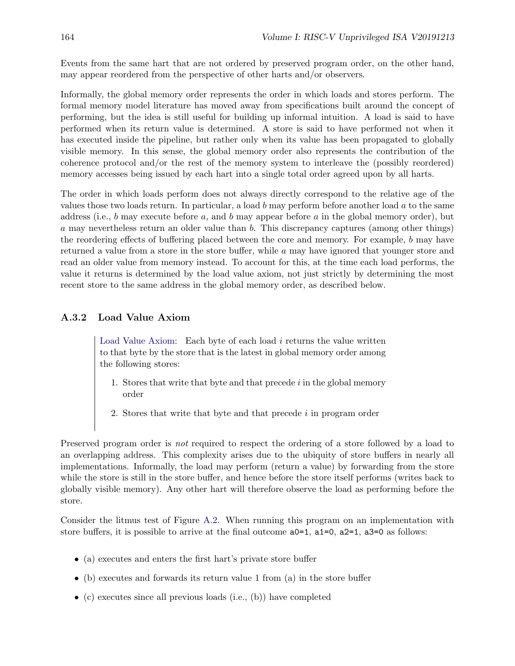Events from the same hart that are not ordered by preserved program order, on the other hand, may appear reordered from the perspective of other harts and/or observers.

Informally, the global memory order represents the order in which loads and stores perform. The formal memory model literature has moved away from specifications built around the concept of performing, but the idea is still useful for building up informal intuition. A load is said to have performed when its return value is determined. A store is said to have performed not when it has executed inside the pipeline, but rather only when its value has been propagated to globally visible memory. In this sense, the global memory order also represents the contribution of the coherence protocol and/or the rest of the memory system to interleave the (possibly reordered) memory accesses being issued by each hart into a single total order agreed upon by all harts.

The order in which loads perform does not always directly correspond to the relative age of the values those two loads return. In particular, a load  $b$  may perform before another load  $a$  to the same address (i.e., b may execute before a, and b may appear before a in the global memory order), but a may nevertheless return an older value than b. This discrepancy captures (among other things) the reordering effects of buffering placed between the core and memory. For example, b may have returned a value from a store in the store buffer, while a may have ignored that younger store and read an older value from memory instead. To account for this, at the time each load performs, the value it returns is determined by the load value axiom, not just strictly by determining the most recent store to the same address in the global memory order, as described below.

#### <span id="page-181-0"></span>A.3.2 Load Value Axiom

[Load Value Axiom:](#page-105-0) Each byte of each load i returns the value written to that byte by the store that is the latest in global memory order among the following stores:

- 1. Stores that write that byte and that precede  $i$  in the global memory order
- 2. Stores that write that byte and that precede  $i$  in program order

Preserved program order is not required to respect the ordering of a store followed by a load to an overlapping address. This complexity arises due to the ubiquity of store buffers in nearly all implementations. Informally, the load may perform (return a value) by forwarding from the store while the store is still in the store buffer, and hence before the store itself performs (writes back to globally visible memory). Any other hart will therefore observe the load as performing before the store.

Consider the litmus test of Figure [A.2.](#page-182-0) When running this program on an implementation with store buffers, it is possible to arrive at the final outcome  $a0=1$ ,  $a1=0$ ,  $a2=1$ ,  $a3=0$  as follows:

- (a) executes and enters the first hart's private store buffer
- (b) executes and forwards its return value 1 from (a) in the store buffer
- $\bullet$  (c) executes since all previous loads (i.e., (b)) have completed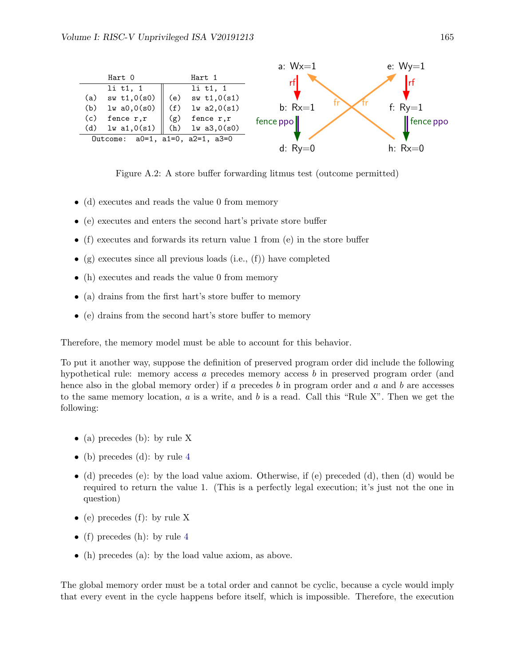

<span id="page-182-0"></span>Figure A.2: A store buffer forwarding litmus test (outcome permitted)

- (d) executes and reads the value 0 from memory
- (e) executes and enters the second hart's private store buffer
- $\bullet$  (f) executes and forwards its return value 1 from (e) in the store buffer
- (g) executes since all previous loads (i.e.,  $(f)$ ) have completed
- (h) executes and reads the value 0 from memory
- (a) drains from the first hart's store buffer to memory
- (e) drains from the second hart's store buffer to memory

Therefore, the memory model must be able to account for this behavior.

To put it another way, suppose the definition of preserved program order did include the following hypothetical rule: memory access a precedes memory access b in preserved program order (and hence also in the global memory order) if a precedes b in program order and a and b are accesses to the same memory location,  $a$  is a write, and  $b$  is a read. Call this "Rule X". Then we get the following:

- (a) precedes (b): by rule X
- (b) precedes (d): by rule [4](#page-104-1)
- (d) precedes (e): by the load value axiom. Otherwise, if (e) preceded (d), then (d) would be required to return the value 1. (This is a perfectly legal execution; it's just not the one in question)
- (e) precedes (f): by rule X
- (f) precedes (h): by rule [4](#page-104-1)
- (h) precedes (a): by the load value axiom, as above.

The global memory order must be a total order and cannot be cyclic, because a cycle would imply that every event in the cycle happens before itself, which is impossible. Therefore, the execution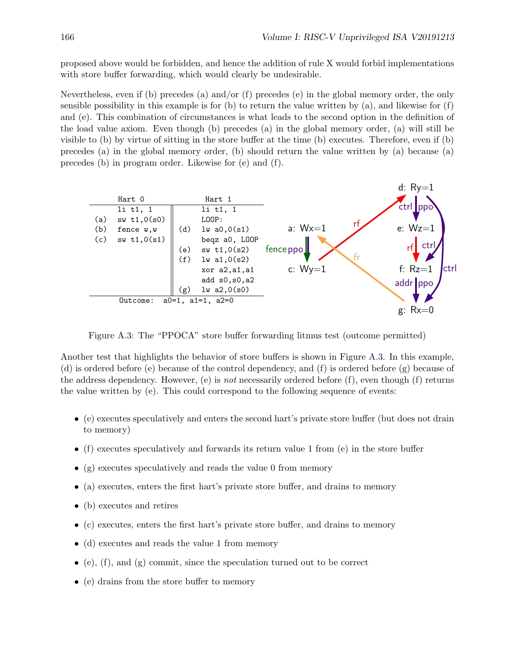proposed above would be forbidden, and hence the addition of rule X would forbid implementations with store buffer forwarding, which would clearly be undesirable.

Nevertheless, even if (b) precedes (a) and/or (f) precedes (e) in the global memory order, the only sensible possibility in this example is for  $(b)$  to return the value written by  $(a)$ , and likewise for  $(f)$ and (e). This combination of circumstances is what leads to the second option in the definition of the load value axiom. Even though (b) precedes (a) in the global memory order, (a) will still be visible to (b) by virtue of sitting in the store buffer at the time (b) executes. Therefore, even if (b) precedes (a) in the global memory order, (b) should return the value written by (a) because (a) precedes (b) in program order. Likewise for (e) and (f).



<span id="page-183-0"></span>Figure A.3: The "PPOCA" store buffer forwarding litmus test (outcome permitted)

Another test that highlights the behavior of store buffers is shown in Figure [A.3.](#page-183-0) In this example, (d) is ordered before (e) because of the control dependency, and (f) is ordered before (g) because of the address dependency. However, (e) is not necessarily ordered before  $(f)$ , even though  $(f)$  returns the value written by (e). This could correspond to the following sequence of events:

- (e) executes speculatively and enters the second hart's private store buffer (but does not drain to memory)
- (f) executes speculatively and forwards its return value 1 from (e) in the store buffer
- (g) executes speculatively and reads the value 0 from memory
- (a) executes, enters the first hart's private store buffer, and drains to memory
- (b) executes and retires
- (c) executes, enters the first hart's private store buffer, and drains to memory
- (d) executes and reads the value 1 from memory
- (e), (f), and (g) commit, since the speculation turned out to be correct
- (e) drains from the store buffer to memory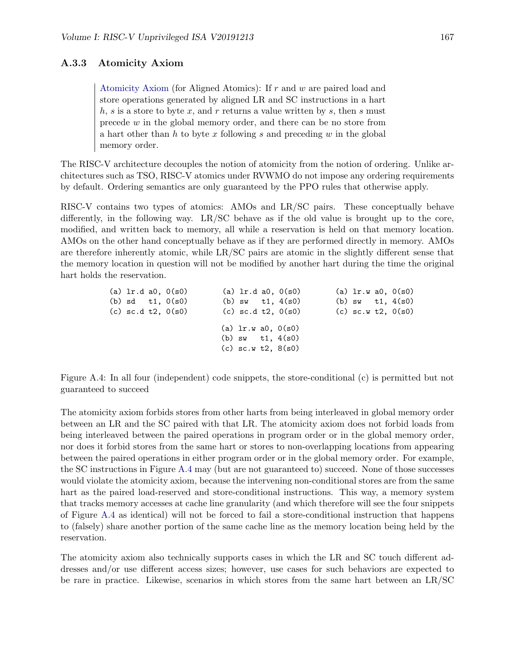#### A.3.3 Atomicity Axiom

[Atomicity Axiom](#page-105-1) (for Aligned Atomics): If r and w are paired load and store operations generated by aligned LR and SC instructions in a hart  $h, s$  is a store to byte x, and r returns a value written by s, then s must precede w in the global memory order, and there can be no store from a hart other than  $h$  to byte  $x$  following  $s$  and preceding  $w$  in the global memory order.

The RISC-V architecture decouples the notion of atomicity from the notion of ordering. Unlike architectures such as TSO, RISC-V atomics under RVWMO do not impose any ordering requirements by default. Ordering semantics are only guaranteed by the PPO rules that otherwise apply.

RISC-V contains two types of atomics: AMOs and LR/SC pairs. These conceptually behave differently, in the following way. LR/SC behave as if the old value is brought up to the core, modified, and written back to memory, all while a reservation is held on that memory location. AMOs on the other hand conceptually behave as if they are performed directly in memory. AMOs are therefore inherently atomic, while LR/SC pairs are atomic in the slightly different sense that the memory location in question will not be modified by another hart during the time the original hart holds the reservation.

<span id="page-184-0"></span>

| (a) $lr.d$ a0, $0(s0)$ |  |  | (a) $lr.d$ a0, $0(s0)$                       |  |  | (a) $lr.w a0, 0(s0)$   |
|------------------------|--|--|----------------------------------------------|--|--|------------------------|
| (b) sd $t1, 0(s0)$     |  |  | (b) $sw$ t1, $4(s0)$                         |  |  | (b) sw $t1, 4(s0)$     |
| (c) $sc.d$ t2, $0(s0)$ |  |  | (c) $sc.d$ t2, $0(s0)$                       |  |  | (c) $sc.w$ t2, $0(s0)$ |
|                        |  |  | (a) $lr.w a0, 0(s0)$<br>(b) $sw$ t1, $4(s0)$ |  |  |                        |
|                        |  |  | (c) $sc.w$ t2, $8(s0)$                       |  |  |                        |

Figure A.4: In all four (independent) code snippets, the store-conditional (c) is permitted but not guaranteed to succeed

The atomicity axiom forbids stores from other harts from being interleaved in global memory order between an LR and the SC paired with that LR. The atomicity axiom does not forbid loads from being interleaved between the paired operations in program order or in the global memory order, nor does it forbid stores from the same hart or stores to non-overlapping locations from appearing between the paired operations in either program order or in the global memory order. For example, the SC instructions in Figure [A.4](#page-184-0) may (but are not guaranteed to) succeed. None of those successes would violate the atomicity axiom, because the intervening non-conditional stores are from the same hart as the paired load-reserved and store-conditional instructions. This way, a memory system that tracks memory accesses at cache line granularity (and which therefore will see the four snippets of Figure [A.4](#page-184-0) as identical) will not be forced to fail a store-conditional instruction that happens to (falsely) share another portion of the same cache line as the memory location being held by the reservation.

The atomicity axiom also technically supports cases in which the LR and SC touch different addresses and/or use different access sizes; however, use cases for such behaviors are expected to be rare in practice. Likewise, scenarios in which stores from the same hart between an LR/SC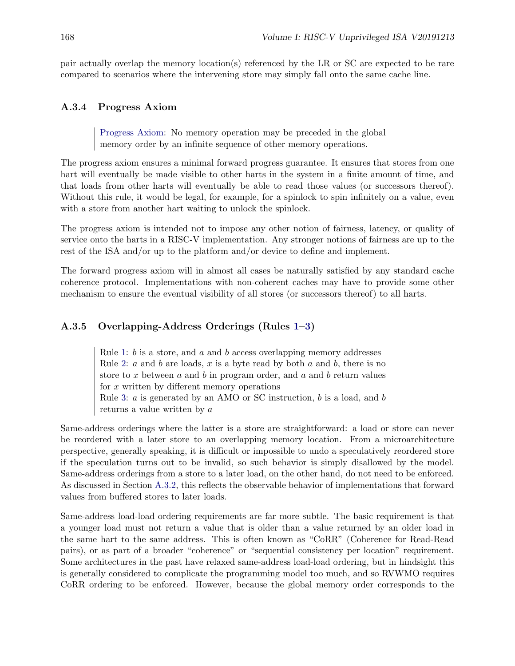pair actually overlap the memory location(s) referenced by the LR or SC are expected to be rare compared to scenarios where the intervening store may simply fall onto the same cache line.

#### A.3.4 Progress Axiom

[Progress Axiom:](#page-105-2) No memory operation may be preceded in the global memory order by an infinite sequence of other memory operations.

The progress axiom ensures a minimal forward progress guarantee. It ensures that stores from one hart will eventually be made visible to other harts in the system in a finite amount of time, and that loads from other harts will eventually be able to read those values (or successors thereof). Without this rule, it would be legal, for example, for a spinlock to spin infinitely on a value, even with a store from another hart waiting to unlock the spinlock.

The progress axiom is intended not to impose any other notion of fairness, latency, or quality of service onto the harts in a RISC-V implementation. Any stronger notions of fairness are up to the rest of the ISA and/or up to the platform and/or device to define and implement.

The forward progress axiom will in almost all cases be naturally satisfied by any standard cache coherence protocol. Implementations with non-coherent caches may have to provide some other mechanism to ensure the eventual visibility of all stores (or successors thereof) to all harts.

#### <span id="page-185-0"></span>A.3.5 Overlapping-Address Orderings (Rules [1–](#page-104-0)[3\)](#page-104-2)

Rule [1:](#page-104-0)  $b$  is a store, and  $a$  and  $b$  access overlapping memory addresses Rule [2:](#page-104-3) a and b are loads, x is a byte read by both a and b, there is no store to x between  $a$  and  $b$  in program order, and  $a$  and  $b$  return values for  $x$  written by different memory operations Rule [3:](#page-104-2)  $a$  is generated by an AMO or SC instruction,  $b$  is a load, and  $b$ returns a value written by a

Same-address orderings where the latter is a store are straightforward: a load or store can never be reordered with a later store to an overlapping memory location. From a microarchitecture perspective, generally speaking, it is difficult or impossible to undo a speculatively reordered store if the speculation turns out to be invalid, so such behavior is simply disallowed by the model. Same-address orderings from a store to a later load, on the other hand, do not need to be enforced. As discussed in Section [A.3.2,](#page-181-0) this reflects the observable behavior of implementations that forward values from buffered stores to later loads.

Same-address load-load ordering requirements are far more subtle. The basic requirement is that a younger load must not return a value that is older than a value returned by an older load in the same hart to the same address. This is often known as "CoRR" (Coherence for Read-Read pairs), or as part of a broader "coherence" or "sequential consistency per location" requirement. Some architectures in the past have relaxed same-address load-load ordering, but in hindsight this is generally considered to complicate the programming model too much, and so RVWMO requires CoRR ordering to be enforced. However, because the global memory order corresponds to the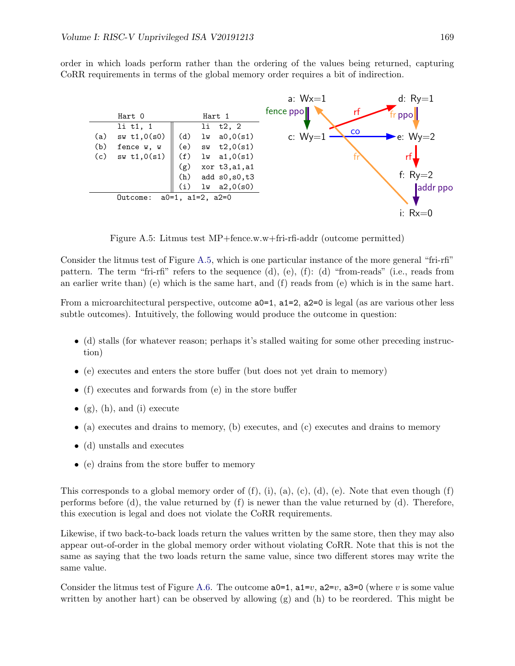

order in which loads perform rather than the ordering of the values being returned, capturing CoRR requirements in terms of the global memory order requires a bit of indirection.

<span id="page-186-0"></span>Figure A.5: Litmus test MP+fence.w.w+fri-rfi-addr (outcome permitted)

Consider the litmus test of Figure [A.5,](#page-186-0) which is one particular instance of the more general "fri-rfi" pattern. The term "fri-rfi" refers to the sequence  $(d)$ ,  $(e)$ ,  $(f)$ :  $(d)$  "from-reads" (i.e., reads from an earlier write than) (e) which is the same hart, and (f) reads from (e) which is in the same hart.

From a microarchitectural perspective, outcome  $a0=1$ ,  $a1=2$ ,  $a2=0$  is legal (as are various other less subtle outcomes). Intuitively, the following would produce the outcome in question:

- (d) stalls (for whatever reason; perhaps it's stalled waiting for some other preceding instruction)
- (e) executes and enters the store buffer (but does not yet drain to memory)
- (f) executes and forwards from (e) in the store buffer
- (g), (h), and (i) execute
- $\bullet$  (a) executes and drains to memory, (b) executes, and (c) executes and drains to memory
- (d) unstalls and executes
- (e) drains from the store buffer to memory

This corresponds to a global memory order of  $(f)$ ,  $(i)$ ,  $(a)$ ,  $(c)$ ,  $(d)$ ,  $(e)$ . Note that even though  $(f)$ performs before  $(d)$ , the value returned by  $(f)$  is newer than the value returned by  $(d)$ . Therefore, this execution is legal and does not violate the CoRR requirements.

Likewise, if two back-to-back loads return the values written by the same store, then they may also appear out-of-order in the global memory order without violating CoRR. Note that this is not the same as saying that the two loads return the same value, since two different stores may write the same value.

Consider the litmus test of Figure [A.6.](#page-187-0) The outcome  $a0=1$ ,  $a1=v$ ,  $a2=v$ ,  $a3=0$  (where v is some value written by another hart) can be observed by allowing  $(g)$  and  $(h)$  to be reordered. This might be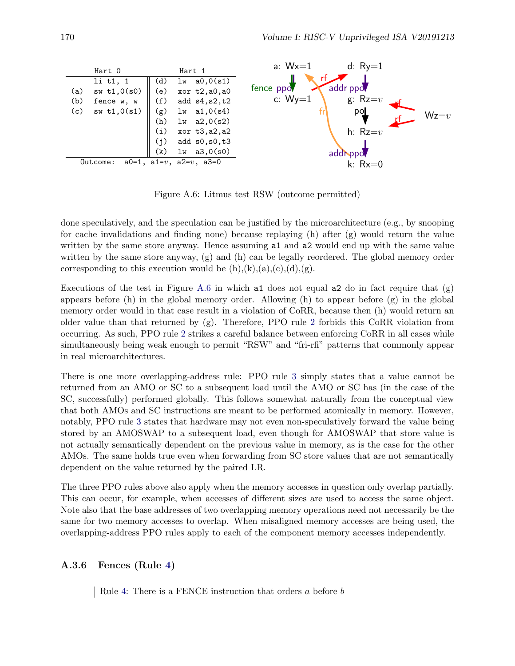

<span id="page-187-0"></span>Figure A.6: Litmus test RSW (outcome permitted)

done speculatively, and the speculation can be justified by the microarchitecture (e.g., by snooping for cache invalidations and finding none) because replaying (h) after (g) would return the value written by the same store anyway. Hence assuming a1 and a2 would end up with the same value written by the same store anyway, (g) and (h) can be legally reordered. The global memory order corresponding to this execution would be  $(h),(k),(a),(c),(d),(g)$ .

Executions of the test in Figure [A.6](#page-187-0) in which a1 does not equal a2 do in fact require that  $(g)$ appears before (h) in the global memory order. Allowing (h) to appear before (g) in the global memory order would in that case result in a violation of CoRR, because then (h) would return an older value than that returned by (g). Therefore, PPO rule [2](#page-104-3) forbids this CoRR violation from occurring. As such, PPO rule [2](#page-104-3) strikes a careful balance between enforcing CoRR in all cases while simultaneously being weak enough to permit "RSW" and "fri-rfi" patterns that commonly appear in real microarchitectures.

There is one more overlapping-address rule: PPO rule [3](#page-104-2) simply states that a value cannot be returned from an AMO or SC to a subsequent load until the AMO or SC has (in the case of the SC, successfully) performed globally. This follows somewhat naturally from the conceptual view that both AMOs and SC instructions are meant to be performed atomically in memory. However, notably, PPO rule [3](#page-104-2) states that hardware may not even non-speculatively forward the value being stored by an AMOSWAP to a subsequent load, even though for AMOSWAP that store value is not actually semantically dependent on the previous value in memory, as is the case for the other AMOs. The same holds true even when forwarding from SC store values that are not semantically dependent on the value returned by the paired LR.

The three PPO rules above also apply when the memory accesses in question only overlap partially. This can occur, for example, when accesses of different sizes are used to access the same object. Note also that the base addresses of two overlapping memory operations need not necessarily be the same for two memory accesses to overlap. When misaligned memory accesses are being used, the overlapping-address PPO rules apply to each of the component memory accesses independently.

#### A.3.6 Fences (Rule [4\)](#page-104-1)

Rule [4:](#page-104-1) There is a FENCE instruction that orders a before b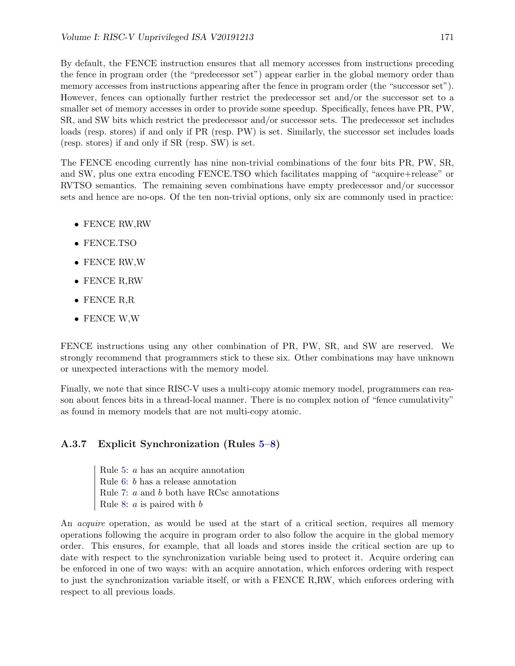By default, the FENCE instruction ensures that all memory accesses from instructions preceding the fence in program order (the "predecessor set") appear earlier in the global memory order than memory accesses from instructions appearing after the fence in program order (the "successor set"). However, fences can optionally further restrict the predecessor set and/or the successor set to a smaller set of memory accesses in order to provide some speedup. Specifically, fences have PR, PW, SR, and SW bits which restrict the predecessor and/or successor sets. The predecessor set includes loads (resp. stores) if and only if PR (resp. PW) is set. Similarly, the successor set includes loads (resp. stores) if and only if SR (resp. SW) is set.

The FENCE encoding currently has nine non-trivial combinations of the four bits PR, PW, SR, and SW, plus one extra encoding FENCE.TSO which facilitates mapping of "acquire+release" or RVTSO semantics. The remaining seven combinations have empty predecessor and/or successor sets and hence are no-ops. Of the ten non-trivial options, only six are commonly used in practice:

- FENCE RW,RW
- FENCE.TSO
- FENCE RW,W
- FENCE R,RW
- FENCE R,R
- FENCE W,W

FENCE instructions using any other combination of PR, PW, SR, and SW are reserved. We strongly recommend that programmers stick to these six. Other combinations may have unknown or unexpected interactions with the memory model.

Finally, we note that since RISC-V uses a multi-copy atomic memory model, programmers can reason about fences bits in a thread-local manner. There is no complex notion of "fence cumulativity" as found in memory models that are not multi-copy atomic.

#### A.3.7 Explicit Synchronization (Rules [5–](#page-104-4)[8\)](#page-104-5)

Rule [5:](#page-104-4) a has an acquire annotation Rule [6:](#page-104-6) b has a release annotation Rule [7:](#page-104-7) a and b both have RCsc annotations Rule [8:](#page-104-5)  $a$  is paired with  $b$ 

An *acquire* operation, as would be used at the start of a critical section, requires all memory operations following the acquire in program order to also follow the acquire in the global memory order. This ensures, for example, that all loads and stores inside the critical section are up to date with respect to the synchronization variable being used to protect it. Acquire ordering can be enforced in one of two ways: with an acquire annotation, which enforces ordering with respect to just the synchronization variable itself, or with a FENCE R,RW, which enforces ordering with respect to all previous loads.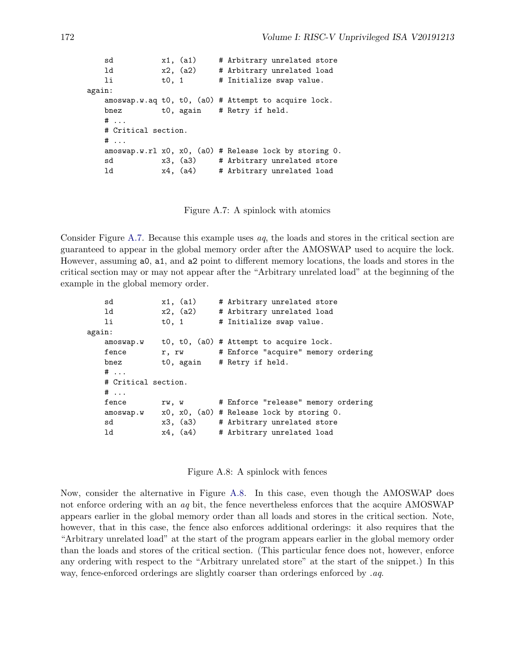```
sd x1, (a1) # Arbitrary unrelated store
   ld x2, (a2) # Arbitrary unrelated load
   li t0, 1 # Initialize swap value.
again:
   amoswap.w.aq t0, t0, (a0) # Attempt to acquire lock.
   bnez t0, again # Retry if held.
   # ...
   # Critical section.
   # ...
   amoswap.w.rl x0, x0, (a0) # Release lock by storing 0.
   sd x3, (a3) # Arbitrary unrelated store
   ld x4, (a4) # Arbitrary unrelated load
```
Figure A.7: A spinlock with atomics

<span id="page-189-0"></span>Consider Figure [A.7.](#page-189-0) Because this example uses aq, the loads and stores in the critical section are guaranteed to appear in the global memory order after the AMOSWAP used to acquire the lock. However, assuming a0, a1, and a2 point to different memory locations, the loads and stores in the critical section may or may not appear after the "Arbitrary unrelated load" at the beginning of the example in the global memory order.

```
sd x1, (a1) # Arbitrary unrelated store
   ld x2, (a2) # Arbitrary unrelated load
   li t0, 1 # Initialize swap value.
again:
   amoswap.w t0, t0, (a0) # Attempt to acquire lock.
   fence r, rw # Enforce "acquire" memory ordering
   bnez t0, again # Retry if held.
   # ...
   # Critical section.
   # ...
   fence rw, w # Enforce "release" memory ordering
   amoswap.w x0, x0, (a0) # Release lock by storing 0.
   sd x3, (a3) # Arbitrary unrelated store
   ld x4, (a4) # Arbitrary unrelated load
```
Figure A.8: A spinlock with fences

<span id="page-189-1"></span>Now, consider the alternative in Figure [A.8.](#page-189-1) In this case, even though the AMOSWAP does not enforce ordering with an *aq* bit, the fence nevertheless enforces that the acquire AMOSWAP appears earlier in the global memory order than all loads and stores in the critical section. Note, however, that in this case, the fence also enforces additional orderings: it also requires that the "Arbitrary unrelated load" at the start of the program appears earlier in the global memory order than the loads and stores of the critical section. (This particular fence does not, however, enforce any ordering with respect to the "Arbitrary unrelated store" at the start of the snippet.) In this way, fence-enforced orderings are slightly coarser than orderings enforced by .aq.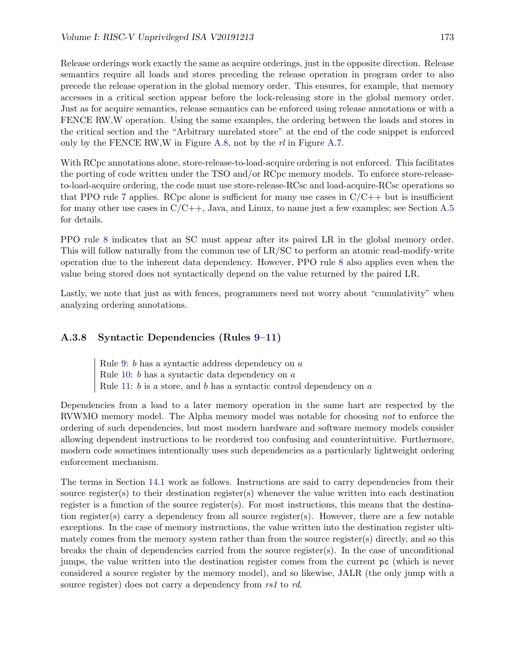Release orderings work exactly the same as acquire orderings, just in the opposite direction. Release semantics require all loads and stores preceding the release operation in program order to also precede the release operation in the global memory order. This ensures, for example, that memory accesses in a critical section appear before the lock-releasing store in the global memory order. Just as for acquire semantics, release semantics can be enforced using release annotations or with a FENCE RW,W operation. Using the same examples, the ordering between the loads and stores in the critical section and the "Arbitrary unrelated store" at the end of the code snippet is enforced only by the FENCE RW, W in Figure [A.8,](#page-189-1) not by the  $rl$  in Figure [A.7.](#page-189-0)

With RCpc annotations alone, store-release-to-load-acquire ordering is not enforced. This facilitates the porting of code written under the TSO and/or RCpc memory models. To enforce store-releaseto-load-acquire ordering, the code must use store-release-RCsc and load-acquire-RCsc operations so that PPO rule [7](#page-104-7) applies. RCpc alone is sufficient for many use cases in  $C/C++$  but is insufficient for many other use cases in  $C/C++$ , Java, and Linux, to name just a few examples; see Section [A.5](#page-197-0) for details.

PPO rule [8](#page-104-5) indicates that an SC must appear after its paired LR in the global memory order. This will follow naturally from the common use of LR/SC to perform an atomic read-modify-write operation due to the inherent data dependency. However, PPO rule [8](#page-104-5) also applies even when the value being stored does not syntactically depend on the value returned by the paired LR.

Lastly, we note that just as with fences, programmers need not worry about "cumulativity" when analyzing ordering annotations.

#### A.3.8 Syntactic Dependencies (Rules [9–](#page-104-8)[11\)](#page-104-9)

Rule [9:](#page-104-8) b has a syntactic address dependency on a Rule [10:](#page-104-10) b has a syntactic data dependency on a Rule [11:](#page-104-9) b is a store, and b has a syntactic control dependency on a

Dependencies from a load to a later memory operation in the same hart are respected by the RVWMO memory model. The Alpha memory model was notable for choosing not to enforce the ordering of such dependencies, but most modern hardware and software memory models consider allowing dependent instructions to be reordered too confusing and counterintuitive. Furthermore, modern code sometimes intentionally uses such dependencies as a particularly lightweight ordering enforcement mechanism.

The terms in Section [14.1](#page-102-0) work as follows. Instructions are said to carry dependencies from their source register(s) to their destination register(s) whenever the value written into each destination register is a function of the source register(s). For most instructions, this means that the destination register(s) carry a dependency from all source register(s). However, there are a few notable exceptions. In the case of memory instructions, the value written into the destination register ultimately comes from the memory system rather than from the source register(s) directly, and so this breaks the chain of dependencies carried from the source register $(s)$ . In the case of unconditional jumps, the value written into the destination register comes from the current pc (which is never considered a source register by the memory model), and so likewise, JALR (the only jump with a source register) does not carry a dependency from rs1 to rd.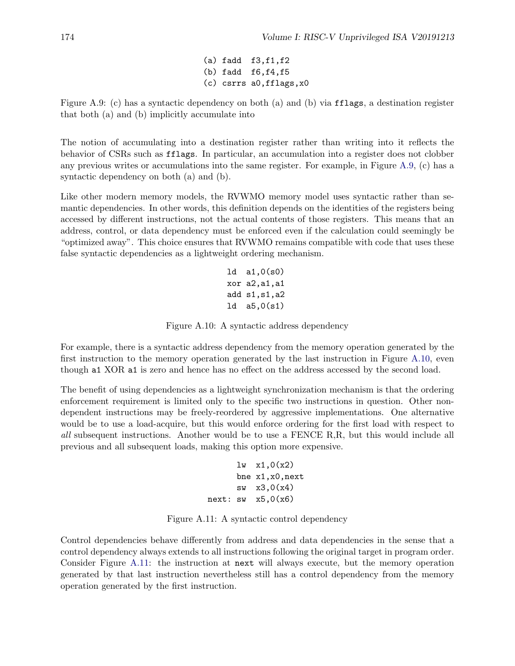<span id="page-191-0"></span> $(a)$  fadd f3,f1,f2  $(b)$  fadd f6, f4, f5 (c) csrrs a0,fflags,x0

Figure A.9: (c) has a syntactic dependency on both (a) and (b) via fflags, a destination register that both (a) and (b) implicitly accumulate into

The notion of accumulating into a destination register rather than writing into it reflects the behavior of CSRs such as fflags. In particular, an accumulation into a register does not clobber any previous writes or accumulations into the same register. For example, in Figure [A.9,](#page-191-0) (c) has a syntactic dependency on both (a) and (b).

Like other modern memory models, the RVWMO memory model uses syntactic rather than semantic dependencies. In other words, this definition depends on the identities of the registers being accessed by different instructions, not the actual contents of those registers. This means that an address, control, or data dependency must be enforced even if the calculation could seemingly be "optimized away". This choice ensures that RVWMO remains compatible with code that uses these false syntactic dependencies as a lightweight ordering mechanism.

```
ld a1,0(s0)
xor a2,a1,a1
add s1,s1,a2
ld a5,0(s1)
```
Figure A.10: A syntactic address dependency

For example, there is a syntactic address dependency from the memory operation generated by the first instruction to the memory operation generated by the last instruction in Figure [A.10,](#page-191-1) even though a1 XOR a1 is zero and hence has no effect on the address accessed by the second load.

The benefit of using dependencies as a lightweight synchronization mechanism is that the ordering enforcement requirement is limited only to the specific two instructions in question. Other nondependent instructions may be freely-reordered by aggressive implementations. One alternative would be to use a load-acquire, but this would enforce ordering for the first load with respect to all subsequent instructions. Another would be to use a FENCE R,R, but this would include all previous and all subsequent loads, making this option more expensive.

```
lw x1,0(x2)
      bne x1,x0,next
      sw x3,0(x4)
next: sw x5,0(x6)
```
#### Figure A.11: A syntactic control dependency

Control dependencies behave differently from address and data dependencies in the sense that a control dependency always extends to all instructions following the original target in program order. Consider Figure [A.11:](#page-191-2) the instruction at next will always execute, but the memory operation generated by that last instruction nevertheless still has a control dependency from the memory operation generated by the first instruction.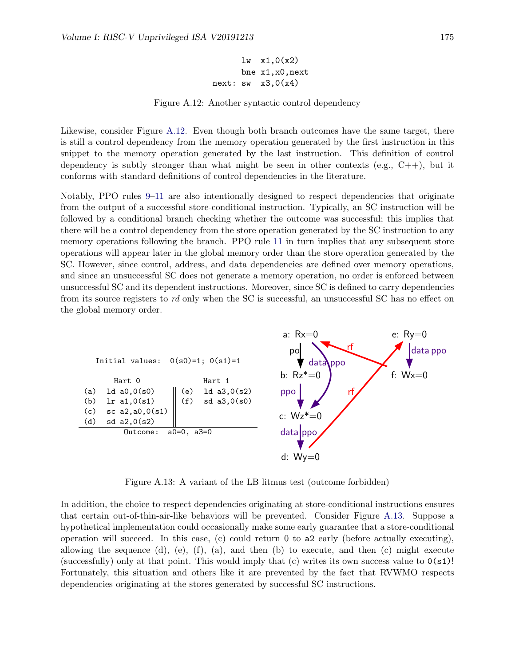<span id="page-192-0"></span>
$$
1w x1,0(x2)
$$
  
bne x1, x0, next  
next: sw x3,0(x4)

Figure A.12: Another syntactic control dependency

Likewise, consider Figure [A.12.](#page-192-0) Even though both branch outcomes have the same target, there is still a control dependency from the memory operation generated by the first instruction in this snippet to the memory operation generated by the last instruction. This definition of control dependency is subtly stronger than what might be seen in other contexts (e.g.,  $C_{++}$ ), but it conforms with standard definitions of control dependencies in the literature.

Notably, PPO rules [9–](#page-104-8)[11](#page-104-9) are also intentionally designed to respect dependencies that originate from the output of a successful store-conditional instruction. Typically, an SC instruction will be followed by a conditional branch checking whether the outcome was successful; this implies that there will be a control dependency from the store operation generated by the SC instruction to any memory operations following the branch. PPO rule [11](#page-104-9) in turn implies that any subsequent store operations will appear later in the global memory order than the store operation generated by the SC. However, since control, address, and data dependencies are defined over memory operations, and since an unsuccessful SC does not generate a memory operation, no order is enforced between unsuccessful SC and its dependent instructions. Moreover, since SC is defined to carry dependencies from its source registers to rd only when the SC is successful, an unsuccessful SC has no effect on the global memory order.



<span id="page-192-1"></span>Figure A.13: A variant of the LB litmus test (outcome forbidden)

In addition, the choice to respect dependencies originating at store-conditional instructions ensures that certain out-of-thin-air-like behaviors will be prevented. Consider Figure [A.13.](#page-192-1) Suppose a hypothetical implementation could occasionally make some early guarantee that a store-conditional operation will succeed. In this case, (c) could return 0 to  $a2$  early (before actually executing), allowing the sequence  $(d)$ ,  $(e)$ ,  $(f)$ ,  $(a)$ , and then  $(b)$  to execute, and then  $(c)$  might execute (successfully) only at that point. This would imply that (c) writes its own success value to  $O(s1)!$ Fortunately, this situation and others like it are prevented by the fact that RVWMO respects dependencies originating at the stores generated by successful SC instructions.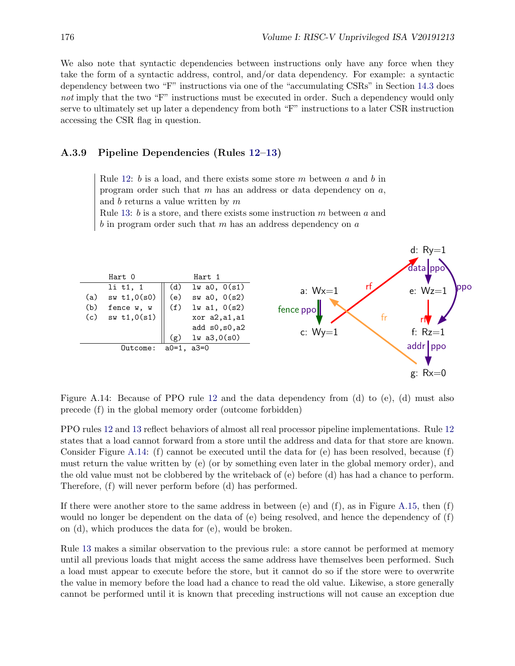We also note that syntactic dependencies between instructions only have any force when they take the form of a syntactic address, control, and/or data dependency. For example: a syntactic dependency between two "F" instructions via one of the "accumulating CSRs" in Section [14.3](#page-105-3) does not imply that the two "F" instructions must be executed in order. Such a dependency would only serve to ultimately set up later a dependency from both "F" instructions to a later CSR instruction accessing the CSR flag in question.

#### A.3.9 Pipeline Dependencies (Rules [12](#page-104-11)[–13\)](#page-104-12)

Rule [12:](#page-104-11) b is a load, and there exists some store m between a and b in program order such that  $m$  has an address or data dependency on  $a$ , and  $b$  returns a value written by  $m$ 

Rule [13:](#page-104-12)  $b$  is a store, and there exists some instruction  $m$  between  $a$  and b in program order such that  $m$  has an address dependency on  $a$ 



<span id="page-193-0"></span>Figure A.14: Because of PPO rule [12](#page-104-11) and the data dependency from (d) to (e), (d) must also precede (f) in the global memory order (outcome forbidden)

PPO rules [12](#page-104-11) and [13](#page-104-12) reflect behaviors of almost all real processor pipeline implementations. Rule [12](#page-104-11) states that a load cannot forward from a store until the address and data for that store are known. Consider Figure [A.14:](#page-193-0) (f) cannot be executed until the data for (e) has been resolved, because (f) must return the value written by (e) (or by something even later in the global memory order), and the old value must not be clobbered by the writeback of (e) before (d) has had a chance to perform. Therefore, (f) will never perform before (d) has performed.

If there were another store to the same address in between (e) and (f), as in Figure [A.15,](#page-194-0) then (f) would no longer be dependent on the data of (e) being resolved, and hence the dependency of (f) on (d), which produces the data for (e), would be broken.

Rule [13](#page-104-12) makes a similar observation to the previous rule: a store cannot be performed at memory until all previous loads that might access the same address have themselves been performed. Such a load must appear to execute before the store, but it cannot do so if the store were to overwrite the value in memory before the load had a chance to read the old value. Likewise, a store generally cannot be performed until it is known that preceding instructions will not cause an exception due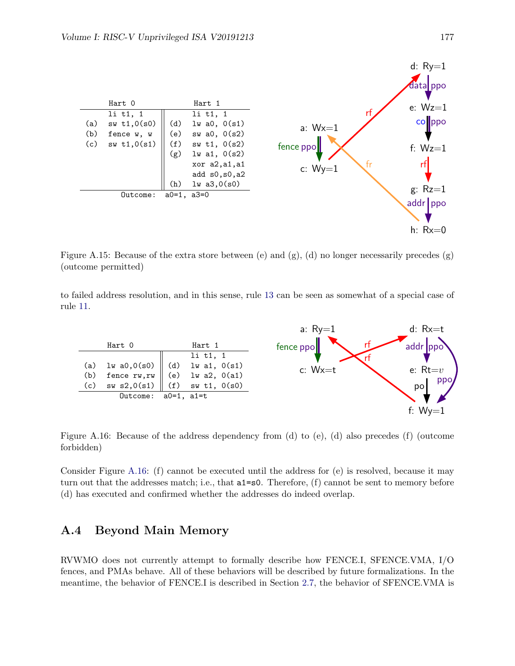

<span id="page-194-0"></span>Figure A.15: Because of the extra store between (e) and  $(g)$ , (d) no longer necessarily precedes  $(g)$ (outcome permitted)

to failed address resolution, and in this sense, rule [13](#page-104-12) can be seen as somewhat of a special case of rule [11.](#page-104-9)

<span id="page-194-1"></span>

Figure A.16: Because of the address dependency from (d) to (e), (d) also precedes (f) (outcome forbidden)

Consider Figure [A.16:](#page-194-1) (f) cannot be executed until the address for (e) is resolved, because it may turn out that the addresses match; i.e., that a1=s0. Therefore, (f) cannot be sent to memory before (d) has executed and confirmed whether the addresses do indeed overlap.

#### A.4 Beyond Main Memory

RVWMO does not currently attempt to formally describe how FENCE.I, SFENCE.VMA, I/O fences, and PMAs behave. All of these behaviors will be described by future formalizations. In the meantime, the behavior of FENCE.I is described in Section [2.7,](#page-43-0) the behavior of SFENCE.VMA is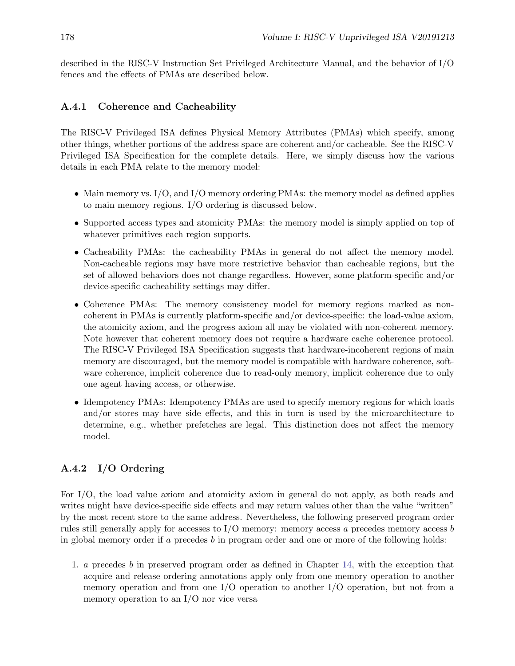described in the RISC-V Instruction Set Privileged Architecture Manual, and the behavior of I/O fences and the effects of PMAs are described below.

#### A.4.1 Coherence and Cacheability

The RISC-V Privileged ISA defines Physical Memory Attributes (PMAs) which specify, among other things, whether portions of the address space are coherent and/or cacheable. See the RISC-V Privileged ISA Specification for the complete details. Here, we simply discuss how the various details in each PMA relate to the memory model:

- Main memory vs. I/O, and I/O memory ordering PMAs: the memory model as defined applies to main memory regions. I/O ordering is discussed below.
- Supported access types and atomicity PMAs: the memory model is simply applied on top of whatever primitives each region supports.
- Cacheability PMAs: the cacheability PMAs in general do not affect the memory model. Non-cacheable regions may have more restrictive behavior than cacheable regions, but the set of allowed behaviors does not change regardless. However, some platform-specific and/or device-specific cacheability settings may differ.
- Coherence PMAs: The memory consistency model for memory regions marked as noncoherent in PMAs is currently platform-specific and/or device-specific: the load-value axiom, the atomicity axiom, and the progress axiom all may be violated with non-coherent memory. Note however that coherent memory does not require a hardware cache coherence protocol. The RISC-V Privileged ISA Specification suggests that hardware-incoherent regions of main memory are discouraged, but the memory model is compatible with hardware coherence, software coherence, implicit coherence due to read-only memory, implicit coherence due to only one agent having access, or otherwise.
- Idempotency PMAs: Idempotency PMAs are used to specify memory regions for which loads and/or stores may have side effects, and this in turn is used by the microarchitecture to determine, e.g., whether prefetches are legal. This distinction does not affect the memory model.

#### A.4.2 I/O Ordering

For I/O, the load value axiom and atomicity axiom in general do not apply, as both reads and writes might have device-specific side effects and may return values other than the value "written" by the most recent store to the same address. Nevertheless, the following preserved program order rules still generally apply for accesses to I/O memory: memory access a precedes memory access b in global memory order if  $a$  precedes  $b$  in program order and one or more of the following holds:

1. a precedes b in preserved program order as defined in Chapter [14,](#page-100-0) with the exception that acquire and release ordering annotations apply only from one memory operation to another memory operation and from one I/O operation to another I/O operation, but not from a memory operation to an I/O nor vice versa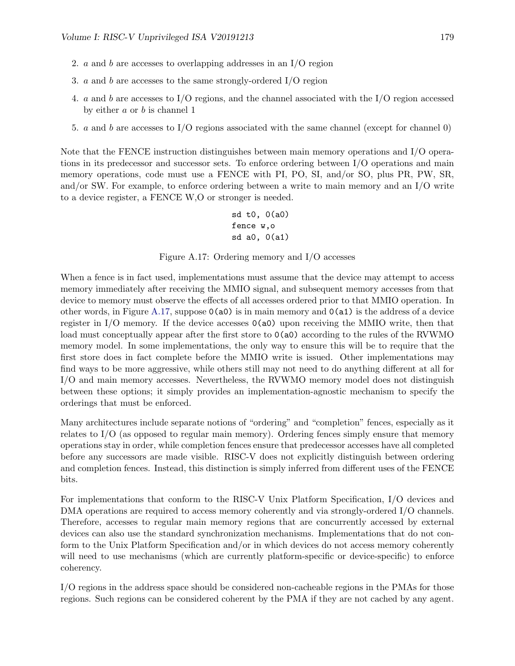- 2. a and b are accesses to overlapping addresses in an I/O region
- 3. a and b are accesses to the same strongly-ordered I/O region
- 4. a and b are accesses to I/O regions, and the channel associated with the I/O region accessed by either a or b is channel 1
- 5. a and b are accesses to I/O regions associated with the same channel (except for channel 0)

Note that the FENCE instruction distinguishes between main memory operations and I/O operations in its predecessor and successor sets. To enforce ordering between I/O operations and main memory operations, code must use a FENCE with PI, PO, SI, and/or SO, plus PR, PW, SR, and/or SW. For example, to enforce ordering between a write to main memory and an I/O write to a device register, a FENCE W,O or stronger is needed.

```
sd t0, 0(a0)
fence w,o
sd a0, 0(a1)
```
Figure A.17: Ordering memory and I/O accesses

When a fence is in fact used, implementations must assume that the device may attempt to access memory immediately after receiving the MMIO signal, and subsequent memory accesses from that device to memory must observe the effects of all accesses ordered prior to that MMIO operation. In other words, in Figure [A.17,](#page-196-0) suppose  $O(a0)$  is in main memory and  $O(a1)$  is the address of a device register in I/O memory. If the device accesses 0(a0) upon receiving the MMIO write, then that load must conceptually appear after the first store to 0(a0) according to the rules of the RVWMO memory model. In some implementations, the only way to ensure this will be to require that the first store does in fact complete before the MMIO write is issued. Other implementations may find ways to be more aggressive, while others still may not need to do anything different at all for I/O and main memory accesses. Nevertheless, the RVWMO memory model does not distinguish between these options; it simply provides an implementation-agnostic mechanism to specify the orderings that must be enforced.

Many architectures include separate notions of "ordering" and "completion" fences, especially as it relates to I/O (as opposed to regular main memory). Ordering fences simply ensure that memory operations stay in order, while completion fences ensure that predecessor accesses have all completed before any successors are made visible. RISC-V does not explicitly distinguish between ordering and completion fences. Instead, this distinction is simply inferred from different uses of the FENCE bits.

For implementations that conform to the RISC-V Unix Platform Specification, I/O devices and DMA operations are required to access memory coherently and via strongly-ordered I/O channels. Therefore, accesses to regular main memory regions that are concurrently accessed by external devices can also use the standard synchronization mechanisms. Implementations that do not conform to the Unix Platform Specification and/or in which devices do not access memory coherently will need to use mechanisms (which are currently platform-specific or device-specific) to enforce coherency.

I/O regions in the address space should be considered non-cacheable regions in the PMAs for those regions. Such regions can be considered coherent by the PMA if they are not cached by any agent.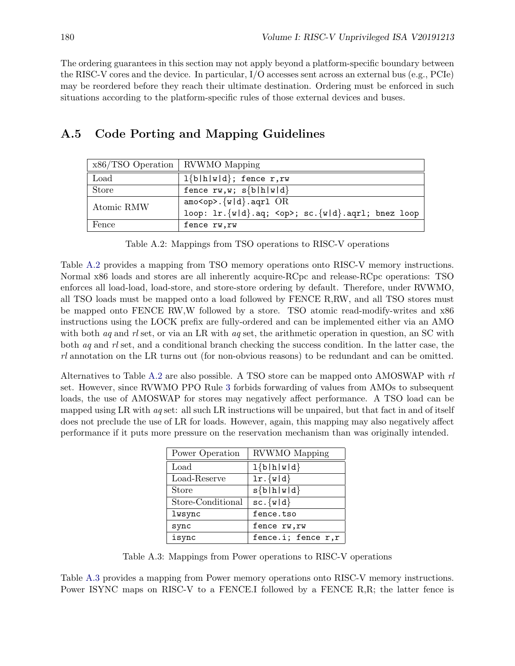The ordering guarantees in this section may not apply beyond a platform-specific boundary between the RISC-V cores and the device. In particular, I/O accesses sent across an external bus (e.g., PCIe) may be reordered before they reach their ultimate destination. Ordering must be enforced in such situations according to the platform-specific rules of those external devices and buses.

## <span id="page-197-0"></span>A.5 Code Porting and Mapping Guidelines

| x86/TSO Operation   RVWMO Mapping |                                                                            |
|-----------------------------------|----------------------------------------------------------------------------|
| Load                              | $1{b h w d}$ ; fence r, rw                                                 |
| <b>Store</b>                      | fence $rw, w; s {b h w d}$                                                 |
| Atomic RMW                        | $\text{amo}.\{\text{w d}\}.$ aqrl OR                                       |
|                                   | loop: $lr.\{w d\}$ .aq; <op>; sc.<math>\{w d\}</math>.aqrl; bnez loop</op> |
| Fence                             | fence rw.rw                                                                |

<span id="page-197-1"></span>Table A.2: Mappings from TSO operations to RISC-V operations

Table [A.2](#page-197-1) provides a mapping from TSO memory operations onto RISC-V memory instructions. Normal x86 loads and stores are all inherently acquire-RCpc and release-RCpc operations: TSO enforces all load-load, load-store, and store-store ordering by default. Therefore, under RVWMO, all TSO loads must be mapped onto a load followed by FENCE R,RW, and all TSO stores must be mapped onto FENCE RW,W followed by a store. TSO atomic read-modify-writes and x86 instructions using the LOCK prefix are fully-ordered and can be implemented either via an AMO with both  $aq$  and rl set, or via an LR with  $aq$  set, the arithmetic operation in question, an SC with both ag and rl set, and a conditional branch checking the success condition. In the latter case, the rl annotation on the LR turns out (for non-obvious reasons) to be redundant and can be omitted.

Alternatives to Table [A.2](#page-197-1) are also possible. A TSO store can be mapped onto AMOSWAP with  $rl$ set. However, since RVWMO PPO Rule [3](#page-104-2) forbids forwarding of values from AMOs to subsequent loads, the use of AMOSWAP for stores may negatively affect performance. A TSO load can be mapped using LR with  $ag$  set: all such LR instructions will be unpaired, but that fact in and of itself does not preclude the use of LR for loads. However, again, this mapping may also negatively affect performance if it puts more pressure on the reservation mechanism than was originally intended.

<span id="page-197-2"></span>

| Power Operation   | RVWMO Mapping      |
|-------------------|--------------------|
| Load              | $1{b h w d}$       |
| Load-Reserve      | $lr.\{w d\}$       |
| Store             | $s\{b h w d\}$     |
| Store-Conditional | $sc.\{w d\}$       |
| lwsync            | fence.tso          |
| sync              | fence rw.rw        |
| isync             | fence.i; fence r,r |

Table A.3: Mappings from Power operations to RISC-V operations

Table [A.3](#page-197-2) provides a mapping from Power memory operations onto RISC-V memory instructions. Power ISYNC maps on RISC-V to a FENCE.I followed by a FENCE R,R; the latter fence is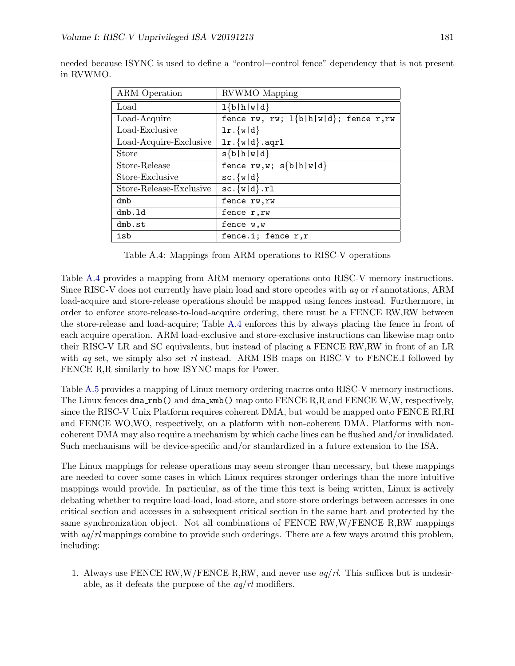| ARM Operation           | RVWMO Mapping                            |
|-------------------------|------------------------------------------|
| Load                    | $1{b h w d}$                             |
| Load-Acquire            | fence rw, rw; $1{b h w d}$ ; fence r, rw |
| Load-Exclusive          | $lr.\{w d\}$                             |
| Load-Acquire-Exclusive  | $lr.\{w d\}.\text{aqrl}$                 |
| <b>Store</b>            | $s\{b h w d\}$                           |
| Store-Release           | fence $rw, w; s{b h w d}$                |
| Store-Exclusive         | $sc.\{w d\}$                             |
| Store-Release-Exclusive | $sc.\{w d\}.r1$                          |
| dmb                     | fence rw, rw                             |
| dmb.1d                  | fence r,rw                               |
| dmb.st                  | fence $w,w$                              |
| isb                     | fence.i; fence r,r                       |

needed because ISYNC is used to define a "control+control fence" dependency that is not present in RVWMO.

<span id="page-198-0"></span>Table A.4: Mappings from ARM operations to RISC-V operations

Table [A.4](#page-198-0) provides a mapping from ARM memory operations onto RISC-V memory instructions. Since RISC-V does not currently have plain load and store opcodes with  $aq$  or  $rl$  annotations, ARM load-acquire and store-release operations should be mapped using fences instead. Furthermore, in order to enforce store-release-to-load-acquire ordering, there must be a FENCE RW,RW between the store-release and load-acquire; Table [A.4](#page-198-0) enforces this by always placing the fence in front of each acquire operation. ARM load-exclusive and store-exclusive instructions can likewise map onto their RISC-V LR and SC equivalents, but instead of placing a FENCE RW,RW in front of an LR with aq set, we simply also set rl instead. ARM ISB maps on RISC-V to FENCE. I followed by FENCE R,R similarly to how ISYNC maps for Power.

Table [A.5](#page-199-0) provides a mapping of Linux memory ordering macros onto RISC-V memory instructions. The Linux fences dma\_rmb() and dma\_wmb() map onto FENCE R,R and FENCE W,W, respectively, since the RISC-V Unix Platform requires coherent DMA, but would be mapped onto FENCE RI,RI and FENCE WO,WO, respectively, on a platform with non-coherent DMA. Platforms with noncoherent DMA may also require a mechanism by which cache lines can be flushed and/or invalidated. Such mechanisms will be device-specific and/or standardized in a future extension to the ISA.

The Linux mappings for release operations may seem stronger than necessary, but these mappings are needed to cover some cases in which Linux requires stronger orderings than the more intuitive mappings would provide. In particular, as of the time this text is being written, Linux is actively debating whether to require load-load, load-store, and store-store orderings between accesses in one critical section and accesses in a subsequent critical section in the same hart and protected by the same synchronization object. Not all combinations of FENCE RW,W/FENCE R,RW mappings with  $aq/rl$  mappings combine to provide such orderings. There are a few ways around this problem, including:

1. Always use FENCE RW, W/FENCE R, RW, and never use  $aq/rl$ . This suffices but is undesirable, as it defeats the purpose of the  $aq/rl$  modifiers.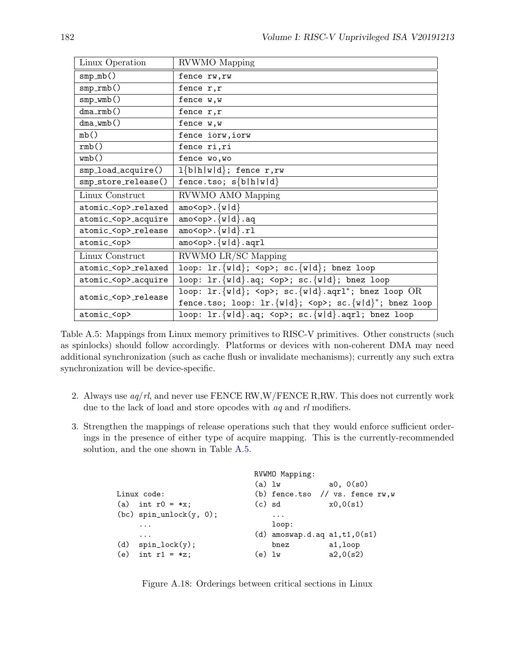<span id="page-199-0"></span>

| Linux Operation           | RVWMO Mapping                                                                             |
|---------------------------|-------------------------------------------------------------------------------------------|
| $smp_mb()$                | fence rw, rw                                                                              |
| $smp_rmb()$               | fence r,r                                                                                 |
| $smp\_wmb()$              | fence w, w                                                                                |
| $d$ ma_rmb $()$           | fence r,r                                                                                 |
| $dma_wmb()$               | fence w, w                                                                                |
| mb()                      | fence iorw, iorw                                                                          |
| rmb()                     | fence ri, ri                                                                              |
| wmb()                     | fence wo, wo                                                                              |
| $smp\_load\_acquire()$    | $1{b h w d}$ ; fence r, rw                                                                |
| smp_store_release()       | fence.tso; $s{b h w d}$                                                                   |
| Linux Construct           | RVWMO AMO Mapping                                                                         |
| atomic_ <op>_relaxed</op> | $amo < op>$ . $\{w   d\}$                                                                 |
| atomic_ <op>_acquire</op> | $amo < op>$ . $\{w   d\}$ . aq                                                            |
| atomic_ <op>_release</op> | $amo <$ op>. $\{w   d\}$ .rl                                                              |
| atomic_ <op></op>         | $amo$ <op>. <math>\{w   d\}</math>. aqrl</op>                                             |
| Linux Construct           | RVWMO LR/SC Mapping                                                                       |
| atomic_ <op>_relaxed</op> | loop: $lr.\{w d\};$ <op>; <math>sc.\{w d\};</math> bnez loop</op>                         |
| atomic_ <op>_acquire</op> | loop: $lr.\{w d\}$ .aq; <op>; sc.<math>\{w d\}</math>; bnez loop</op>                     |
| atomic_ <op>_release</op> | loop: $lr.\{w \mid d\};$ <op>; <math>sc.\{w \mid d\}</math>.aqrl*; bnez loop OR</op>      |
|                           | fence.tso; loop: $lr.\{w \mid d\}$ ; <op>; sc.<math>\{w \mid d\}^*</math>; bnez loop</op> |
| atomic_ <op></op>         | loop: $lr.\{w d\}$ .aq; <op>; sc.<math>\{w d\}</math>.aqrl; bnez loop</op>                |

Table A.5: Mappings from Linux memory primitives to RISC-V primitives. Other constructs (such as spinlocks) should follow accordingly. Platforms or devices with non-coherent DMA may need additional synchronization (such as cache flush or invalidate mechanisms); currently any such extra synchronization will be device-specific.

- 2. Always use  $aq/rl$ , and never use FENCE RW, W/FENCE R, RW. This does not currently work due to the lack of load and store opcodes with aq and rl modifiers.
- 3. Strengthen the mappings of release operations such that they would enforce sufficient orderings in the presence of either type of acquire mapping. This is the currently-recommended solution, and the one shown in Table [A.5.](#page-199-0)

|     |                               | RVWMO Mapping: |                                  |                                      |
|-----|-------------------------------|----------------|----------------------------------|--------------------------------------|
|     |                               | $(a)$ lw       |                                  | a0, 0(s0)                            |
|     | Linux code:                   |                |                                  | (b) fence.tso $//$ vs. fence $rw, w$ |
|     | (a) int $r0 = *x$ ;           | $(c)$ sd       |                                  | x0,0(s1)                             |
|     | $(bc)$ spin_unlock $(y, 0)$ ; |                | $\cdots$                         |                                      |
|     | $\cdots$                      |                | loop:                            |                                      |
|     | $\cdots$                      |                | (d) amoswap.d.aq $a1, t1, 0(s1)$ |                                      |
| (d) | $spin\_lock(y)$ ;             |                | bnez                             | a1,loop                              |
| (e) | int $r1 = *z$ ;               |                | (e) lw                           | a2,0(s2)                             |
|     |                               |                |                                  |                                      |

<span id="page-199-1"></span>Figure A.18: Orderings between critical sections in Linux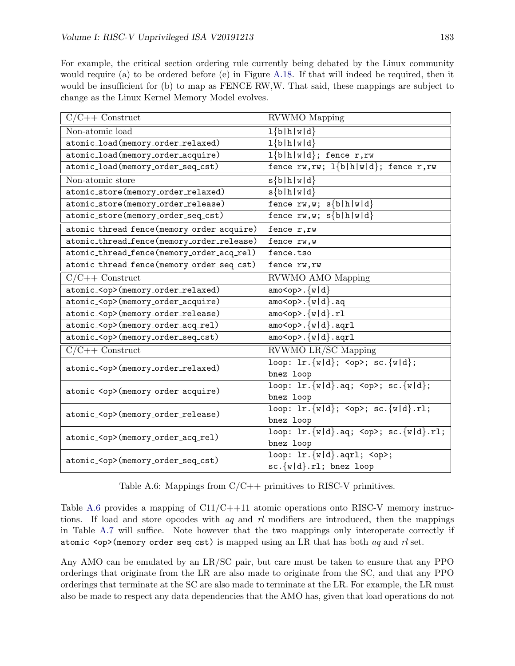For example, the critical section ordering rule currently being debated by the Linux community would require (a) to be ordered before (e) in Figure [A.18.](#page-199-1) If that will indeed be required, then it would be insufficient for (b) to map as FENCE RW,W. That said, these mappings are subject to change as the Linux Kernel Memory Model evolves.

| $C/C++$ Construct                         | RVWMO Mapping                                                  |
|-------------------------------------------|----------------------------------------------------------------|
| Non-atomic load                           | $1{b h w d}$                                                   |
| atomic_load(memory_order_relaxed)         | $1{b h w d}$                                                   |
| atomic_load(memory_order_acquire)         | $1{b h w d}$ ; fence r, rw                                     |
| atomic_load(memory_order_seq_cst)         | fence rw, rw; $1{b h w d}$ ; fence r, rw                       |
| Non-atomic store                          | $s\{b h w d\}$                                                 |
| atomic_store(memory_order_relaxed)        | $s\{b h w d\}$                                                 |
| atomic_store(memory_order_release)        | fence $rw, w; s{b h w d}$                                      |
| atomic_store(memory_order_seq_cst)        | fence $rw, w; s{b h w d}$                                      |
| atomic_thread_fence(memory_order_acquire) | fence r, rw                                                    |
| atomic_thread_fence(memory_order_release) | fence rw, w                                                    |
| atomic_thread_fence(memory_order_acq_rel) | fence.tso                                                      |
| atomic_thread_fence(memory_order_seq_cst) | fence rw, rw                                                   |
| $C/C++$ Construct                         | RVWMO AMO Mapping                                              |
| atomic_ <op>(memory_order_relaxed)</op>   | $amo < op>$ . $\{w   d\}$                                      |
| atomic_ <op>(memory_order_acquire)</op>   | $\overline{\text{amo}}$ <op>. <math>\{w   d\}</math>. aq</op>  |
| atomic_ <op>(memory_order_release)</op>   | $amo < op>$ . $\{w   d\}$ . $r1$                               |
| atomic_ <op>(memory_order_acq_rel)</op>   | $amo$ <op>. <math>\{w   d\}</math>. aqrl</op>                  |
| atomic_ <op>(memory_order_seq_cst)</op>   | $amo$ <op>. <math>\{w d\}</math>. aqrl</op>                    |
| $C/C++$ Construct                         | RVWMO LR/SC Mapping                                            |
| atomic_ <op>(memory_order_relaxed)</op>   | loop: $lr.\{w d\};$ <op>; <math>sc.\{w d\};</math></op>        |
|                                           | bnez loop                                                      |
| atomic_ <op>(memory_order_acquire)</op>   | loop: $lr.\{w d\}$ .aq; <op>; sc.<math>\{w d\}</math>;</op>    |
|                                           | bnez loop                                                      |
| atomic_ <op>(memory_order_release)</op>   | loop: $lr.\{w d\};$ $\langle op \rangle$ ; $sc.\{w d\}.rl;$    |
|                                           | bnez loop                                                      |
| atomic_ <op>(memory_order_acq_rel)</op>   | loop: $lr.\{w d\}$ .aq; <op>; sc.<math>\{w d\}</math>.rl;</op> |
|                                           | bnez loop                                                      |
| atomic_ <op>(memory_order_seq_cst)</op>   | loop: $lr.\{w d\}.\text{aqrl};$ <op>;</op>                     |
|                                           | $sc.\{w \mid d\}$ .rl; bnez loop                               |

<span id="page-200-0"></span>Table A.6: Mappings from  $C/C++$  primitives to RISC-V primitives.

Table [A.6](#page-200-0) provides a mapping of  $C11/C++11$  atomic operations onto RISC-V memory instructions. If load and store opcodes with  $aq$  and rl modifiers are introduced, then the mappings in Table [A.7](#page-201-0) will suffice. Note however that the two mappings only interoperate correctly if atomic\_ $\text{top}$  (memory\_order\_seq\_cst) is mapped using an LR that has both aq and rl set.

Any AMO can be emulated by an LR/SC pair, but care must be taken to ensure that any PPO orderings that originate from the LR are also made to originate from the SC, and that any PPO orderings that terminate at the SC are also made to terminate at the LR. For example, the LR must also be made to respect any data dependencies that the AMO has, given that load operations do not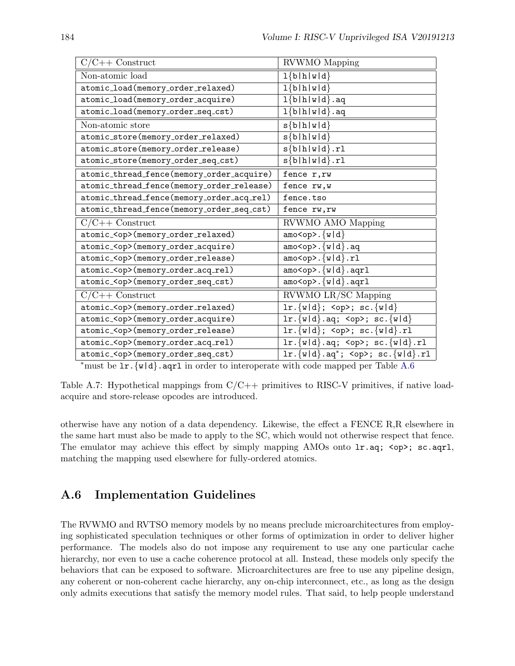<span id="page-201-0"></span>

| RVWMO Mapping                                       |
|-----------------------------------------------------|
| $1{b h w d}$                                        |
| $1{b h w d}$                                        |
| $1{b h w d}$ .aq                                    |
| $1{b h w d}$ .aq                                    |
| $s\{b h w d\}$                                      |
| $s\{b h w d\}$                                      |
| $s\{b h w d\}$ .rl                                  |
| $s\{b h w d\}$ .rl                                  |
| fence r, rw                                         |
| fence rw, w                                         |
| fence.tso                                           |
| fence rw, rw                                        |
| RVWMO AMO Mapping                                   |
| $amo < op>$ . $\{w   d\}$                           |
| $amo < op>$ . $\{w   d\}$ . aq                      |
| $amo < op>$ . $\{w   d\}$ . $r1$                    |
| $amo$ <op>. <math>\{w   d\}</math>. aqrl</op>       |
| $amo < op>$ . $\{w   d\}$ . aqrl                    |
| RVWMO LR/SC Mapping                                 |
| $lr.\{w d\}; \text{ }; sc.\{w d\}$                  |
| $lr.\{w d\} . aq; >; sc.\{w d\}$                    |
| $lr.\{w d\};$ <op>; sc.<math>\{w d\}.rl</math></op> |
| $lr.\{w d\}.aq; op>; sc.\{w d\}.rl$                 |
| $lr.\{w d\}.aq^*; op>; sc.\{w d\}.rl$               |
|                                                     |

\*must be  $\text{lr.} \{\texttt{w} | \texttt{d}\}.$ aqrl in order to interoperate with code mapped per Table [A.6](#page-200-0)

Table A.7: Hypothetical mappings from  $C/C++$  primitives to RISC-V primitives, if native loadacquire and store-release opcodes are introduced.

otherwise have any notion of a data dependency. Likewise, the effect a FENCE R,R elsewhere in the same hart must also be made to apply to the SC, which would not otherwise respect that fence. The emulator may achieve this effect by simply mapping AMOs onto  $1r.aq$ ;  $\langle op \rangle$ ; sc.aqr1, matching the mapping used elsewhere for fully-ordered atomics.

### A.6 Implementation Guidelines

The RVWMO and RVTSO memory models by no means preclude microarchitectures from employing sophisticated speculation techniques or other forms of optimization in order to deliver higher performance. The models also do not impose any requirement to use any one particular cache hierarchy, nor even to use a cache coherence protocol at all. Instead, these models only specify the behaviors that can be exposed to software. Microarchitectures are free to use any pipeline design, any coherent or non-coherent cache hierarchy, any on-chip interconnect, etc., as long as the design only admits executions that satisfy the memory model rules. That said, to help people understand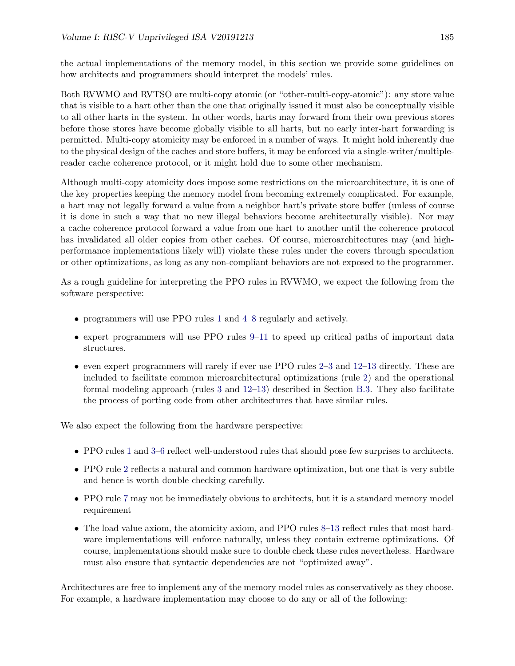the actual implementations of the memory model, in this section we provide some guidelines on how architects and programmers should interpret the models' rules.

Both RVWMO and RVTSO are multi-copy atomic (or "other-multi-copy-atomic"): any store value that is visible to a hart other than the one that originally issued it must also be conceptually visible to all other harts in the system. In other words, harts may forward from their own previous stores before those stores have become globally visible to all harts, but no early inter-hart forwarding is permitted. Multi-copy atomicity may be enforced in a number of ways. It might hold inherently due to the physical design of the caches and store buffers, it may be enforced via a single-writer/multiplereader cache coherence protocol, or it might hold due to some other mechanism.

Although multi-copy atomicity does impose some restrictions on the microarchitecture, it is one of the key properties keeping the memory model from becoming extremely complicated. For example, a hart may not legally forward a value from a neighbor hart's private store buffer (unless of course it is done in such a way that no new illegal behaviors become architecturally visible). Nor may a cache coherence protocol forward a value from one hart to another until the coherence protocol has invalidated all older copies from other caches. Of course, microarchitectures may (and highperformance implementations likely will) violate these rules under the covers through speculation or other optimizations, as long as any non-compliant behaviors are not exposed to the programmer.

As a rough guideline for interpreting the PPO rules in RVWMO, we expect the following from the software perspective:

- programmers will use PPO rules [1](#page-104-0) and [4–](#page-104-1)[8](#page-104-5) regularly and actively.
- expert programmers will use PPO rules [9–](#page-104-8)[11](#page-104-9) to speed up critical paths of important data structures.
- even expert programmers will rarely if ever use PPO rules [2–](#page-104-3)[3](#page-104-2) and [12–](#page-104-11)[13](#page-104-12) directly. These are included to facilitate common microarchitectural optimizations (rule [2\)](#page-104-3) and the operational formal modeling approach (rules [3](#page-104-2) and [12–](#page-104-11)[13\)](#page-104-12) described in Section [B.3.](#page-218-0) They also facilitate the process of porting code from other architectures that have similar rules.

We also expect the following from the hardware perspective:

- PPO rules [1](#page-104-0) and [3–](#page-104-2)[6](#page-104-6) reflect well-understood rules that should pose few surprises to architects.
- PPO rule [2](#page-104-3) reflects a natural and common hardware optimization, but one that is very subtle and hence is worth double checking carefully.
- PPO rule [7](#page-104-7) may not be immediately obvious to architects, but it is a standard memory model requirement
- The load value axiom, the atomicity axiom, and PPO rules [8–](#page-104-5)[13](#page-104-12) reflect rules that most hardware implementations will enforce naturally, unless they contain extreme optimizations. Of course, implementations should make sure to double check these rules nevertheless. Hardware must also ensure that syntactic dependencies are not "optimized away".

Architectures are free to implement any of the memory model rules as conservatively as they choose. For example, a hardware implementation may choose to do any or all of the following: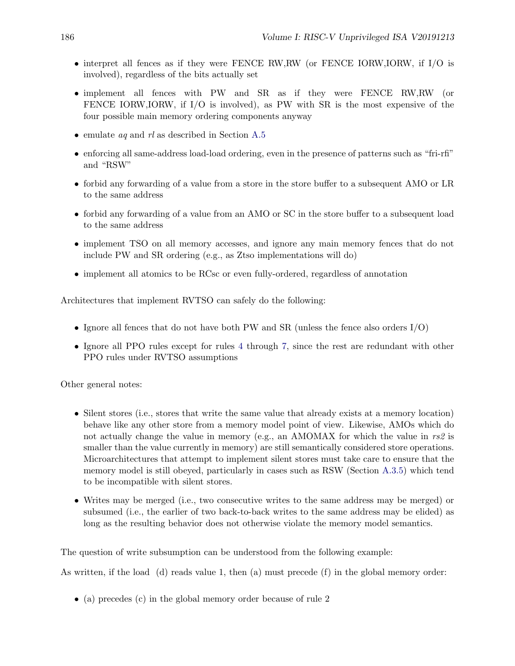- interpret all fences as if they were FENCE RW,RW (or FENCE IORW,IORW, if I/O is involved), regardless of the bits actually set
- implement all fences with PW and SR as if they were FENCE RW,RW (or FENCE IORW,IORW, if I/O is involved), as PW with SR is the most expensive of the four possible main memory ordering components anyway
- emulate  $aq$  and  $rl$  as described in Section [A.5](#page-197-0)
- enforcing all same-address load-load ordering, even in the presence of patterns such as "fri-rfi" and "RSW"
- forbid any forwarding of a value from a store in the store buffer to a subsequent AMO or LR to the same address
- forbid any forwarding of a value from an AMO or SC in the store buffer to a subsequent load to the same address
- implement TSO on all memory accesses, and ignore any main memory fences that do not include PW and SR ordering (e.g., as Ztso implementations will do)
- implement all atomics to be RCsc or even fully-ordered, regardless of annotation

Architectures that implement RVTSO can safely do the following:

- Ignore all fences that do not have both PW and SR (unless the fence also orders  $I/O$ )
- Ignore all PPO rules except for rules [4](#page-104-1) through [7,](#page-104-7) since the rest are redundant with other PPO rules under RVTSO assumptions

Other general notes:

- Silent stores (i.e., stores that write the same value that already exists at a memory location) behave like any other store from a memory model point of view. Likewise, AMOs which do not actually change the value in memory (e.g., an AMOMAX for which the value in rs2 is smaller than the value currently in memory) are still semantically considered store operations. Microarchitectures that attempt to implement silent stores must take care to ensure that the memory model is still obeyed, particularly in cases such as RSW (Section [A.3.5\)](#page-185-0) which tend to be incompatible with silent stores.
- Writes may be merged (i.e., two consecutive writes to the same address may be merged) or subsumed (i.e., the earlier of two back-to-back writes to the same address may be elided) as long as the resulting behavior does not otherwise violate the memory model semantics.

The question of write subsumption can be understood from the following example:

As written, if the load (d) reads value 1, then (a) must precede (f) in the global memory order:

• (a) precedes (c) in the global memory order because of rule 2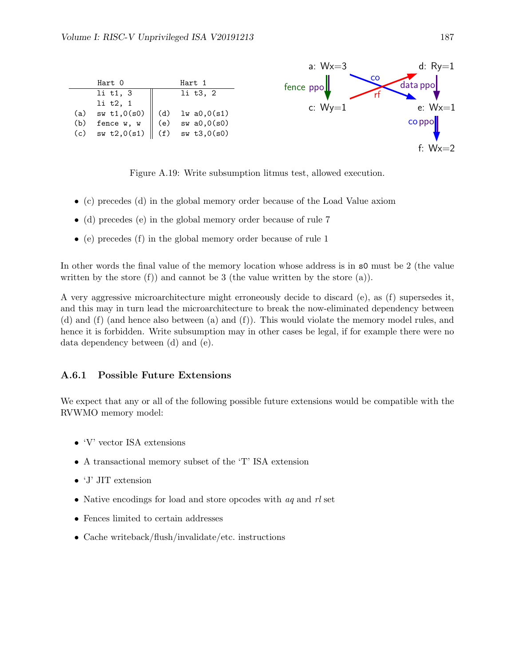

Figure A.19: Write subsumption litmus test, allowed execution.

- (c) precedes (d) in the global memory order because of the Load Value axiom
- (d) precedes (e) in the global memory order because of rule 7
- (e) precedes (f) in the global memory order because of rule 1

In other words the final value of the memory location whose address is in s0 must be 2 (the value written by the store  $(f)$ ) and cannot be 3 (the value written by the store  $(a)$ ).

A very aggressive microarchitecture might erroneously decide to discard (e), as (f) supersedes it, and this may in turn lead the microarchitecture to break the now-eliminated dependency between (d) and (f) (and hence also between (a) and (f)). This would violate the memory model rules, and hence it is forbidden. Write subsumption may in other cases be legal, if for example there were no data dependency between (d) and (e).

#### A.6.1 Possible Future Extensions

We expect that any or all of the following possible future extensions would be compatible with the RVWMO memory model:

- 'V' vector ISA extensions
- A transactional memory subset of the 'T' ISA extension
- 'J' JIT extension
- Native encodings for load and store opcodes with  $aq$  and  $rl$  set
- Fences limited to certain addresses
- Cache writeback/flush/invalidate/etc. instructions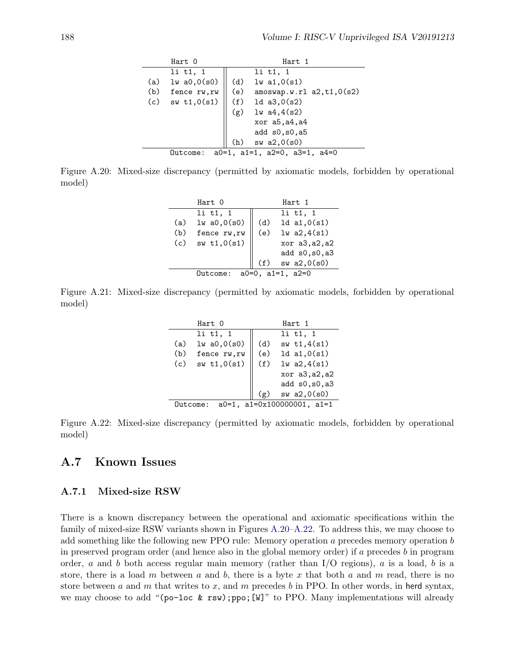|     | Hart 0               |     | Hart 1                       |
|-----|----------------------|-----|------------------------------|
|     | li t1, 1             |     | li t1, 1                     |
| (a) | lw a $0,0(s0)$       | (d) | $lw$ a1, $0(s1)$             |
|     | $(b)$ fence $rw, rw$ | (e) | amoswap.w.r1 a2,t1,0(s2)     |
| (c) | sw t1,0(s1)          | (f) | 1d $a3,0(s2)$                |
|     |                      | (g) | 1w a4, 4(s2)                 |
|     |                      |     | xor a5, a4, a4               |
|     |                      |     | add $s0, s0, a5$             |
|     |                      | (h) | sw $a2,0(s0)$                |
|     | Outcome:             |     | a0=1, a1=1, a2=0, a3=1, a4=0 |

Figure A.20: Mixed-size discrepancy (permitted by axiomatic models, forbidden by operational model)

<span id="page-205-0"></span>

|     | Hart O                               | Hart 1                  |  |
|-----|--------------------------------------|-------------------------|--|
|     | li t1, 1                             | $li$ $t1, 1$            |  |
| (a) | 1w a0,0(s0)                          | (d)<br>1d $a1,0(s1)$    |  |
| (b) | fence rw, rw                         | $lw$ a2, $4(s1)$<br>(e) |  |
| (c) | sw t1,0(s1)                          | xor a3, a2, a2          |  |
|     |                                      | add $s0, s0, a3$        |  |
|     |                                      | sw a2,0(s0)<br>(f)      |  |
|     | $a0=0$ . $a1=1$ . $a2=0$<br>Outcome: |                         |  |

Figure A.21: Mixed-size discrepancy (permitted by axiomatic models, forbidden by operational model)

<span id="page-205-1"></span>

|                                                | Hart 0        | Hart 1                  |  |  |
|------------------------------------------------|---------------|-------------------------|--|--|
|                                                | $li$ $t1, 1$  | $li$ t1, 1              |  |  |
| (a)                                            | $lw$ a0,0(s0) | (d)<br>sw $t1,4(s1)$    |  |  |
| (b)                                            | fence rw.rw   | (e)<br>1d $a1,0(s1)$    |  |  |
| (c)                                            | sw t1,0(s1)   | (f)<br>$lw$ a2, $4(s1)$ |  |  |
|                                                |               | xor a3.a2.a2            |  |  |
|                                                |               | add $s0, s0, a3$        |  |  |
|                                                |               | sw a2,0(s0)<br>(g)      |  |  |
| $a0=1$ , $a1=0x100000001$ , $a1=1$<br>Outcome: |               |                         |  |  |

Figure A.22: Mixed-size discrepancy (permitted by axiomatic models, forbidden by operational model)

#### <span id="page-205-2"></span>A.7 Known Issues

#### A.7.1 Mixed-size RSW

There is a known discrepancy between the operational and axiomatic specifications within the family of mixed-size RSW variants shown in Figures [A.20–](#page-205-0)[A.22.](#page-205-1) To address this, we may choose to add something like the following new PPO rule: Memory operation a precedes memory operation b in preserved program order (and hence also in the global memory order) if a precedes  $b$  in program order, a and b both access regular main memory (rather than  $I/O$  regions), a is a load, b is a store, there is a load m between a and b, there is a byte x that both a and m read, there is no store between a and m that writes to x, and m precedes b in PPO. In other words, in herd syntax, we may choose to add "(po-loc  $\&$  rsw);ppo; [W]" to PPO. Many implementations will already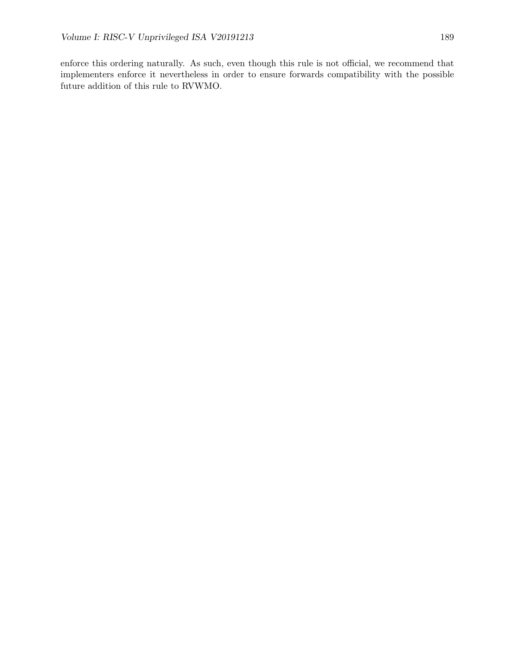enforce this ordering naturally. As such, even though this rule is not official, we recommend that implementers enforce it nevertheless in order to ensure forwards compatibility with the possible future addition of this rule to RVWMO.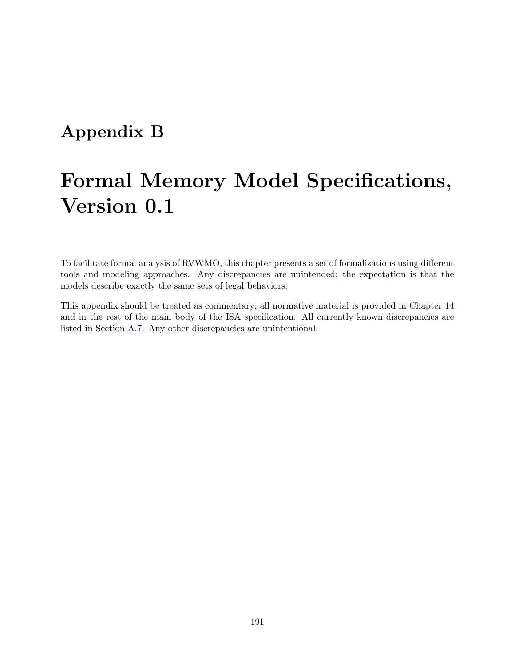## Appendix B

# Formal Memory Model Specifications, Version 0.1

To facilitate formal analysis of RVWMO, this chapter presents a set of formalizations using different tools and modeling approaches. Any discrepancies are unintended; the expectation is that the models describe exactly the same sets of legal behaviors.

This appendix should be treated as commentary; all normative material is provided in Chapter [14](#page-100-0) and in the rest of the main body of the ISA specification. All currently known discrepancies are listed in Section [A.7.](#page-205-2) Any other discrepancies are unintentional.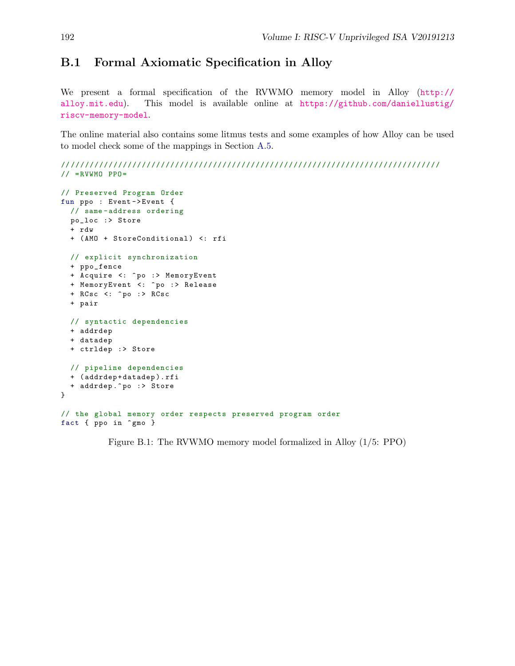## B.1 Formal Axiomatic Specification in Alloy

We present a formal specification of the RVWMO memory model in Alloy ([http://](http://alloy.mit.edu) [alloy.mit.edu](http://alloy.mit.edu)). This model is available online at [https://github.com/daniellustig/](https://github.com/daniellustig/riscv-memory-model) [riscv-memory-model](https://github.com/daniellustig/riscv-memory-model).

The online material also contains some litmus tests and some examples of how Alloy can be used to model check some of the mappings in Section [A.5.](#page-197-0)

```
// //////////////////////////////////////////////////////////////////////////////
// =RVWMO PPO=
```

```
// Preserved Program Order
fun ppo : Event->Event {
 // same - address ordering
 po_loc : > Store
  + rdw
 + ( AMO + StoreConditional ) <: rfi
 // explicit synchronization
  + ppo_fence
  + Acquire <: ^po :> MemoryEvent
 + MemoryEvent <: ^po :> Release
 + RCsc <: ^ po : > RCsc
 + pair
 // syntactic dependencies
 + addrdep
  + datadep
  + ctrldep :> Store
 // pipeline dependencies
 + ( addrdep + datadep ). rfi
  + addrdep. ^po :> Store
}
// the global memory order respects preserved program order
fact { ppo in ^gmo }
```
Figure B.1: The RVWMO memory model formalized in Alloy (1/5: PPO)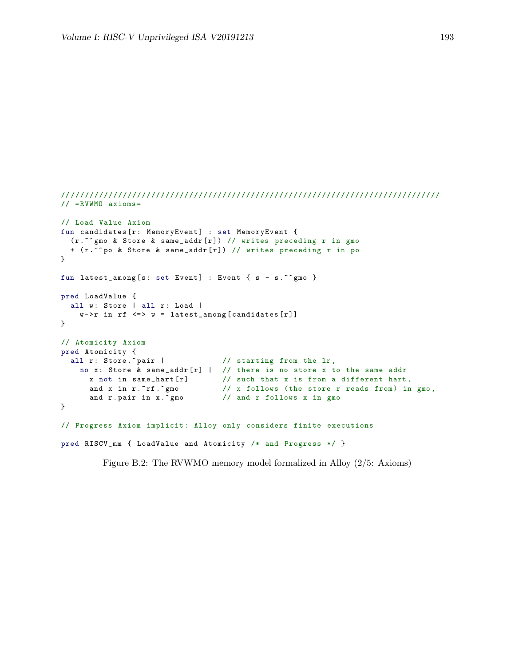```
// //////////////////////////////////////////////////////////////////////////////
// = RVWMO axioms =
```

```
// Load Value Axiom
fun candidates [r: MemoryEvent] : set MemoryEvent {
  (r.""gmo & Store & same_addr[r]) // writes preceding r in gmo
  + (r.<sup>^</sup>* po & Store & same_addr[r]) // writes preceding r in po
}
fun latest_among [s: set Event] : Event { s - s. ~^ gmo }
pred LoadValue {
  all w: Store | all r: Load |
    w \rightarrow r in rf \leq > w = latest_among [candidates [r]]
}
// Atomicity Axiom
pred Atomicity {
  all r: Store. "pair | \frac{1}{10} | \frac{1}{100} starting from the lr,
    no x: Store & same_addr [r] | // there is no store x to the same addr
      x not in same_hart [r] // such that x is from a different hart,
      and x in r. \tilde{r} rf. \tilde{r}gmo // x follows (the store r reads from ) in gmo,
      and r.pair in x.^gmo // and r follows x in gmo
}
// Progress Axiom implicit: Alloy only considers finite executions
pred RISCV_mm { LoadValue and Atomicity /* and Progress */ }
```
Figure B.2: The RVWMO memory model formalized in Alloy (2/5: Axioms)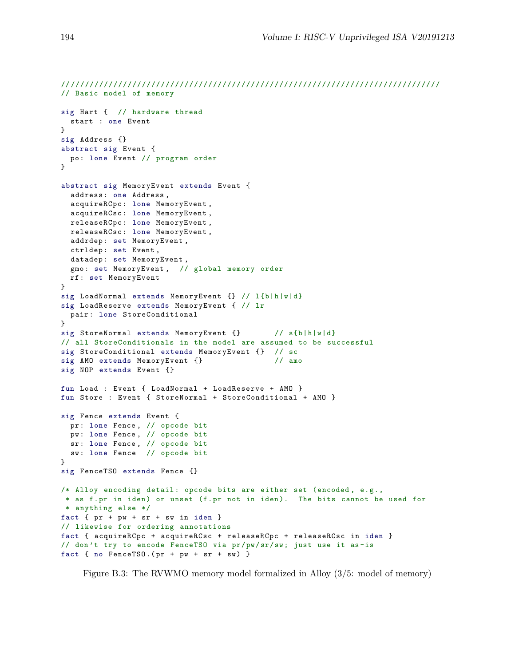```
// //////////////////////////////////////////////////////////////////////////////
// Basic model of memory
sig Hart { // hardware thread
  start : one Event
}
sig Address {}
abstract sig Event {
 po : lone Event // program order
}
abstract sig MemoryEvent extends Event {
  address : one Address ,
  acquireRCpc : lone MemoryEvent ,
  acquireRCsc : lone MemoryEvent ,
 releaseRCpc : lone MemoryEvent ,
 releaseRCsc : lone MemoryEvent ,
  addrdep : set MemoryEvent ,
  ctrldep : set Event ,
 datadep : set MemoryEvent ,
  gmo: set MemoryEvent, // global memory order
 rf : set MemoryEvent
}
sig LoadNormal extends MemoryEvent {} // l{b|h|w|d}
sig LoadReserve extends MemoryEvent { // lr
  pair : lone StoreConditional
}
sig StoreNormal extends MemoryEvent {} // s{b|h|w|d}
// all StoreConditionals in the model are assumed to be successful
sig StoreConditional extends MemoryEvent {} // sc
sig AMO extends MemoryEvent {} \frac{1}{2} // amo
sig NOP extends Event {}
fun Load : Event { LoadNormal + LoadReserve + AMO }
fun Store : Event { StoreNormal + StoreConditional + AMO }
sig Fence extends Event {
 pr: lone Fence, // opcode bit
 pw: lone Fence, // opcode bit
 sr: lone Fence, // opcode bit
 sw: lone Fence // opcode bit
}
sig FenceTSO extends Fence {}
/* Alloy encoding detail: opcode bits are either set (encoded, e.g.,
 * as f.pr in iden) or unset (f.pr not in iden). The bits cannot be used for
 * anything else */
fact { pr + pw + sr + sw in iden }
// likewise for ordering annotations
fact { acquireRCpc + acquireRCsc + releaseRCpc + releaseRCsc in iden }
// don 't try to encode FenceTSO via pr/pw/sr/sw; just use it as -is
fact \{ no FenceTSO. (pr + pw + sr + sw) \}
```
Figure B.3: The RVWMO memory model formalized in Alloy (3/5: model of memory)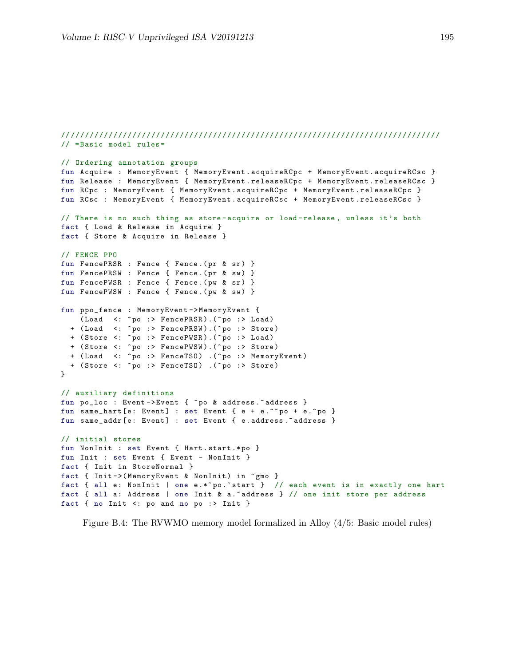```
// //////////////////////////////////////////////////////////////////////////////
// = Basic model rules =
// Ordering annotation groups
fun Acquire : MemoryEvent { MemoryEvent . acquireRCpc + MemoryEvent . acquireRCsc }
fun Release : MemoryEvent { MemoryEvent . releaseRCpc + MemoryEvent . releaseRCsc }
fun RCpc : MemoryEvent { MemoryEvent . acquireRCpc + MemoryEvent . releaseRCpc }
fun RCsc : MemoryEvent { MemoryEvent . acquireRCsc + MemoryEvent . releaseRCsc }
// There is no such thing as store - acquire or load - release , unless it 's both
fact { Load & Release in Acquire }
fact { Store & Acquire in Release }
// FENCE PPO
fun FencePRSR : Fence { Fence .(pr & sr) }
fun FencePRSW : Fence { Fence.(pr & sw) }
fun FencePWSR : Fence { Fence.(pw & sr) }
fun FencePWSW : Fence { Fence . (pw & sw) }
fun ppo_fence : MemoryEvent->MemoryEvent {
    (Load <: ^po :> FencePRSR).(^po :> Load)
 + (Load <: ^po :> FencePRSW).(^po :> Store)
 + (Store <: ^po :> FencePWSR).(^po :> Load)
 + (Store <: ^po :> FencePWSW).(^po :> Store)
 + (Load <: ^po :> FenceTSO) .(^po :> MemoryEvent)
  + (Store <: ^po :> FenceTSO) .(^po :> Store)
}
// auxiliary definitions
fun po_loc : Event ->Event { ^po & address . ~ address }
fun same_hart [e: Event] : set Event { e + e.^ ~ po + e. ^ po }
fun same_addr [e: Event] : set Event { e.address. "address }
// initial stores
fun NonInit : set Event { Hart . start .* po }
fun Init : set Event { Event - NonInit }
fact { Init in StoreNormal }
fact { Init->(MemoryEvent & NonInit) in ^gmo }
fact { all e: NonInit | one e.*~po.~start } // each event is in exactly one hart
fact { all a: Address | one Init & a."address } // one init store per address
fact \{ no Init \le: po and no po \Rightarrow Init \}
```
Figure B.4: The RVWMO memory model formalized in Alloy (4/5: Basic model rules)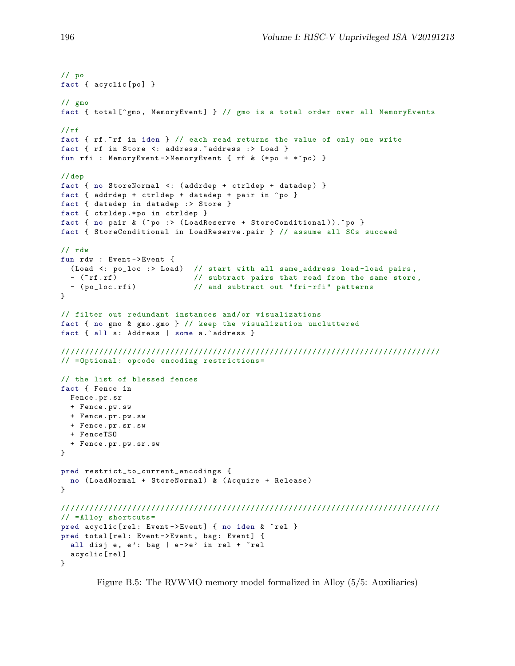```
// po
fact { acyclic [po] }
1/ gmo
fact { total [^ gmo, MemoryEvent] } // gmo is a total order over all MemoryEvents
//rf
fact { rf. "rf in iden } // each read returns the value of only one write
fact { rf in Store <: address."address :> Load }
fun rfi : MemoryEvent->MemoryEvent { rf & (*po + *~po) }
// dep
fact { no StoreNormal <: ( addrdep + ctrldep + datadep ) }
fact { addrdep + ctrldep + datadep + pair in ^ po }
fact { datadep in datadep :> Store }
fact { ctrldep .* po in ctrldep }
fact { no pair & (^po :> (LoadReserve + StoreConditional)).^po }
fact { StoreConditional in LoadReserve . pair } // assume all SCs succeed
// rdw
fun rdw : Event->Event {
 (Load <: po_loc :> Load) // start with all same_address load-load pairs,
  - ("rf.rf) \frac{1}{2} // subtract pairs that read from the same store,
  - (po_loc.rfi) \frac{1}{2} // and subtract out "fri-rfi" patterns
\mathbf{r}// filter out redundant instances and/or visualizations
fact { no gmo & gmo . gmo } // keep the visualization uncluttered
fact { all a: Address | some a. "address }
// //////////////////////////////////////////////////////////////////////////////
// = Optional: opcode encoding restrictions=
// the list of blessed fences
fact { Fence in
 Fence . pr . sr
 + Fence . pw . sw
 + Fence . pr . pw . sw
 + Fence . pr . sr . sw
 + FenceTSO
  + Fence . pr . pw . sr . sw
}
pred restrict_to_current_encodings {
 no ( LoadNormal + StoreNormal ) & ( Acquire + Release )
\mathbf{r}// //////////////////////////////////////////////////////////////////////////////
// = Alloy shortcuts =
pred acyclic [rel: Event->Event] { no iden & ^rel }
pred total [rel: Event->Event, bag: Event] {
  all disj e, e': bag | e->e' in rel + rrel
  acyclic [ rel ]
}
```
Figure B.5: The RVWMO memory model formalized in Alloy (5/5: Auxiliaries)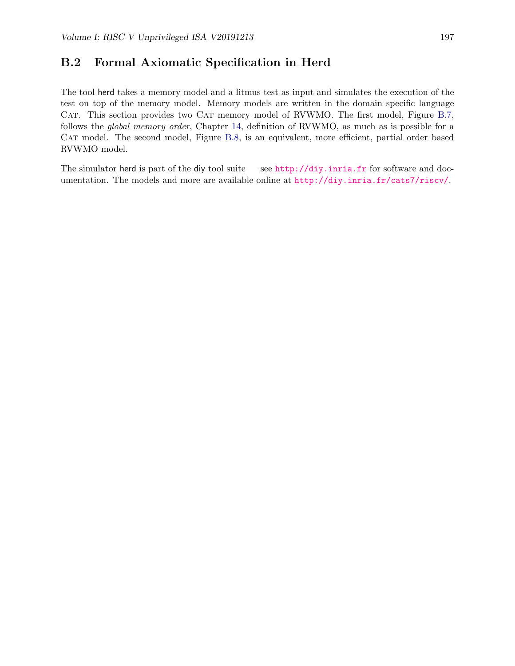## B.2 Formal Axiomatic Specification in Herd

The tool herd takes a memory model and a litmus test as input and simulates the execution of the test on top of the memory model. Memory models are written in the domain specific language CAT. This section provides two CAT memory model of RVWMO. The first model, Figure [B.7,](#page-216-0) follows the *global memory order*, Chapter [14,](#page-100-0) definition of RVWMO, as much as is possible for a CAT model. The second model, Figure [B.8,](#page-217-0) is an equivalent, more efficient, partial order based RVWMO model.

The simulator herd is part of the diy tool suite — see <http://diy.inria.fr> for software and documentation. The models and more are available online at <http://diy.inria.fr/cats7/riscv/>.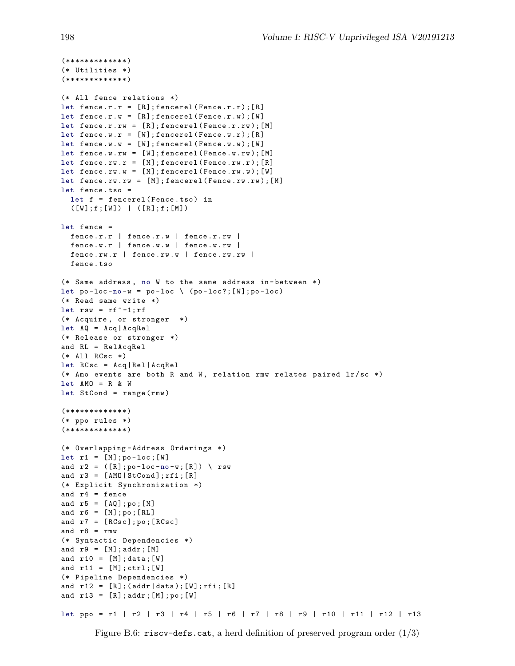```
(*************)
(* Utilities *)
(*************)
(* All fence relations *)
let fence .r.r = [R]; fencerel (Fence .r.r); [R]let fence.r.w = [R]; fencerel (Fence.r.w); [W]let fence.r.rw = [R]; fencerel (Fence.r.rw); [M]let fence .w.r = [W]; fencerel (Fence .w.r); [R]
let fence.w.w = [W]; fencerel (Fence.w.w); [W]let fence.w.rw = [W]; fencerel (Fence.w.rw); [M]let fence.rw.r = [M]; fencerel (Fence.rw.r); [R]let fence.rw.w = [M]; fencerel (Fence.rw.w); [W]let fence.rw.rw = [M]; fencerel (Fence.rw.rw); [M]
let fence . tso =
  let f = fencerel(Fence.tso) in([W];f;[W]) | ([R];f;[M])let fence =
  fence.r.r | fence.r.w | fence.r.rw |
  fence.w.r | fence.w.w | fence.w.rw |
  fence.rw.r | fence.rw.w | fence.rw.rw |
  fence . tso
(* Same address , no W to the same address in - between *)
let po-loc-no-w = po-loc \setminus (po-loc?; [W]; po-loc)(* Read same write *)
let rsw = rf^{\frown} -1; rf(* Acquire , or stronger *)
let AQ = Acq | AcqRel
(* Release or stronger *)
and RL = RelAcqRel
(* All RCsc *)
let RCsc = Acq | Rel | AcqRel
(* Amo events are both R and W, relation rmw relates paired lr/sec *)
let AMO = R & W
let StCond = range (rmw)
(*************)
(* ppo rules *)
(*************)
(* Overlapping - Address Orderings *)
let r1 = [M]; po-loc; [W]and r2 = ( [R] ; po-loc-no-w; [R] ) \setminus rswand r3 = [AM0 | StCond]; rfi; [R](* Explicit Synchronization *)
and r4 = fence
and r5 = [AQ]; po; [M]and r6 = [M]; po; [RL]and r7 = [RCsc]; po; [RCsc]and r8 = rmw
(* Syntactic Dependencies *)
and r9 = [M]; addr; [M]
and r10 = [M]; data; [W]
and r11 = [M]; ctr1; [W](* Pipeline Dependencies *)
and r12 = [R]; (addr | data); [W]; rfi; [R]
and r13 = [R]; addr; [M]; po; [W]let ppo = r1 | r2 | r3 | r4 | r5 | r6 | r7 | r8 | r9 | r10 | r11 | r12 | r13
```
Figure B.6: riscv-defs.cat, a herd definition of preserved program order  $(1/3)$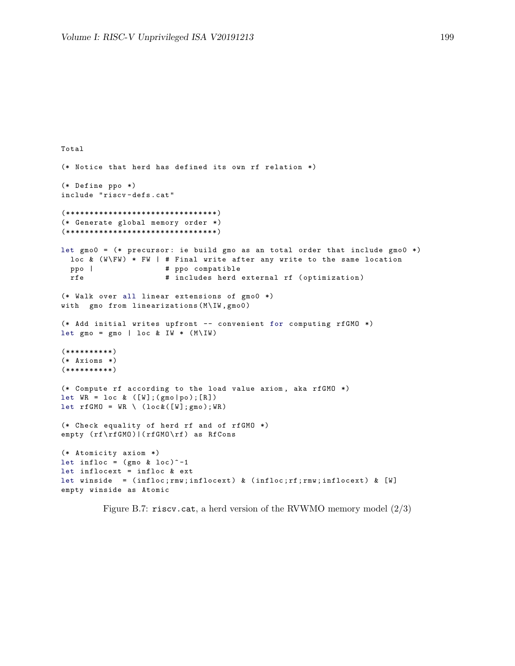```
Total
(* Notice that herd has defined its own rf relation *)
(* Define ppo *)
include " riscv - defs . cat "
(********************************)
(* Generate global memory order *)
(********************************)
let gmo0 = (* precursor: ie build gmo as an total order that include gmo0 *)loc & (W\ W ) * FW | # Final write after any write to the same location
 ppo | # ppo compatible
 rfe # includes herd external rf (optimization)
(* Walk over all linear extensions of gmo0 *)
with gmo from linearizations (M\setminus IW, gmo0)
(* Add initial writes upfront -- convenient for computing rfGMO *)
let gmo = gmo | loc & IW * (M\setminusIW)
(**********)
(* Axioms *)
(**********)
(* Compute rf according to the load value axiom , aka rfGMO *)
let WR = loc & ( [ W ] ; (gmo | po) ; [ R ] )let rfGMO = WR \setminus (loc & ([W]; gmo); WR)(* Check equality of herd rf and of rfGMO *)
empty (rf\rfGMO)|(rfGMO\rf) as RfCons
(* Atomicity axiom *)
let infloc = (gmo & loc)^{-1}let inflocext = infloc & ext
let winside = (intloc; rmv; inflocext) & (intloc; rf; rmv; inflocext) & [W]empty winside as Atomic
```
Figure B.7: riscv.cat, a herd version of the RVWMO memory model  $(2/3)$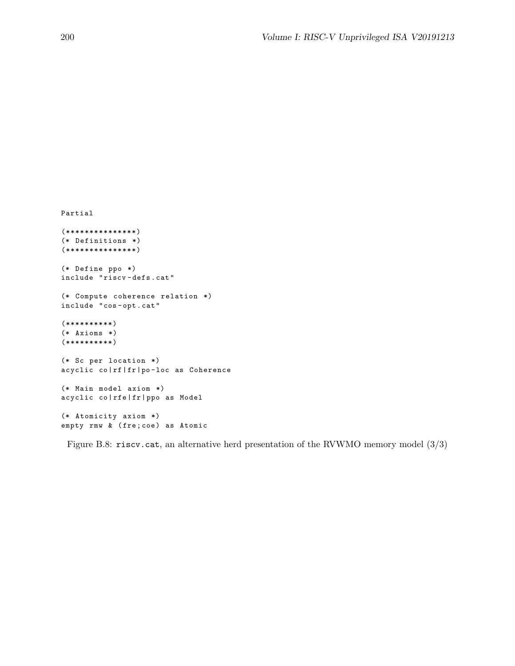```
Partial
(***************)
(* Definitions *)
(***************)
(* Define ppo *)
include "riscv-defs.cat"
(* Compute coherence relation *)
include " cos - opt . cat "
(**********)
(* Axioms *)
(**********)
(* Sc per location *)
acyclic co | rf | fr | po - loc as Coherence
(* Main model axiom *)
acyclic co | rfe | fr | ppo as Model
(* Atomicity axiom *)
empty rmw & (fre; coe) as Atomic
```
Figure B.8: riscv.cat, an alternative herd presentation of the RVWMO memory model (3/3)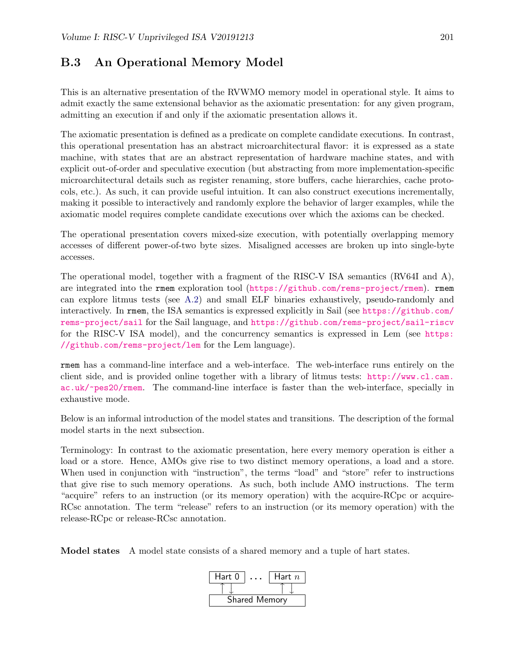## B.3 An Operational Memory Model

This is an alternative presentation of the RVWMO memory model in operational style. It aims to admit exactly the same extensional behavior as the axiomatic presentation: for any given program, admitting an execution if and only if the axiomatic presentation allows it.

The axiomatic presentation is defined as a predicate on complete candidate executions. In contrast, this operational presentation has an abstract microarchitectural flavor: it is expressed as a state machine, with states that are an abstract representation of hardware machine states, and with explicit out-of-order and speculative execution (but abstracting from more implementation-specific microarchitectural details such as register renaming, store buffers, cache hierarchies, cache protocols, etc.). As such, it can provide useful intuition. It can also construct executions incrementally, making it possible to interactively and randomly explore the behavior of larger examples, while the axiomatic model requires complete candidate executions over which the axioms can be checked.

The operational presentation covers mixed-size execution, with potentially overlapping memory accesses of different power-of-two byte sizes. Misaligned accesses are broken up into single-byte accesses.

The operational model, together with a fragment of the RISC-V ISA semantics (RV64I and A), are integrated into the rmem exploration tool (<https://github.com/rems-project/rmem>). rmem can explore litmus tests (see [A.2\)](#page-179-0) and small ELF binaries exhaustively, pseudo-randomly and interactively. In rmem, the ISA semantics is expressed explicitly in Sail (see [https://github.com/](https://github.com/rems-project/sail) [rems-project/sail](https://github.com/rems-project/sail) for the Sail language, and <https://github.com/rems-project/sail-riscv> for the RISC-V ISA model), and the concurrency semantics is expressed in Lem (see [https:](https://github.com/rems-project/lem) [//github.com/rems-project/lem](https://github.com/rems-project/lem) for the Lem language).

rmem has a command-line interface and a web-interface. The web-interface runs entirely on the client side, and is provided online together with a library of litmus tests: [http://www.cl.cam.](http://www.cl.cam.ac.uk/~pes20/rmem) [ac.uk/~pes20/rmem](http://www.cl.cam.ac.uk/~pes20/rmem). The command-line interface is faster than the web-interface, specially in exhaustive mode.

Below is an informal introduction of the model states and transitions. The description of the formal model starts in the next subsection.

Terminology: In contrast to the axiomatic presentation, here every memory operation is either a load or a store. Hence, AMOs give rise to two distinct memory operations, a load and a store. When used in conjunction with "instruction", the terms "load" and "store" refer to instructions that give rise to such memory operations. As such, both include AMO instructions. The term "acquire" refers to an instruction (or its memory operation) with the acquire-RCpc or acquire-RCsc annotation. The term "release" refers to an instruction (or its memory operation) with the release-RCpc or release-RCsc annotation.

Model states A model state consists of a shared memory and a tuple of hart states.

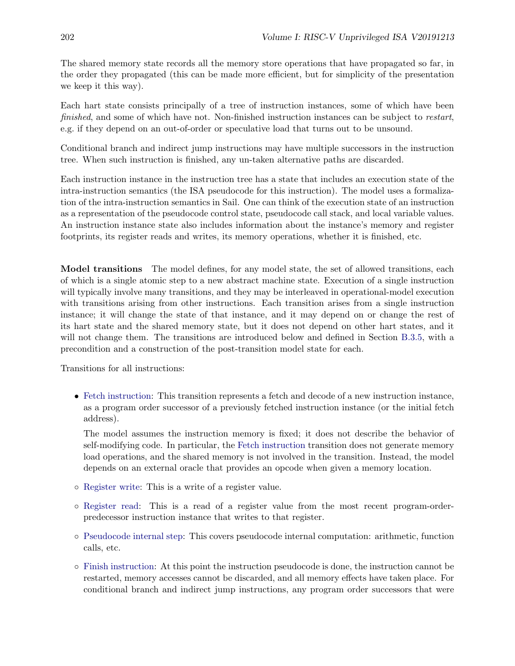The shared memory state records all the memory store operations that have propagated so far, in the order they propagated (this can be made more efficient, but for simplicity of the presentation we keep it this way).

Each hart state consists principally of a tree of instruction instances, some of which have been finished, and some of which have not. Non-finished instruction instances can be subject to restart, e.g. if they depend on an out-of-order or speculative load that turns out to be unsound.

Conditional branch and indirect jump instructions may have multiple successors in the instruction tree. When such instruction is finished, any un-taken alternative paths are discarded.

Each instruction instance in the instruction tree has a state that includes an execution state of the intra-instruction semantics (the ISA pseudocode for this instruction). The model uses a formalization of the intra-instruction semantics in Sail. One can think of the execution state of an instruction as a representation of the pseudocode control state, pseudocode call stack, and local variable values. An instruction instance state also includes information about the instance's memory and register footprints, its register reads and writes, its memory operations, whether it is finished, etc.

Model transitions The model defines, for any model state, the set of allowed transitions, each of which is a single atomic step to a new abstract machine state. Execution of a single instruction will typically involve many transitions, and they may be interleaved in operational-model execution with transitions arising from other instructions. Each transition arises from a single instruction instance; it will change the state of that instance, and it may depend on or change the rest of its hart state and the shared memory state, but it does not depend on other hart states, and it will not change them. The transitions are introduced below and defined in Section [B.3.5,](#page-225-0) with a precondition and a construction of the post-transition model state for each.

Transitions for all instructions:

• [Fetch instruction:](#page-225-1) This transition represents a fetch and decode of a new instruction instance, as a program order successor of a previously fetched instruction instance (or the initial fetch address).

The model assumes the instruction memory is fixed; it does not describe the behavior of self-modifying code. In particular, the [Fetch instruction](#page-225-1) transition does not generate memory load operations, and the shared memory is not involved in the transition. Instead, the model depends on an external oracle that provides an opcode when given a memory location.

- [Register write:](#page-232-0) This is a write of a register value.
- [Register read:](#page-232-1) This is a read of a register value from the most recent program-orderpredecessor instruction instance that writes to that register.
- [Pseudocode internal step:](#page-233-0) This covers pseudocode internal computation: arithmetic, function calls, etc.
- [Finish instruction:](#page-233-1) At this point the instruction pseudocode is done, the instruction cannot be restarted, memory accesses cannot be discarded, and all memory effects have taken place. For conditional branch and indirect jump instructions, any program order successors that were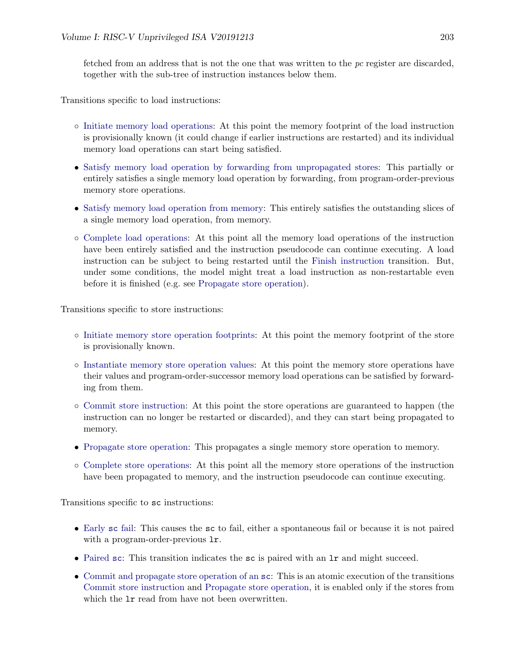fetched from an address that is not the one that was written to the pc register are discarded, together with the sub-tree of instruction instances below them.

Transitions specific to load instructions:

- [Initiate memory load operations:](#page-226-0) At this point the memory footprint of the load instruction is provisionally known (it could change if earlier instructions are restarted) and its individual memory load operations can start being satisfied.
- [Satisfy memory load operation by forwarding from unpropagated stores:](#page-226-1) This partially or entirely satisfies a single memory load operation by forwarding, from program-order-previous memory store operations.
- [Satisfy memory load operation from memory:](#page-227-0) This entirely satisfies the outstanding slices of a single memory load operation, from memory.
- [Complete load operations:](#page-228-0) At this point all the memory load operations of the instruction have been entirely satisfied and the instruction pseudocode can continue executing. A load instruction can be subject to being restarted until the [Finish instruction](#page-233-1) transition. But, under some conditions, the model might treat a load instruction as non-restartable even before it is finished (e.g. see [Propagate store operation\)](#page-229-0).

Transitions specific to store instructions:

- [Initiate memory store operation footprints:](#page-228-1) At this point the memory footprint of the store is provisionally known.
- [Instantiate memory store operation values:](#page-229-1) At this point the memory store operations have their values and program-order-successor memory load operations can be satisfied by forwarding from them.
- [Commit store instruction:](#page-229-2) At this point the store operations are guaranteed to happen (the instruction can no longer be restarted or discarded), and they can start being propagated to memory.
- [Propagate store operation:](#page-229-0) This propagates a single memory store operation to memory.
- [Complete store operations:](#page-231-0) At this point all the memory store operations of the instruction have been propagated to memory, and the instruction pseudocode can continue executing.

Transitions specific to sc instructions:

- [Early](#page-228-2) sc fail: This causes the sc to fail, either a spontaneous fail or because it is not paired with a program-order-previous  $1r$ .
- [Paired](#page-228-3) sc: This transition indicates the sc is paired with an  $1r$  and might succeed.
- [Commit and propagate store operation of an](#page-230-0) sc: This is an atomic execution of the transitions [Commit store instruction](#page-229-2) and [Propagate store operation,](#page-229-0) it is enabled only if the stores from which the 1r read from have not been overwritten.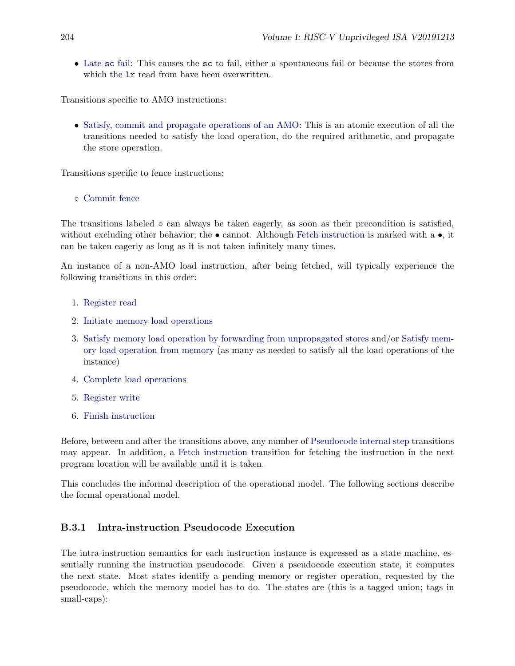• [Late](#page-231-1) sc fail: This causes the sc to fail, either a spontaneous fail or because the stores from which the  $1r$  read from have been overwritten.

Transitions specific to AMO instructions:

• [Satisfy, commit and propagate operations of an AMO:](#page-231-2) This is an atomic execution of all the transitions needed to satisfy the load operation, do the required arithmetic, and propagate the store operation.

Transitions specific to fence instructions:

◦ [Commit fence](#page-232-2)

The transitions labeled  $\circ$  can always be taken eagerly, as soon as their precondition is satisfied, without excluding other behavior; the  $\bullet$  cannot. Although [Fetch instruction](#page-225-1) is marked with a  $\bullet$ , it can be taken eagerly as long as it is not taken infinitely many times.

An instance of a non-AMO load instruction, after being fetched, will typically experience the following transitions in this order:

- 1. [Register read](#page-232-1)
- 2. [Initiate memory load operations](#page-226-0)
- 3. [Satisfy memory load operation by forwarding from unpropagated stores](#page-226-1) and/or [Satisfy mem](#page-227-0)[ory load operation from memory](#page-227-0) (as many as needed to satisfy all the load operations of the instance)
- 4. [Complete load operations](#page-228-0)
- 5. [Register write](#page-232-0)
- 6. [Finish instruction](#page-233-1)

Before, between and after the transitions above, any number of [Pseudocode internal step](#page-233-0) transitions may appear. In addition, a [Fetch instruction](#page-225-1) transition for fetching the instruction in the next program location will be available until it is taken.

This concludes the informal description of the operational model. The following sections describe the formal operational model.

## B.3.1 Intra-instruction Pseudocode Execution

The intra-instruction semantics for each instruction instance is expressed as a state machine, essentially running the instruction pseudocode. Given a pseudocode execution state, it computes the next state. Most states identify a pending memory or register operation, requested by the pseudocode, which the memory model has to do. The states are (this is a tagged union; tags in small-caps):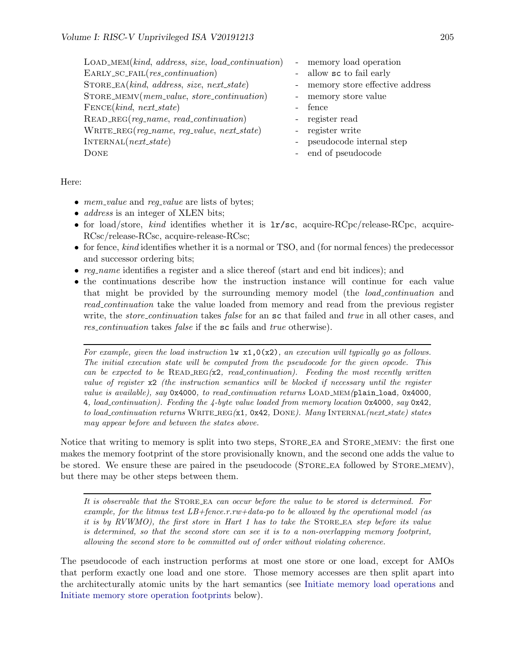LOAD MEM(*kind, address, size, load continuation*) - memory load operation EARLY\_SC\_FAIL(*res\_continuation*) - allow sc to fail early  $STOREE A(kind, address, size, next-state)$  - memory store effective address STORE\_MEMV(mem\_value, store\_continuation) - memory store value  $FENCE(kind, next\_state)$  - fence READ\_REG(reg\_name, read\_continuation) - register read WRITE\_REG(reg\_name, reg\_value, next\_state) - register write INTERNAL(*next\_state*) - pseudocode internal step DONE - end of pseudocode

- 
- 
- 
- 
- 
- 
- 
- 
- 

Here:

- mem\_value and req\_value are lists of bytes;
- *address* is an integer of XLEN bits;
- for load/store, kind identifies whether it is  $1r$ /sc, acquire-RCpc/release-RCpc, acquire-RCsc/release-RCsc, acquire-release-RCsc;
- $\bullet$  for fence, kind identifies whether it is a normal or TSO, and (for normal fences) the predecessor and successor ordering bits;
- reg<sub>name</sub> identifies a register and a slice thereof (start and end bit indices); and
- the continuations describe how the instruction instance will continue for each value that might be provided by the surrounding memory model (the *load continuation* and read continuation take the value loaded from memory and read from the previous register write, the *store\_continuation* takes *false* for an sc that failed and *true* in all other cases, and res continuation takes false if the sc fails and true otherwise).

For example, given the load instruction  $\exists w \times 1, 0(x2)$ , an execution will typically go as follows. The initial execution state will be computed from the pseudocode for the given opcode. This can be expected to be READ\_REG( $x2$ , read continuation). Feeding the most recently written value of register x2 (the instruction semantics will be blocked if necessary until the register value is available), say  $0x4000$ , to read\_continuation returns LOAD\_MEM(plain\_load,  $0x4000$ , 4, load\_continuation). Feeding the 4-byte value loaded from memory location 0x4000, say 0x42, to load continuation returns WRITE REG( $x1$ , 0x42, DONE). Many INTERNAL(next state) states may appear before and between the states above.

Notice that writing to memory is split into two steps, STORE EA and STORE MEMV: the first one makes the memory footprint of the store provisionally known, and the second one adds the value to be stored. We ensure these are paired in the pseudocode (STORE EA followed by STORE\_MEMV), but there may be other steps between them.

It is observable that the STORE EA can occur before the value to be stored is determined. For example, for the litmus test  $LB + \text{fence.r.rw} + \text{data-po to be allowed by the operational model (as) }$ it is by  $RVWMO$ , the first store in Hart 1 has to take the STORE EA step before its value is determined, so that the second store can see it is to a non-overlapping memory footprint, allowing the second store to be committed out of order without violating coherence.

The pseudocode of each instruction performs at most one store or one load, except for AMOs that perform exactly one load and one store. Those memory accesses are then split apart into the architecturally atomic units by the hart semantics (see [Initiate memory load operations](#page-226-0) and [Initiate memory store operation footprints](#page-228-1) below).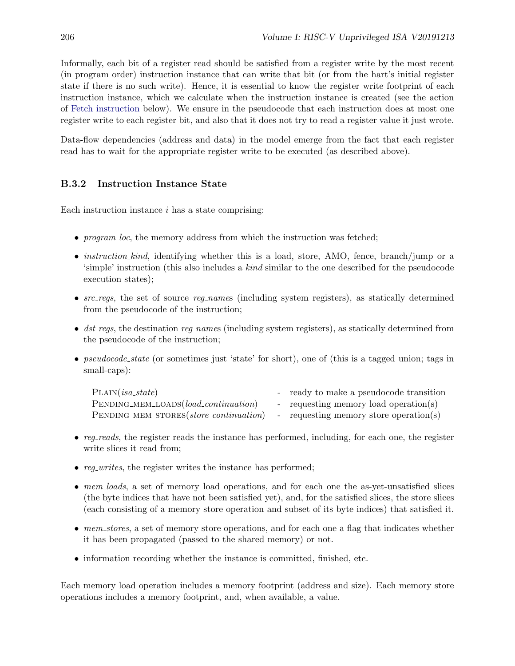Informally, each bit of a register read should be satisfied from a register write by the most recent (in program order) instruction instance that can write that bit (or from the hart's initial register state if there is no such write). Hence, it is essential to know the register write footprint of each instruction instance, which we calculate when the instruction instance is created (see the action of [Fetch instruction](#page-225-1) below). We ensure in the pseudocode that each instruction does at most one register write to each register bit, and also that it does not try to read a register value it just wrote.

Data-flow dependencies (address and data) in the model emerge from the fact that each register read has to wait for the appropriate register write to be executed (as described above).

## B.3.2 Instruction Instance State

Each instruction instance  $i$  has a state comprising:

- *program\_loc*, the memory address from which the instruction was fetched;
- *instruction\_kind*, identifying whether this is a load, store, AMO, fence, branch/jump or a 'simple' instruction (this also includes a kind similar to the one described for the pseudocode execution states);
- src regs, the set of source reg names (including system registers), as statically determined from the pseudocode of the instruction;
- $\bullet$  dst regs, the destination reg names (including system registers), as statically determined from the pseudocode of the instruction;
- *pseudocode\_state* (or sometimes just 'state' for short), one of (this is a tagged union; tags in small-caps):

| $PLAIN(isa\_state)$                    | - ready to make a pseudocode transition |
|----------------------------------------|-----------------------------------------|
| PENDING_MEM_LOADS(load_continuation)   | - requesting memory load operation(s)   |
| PENDING_MEM_STORES(store_continuation) | - requesting memory store operation(s)  |

- reg-reads, the register reads the instance has performed, including, for each one, the register write slices it read from;
- $reg\_writes$ , the register writes the instance has performed;
- mem loads, a set of memory load operations, and for each one the as-yet-unsatisfied slices (the byte indices that have not been satisfied yet), and, for the satisfied slices, the store slices (each consisting of a memory store operation and subset of its byte indices) that satisfied it.
- mem stores, a set of memory store operations, and for each one a flag that indicates whether it has been propagated (passed to the shared memory) or not.
- information recording whether the instance is committed, finished, etc.

Each memory load operation includes a memory footprint (address and size). Each memory store operations includes a memory footprint, and, when available, a value.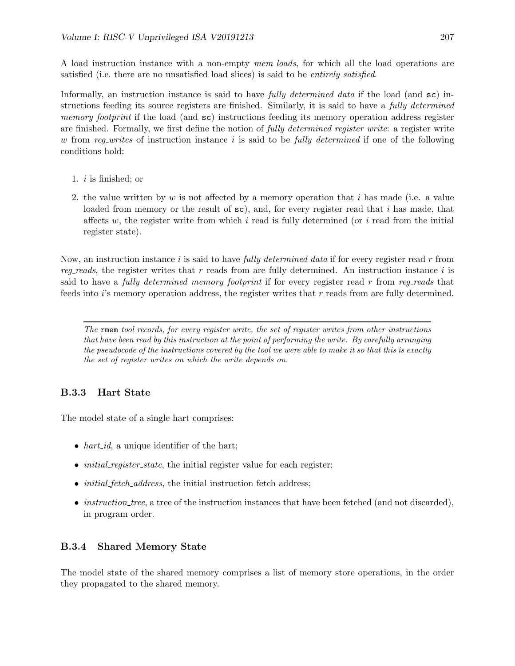A load instruction instance with a non-empty mem loads, for which all the load operations are satisfied (i.e. there are no unsatisfied load slices) is said to be entirely satisfied.

Informally, an instruction instance is said to have fully determined data if the load (and  $\infty$ ) instructions feeding its source registers are finished. Similarly, it is said to have a *fully determined* memory footprint if the load (and sc) instructions feeding its memory operation address register are finished. Formally, we first define the notion of *fully determined reqister write*: a register write w from reg-writes of instruction instance i is said to be fully determined if one of the following conditions hold:

- 1.  $i$  is finished; or
- 2. the value written by w is not affected by a memory operation that i has made (i.e. a value loaded from memory or the result of  $\mathbf{sc}$ , and, for every register read that i has made, that affects w, the register write from which i read is fully determined (or  $i$  read from the initial register state).

Now, an instruction instance i is said to have fully determined data if for every register read r from reg reads, the register writes that r reads from are fully determined. An instruction instance i is said to have a fully determined memory footprint if for every register read  $r$  from reg-reads that feeds into i's memory operation address, the register writes that  $r$  reads from are fully determined.

The rmem tool records, for every register write, the set of register writes from other instructions that have been read by this instruction at the point of performing the write. By carefully arranging the pseudocode of the instructions covered by the tool we were able to make it so that this is exactly the set of register writes on which the write depends on.

## B.3.3 Hart State

The model state of a single hart comprises:

- *hart\_id*, a unique identifier of the hart;
- *initial\_register\_state*, the initial register value for each register;
- *initial\_fetch\_address*, the initial instruction fetch address;
- *instruction\_tree*, a tree of the instruction instances that have been fetched (and not discarded), in program order.

#### B.3.4 Shared Memory State

The model state of the shared memory comprises a list of memory store operations, in the order they propagated to the shared memory.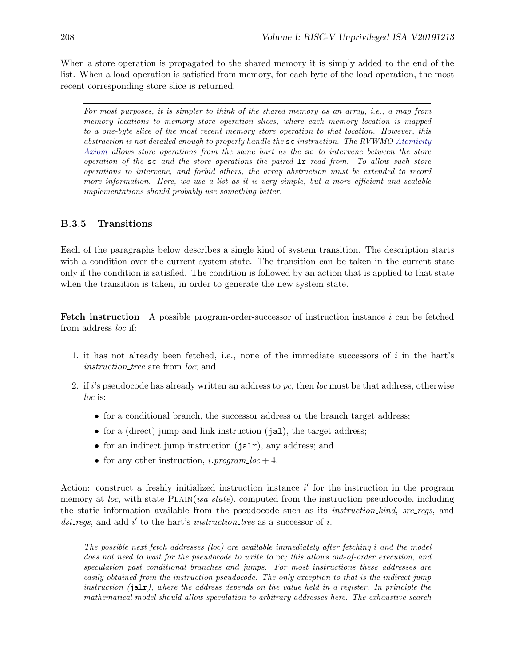When a store operation is propagated to the shared memory it is simply added to the end of the list. When a load operation is satisfied from memory, for each byte of the load operation, the most recent corresponding store slice is returned.

For most purposes, it is simpler to think of the shared memory as an array, i.e., a map from memory locations to memory store operation slices, where each memory location is mapped to a one-byte slice of the most recent memory store operation to that location. However, this abstraction is not detailed enough to properly handle the sc instruction. The RVWMO [Atomicity](#page-105-0) [Axiom](#page-105-0) allows store operations from the same hart as the sc to intervene between the store operation of the  $\mathfrak{so}% (n+1)$  scale of the store operations the paired  $\mathfrak{tr}% (\mathfrak{so})$  read from. To allow such store operations to intervene, and forbid others, the array abstraction must be extended to record more information. Here, we use a list as it is very simple, but a more efficient and scalable implementations should probably use something better.

#### <span id="page-225-0"></span>B.3.5 Transitions

Each of the paragraphs below describes a single kind of system transition. The description starts with a condition over the current system state. The transition can be taken in the current state only if the condition is satisfied. The condition is followed by an action that is applied to that state when the transition is taken, in order to generate the new system state.

<span id="page-225-1"></span>Fetch instruction A possible program-order-successor of instruction instance i can be fetched from address loc if:

- 1. it has not already been fetched, i.e., none of the immediate successors of  $i$  in the hart's instruction\_tree are from loc; and
- 2. if i's pseudocode has already written an address to pc, then loc must be that address, otherwise loc is:
	- for a conditional branch, the successor address or the branch target address;
	- for a (direct) jump and link instruction (jal), the target address;
	- for an indirect jump instruction (jalr), any address; and
	- for any other instruction,  $i. program\_loc + 4$ .

Action: construct a freshly initialized instruction instance  $i'$  for the instruction in the program memory at loc, with state  $PLAIN(isa\_state)$ , computed from the instruction pseudocode, including the static information available from the pseudocode such as its *instruction kind, src regs*, and  $dst\_regs$ , and add  $i'$  to the hart's *instruction\_tree* as a successor of  $i$ .

The possible next fetch addresses (loc) are available immediately after fetching i and the model does not need to wait for the pseudocode to write to pc; this allows out-of-order execution, and speculation past conditional branches and jumps. For most instructions these addresses are easily obtained from the instruction pseudocode. The only exception to that is the indirect jump instruction (jalr), where the address depends on the value held in a register. In principle the mathematical model should allow speculation to arbitrary addresses here. The exhaustive search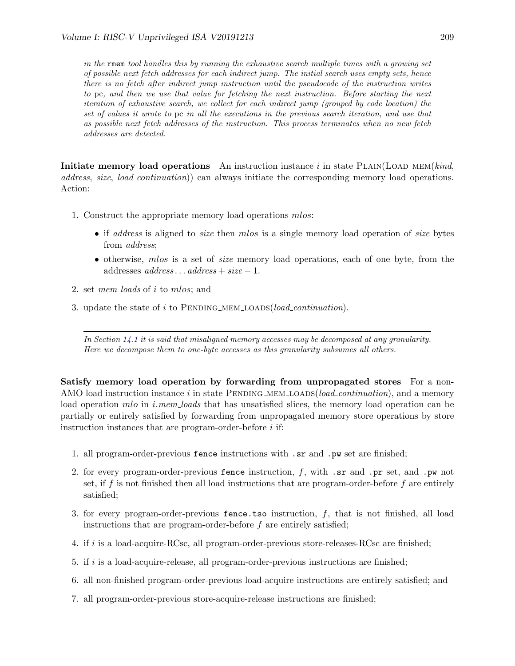in the rmem tool handles this by running the exhaustive search multiple times with a growing set of possible next fetch addresses for each indirect jump. The initial search uses empty sets, hence there is no fetch after indirect jump instruction until the pseudocode of the instruction writes to pc, and then we use that value for fetching the next instruction. Before starting the next iteration of exhaustive search, we collect for each indirect jump (grouped by code location) the set of values it wrote to pc in all the executions in the previous search iteration, and use that as possible next fetch addresses of the instruction. This process terminates when no new fetch addresses are detected.

<span id="page-226-0"></span>Initiate memory load operations An instruction instance i in state PLAIN(LOAD MEM(kind, address, size, load continuation)) can always initiate the corresponding memory load operations. Action:

- 1. Construct the appropriate memory load operations mlos:
	- if address is aligned to size then mlos is a single memory load operation of size bytes from address;
	- otherwise, *mlos* is a set of *size* memory load operations, each of one byte, from the addresses  $address \dots address + size - 1$ .
- 2. set *mem<sub>-loads* of *i* to *mlos*; and</sub>
- 3. update the state of i to  $\text{PENDING\_MEM\_LOADS}(load_{\text{continuation}})$ .

In Section [14.1](#page-101-0) it is said that misaligned memory accesses may be decomposed at any granularity. Here we decompose them to one-byte accesses as this granularity subsumes all others.

<span id="page-226-1"></span>Satisfy memory load operation by forwarding from unpropagated stores For a non-AMO load instruction instance  $i$  in state PENDING MEM LOADS(*load continuation*), and a memory load operation *mlo* in *i.mem loads* that has unsatisfied slices, the memory load operation can be partially or entirely satisfied by forwarding from unpropagated memory store operations by store instruction instances that are program-order-before  $i$  if:

- 1. all program-order-previous fence instructions with .sr and .pw set are finished;
- 2. for every program-order-previous fence instruction,  $f$ , with .sr and .pr set, and .pw not set, if f is not finished then all load instructions that are program-order-before f are entirely satisfied;
- 3. for every program-order-previous fence.tso instruction, f, that is not finished, all load instructions that are program-order-before  $f$  are entirely satisfied;
- 4. if i is a load-acquire-RCsc, all program-order-previous store-releases-RCsc are finished;
- 5. if i is a load-acquire-release, all program-order-previous instructions are finished;
- 6. all non-finished program-order-previous load-acquire instructions are entirely satisfied; and
- 7. all program-order-previous store-acquire-release instructions are finished;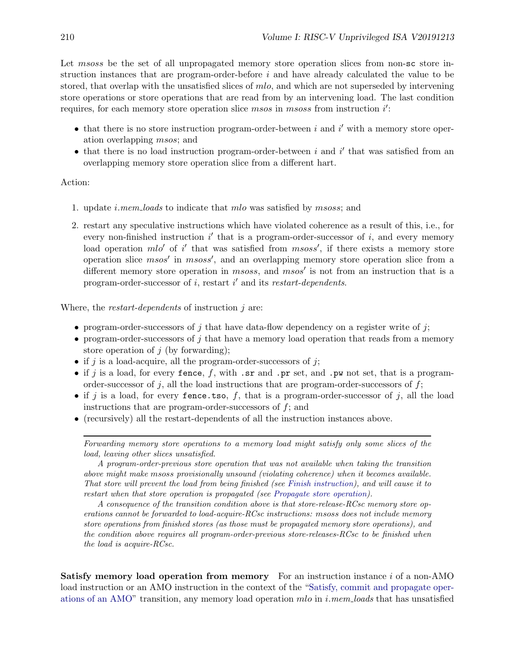Let msoss be the set of all unpropagated memory store operation slices from non-sc store instruction instances that are program-order-before i and have already calculated the value to be stored, that overlap with the unsatisfied slices of *mlo*, and which are not superseded by intervening store operations or store operations that are read from by an intervening load. The last condition requires, for each memory store operation slice  $m$ sos in  $m$ soss from instruction  $i'$ :

- $\bullet$  that there is no store instruction program-order-between i and i' with a memory store operation overlapping msos; and
- $\bullet$  that there is no load instruction program-order-between i and i' that was satisfied from an overlapping memory store operation slice from a different hart.

#### Action:

- 1. update *i.mem\_loads* to indicate that *mlo* was satisfied by *msoss*; and
- 2. restart any speculative instructions which have violated coherence as a result of this, i.e., for every non-finished instruction  $i'$  that is a program-order-successor of  $i$ , and every memory load operation mlo' of i' that was satisfied from msoss', if there exists a memory store operation slice *msos'* in *msoss'*, and an overlapping memory store operation slice from a different memory store operation in *msoss*, and *msos'* is not from an instruction that is a program-order-successor of  $i$ , restart  $i'$  and its restart-dependents.

Where, the *restart-dependents* of instruction  $j$  are:

- program-order-successors of j that have data-flow dependency on a register write of j;
- program-order-successors of  $j$  that have a memory load operation that reads from a memory store operation of  $j$  (by forwarding);
- if j is a load-acquire, all the program-order-successors of j;
- if j is a load, for every fence, f, with . sr and . pr set, and . pw not set, that is a programorder-successor of j, all the load instructions that are program-order-successors of  $f$ ;
- if j is a load, for every fence tso, f, that is a program-order-successor of j, all the load instructions that are program-order-successors of  $f$ ; and
- (recursively) all the restart-dependents of all the instruction instances above.

A consequence of the transition condition above is that store-release-RCsc memory store operations cannot be forwarded to load-acquire-RCsc instructions: msoss does not include memory store operations from finished stores (as those must be propagated memory store operations), and the condition above requires all program-order-previous store-releases-RCsc to be finished when the load is acquire-RCsc.

<span id="page-227-0"></span>**Satisfy memory load operation from memory** For an instruction instance  $i$  of a non-AMO load instruction or an AMO instruction in the context of the ["Satisfy, commit and propagate oper](#page-231-2)[ations of an AMO"](#page-231-2) transition, any memory load operation  $m\nu$  in i.mem loads that has unsatisfied

Forwarding memory store operations to a memory load might satisfy only some slices of the load, leaving other slices unsatisfied.

A program-order-previous store operation that was not available when taking the transition above might make msoss provisionally unsound (violating coherence) when it becomes available. That store will prevent the load from being finished (see [Finish instruction\)](#page-233-1), and will cause it to restart when that store operation is propagated (see [Propagate store operation\)](#page-229-0).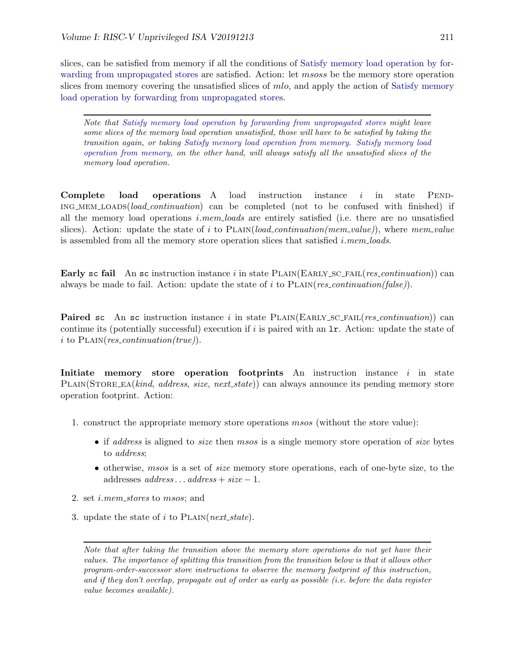slices, can be satisfied from memory if all the conditions of [Satisfy memory load operation by for](#page-226-1)[warding from unpropagated stores](#page-226-1) are satisfied. Action: let *msoss* be the memory store operation slices from memory covering the unsatisfied slices of mlo, and apply the action of [Satisfy memory](#page-226-1) [load operation by forwarding from unpropagated stores.](#page-226-1)

Note that [Satisfy memory load operation by forwarding from unpropagated stores](#page-226-1) might leave some slices of the memory load operation unsatisfied, those will have to be satisfied by taking the transition again, or taking [Satisfy memory load operation from memory.](#page-227-0) [Satisfy memory load](#page-227-0) [operation from memory,](#page-227-0) on the other hand, will always satisfy all the unsatisfied slices of the memory load operation.

<span id="page-228-0"></span>**Complete** load operations A load instruction instance i in state  $PEND$ ing mem loads(load continuation) can be completed (not to be confused with finished) if all the memory load operations  $i$ .mem loads are entirely satisfied (i.e. there are no unsatisfied slices). Action: update the state of i to  $PLAIN(load_{continuation}(mem\_value))$ , where mem value is assembled from all the memory store operation slices that satisfied  $i$ . mem loads.

<span id="page-228-2"></span>Early sc fail An sc instruction instance i in state PLAIN(EARLY\_SC\_FAIL(res\_continuation)) can always be made to fail. Action: update the state of i to  $PLAIN(res_{continuation}(false))$ .

<span id="page-228-3"></span>**Paired sc** An sc instruction instance i in state PLAIN(EARLY\_SC\_FAIL(*res\_continuation*)) can continue its (potentially successful) execution if i is paired with an  $\text{lr}$ . Action: update the state of i to  $PLAIN(res_{continuation}(true)$ .

<span id="page-228-1"></span>Initiate memory store operation footprints An instruction instance i in state PLAIN(STORE EA(kind, address, size, next state)) can always announce its pending memory store operation footprint. Action:

- 1. construct the appropriate memory store operations msos (without the store value):
	- if address is aligned to *size* then msos is a single memory store operation of *size* bytes to address;
	- otherwise, msos is a set of size memory store operations, each of one-byte size, to the addresses  $address \dots address + size - 1$ .
- 2. set *i.mem\_stores* to *msos*; and
- 3. update the state of i to  $PLAIN(next\_state)$ .

Note that after taking the transition above the memory store operations do not yet have their values. The importance of splitting this transition from the transition below is that it allows other program-order-successor store instructions to observe the memory footprint of this instruction, and if they don't overlap, propagate out of order as early as possible (i.e. before the data register value becomes available).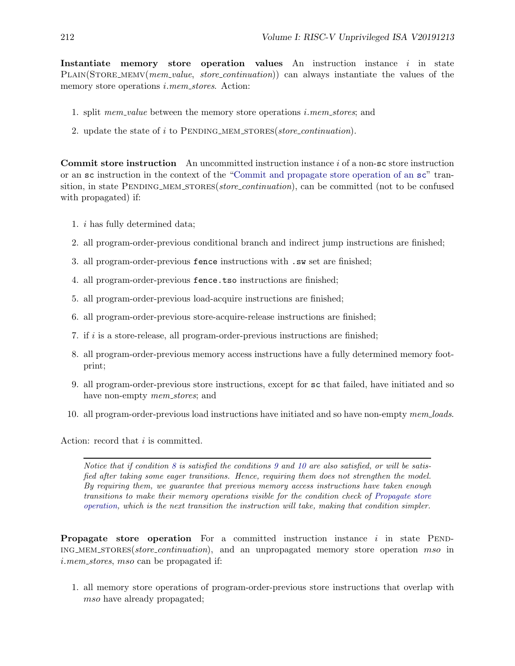<span id="page-229-1"></span>Instantiate memory store operation values An instruction instance i in state PLAIN(STORE\_MEMV(*mem\_value, store\_continuation*)) can always instantiate the values of the memory store operations *i.mem\_stores*. Action:

- 1. split mem value between the memory store operations *i.mem stores*; and
- 2. update the state of i to PENDING\_MEM\_STORES(store\_continuation).

<span id="page-229-2"></span>Commit store instruction An uncommitted instruction instance i of a non-sc store instruction or an sc instruction in the context of the ["Commit and propagate store operation of an](#page-230-0) sc" transition, in state PENDING MEM STORES(*store continuation*), can be committed (not to be confused with propagated) if:

- 1. i has fully determined data;
- 2. all program-order-previous conditional branch and indirect jump instructions are finished;
- 3. all program-order-previous fence instructions with .sw set are finished;
- 4. all program-order-previous fence.tso instructions are finished;
- 5. all program-order-previous load-acquire instructions are finished;
- 6. all program-order-previous store-acquire-release instructions are finished;
- 7. if i is a store-release, all program-order-previous instructions are finished;
- <span id="page-229-3"></span>8. all program-order-previous memory access instructions have a fully determined memory footprint;
- <span id="page-229-4"></span>9. all program-order-previous store instructions, except for sc that failed, have initiated and so have non-empty *mem\_stores*; and
- <span id="page-229-5"></span>10. all program-order-previous load instructions have initiated and so have non-empty mem-loads.

Action: record that *i* is committed.

Notice that if condition  $8$  is satisfied the conditions  $9$  and  $10$  are also satisfied, or will be satisfied after taking some eager transitions. Hence, requiring them does not strengthen the model. By requiring them, we guarantee that previous memory access instructions have taken enough transitions to make their memory operations visible for the condition check of [Propagate store](#page-229-0) [operation,](#page-229-0) which is the next transition the instruction will take, making that condition simpler.

<span id="page-229-0"></span>**Propagate store operation** For a committed instruction instance i in state PEND-ING\_MEM\_STORES(store\_continuation), and an unpropagated memory store operation mso in i.mem\_stores, mso can be propagated if:

1. all memory store operations of program-order-previous store instructions that overlap with mso have already propagated;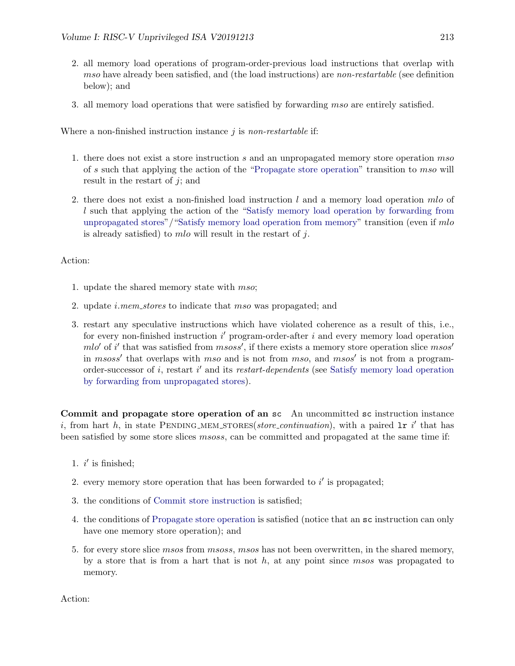- 2. all memory load operations of program-order-previous load instructions that overlap with mso have already been satisfied, and (the load instructions) are non-restartable (see definition below); and
- 3. all memory load operations that were satisfied by forwarding mso are entirely satisfied.

Where a non-finished instruction instance  $i$  is non-restartable if:

- 1. there does not exist a store instruction s and an unpropagated memory store operation mso of s such that applying the action of the ["Propagate store operation"](#page-229-0) transition to mso will result in the restart of  $j$ ; and
- 2. there does not exist a non-finished load instruction  $l$  and a memory load operation mlo of l such that applying the action of the ["Satisfy memory load operation by forwarding from](#page-226-1) [unpropagated stores"](#page-226-1)/["Satisfy memory load operation from memory"](#page-227-0) transition (even if mlo is already satisfied) to mlo will result in the restart of  $j$ .

## Action:

- 1. update the shared memory state with mso;
- 2. update *i.mem\_stores* to indicate that *mso* was propagated; and
- 3. restart any speculative instructions which have violated coherence as a result of this, i.e., for every non-finished instruction  $i'$  program-order-after  $i$  and every memory load operation  $m l o'$  of i' that was satisfied from  $m s o s'$ , if there exists a memory store operation slice  $m s o s'$ in msoss' that overlaps with mso and is not from mso, and msos' is not from a program-order-successor of i, restart i' and its restart-dependents (see [Satisfy memory load operation](#page-226-1) [by forwarding from unpropagated stores\)](#page-226-1).

<span id="page-230-0"></span>Commit and propagate store operation of an sc An uncommitted sc instruction instance i, from hart h, in state PENDING\_MEM\_STORES(store\_continuation), with a paired  $1r$  i' that has been satisfied by some store slices msoss, can be committed and propagated at the same time if:

- 1.  $i'$  is finished;
- 2. every memory store operation that has been forwarded to  $i'$  is propagated;
- 3. the conditions of [Commit store instruction](#page-229-2) is satisfied;
- 4. the conditions of [Propagate store operation](#page-229-0) is satisfied (notice that an sc instruction can only have one memory store operation); and
- 5. for every store slice *msos* from *msoss*, *msos* has not been overwritten, in the shared memory, by a store that is from a hart that is not h, at any point since msos was propagated to memory.

Action: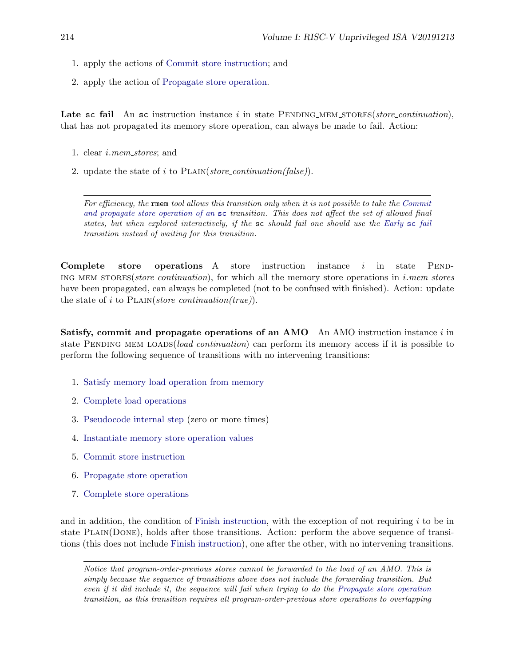- 1. apply the actions of [Commit store instruction;](#page-229-2) and
- 2. apply the action of [Propagate store operation.](#page-229-0)

<span id="page-231-1"></span>Late sc fail An sc instruction instance i in state PENDING\_MEM\_STORES(store\_continuation), that has not propagated its memory store operation, can always be made to fail. Action:

- 1. clear *i.mem\_stores*; and
- 2. update the state of i to  $PLAIN(\textit{store\_continuation}(\textit{false}))$ .

For efficiency, the rmem tool allows this transition only when it is not possible to take the [Commit](#page-230-0) [and propagate store operation of an](#page-230-0) sc transition. This does not affect the set of allowed final states, but when explored interactively, if the sc should fail one should use the [Early](#page-228-2) sc fail transition instead of waiting for this transition.

<span id="page-231-0"></span>**Complete** store operations A store instruction instance i in state  $PEND ING\_MEM\_STORES(*store_{continuation}*)$ , for which all the memory store operations in *i.mem\_stores* have been propagated, can always be completed (not to be confused with finished). Action: update the state of i to  $PLAIN(\textit{store\_continuation}(\textit{true}))$ .

<span id="page-231-2"></span>Satisfy, commit and propagate operations of an AMO  $\,$  An AMO instruction instance i in state PENDING MEM LOADS(*load continuation*) can perform its memory access if it is possible to perform the following sequence of transitions with no intervening transitions:

- 1. [Satisfy memory load operation from memory](#page-227-0)
- 2. [Complete load operations](#page-228-0)
- 3. [Pseudocode internal step](#page-233-0) (zero or more times)
- 4. [Instantiate memory store operation values](#page-229-1)
- 5. [Commit store instruction](#page-229-2)
- 6. [Propagate store operation](#page-229-0)
- 7. [Complete store operations](#page-231-0)

and in addition, the condition of [Finish instruction,](#page-233-1) with the exception of not requiring  $i$  to be in state Plain(Done), holds after those transitions. Action: perform the above sequence of transitions (this does not include [Finish instruction\)](#page-233-1), one after the other, with no intervening transitions.

Notice that program-order-previous stores cannot be forwarded to the load of an AMO. This is simply because the sequence of transitions above does not include the forwarding transition. But even if it did include it, the sequence will fail when trying to do the [Propagate store operation](#page-229-0) transition, as this transition requires all program-order-previous store operations to overlapping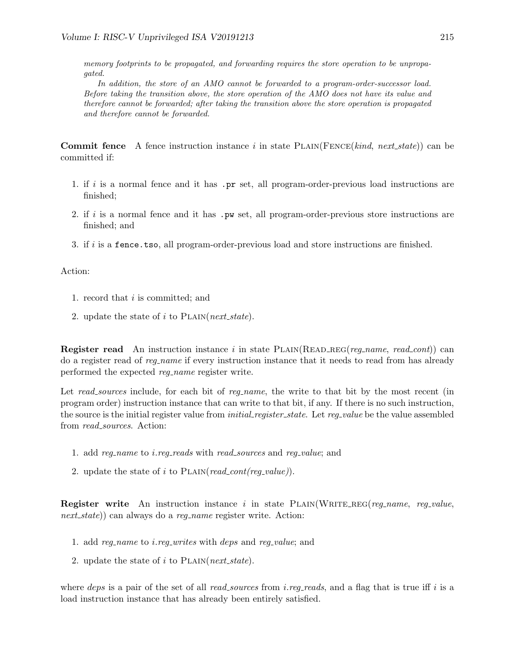memory footprints to be propagated, and forwarding requires the store operation to be unpropagated.

In addition, the store of an AMO cannot be forwarded to a program-order-successor load. Before taking the transition above, the store operation of the AMO does not have its value and therefore cannot be forwarded; after taking the transition above the store operation is propagated and therefore cannot be forwarded.

<span id="page-232-2"></span>**Commit fence** A fence instruction instance i in state PLAIN(FENCE(kind, next\_state)) can be committed if:

- 1. if i is a normal fence and it has .pr set, all program-order-previous load instructions are finished;
- 2. if i is a normal fence and it has  $.$  pw set, all program-order-previous store instructions are finished; and
- 3. if i is a fence.tso, all program-order-previous load and store instructions are finished.

Action:

- 1. record that i is committed; and
- 2. update the state of i to  $PLAIN(next-state)$ .

<span id="page-232-1"></span>**Register read** An instruction instance i in state PLAIN(READ\_REG(reg\_name, read\_cont)) can do a register read of reg<sub>name</sub> if every instruction instance that it needs to read from has already performed the expected reg name register write.

Let read sources include, for each bit of reg-name, the write to that bit by the most recent (in program order) instruction instance that can write to that bit, if any. If there is no such instruction, the source is the initial register value from *initial register state*. Let reg value be the value assembled from *read\_sources*. Action:

- 1. add reg\_name to *i.reg\_reads* with read\_sources and reg\_value; and
- 2. update the state of i to  $PLAIN(*read\_cont*(*reg_value*)).$

<span id="page-232-0"></span>**Register write** An instruction instance i in state  $PLAIN(WRITE\_REG(reg_name, reg_value,$  $next\_state)$  can always do a reg<sub>name</sub> register write. Action:

- 1. add reg<sub>name</sub> to *i.reg\_writes* with *deps* and *reg\_value*; and
- 2. update the state of i to  $PLAIN(next\_state)$ .

where deps is a pair of the set of all read sources from *i.reg. reads*, and a flag that is true iff i is a load instruction instance that has already been entirely satisfied.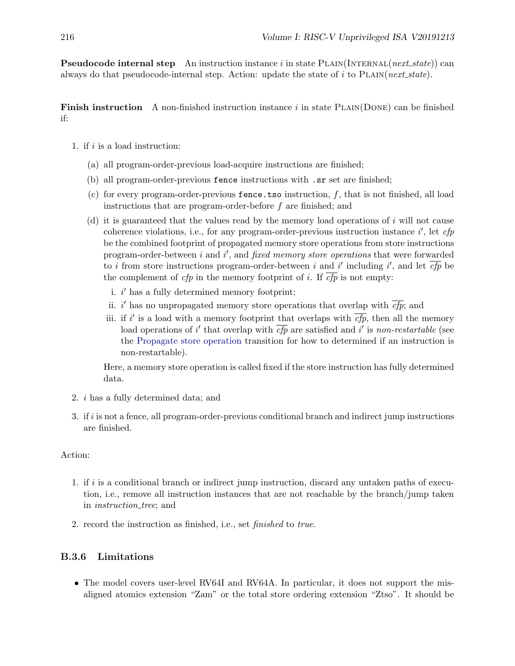<span id="page-233-0"></span>**Pseudocode internal step** An instruction instance i in state PLAIN(INTERNAL(*next\_state*)) can always do that pseudocode-internal step. Action: update the state of i to  $PLAIN(next-state)$ .

<span id="page-233-1"></span>**Finish instruction** A non-finished instruction instance i in state PLAIN(DONE) can be finished if:

- 1. if  $i$  is a load instruction:
	- (a) all program-order-previous load-acquire instructions are finished;
	- (b) all program-order-previous fence instructions with .sr set are finished;
	- (c) for every program-order-previous fence tso instruction,  $f$ , that is not finished, all load instructions that are program-order-before f are finished; and
	- (d) it is guaranteed that the values read by the memory load operations of  $i$  will not cause coherence violations, i.e., for any program-order-previous instruction instance  $i'$ , let  $cfp$ be the combined footprint of propagated memory store operations from store instructions program-order-between i and i', and fixed memory store operations that were forwarded to *i* from store instructions program-order-between *i* and *i'* including *i'*, and let  $\overline{cfp}$  be the complement of *cfp* in the memory footprint of *i*. If  $\overline{cfp}$  is not empty:
		- i.  $i'$  has a fully determined memory footprint;
		- ii. i' has no unpropagated memory store operations that overlap with  $\overline{cfp}$ ; and
		- iii. if i' is a load with a memory footprint that overlaps with  $\overline{cfp}$ , then all the memory load operations of i' that overlap with  $\overline{cfp}$  are satisfied and i' is non-restartable (see the [Propagate store operation](#page-229-0) transition for how to determined if an instruction is non-restartable).

Here, a memory store operation is called fixed if the store instruction has fully determined data.

- 2. i has a fully determined data; and
- 3. if i is not a fence, all program-order-previous conditional branch and indirect jump instructions are finished.

#### Action:

- 1. if i is a conditional branch or indirect jump instruction, discard any untaken paths of execution, i.e., remove all instruction instances that are not reachable by the branch/jump taken in *instruction\_tree*; and
- 2. record the instruction as finished, i.e., set finished to true.

#### B.3.6 Limitations

• The model covers user-level RV64I and RV64A. In particular, it does not support the misaligned atomics extension "Zam" or the total store ordering extension "Ztso". It should be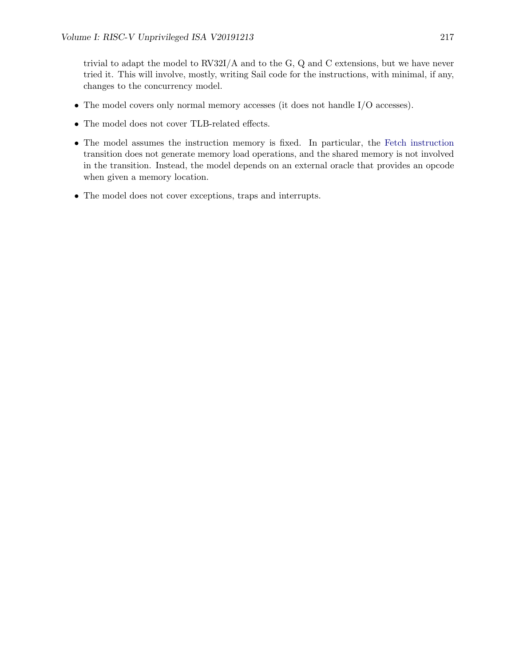trivial to adapt the model to RV32I/A and to the G, Q and C extensions, but we have never tried it. This will involve, mostly, writing Sail code for the instructions, with minimal, if any, changes to the concurrency model.

- The model covers only normal memory accesses (it does not handle I/O accesses).
- The model does not cover TLB-related effects.
- The model assumes the instruction memory is fixed. In particular, the [Fetch instruction](#page-225-1) transition does not generate memory load operations, and the shared memory is not involved in the transition. Instead, the model depends on an external oracle that provides an opcode when given a memory location.
- The model does not cover exceptions, traps and interrupts.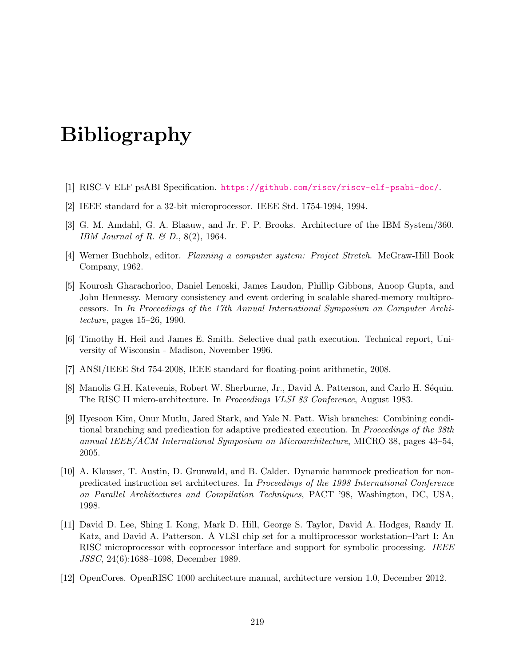# Bibliography

- [1] RISC-V ELF psABI Specification. <https://github.com/riscv/riscv-elf-psabi-doc/>.
- [2] IEEE standard for a 32-bit microprocessor. IEEE Std. 1754-1994, 1994.
- [3] G. M. Amdahl, G. A. Blaauw, and Jr. F. P. Brooks. Architecture of the IBM System/360. IBM Journal of R.  $\& D., 8(2), 1964.$
- [4] Werner Buchholz, editor. Planning a computer system: Project Stretch. McGraw-Hill Book Company, 1962.
- [5] Kourosh Gharachorloo, Daniel Lenoski, James Laudon, Phillip Gibbons, Anoop Gupta, and John Hennessy. Memory consistency and event ordering in scalable shared-memory multiprocessors. In In Proceedings of the 17th Annual International Symposium on Computer Architecture, pages 15–26, 1990.
- [6] Timothy H. Heil and James E. Smith. Selective dual path execution. Technical report, University of Wisconsin - Madison, November 1996.
- [7] ANSI/IEEE Std 754-2008, IEEE standard for floating-point arithmetic, 2008.
- [8] Manolis G.H. Katevenis, Robert W. Sherburne, Jr., David A. Patterson, and Carlo H. Séquin. The RISC II micro-architecture. In Proceedings VLSI 83 Conference, August 1983.
- [9] Hyesoon Kim, Onur Mutlu, Jared Stark, and Yale N. Patt. Wish branches: Combining conditional branching and predication for adaptive predicated execution. In *Proceedings of the 38th* annual IEEE/ACM International Symposium on Microarchitecture, MICRO 38, pages 43–54, 2005.
- [10] A. Klauser, T. Austin, D. Grunwald, and B. Calder. Dynamic hammock predication for nonpredicated instruction set architectures. In Proceedings of the 1998 International Conference on Parallel Architectures and Compilation Techniques, PACT '98, Washington, DC, USA, 1998.
- [11] David D. Lee, Shing I. Kong, Mark D. Hill, George S. Taylor, David A. Hodges, Randy H. Katz, and David A. Patterson. A VLSI chip set for a multiprocessor workstation–Part I: An RISC microprocessor with coprocessor interface and support for symbolic processing. IEEE JSSC, 24(6):1688–1698, December 1989.
- [12] OpenCores. OpenRISC 1000 architecture manual, architecture version 1.0, December 2012.